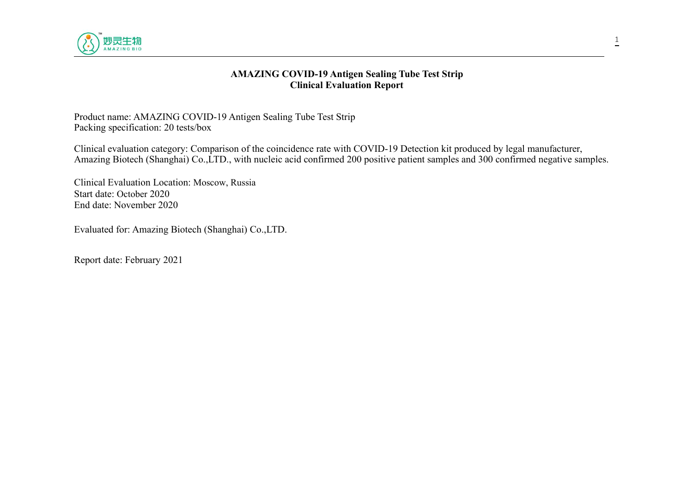

#### **AMAZING COVID-19 Antigen Sealing Tube Test Strip Clinical Evaluation Report**

Product name: AMAZING COVID-19 Antigen Sealing Tube Test Strip Packing specification: 20 tests/box

Clinical evaluation category: Comparison of the coincidence rate with COVID-19 Detection kit produced by legal manufacturer, Amazing Biotech (Shanghai) Co.,LTD., with nucleic acid confirmed 200 positive patient samples and 300 confirmed negative samples.

Clinical Evaluation Location: Moscow, Russia Start date: October 2020 End date: November 2020

Evaluated for: Amazing Biotech (Shanghai) Co.,LTD.

Report date: February 2021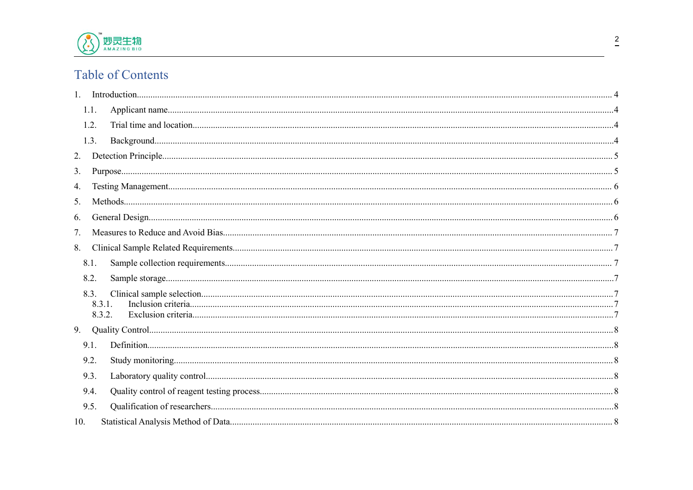

# **Table of Contents**

| 1.1.             |  |
|------------------|--|
| 1.2.             |  |
| 1.3.             |  |
| 2.               |  |
| 3.               |  |
| 4.               |  |
| 5.               |  |
| 6.               |  |
| 7.               |  |
| 8.               |  |
| 8.1.             |  |
| 8.2.             |  |
| 8.3.             |  |
| 8.3.1.<br>8.3.2. |  |
| 9.               |  |
| 9.1.             |  |
| 9.2.             |  |
| 9.3.             |  |
| 9.4.             |  |
| 9.5.             |  |
| 10.              |  |
|                  |  |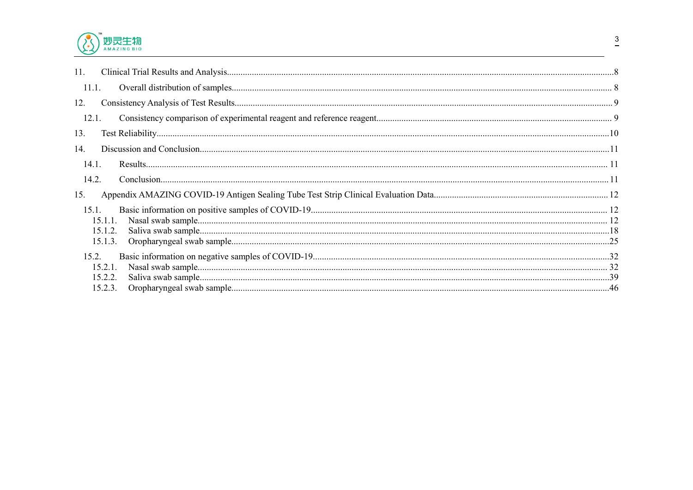

| 11.   |         |  |
|-------|---------|--|
| 11.1. |         |  |
| 12.   |         |  |
| 12.1. |         |  |
| 13.   |         |  |
| 14.   |         |  |
| 14.1. |         |  |
| 14.2. |         |  |
| 15.   |         |  |
| 15.1. |         |  |
|       | 15.1.1. |  |
|       | 15.1.2. |  |
|       | 15.1.3. |  |
| 15.2. |         |  |
|       | 15.2.1. |  |
|       | 15.2.2. |  |
|       | 15.2.3. |  |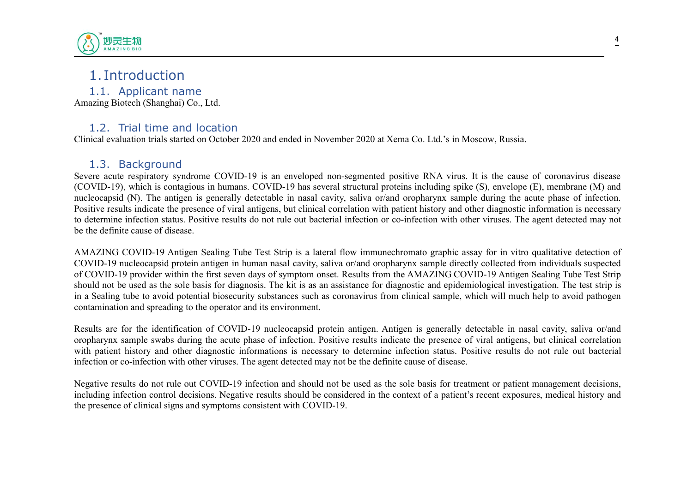

# <span id="page-3-1"></span><span id="page-3-0"></span>1. Introduction

1.1. Applicant name Amazing Biotech (Shanghai) Co., Ltd.

#### <span id="page-3-2"></span>1.2. Trial time and location

Clinical evaluation trials started on October 2020 and ended in November 2020 at Xema Co. Ltd.'s in Moscow, Russia.

#### <span id="page-3-3"></span>1.3. Background

Severe acute respiratory syndrome COVID-19 is an enveloped non-segmented positive RNA virus. It is the cause of coronavirus disease (COVID-19), which is contagious in humans. COVID-19 has several structural proteins including spike (S), envelope (E), membrane (M) and nucleocapsid (N). The antigen is generally detectable in nasal cavity, saliva or/and oropharynx sample during the acute phase of infection. Positive results indicate the presence of viral antigens, but clinical correlation with patient history and other diagnostic information is necessary to determine infection status. Positive results do not rule out bacterial infection or co-infection with other viruses. The agent detected may not be the definite cause of disease.

AMAZING COVID-19 Antigen Sealing Tube Test Strip is a lateral flow immunechromato graphic assay for in vitro qualitative detection of COVID-19 nucleocapsid protein antigen in human nasal cavity, saliva or/and oropharynx sample directly collected from individuals suspected of COVID-19 provider within the first seven days of symptom onset. Results from the AMAZING COVID-19 Antigen Sealing Tube Test Strip should not be used as the sole basis for diagnosis. The kit is as an assistance for diagnostic and epidemiological investigation. The test strip is in a Sealing tube to avoid potential biosecurity substances such as coronavirus from clinical sample, which will much help to avoid pathogen contamination and spreading to the operator and its environment.

Results are for the identification of COVID-19 nucleocapsid protein antigen. Antigen is generally detectable in nasal cavity, saliva or/and oropharynx sample swabs during the acute phase of infection. Positive results indicate the presence of viral antigens, but clinical correlation with patient history and other diagnostic informations is necessary to determine infection status. Positive results do not rule out bacterial infection or co-infection with other viruses. The agent detected may not be the definite cause of disease.

Negative results do not rule out COVID-19 infection and should not be used as the sole basis for treatment or patient management decisions, including infection control decisions. Negative results should be considered in the context of a patient's recent exposures, medical history and the presence of clinical signs and symptoms consistent with COVID-19.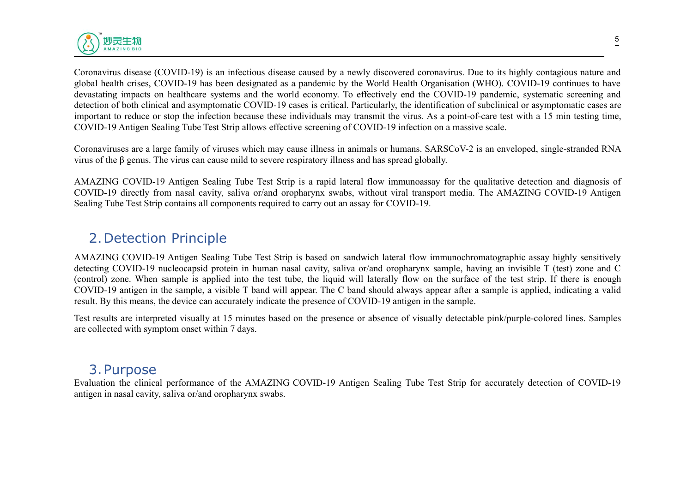

Coronavirus disease (COVID-19) is an infectious disease caused by a newly discovered coronavirus. Due to its highly contagious nature and global health crises, COVID-19 has been designated as a pandemic by the World Health Organisation (WHO). COVID-19 continues to have devastating impacts on healthcare systems and the world economy. To effectively end the COVID-19 pandemic, systematic screening and detection of both clinical and asymptomatic COVID-19 cases is critical. Particularly, the identification of subclinical or asymptomatic cases are important to reduce or stop the infection because these individuals may transmit the virus. As a point-of-care test with a 15 min testing time, COVID-19 Antigen Sealing Tube Test Strip allows effective screening of COVID-19 infection on a massive scale.

Coronaviruses are a large family of viruses which may cause illness in animals or humans. SARSCoV-2 is an enveloped, single-stranded RNA virus ofthe β genus. The virus can cause mild to severe respiratory illness and has spread globally.

AMAZING COVID-19 Antigen Sealing Tube Test Strip is a rapid lateral flow immunoassay for the qualitative detection and diagnosis of COVID-19 directly from nasal cavity, saliva or/and oropharynx swabs, without viral transport media. The AMAZING COVID-19 Antigen Sealing Tube Test Strip contains all components required to carry out an assay for COVID-19.

# <span id="page-4-0"></span>2.Detection Principle

AMAZING COVID-19 Antigen Sealing Tube Test Strip is based on sandwich lateral flow immunochromatographic assay highly sensitively detecting COVID-19 nucleocapsid protein in human nasal cavity, saliva or/and oropharynx sample, having an invisible T (test) zone and C (control) zone. When sample is applied into the test tube, the liquid will laterally flow on the surface of the test strip. If there is enough COVID-19 antigen in the sample, a visible T band will appear. The C band should always appear after a sample is applied, indicating a valid result. By this means, the device can accurately indicate the presence of COVID-19 antigen in the sample.

Test results are interpreted visually at 15 minutes based on the presence or absence of visually detectable pink/purple-colored lines. Samples are collected with symptom onset within 7 days.

## <span id="page-4-1"></span>3.Purpose

Evaluation the clinical performance of the AMAZING COVID-19 Antigen Sealing Tube Test Strip for accurately detection of COVID-19 antigen in nasal cavity, saliva or/and oropharynx swabs.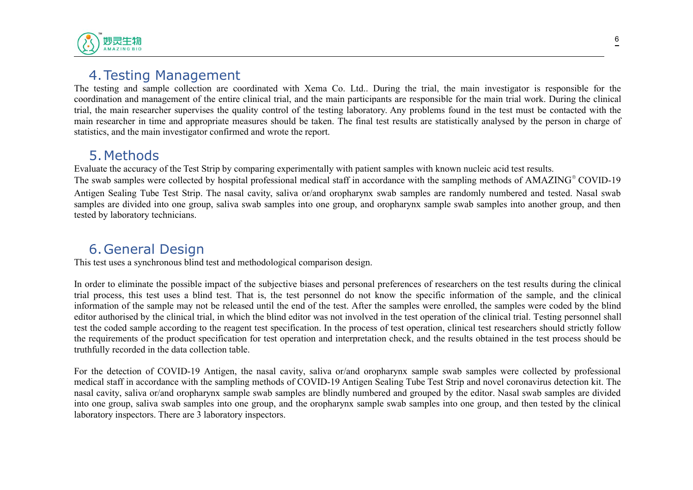

# <span id="page-5-0"></span>4.Testing Management

The testing and sample collection are coordinated with Xema Co. Ltd.. During the trial, the main investigator is responsible for the coordination and management of the entire clinical trial, and the main participants are responsible for the main trial work. During the clinical trial, the main researcher supervises the quality control of the testing laboratory. Any problems found in the test must be contacted with the main researcher in time and appropriate measures should be taken. The final test results are statistically analysed by the person in charge of statistics, and the main investigator confirmed and wrote the report.

<span id="page-5-1"></span>5. Methods<br>Evaluate the accuracy of the Test Strip by comparing experimentally with patient samples with known nucleic acid test results.

Evaluate the accuracy of the Test Strip by comparing experimentally with patient samples with known nucleic acid test results.<br>The swab samples were collected by hospital professional medical staff in accordance with the s Antigen Sealing Tube Test Strip. The nasal cavity, saliva or/and oropharynx swab samples are randomly numbered and tested. Nasal swab samples are divided into one group, saliva swab samples into one group, and oropharynx sample swab samples into another group, and then tested by laboratory technicians.

# <span id="page-5-2"></span>6.General Design

This test uses a synchronous blind test and methodological comparison design.

In order to eliminate the possible impact of the subjective biases and personal preferences of researchers on the test results during the clinical trial process, this test uses a blind test. That is, the test personnel do not know the specific information of the sample, and the clinical information of the sample may not be released until the end of the test. After the samples were enrolled, the samples were coded by the blind editor authorised by the clinical trial, in which the blind editor was not involved in the test operation of the clinical trial. Testing personnel shall test the coded sample according to the reagent test specification. In the process of test operation, clinical test researchers should strictly follow the requirements of the product specification for test operation and interpretation check, and the results obtained in the test process should be truthfully recorded in the data collection table.

For the detection of COVID-19 Antigen, the nasal cavity, saliva or/and oropharynx sample swab samples were collected by professional medical staff in accordance with the sampling methods of COVID-19 Antigen Sealing Tube Test Strip and novel coronavirus detection kit. The nasal cavity, saliva or/and oropharynx sample swab samples are blindly numbered and grouped by the editor. Nasal swab samples are divided into one group, saliva swab samples into one group, and the oropharynx sample swab samples into one group, and then tested by the clinical laboratory inspectors. There are 3 laboratory inspectors.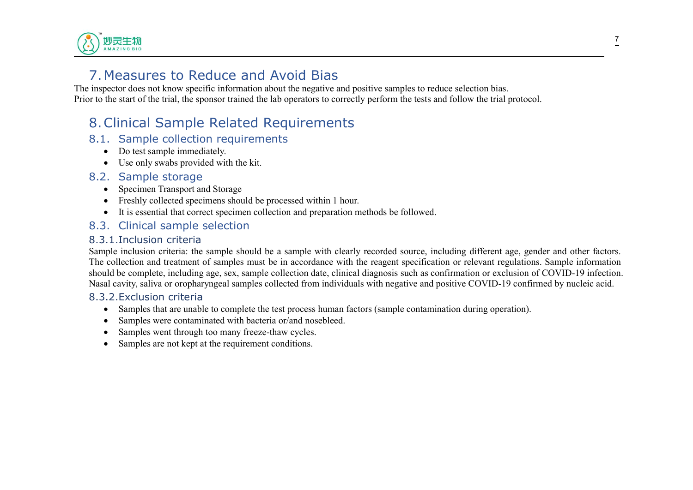

# <span id="page-6-0"></span>7.Measures to Reduce and Avoid Bias

The inspector does not know specific information about the negative and positive samples to reduce selection bias. Prior to the start of the trial, the sponsor trained the lab operators to correctly perform the tests and follow the trial protocol.

# <span id="page-6-1"></span>8.Clinical Sample Related Requirements

#### 8.1. Sample collection requirements

- <span id="page-6-2"></span>• Do test sample immediately.
- <span id="page-6-3"></span>Use only swabs provided with the kit.

#### 8.2. Sample storage

- Specimen Transport and Storage
- Freshly collected specimens should be processed within 1 hour.
- <span id="page-6-4"></span>It is essential that correct specimen collection and preparation methods be followed.

#### 8.3. Clinical sample selection

#### <span id="page-6-5"></span>8.3.1.Inclusion criteria

Sample inclusion criteria: the sample should be a sample with clearly recorded source, including different age, gender and other factors. The collection and treatment of samples must be in accordance with the reagent specification or relevant regulations. Sample information should be complete, including age, sex, sample collection date, clinical diagnosis such as confirmation or exclusion of COVID-19 infection. Nasal cavity, saliva or oropharyngeal samples collected from individuals with negative and positive COVID-19 confirmed by nucleic acid.

#### 8.3.2.Exclusion criteria

- <span id="page-6-6"></span>• Samples that are unable to complete the test process human factors (sample contamination during operation).
- Samples were contaminated with bacteria or/and nosebleed.
- Samples went through too many freeze-thaw cycles.
- Samples are not kept at the requirement conditions.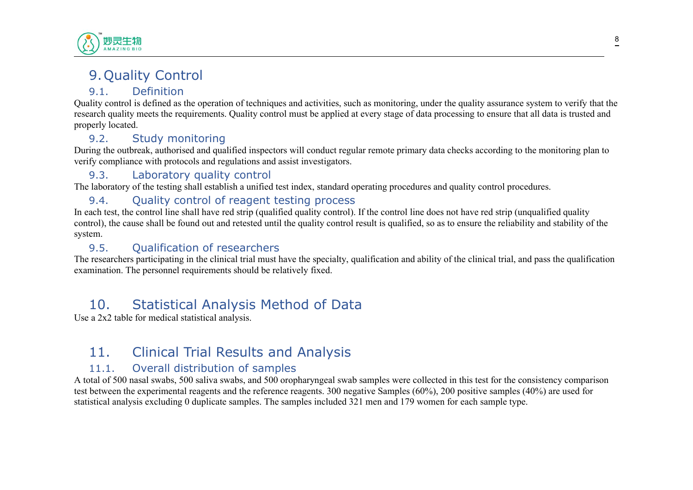

# <span id="page-7-0"></span>9.Quality Control

## <span id="page-7-1"></span>9.1. Definition

Quality control is defined as the operation of techniques and activities, such as monitoring, under the quality assurance system to verify that the research quality meets the requirements. Quality control must be applied at every stage of data processing to ensure that all data is trusted and properly located.

## <span id="page-7-2"></span>9.2. Study monitoring

During the outbreak, authorised and qualified inspectors will conduct regular remote primary data checks according to the monitoring plan to verify compliance with protocols and regulations and assist investigators.

## <span id="page-7-3"></span>9.3. Laboratory quality control

The laboratory of the testing shall establish a unified test index, standard operating procedures and quality control procedures.

## <span id="page-7-4"></span>9.4. Ouality control of reagent testing process

In each test, the control line shall have red strip (qualified quality control). If the control line does not have red strip (unqualified quality control), the cause shall be found out and retested until the quality control result is qualified, so as to ensure the reliability and stability of the system.

## <span id="page-7-5"></span>9.5. Qualification of researchers

The researchers participating in the clinical trial must have the specialty, qualification and ability of the clinical trial, and pass the qualification examination. The personnel requirements should be relatively fixed.

# <span id="page-7-6"></span>10. Statistical Analysis Method of Data

Use a 2x2 table for medical statistical analysis.

# <span id="page-7-7"></span>11. Clinical Trial Results and Analysis

## <span id="page-7-8"></span>11.1. Overall distribution of samples

A total of 500 nasal swabs, 500 saliva swabs, and 500 oropharyngeal swab samples were collected in this test for the consistency comparison test between the experimental reagents and the reference reagents. 300 negative Samples (60%), 200 positive samples (40%) are used for statistical analysis excluding 0 duplicate samples. The samples included 321 men and 179 women for each sample type.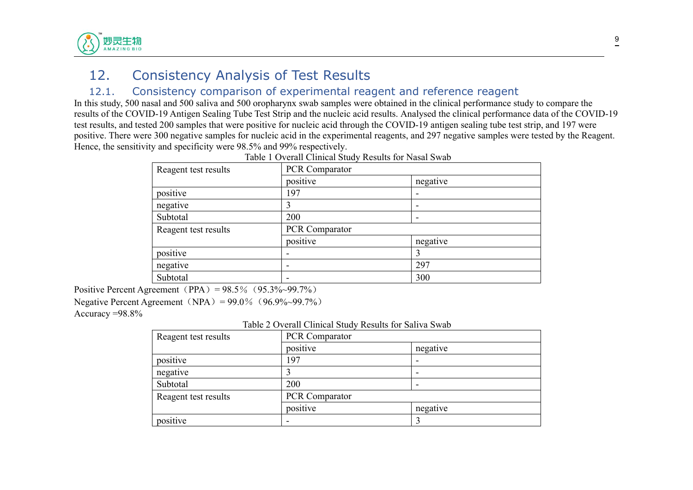

# <span id="page-8-0"></span>12. Consistency Analysis of Test Results

#### <span id="page-8-1"></span>12.1. Consistency comparison of experimental reagent and reference reagent

In this study,500 nasal and 500 saliva and 500 oropharynx swab samples were obtained in the clinical performance study to compare the results of the COVID-19 Antigen Sealing Tube Test Strip and the nucleic acid results. Analysed the clinical performance data of the COVID-19 test results, and tested 200 samples that were positive for nucleic acid through the COVID-19 antigen sealing tube test strip, and 197 were positive. There were 300 negative samples for nucleic acid in the experimental reagents, and 297 negative samples were tested by the Reagent. Hence, the sensitivity and specificity were 98.5% and 99% respectively.

| PCR Comparator |                          |
|----------------|--------------------------|
| positive       | negative                 |
| 197            | $\overline{\phantom{a}}$ |
| 3              | $\overline{\phantom{0}}$ |
| 200            | $\overline{\phantom{0}}$ |
| PCR Comparator |                          |
| positive       | negative                 |
|                | 3                        |
|                | 297                      |
|                | 300                      |
|                |                          |

| Table 1 Overall Clinical Study Results for Nasal Swab |  |
|-------------------------------------------------------|--|
|-------------------------------------------------------|--|

Positive Percent Agreement (PPA) =  $98.5\%$  ( $95.3\%$  ~99.7%)

Negative Percent Agreement (NPA) =  $99.0\%$  (96.9%~99.7%)

Accuracy =98.8%

Table 2 Overall Clinical Study Results for Saliva Swab

| Reagent test results | <b>PCR Comparator</b> |                          |
|----------------------|-----------------------|--------------------------|
|                      | positive              | negative                 |
| positive             | 197                   |                          |
| negative             |                       | $\overline{\phantom{0}}$ |
| Subtotal             | 200                   |                          |
| Reagent test results | <b>PCR Comparator</b> |                          |
|                      | positive              | negative                 |
| positive             |                       |                          |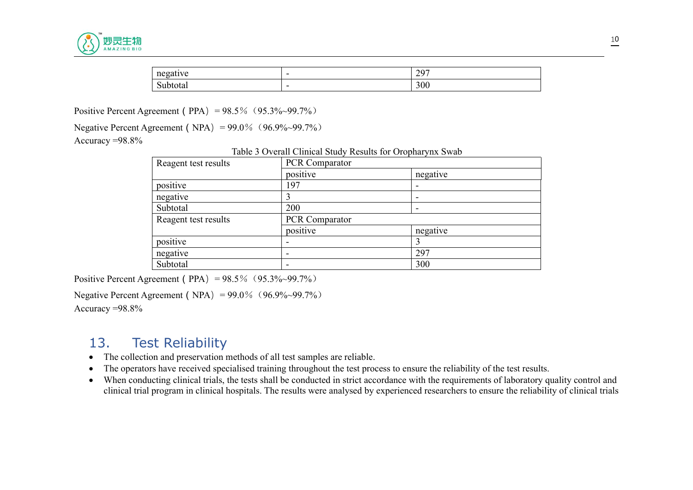

| $\mathbf{I}$<br>$\sim$<br>$\cdots$ | $\overline{\phantom{0}}$ | 207<br>$\overline{\phantom{0}}$ |
|------------------------------------|--------------------------|---------------------------------|
| -<br>nai                           | $\overline{\phantom{0}}$ | 300                             |

Positive Percent Agreement (PPA) =  $98.5\%$  (95.3%~99.7%)

Negative Percent Agreement (NPA) =  $99.0\%$  (96.9%~99.7%)

Accuracy =98.8%

Table 3 Overall Clinical Study Results for Oropharynx Swab

| Reagent test results | PCR Comparator        |                          |
|----------------------|-----------------------|--------------------------|
|                      | positive              | negative                 |
| positive             | 197                   | $\overline{\phantom{0}}$ |
| negative             | 3                     |                          |
| Subtotal             | 200                   |                          |
| Reagent test results | <b>PCR Comparator</b> |                          |
|                      | positive              | negative                 |
| positive             |                       |                          |
| negative             |                       | 297                      |
| Subtotal             |                       | 300                      |

Positive Percent Agreement (PPA) =  $98.5\%$  ( $95.3\%$  ~99.7%)

Negative Percent Agreement (NPA) =  $99.0\%$  (96.9%~99.7%) Accuracy =98.8%

# <span id="page-9-0"></span>13. Test Reliability

- The collection and preservation methods of all test samples are reliable.
- The operators have received specialised training throughout the test process to ensure the reliability of the test results.
- When conducting clinical trials, the tests shall be conducted in strict accordance with the requirements of laboratory quality control and clinical trial program in clinical hospitals. The results were analysed by experienced researchers to ensure the reliability of clinical trials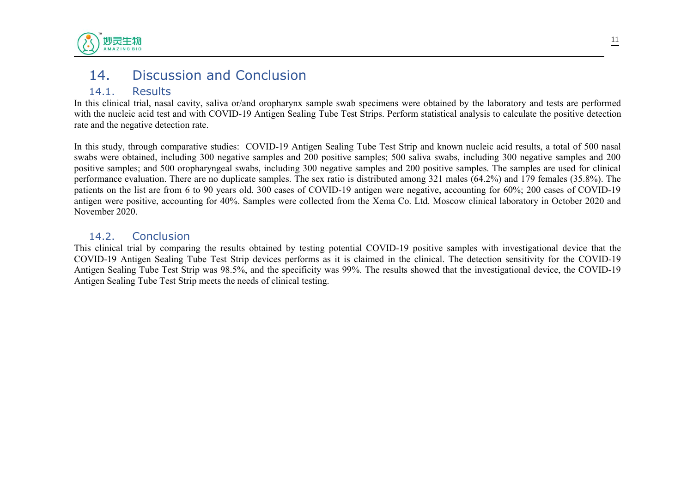

# <span id="page-10-0"></span>14. Discussion and Conclusion

#### <span id="page-10-1"></span>14.1. Results

In this clinical trial, nasal cavity, saliva or/and oropharynx sample swab specimens were obtained by the laboratory and tests are performed with the nucleic acid test and with COVID-19 Antigen Sealing Tube Test Strips. Perform statistical analysis to calculate the positive detection rate and the negative detection rate.

In this study, through comparative studies: COVID-19 Antigen Sealing Tube Test Strip and known nucleic acid results, a total of 500 nasal swabs were obtained, including 300 negative samples and 200 positive samples; 500 saliva swabs, including 300 negative samples and 200 positive samples; and 500 oropharyngeal swabs, including 300 negative samples and 200 positive samples. The samples are used for clinical performance evaluation. There are no duplicate samples. The sex ratio is distributed among 321 males (64.2%) and 179 females (35.8%). The patients on the list are from 6 to 90 years old. 300 cases of COVID-19 antigen were negative, accounting for 60%; 200 cases of COVID-19 antigen were positive, accounting for 40%. Samples were collected from the Xema Co. Ltd. Moscow clinical laboratory in October 2020 and November 2020.

#### <span id="page-10-2"></span>14.2. Conclusion

This clinical trial by comparing the results obtained by testing potential COVID-19 positive samples with investigational device that the COVID-19 Antigen Sealing Tube Test Strip devices performs as it is claimed in the clinical. The detection sensitivity for the COVID-19 Antigen Sealing Tube Test Strip was 98.5%, and the specificity was 99%. The results showed that the investigational device, the COVID-19 Antigen Sealing Tube Test Strip meets the needs of clinical testing.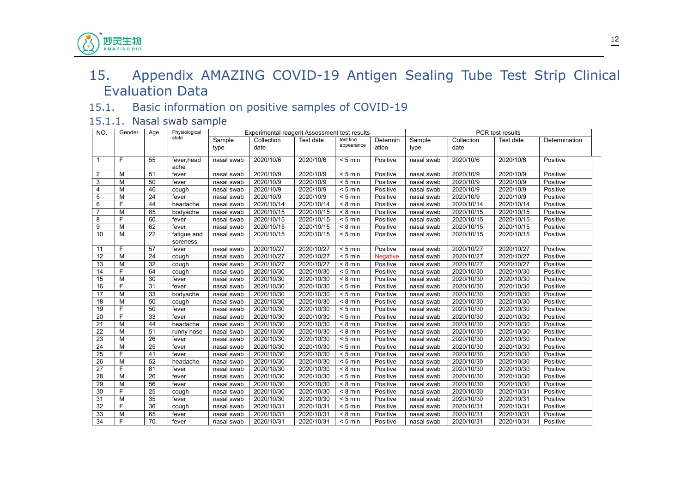# 15. Appendix AMAZING COVID-19 Antigen Sealing Tube Test Strip Clinical Evaluation Data

#### <span id="page-11-1"></span>15.1. Basic information on positive samples of COVID-19

#### 15.1.1. Nasal swab sample

<span id="page-11-0"></span>妙灵生物 **AMAZING BIO** 

<span id="page-11-2"></span>

| NO.             | Gender         | Age | Physiological           |                | Experimental reagent Assessment test results |            |                         |                   |                |                    | PCR test results |               |
|-----------------|----------------|-----|-------------------------|----------------|----------------------------------------------|------------|-------------------------|-------------------|----------------|--------------------|------------------|---------------|
|                 |                |     | state                   | Sample<br>type | Collection<br>date                           | Test date  | test line<br>appearance | Determin<br>ation | Sample<br>type | Collection<br>date | Test date        | Determination |
|                 |                |     |                         |                |                                              |            |                         |                   |                |                    |                  |               |
| $\mathbf{1}$    | F              | 55  | fever, head<br>ache     | nasal swab     | 2020/10/6                                    | 2020/10/6  | $< 5$ min               | Positive          | nasal swab     | 2020/10/6          | 2020/10/6        | Positive      |
| $\overline{2}$  | м              | 51  | fever                   | nasal swab     | 2020/10/9                                    | 2020/10/9  | $< 5$ min               | Positive          | nasal swab     | 2020/10/9          | 2020/10/9        | Positive      |
| 3               | м              | 50  | fever                   | nasal swab     | 2020/10/9                                    | 2020/10/9  | $< 5$ min               | Positive          | nasal swab     | 2020/10/9          | 2020/10/9        | Positive      |
| 4               | M              | 46  | cough                   | nasal swab     | 2020/10/9                                    | 2020/10/9  | $< 5$ min               | Positive          | nasal swab     | 2020/10/9          | 2020/10/9        | Positive      |
| 5               | M              | 24  | fever                   | nasal swab     | 2020/10/9                                    | 2020/10/9  | $< 5$ min               | Positive          | nasal swab     | 2020/10/9          | 2020/10/9        | Positive      |
| 6               | $\overline{F}$ | 44  | headache                | nasal swab     | 2020/10/14                                   | 2020/10/14 | $< 8$ min               | Positive          | nasal swab     | 2020/10/14         | 2020/10/14       | Positive      |
| $\overline{7}$  | M              | 85  | bodyache                | nasal swab     | 2020/10/15                                   | 2020/10/15 | $< 8$ min               | Positive          | nasal swab     | 2020/10/15         | 2020/10/15       | Positive      |
| 8               | $\overline{F}$ | 60  | fever                   | nasal swab     | 2020/10/15                                   | 2020/10/15 | $< 5$ min               | Positive          | nasal swab     | 2020/10/15         | 2020/10/15       | Positive      |
| 9               | M              | 62  | fever                   | nasal swab     | 2020/10/15                                   | 2020/10/15 | $< 8$ min               | Positive          | nasal swab     | 2020/10/15         | 2020/10/15       | Positive      |
| 10              | M              | 22  | fatigue and<br>soreness | nasal swab     | 2020/10/15                                   | 2020/10/15 | $< 5$ min               | Positive          | nasal swab     | 2020/10/15         | 2020/10/15       | Positive      |
| 11              | F              | 57  | fever                   | nasal swab     | 2020/10/27                                   | 2020/10/27 | $< 5$ min               | Positive          | nasal swab     | 2020/10/27         | 2020/10/27       | Positive      |
| 12              | M              | 24  | cough                   | nasal swab     | 2020/10/27                                   | 2020/10/27 | $< 5$ min               | <b>Negative</b>   | nasal swab     | 2020/10/27         | 2020/10/27       | Positive      |
| 13              | M              | 32  | cough                   | nasal swab     | 2020/10/27                                   | 2020/10/27 | $< 8$ min               | Positive          | nasal swab     | 2020/10/27         | 2020/10/27       | Positive      |
| 14              | E              | 64  | cough                   | nasal swab     | 2020/10/30                                   | 2020/10/30 | $< 5$ min               | Positive          | nasal swab     | 2020/10/30         | 2020/10/30       | Positive      |
| 15              | M              | 30  | fever                   | nasal swab     | 2020/10/30                                   | 2020/10/30 | $< 8$ min               | Positive          | nasal swab     | 2020/10/30         | 2020/10/30       | Positive      |
| 16              | F              | 31  | fever                   | nasal swab     | 2020/10/30                                   | 2020/10/30 | $< 5$ min               | Positive          | nasal swab     | 2020/10/30         | 2020/10/30       | Positive      |
| 17              | M              | 33  | bodyache                | nasal swab     | 2020/10/30                                   | 2020/10/30 | $< 5$ min               | Positive          | nasal swab     | 2020/10/30         | 2020/10/30       | Positive      |
| 18              | M              | 50  | cough                   | nasal swab     | 2020/10/30                                   | 2020/10/30 | $< 8$ min               | Positive          | nasal swab     | 2020/10/30         | 2020/10/30       | Positive      |
| 19              | E              | 50  | fever                   | nasal swab     | 2020/10/30                                   | 2020/10/30 | $< 5$ min               | Positive          | nasal swab     | 2020/10/30         | 2020/10/30       | Positive      |
| 20              | E              | 33  | fever                   | nasal swab     | 2020/10/30                                   | 2020/10/30 | $< 5$ min               | Positive          | nasal swab     | 2020/10/30         | 2020/10/30       | Positive      |
| $\overline{21}$ | M              | 44  | headache                | nasal swab     | 2020/10/30                                   | 2020/10/30 | $< 8$ min               | Positive          | nasal swab     | 2020/10/30         | 2020/10/30       | Positive      |
| 22              | M              | 51  | runny nose              | nasal swab     | 2020/10/30                                   | 2020/10/30 | $< 8$ min               | Positive          | nasal swab     | 2020/10/30         | 2020/10/30       | Positive      |
| 23              | M              | 26  | fever                   | nasal swab     | 2020/10/30                                   | 2020/10/30 | $< 5$ min               | Positive          | nasal swab     | 2020/10/30         | 2020/10/30       | Positive      |
| 24              | M              | 25  | fever                   | nasal swab     | 2020/10/30                                   | 2020/10/30 | $< 5$ min               | Positive          | nasal swab     | 2020/10/30         | 2020/10/30       | Positive      |
| 25              | E              | 41  | fever                   | nasal swab     | 2020/10/30                                   | 2020/10/30 | $< 5$ min               | Positive          | nasal swab     | 2020/10/30         | 2020/10/30       | Positive      |
| 26              | M              | 52  | headache                | nasal swab     | 2020/10/30                                   | 2020/10/30 | $< 5$ min               | Positive          | nasal swab     | 2020/10/30         | 2020/10/30       | Positive      |
| 27              | E              | 81  | fever                   | nasal swab     | 2020/10/30                                   | 2020/10/30 | $< 8$ min               | Positive          | nasal swab     | 2020/10/30         | 2020/10/30       | Positive      |
| 28              | M              | 26  | fever                   | nasal swab     | 2020/10/30                                   | 2020/10/30 | $< 5$ min               | Positive          | nasal swab     | 2020/10/30         | 2020/10/30       | Positive      |
| 29              | M              | 56  | fever                   | nasal swab     | 2020/10/30                                   | 2020/10/30 | $< 8$ min               | Positive          | nasal swab     | 2020/10/30         | 2020/10/30       | Positive      |
| 30              | F              | 25  | cough                   | nasal swab     | 2020/10/30                                   | 2020/10/30 | $< 8$ min               | Positive          | nasal swab     | 2020/10/30         | 2020/10/31       | Positive      |
| 31              | M              | 35  | fever                   | nasal swab     | 2020/10/30                                   | 2020/10/30 | $< 5$ min               | Positive          | nasal swab     | 2020/10/30         | 2020/10/31       | Positive      |
| 32              | E              | 36  | cough                   | nasal swab     | 2020/10/31                                   | 2020/10/31 | $< 5$ min               | Positive          | nasal swab     | 2020/10/31         | 2020/10/31       | Positive      |
| 33              | M              | 65  | fever                   | nasal swab     | 2020/10/31                                   | 2020/10/31 | $< 8$ min               | Positive          | nasal swab     | 2020/10/31         | 2020/10/31       | Positive      |
| 34              | F              | 70  | fever                   | nasal swab     | 2020/10/31                                   | 2020/10/31 | $< 5$ min               | Positive          | nasal swab     | 2020/10/31         | 2020/10/31       | Positive      |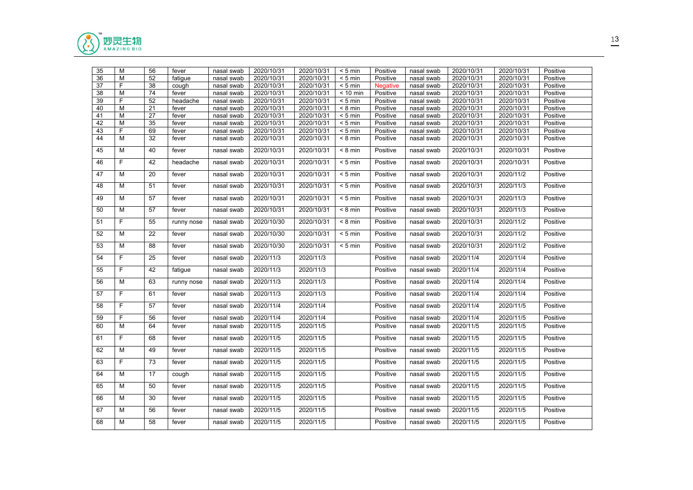

| 35 | M              | 56              | fever      | nasal swab | 2020/10/31 | 2020/10/31 | $< 5$ min          | Positive        | nasal swab | 2020/10/31 | 2020/10/31 | Positive |
|----|----------------|-----------------|------------|------------|------------|------------|--------------------|-----------------|------------|------------|------------|----------|
| 36 | M              | 52              | fatigue    | nasal swab | 2020/10/31 | 2020/10/31 | $< 5$ min          | Positive        | nasal swab | 2020/10/31 | 2020/10/31 | Positive |
| 37 | F              | 38              | cough      | nasal swab | 2020/10/31 | 2020/10/31 | $< 5$ min          | <b>Negative</b> | nasal swab | 2020/10/31 | 2020/10/31 | Positive |
| 38 | M              | 74              | fever      | nasal swab | 2020/10/31 | 2020/10/31 | $< 10$ min         | Positive        | nasal swab | 2020/10/31 | 2020/10/31 | Positive |
| 39 | F              | 52              | headache   | nasal swab | 2020/10/31 | 2020/10/31 | $< 5$ min          | Positive        | nasal swab | 2020/10/31 | 2020/10/31 | Positive |
| 40 | M              | 21              | fever      | nasal swab | 2020/10/31 | 2020/10/31 | $< 8$ min          | Positive        | nasal swab | 2020/10/31 | 2020/10/31 | Positive |
| 41 | M              | 27              | fever      | nasal swab | 2020/10/31 | 2020/10/31 | $< 5$ min          | Positive        | nasal swab | 2020/10/31 | 2020/10/31 | Positive |
| 42 | M              | 35              | fever      | nasal swab | 2020/10/31 | 2020/10/31 | $< 5$ min          | Positive        | nasal swab | 2020/10/31 | 2020/10/31 | Positive |
| 43 | F              | 69              | fever      | nasal swab | 2020/10/31 | 2020/10/31 | $< 5$ min          | Positive        | nasal swab | 2020/10/31 | 2020/10/31 | Positive |
| 44 | M              | 32              | fever      | nasal swab | 2020/10/31 | 2020/10/31 | $< 8$ min          | Positive        | nasal swab | 2020/10/31 | 2020/10/31 | Positive |
| 45 | M              | 40              | fever      | nasal swab | 2020/10/31 | 2020/10/31 | $< 8$ min          | Positive        | nasal swab | 2020/10/31 | 2020/10/31 | Positive |
| 46 | $\overline{F}$ | 42              | headache   | nasal swab | 2020/10/31 | 2020/10/31 | $< 5$ min          | Positive        | nasal swab | 2020/10/31 | 2020/10/31 | Positive |
| 47 | M              | 20              | fever      | nasal swab | 2020/10/31 | 2020/10/31 | $< 5$ min          | Positive        | nasal swab | 2020/10/31 | 2020/11/2  | Positive |
| 48 | М              | 51              | fever      | nasal swab | 2020/10/31 | 2020/10/31 | $< 5$ min          | Positive        | nasal swab | 2020/10/31 | 2020/11/3  | Positive |
| 49 | M              | 57              | fever      | nasal swab | 2020/10/31 | 2020/10/31 | $< 5$ min          | Positive        | nasal swab | 2020/10/31 | 2020/11/3  | Positive |
| 50 | М              | 57              | fever      | nasal swab | 2020/10/31 | 2020/10/31 | $\overline{8}$ min | Positive        | nasal swab | 2020/10/31 | 2020/11/3  | Positive |
| 51 | $\mathsf F$    | 55              | runny nose | nasal swab | 2020/10/30 | 2020/10/31 | $< 8$ min          | Positive        | nasal swab | 2020/10/31 | 2020/11/2  | Positive |
| 52 | M              | $\overline{22}$ | fever      | nasal swab | 2020/10/30 | 2020/10/31 | $< 5$ min          | Positive        | nasal swab | 2020/10/31 | 2020/11/2  | Positive |
| 53 | M              | 88              | fever      | nasal swab | 2020/10/30 | 2020/10/31 | $< 5$ min          | Positive        | nasal swab | 2020/10/31 | 2020/11/2  | Positive |
| 54 | $\mathsf F$    | 25              | fever      | nasal swab | 2020/11/3  | 2020/11/3  |                    | Positive        | nasal swab | 2020/11/4  | 2020/11/4  | Positive |
| 55 | F              | 42              | fatigue    | nasal swab | 2020/11/3  | 2020/11/3  |                    | Positive        | nasal swab | 2020/11/4  | 2020/11/4  | Positive |
| 56 | M              | 63              | runny nose | nasal swab | 2020/11/3  | 2020/11/3  |                    | Positive        | nasal swab | 2020/11/4  | 2020/11/4  | Positive |
| 57 | F              | 61              | fever      | nasal swab | 2020/11/3  | 2020/11/3  |                    | Positive        | nasal swab | 2020/11/4  | 2020/11/4  | Positive |
| 58 | $\overline{F}$ | 57              | fever      | nasal swab | 2020/11/4  | 2020/11/4  |                    | Positive        | nasal swab | 2020/11/4  | 2020/11/5  | Positive |
| 59 | F              | 56              | fever      | nasal swab | 2020/11/4  | 2020/11/4  |                    | Positive        | nasal swab | 2020/11/4  | 2020/11/5  | Positive |
| 60 | M              | 64              | fever      | nasal swab | 2020/11/5  | 2020/11/5  |                    | Positive        | nasal swab | 2020/11/5  | 2020/11/5  | Positive |
| 61 | F              | 68              | fever      | nasal swab | 2020/11/5  | 2020/11/5  |                    | Positive        | nasal swab | 2020/11/5  | 2020/11/5  | Positive |
| 62 | M              | 49              | fever      | nasal swab | 2020/11/5  | 2020/11/5  |                    | Positive        | nasal swab | 2020/11/5  | 2020/11/5  | Positive |
| 63 | F              | 73              | fever      | nasal swab | 2020/11/5  | 2020/11/5  |                    | Positive        | nasal swab | 2020/11/5  | 2020/11/5  | Positive |
| 64 | M              | 17              | cough      | nasal swab | 2020/11/5  | 2020/11/5  |                    | Positive        | nasal swab | 2020/11/5  | 2020/11/5  | Positive |
| 65 | M              | 50              | fever      | nasal swab | 2020/11/5  | 2020/11/5  |                    | Positive        | nasal swab | 2020/11/5  | 2020/11/5  | Positive |
| 66 | M              | 30              | fever      | nasal swab | 2020/11/5  | 2020/11/5  |                    | Positive        | nasal swab | 2020/11/5  | 2020/11/5  | Positive |
| 67 | м              | 56              | fever      | nasal swab | 2020/11/5  | 2020/11/5  |                    | Positive        | nasal swab | 2020/11/5  | 2020/11/5  | Positive |
| 68 | M              | 58              | fever      | nasal swab | 2020/11/5  | 2020/11/5  |                    | Positive        | nasal swab | 2020/11/5  | 2020/11/5  | Positive |
|    |                |                 |            |            |            |            |                    |                 |            |            |            |          |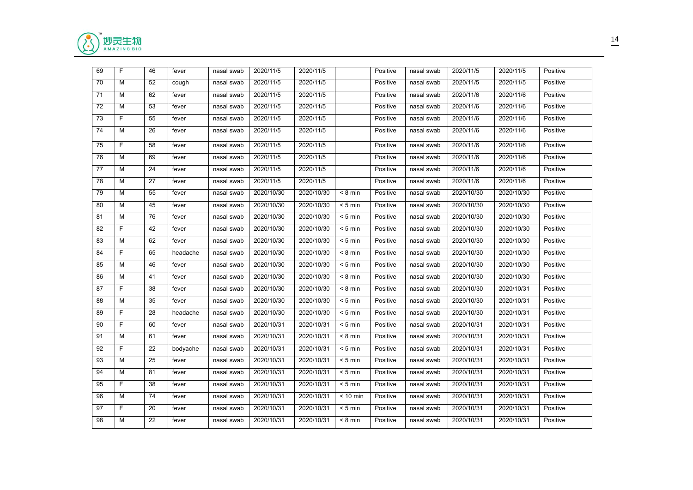

| 69 | F           | 46 | fever    | nasal swab | 2020/11/5  | 2020/11/5  |            | Positive | nasal swab | 2020/11/5  | 2020/11/5  | Positive |
|----|-------------|----|----------|------------|------------|------------|------------|----------|------------|------------|------------|----------|
| 70 | M           | 52 | cough    | nasal swab | 2020/11/5  | 2020/11/5  |            | Positive | nasal swab | 2020/11/5  | 2020/11/5  | Positive |
| 71 | M           | 62 | fever    | nasal swab | 2020/11/5  | 2020/11/5  |            | Positive | nasal swab | 2020/11/6  | 2020/11/6  | Positive |
| 72 | M           | 53 | fever    | nasal swab | 2020/11/5  | 2020/11/5  |            | Positive | nasal swab | 2020/11/6  | 2020/11/6  | Positive |
| 73 | F           | 55 | fever    | nasal swab | 2020/11/5  | 2020/11/5  |            | Positive | nasal swab | 2020/11/6  | 2020/11/6  | Positive |
| 74 | M           | 26 | fever    | nasal swab | 2020/11/5  | 2020/11/5  |            | Positive | nasal swab | 2020/11/6  | 2020/11/6  | Positive |
| 75 | F           | 58 | fever    | nasal swab | 2020/11/5  | 2020/11/5  |            | Positive | nasal swab | 2020/11/6  | 2020/11/6  | Positive |
| 76 | М           | 69 | fever    | nasal swab | 2020/11/5  | 2020/11/5  |            | Positive | nasal swab | 2020/11/6  | 2020/11/6  | Positive |
| 77 | м           | 24 | fever    | nasal swab | 2020/11/5  | 2020/11/5  |            | Positive | nasal swab | 2020/11/6  | 2020/11/6  | Positive |
| 78 | м           | 27 | fever    | nasal swab | 2020/11/5  | 2020/11/5  |            | Positive | nasal swab | 2020/11/6  | 2020/11/6  | Positive |
| 79 | M           | 55 | fever    | nasal swab | 2020/10/30 | 2020/10/30 | $< 8$ min  | Positive | nasal swab | 2020/10/30 | 2020/10/30 | Positive |
| 80 | M           | 45 | fever    | nasal swab | 2020/10/30 | 2020/10/30 | $< 5$ min  | Positive | nasal swab | 2020/10/30 | 2020/10/30 | Positive |
| 81 | M           | 76 | fever    | nasal swab | 2020/10/30 | 2020/10/30 | $< 5$ min  | Positive | nasal swab | 2020/10/30 | 2020/10/30 | Positive |
| 82 | $\mathsf F$ | 42 | fever    | nasal swab | 2020/10/30 | 2020/10/30 | $< 5$ min  | Positive | nasal swab | 2020/10/30 | 2020/10/30 | Positive |
| 83 | M           | 62 | fever    | nasal swab | 2020/10/30 | 2020/10/30 | $< 5$ min  | Positive | nasal swab | 2020/10/30 | 2020/10/30 | Positive |
| 84 | F           | 65 | headache | nasal swab | 2020/10/30 | 2020/10/30 | $< 8$ min  | Positive | nasal swab | 2020/10/30 | 2020/10/30 | Positive |
| 85 | M           | 46 | fever    | nasal swab | 2020/10/30 | 2020/10/30 | $< 5$ min  | Positive | nasal swab | 2020/10/30 | 2020/10/30 | Positive |
| 86 | M           | 41 | fever    | nasal swab | 2020/10/30 | 2020/10/30 | $< 8$ min  | Positive | nasal swab | 2020/10/30 | 2020/10/30 | Positive |
| 87 | F           | 38 | fever    | nasal swab | 2020/10/30 | 2020/10/30 | $< 8$ min  | Positive | nasal swab | 2020/10/30 | 2020/10/31 | Positive |
| 88 | M           | 35 | fever    | nasal swab | 2020/10/30 | 2020/10/30 | $< 5$ min  | Positive | nasal swab | 2020/10/30 | 2020/10/31 | Positive |
| 89 | F           | 28 | headache | nasal swab | 2020/10/30 | 2020/10/30 | $< 5$ min  | Positive | nasal swab | 2020/10/30 | 2020/10/31 | Positive |
| 90 | F           | 60 | fever    | nasal swab | 2020/10/31 | 2020/10/31 | $< 5$ min  | Positive | nasal swab | 2020/10/31 | 2020/10/31 | Positive |
| 91 | М           | 61 | fever    | nasal swab | 2020/10/31 | 2020/10/31 | $< 8$ min  | Positive | nasal swab | 2020/10/31 | 2020/10/31 | Positive |
| 92 | F           | 22 | bodyache | nasal swab | 2020/10/31 | 2020/10/31 | $< 5$ min  | Positive | nasal swab | 2020/10/31 | 2020/10/31 | Positive |
| 93 | M           | 25 | fever    | nasal swab | 2020/10/31 | 2020/10/31 | $< 5$ min  | Positive | nasal swab | 2020/10/31 | 2020/10/31 | Positive |
| 94 | M           | 81 | fever    | nasal swab | 2020/10/31 | 2020/10/31 | $< 5$ min  | Positive | nasal swab | 2020/10/31 | 2020/10/31 | Positive |
| 95 | F           | 38 | fever    | nasal swab | 2020/10/31 | 2020/10/31 | $< 5$ min  | Positive | nasal swab | 2020/10/31 | 2020/10/31 | Positive |
| 96 | M           | 74 | fever    | nasal swab | 2020/10/31 | 2020/10/31 | $< 10$ min | Positive | nasal swab | 2020/10/31 | 2020/10/31 | Positive |
| 97 | F           | 20 | fever    | nasal swab | 2020/10/31 | 2020/10/31 | $< 5$ min  | Positive | nasal swab | 2020/10/31 | 2020/10/31 | Positive |
| 98 | M           | 22 | fever    | nasal swab | 2020/10/31 | 2020/10/31 | $< 8$ min  | Positive | nasal swab | 2020/10/31 | 2020/10/31 | Positive |
|    |             |    |          |            |            |            |            |          |            |            |            |          |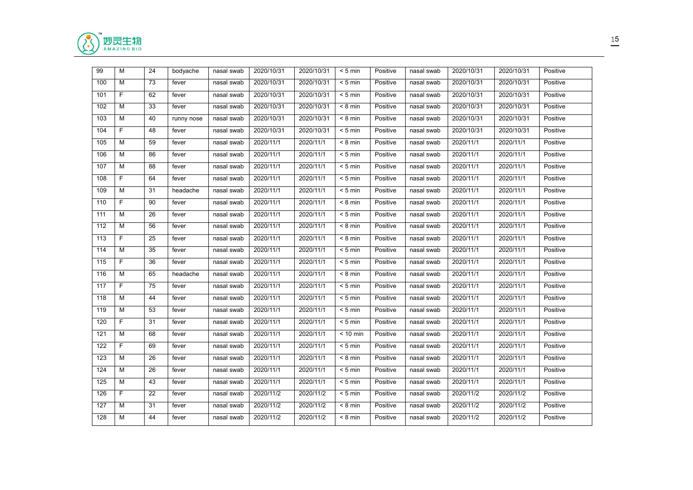

| 99  | M           | 24 | bodyache   | nasal swab | 2020/10/31 | 2020/10/31 | $< 5$ min                  | Positive | nasal swab | 2020/10/31 | 2020/10/31 | Positive |
|-----|-------------|----|------------|------------|------------|------------|----------------------------|----------|------------|------------|------------|----------|
| 100 | М           | 73 | fever      | nasal swab | 2020/10/31 | 2020/10/31 | $< 5$ min                  | Positive | nasal swab | 2020/10/31 | 2020/10/31 | Positive |
| 101 | F           | 62 | fever      | nasal swab | 2020/10/31 | 2020/10/31 | $< 5$ min                  | Positive | nasal swab | 2020/10/31 | 2020/10/31 | Positive |
| 102 | M           | 33 | fever      | nasal swab | 2020/10/31 | 2020/10/31 | $< 8$ min                  | Positive | nasal swab | 2020/10/31 | 2020/10/31 | Positive |
| 103 | M           | 40 | runny nose | nasal swab | 2020/10/31 | 2020/10/31 | $\overline{8 \text{ min}}$ | Positive | nasal swab | 2020/10/31 | 2020/10/31 | Positive |
| 104 | F           | 48 | fever      | nasal swab | 2020/10/31 | 2020/10/31 | $< 5$ min                  | Positive | nasal swab | 2020/10/31 | 2020/10/31 | Positive |
| 105 | M           | 59 | fever      | nasal swab | 2020/11/1  | 2020/11/1  | $< 8 \text{ min}$          | Positive | nasal swab | 2020/11/1  | 2020/11/1  | Positive |
| 106 | M           | 86 | fever      | nasal swab | 2020/11/1  | 2020/11/1  | $< 5$ min                  | Positive | nasal swab | 2020/11/1  | 2020/11/1  | Positive |
| 107 | M           | 88 | fever      | nasal swab | 2020/11/1  | 2020/11/1  | $< 5$ min                  | Positive | nasal swab | 2020/11/1  | 2020/11/1  | Positive |
| 108 | F           | 64 | fever      | nasal swab | 2020/11/1  | 2020/11/1  | $< 5$ min                  | Positive | nasal swab | 2020/11/1  | 2020/11/1  | Positive |
| 109 | M           | 31 | headache   | nasal swab | 2020/11/1  | 2020/11/1  | $< 5$ min                  | Positive | nasal swab | 2020/11/1  | 2020/11/1  | Positive |
| 110 | F           | 90 | fever      | nasal swab | 2020/11/1  | 2020/11/1  | $< 8$ min                  | Positive | nasal swab | 2020/11/1  | 2020/11/1  | Positive |
| 111 | М           | 26 | fever      | nasal swab | 2020/11/1  | 2020/11/1  | $< 5$ min                  | Positive | nasal swab | 2020/11/1  | 2020/11/1  | Positive |
| 112 | M           | 56 | fever      | nasal swab | 2020/11/1  | 2020/11/1  | $< 8$ min                  | Positive | nasal swab | 2020/11/1  | 2020/11/1  | Positive |
| 113 | F           | 25 | fever      | nasal swab | 2020/11/1  | 2020/11/1  | $< 8$ min                  | Positive | nasal swab | 2020/11/1  | 2020/11/1  | Positive |
| 114 | M           | 35 | fever      | nasal swab | 2020/11/1  | 2020/11/1  | $< 5$ min                  | Positive | nasal swab | 2020/11/1  | 2020/11/1  | Positive |
| 115 | $\mathsf F$ | 36 | fever      | nasal swab | 2020/11/1  | 2020/11/1  | $< 5$ min                  | Positive | nasal swab | 2020/11/1  | 2020/11/1  | Positive |
| 116 | M           | 65 | headache   | nasal swab | 2020/11/1  | 2020/11/1  | $< 8$ min                  | Positive | nasal swab | 2020/11/1  | 2020/11/1  | Positive |
| 117 | F           | 75 | fever      | nasal swab | 2020/11/1  | 2020/11/1  | $< 5$ min                  | Positive | nasal swab | 2020/11/1  | 2020/11/1  | Positive |
| 118 | М           | 44 | fever      | nasal swab | 2020/11/1  | 2020/11/1  | $< 5$ min                  | Positive | nasal swab | 2020/11/1  | 2020/11/1  | Positive |
| 119 | M           | 53 | fever      | nasal swab | 2020/11/1  | 2020/11/1  | $< 5$ min                  | Positive | nasal swab | 2020/11/1  | 2020/11/1  | Positive |
| 120 | $\mathsf F$ | 31 | fever      | nasal swab | 2020/11/1  | 2020/11/1  | $< 5$ min                  | Positive | nasal swab | 2020/11/1  | 2020/11/1  | Positive |
| 121 | M           | 68 | fever      | nasal swab | 2020/11/1  | 2020/11/1  | $< 10$ min                 | Positive | nasal swab | 2020/11/1  | 2020/11/1  | Positive |
| 122 | F.          | 69 | fever      | nasal swab | 2020/11/1  | 2020/11/1  | $< 5$ min                  | Positive | nasal swab | 2020/11/1  | 2020/11/1  | Positive |
| 123 | M           | 26 | fever      | nasal swab | 2020/11/1  | 2020/11/1  | $< 8 \text{ min}$          | Positive | nasal swab | 2020/11/1  | 2020/11/1  | Positive |
| 124 | M           | 26 | fever      | nasal swab | 2020/11/1  | 2020/11/1  | $< 5$ min                  | Positive | nasal swab | 2020/11/1  | 2020/11/1  | Positive |
| 125 | M           | 43 | fever      | nasal swab | 2020/11/1  | 2020/11/1  | $< 5$ min                  | Positive | nasal swab | 2020/11/1  | 2020/11/1  | Positive |
| 126 | $\mathsf F$ | 22 | fever      | nasal swab | 2020/11/2  | 2020/11/2  | $< 5$ min                  | Positive | nasal swab | 2020/11/2  | 2020/11/2  | Positive |
| 127 | М           | 31 | fever      | nasal swab | 2020/11/2  | 2020/11/2  | $< 8$ min                  | Positive | nasal swab | 2020/11/2  | 2020/11/2  | Positive |
| 128 | M           | 44 | fever      | nasal swab | 2020/11/2  | 2020/11/2  | $< 8$ min                  | Positive | nasal swab | 2020/11/2  | 2020/11/2  | Positive |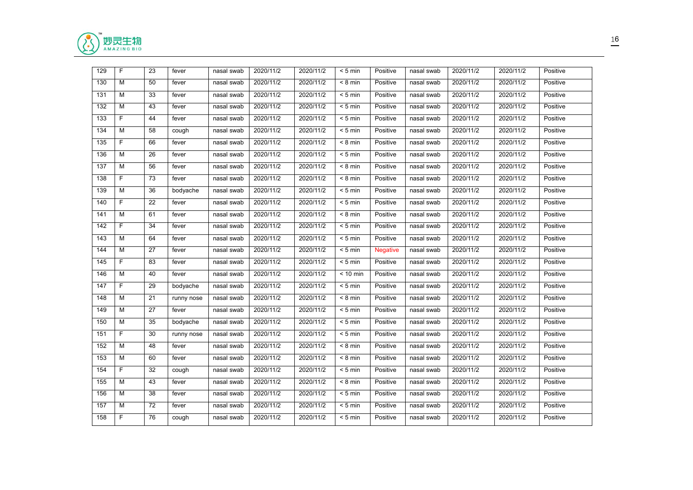

| 129 | F           | 23 | fever      | nasal swab | 2020/11/2 | 2020/11/2 | $< 5$ min  | Positive        | nasal swab | 2020/11/2 | 2020/11/2 | Positive |
|-----|-------------|----|------------|------------|-----------|-----------|------------|-----------------|------------|-----------|-----------|----------|
| 130 | М           | 50 | fever      | nasal swab | 2020/11/2 | 2020/11/2 | $< 8$ min  | Positive        | nasal swab | 2020/11/2 | 2020/11/2 | Positive |
| 131 | м           | 33 | fever      | nasal swab | 2020/11/2 | 2020/11/2 | $< 5$ min  | Positive        | nasal swab | 2020/11/2 | 2020/11/2 | Positive |
| 132 | M           | 43 | fever      | nasal swab | 2020/11/2 | 2020/11/2 | $< 5$ min  | Positive        | nasal swab | 2020/11/2 | 2020/11/2 | Positive |
| 133 | $\mathsf F$ | 44 | fever      | nasal swab | 2020/11/2 | 2020/11/2 | $< 5$ min  | Positive        | nasal swab | 2020/11/2 | 2020/11/2 | Positive |
| 134 | M           | 58 | cough      | nasal swab | 2020/11/2 | 2020/11/2 | $< 5$ min  | Positive        | nasal swab | 2020/11/2 | 2020/11/2 | Positive |
| 135 | F           | 66 | fever      | nasal swab | 2020/11/2 | 2020/11/2 | $< 8$ min  | Positive        | nasal swab | 2020/11/2 | 2020/11/2 | Positive |
| 136 | м           | 26 | fever      | nasal swab | 2020/11/2 | 2020/11/2 | $< 5$ min  | Positive        | nasal swab | 2020/11/2 | 2020/11/2 | Positive |
| 137 | M           | 56 | fever      | nasal swab | 2020/11/2 | 2020/11/2 | $< 8$ min  | Positive        | nasal swab | 2020/11/2 | 2020/11/2 | Positive |
| 138 | F           | 73 | fever      | nasal swab | 2020/11/2 | 2020/11/2 | $< 8$ min  | Positive        | nasal swab | 2020/11/2 | 2020/11/2 | Positive |
| 139 | М           | 36 | bodyache   | nasal swab | 2020/11/2 | 2020/11/2 | $< 5$ min  | Positive        | nasal swab | 2020/11/2 | 2020/11/2 | Positive |
| 140 | F.          | 22 | fever      | nasal swab | 2020/11/2 | 2020/11/2 | $< 5$ min  | Positive        | nasal swab | 2020/11/2 | 2020/11/2 | Positive |
| 141 | М           | 61 | fever      | nasal swab | 2020/11/2 | 2020/11/2 | $< 8$ min  | Positive        | nasal swab | 2020/11/2 | 2020/11/2 | Positive |
| 142 | F.          | 34 | fever      | nasal swab | 2020/11/2 | 2020/11/2 | $< 5$ min  | Positive        | nasal swab | 2020/11/2 | 2020/11/2 | Positive |
| 143 | м           | 64 | fever      | nasal swab | 2020/11/2 | 2020/11/2 | $< 5$ min  | Positive        | nasal swab | 2020/11/2 | 2020/11/2 | Positive |
| 144 | M           | 27 | fever      | nasal swab | 2020/11/2 | 2020/11/2 | $< 5$ min  | <b>Negative</b> | nasal swab | 2020/11/2 | 2020/11/2 | Positive |
| 145 | $\mathsf F$ | 83 | fever      | nasal swab | 2020/11/2 | 2020/11/2 | $< 5$ min  | Positive        | nasal swab | 2020/11/2 | 2020/11/2 | Positive |
| 146 | М           | 40 | fever      | nasal swab | 2020/11/2 | 2020/11/2 | $< 10$ min | Positive        | nasal swab | 2020/11/2 | 2020/11/2 | Positive |
| 147 | F           | 29 | bodyache   | nasal swab | 2020/11/2 | 2020/11/2 | $< 5$ min  | Positive        | nasal swab | 2020/11/2 | 2020/11/2 | Positive |
| 148 | М           | 21 | runny nose | nasal swab | 2020/11/2 | 2020/11/2 | $< 8$ min  | Positive        | nasal swab | 2020/11/2 | 2020/11/2 | Positive |
| 149 | M           | 27 | fever      | nasal swab | 2020/11/2 | 2020/11/2 | $< 5$ min  | Positive        | nasal swab | 2020/11/2 | 2020/11/2 | Positive |
| 150 | M           | 35 | bodyache   | nasal swab | 2020/11/2 | 2020/11/2 | $< 5$ min  | Positive        | nasal swab | 2020/11/2 | 2020/11/2 | Positive |
| 151 | F.          | 30 | runny nose | nasal swab | 2020/11/2 | 2020/11/2 | $< 5$ min  | Positive        | nasal swab | 2020/11/2 | 2020/11/2 | Positive |
| 152 | M           | 48 | fever      | nasal swab | 2020/11/2 | 2020/11/2 | $< 8$ min  | Positive        | nasal swab | 2020/11/2 | 2020/11/2 | Positive |
| 153 | М           | 60 | fever      | nasal swab | 2020/11/2 | 2020/11/2 | $< 8$ min  | Positive        | nasal swab | 2020/11/2 | 2020/11/2 | Positive |
| 154 | F           | 32 | cough      | nasal swab | 2020/11/2 | 2020/11/2 | $< 5$ min  | Positive        | nasal swab | 2020/11/2 | 2020/11/2 | Positive |
| 155 | M           | 43 | fever      | nasal swab | 2020/11/2 | 2020/11/2 | $< 8$ min  | Positive        | nasal swab | 2020/11/2 | 2020/11/2 | Positive |
| 156 | M           | 38 | fever      | nasal swab | 2020/11/2 | 2020/11/2 | $< 5$ min  | Positive        | nasal swab | 2020/11/2 | 2020/11/2 | Positive |
| 157 | М           | 72 | fever      | nasal swab | 2020/11/2 | 2020/11/2 | $< 5$ min  | Positive        | nasal swab | 2020/11/2 | 2020/11/2 | Positive |
| 158 | F.          | 76 | cough      | nasal swab | 2020/11/2 | 2020/11/2 | $< 5$ min  | Positive        | nasal swab | 2020/11/2 | 2020/11/2 | Positive |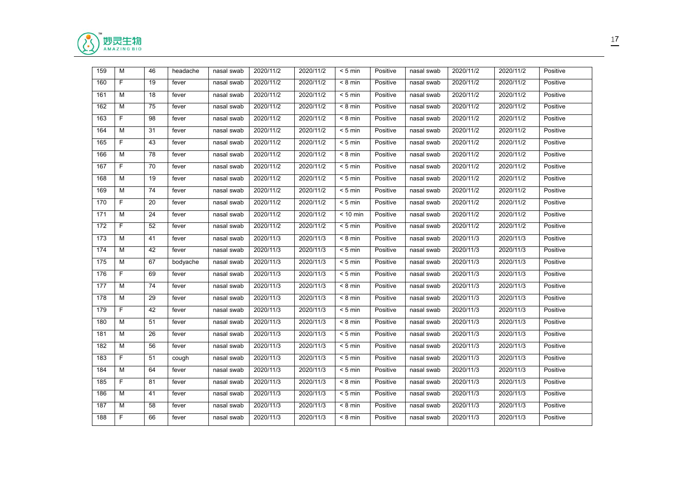

| 159 | M           | 46 | headache | nasal swab | 2020/11/2 | 2020/11/2 | $< 5$ min         | Positive | nasal swab | 2020/11/2 | 2020/11/2 | Positive |
|-----|-------------|----|----------|------------|-----------|-----------|-------------------|----------|------------|-----------|-----------|----------|
| 160 | F.          | 19 | fever    | nasal swab | 2020/11/2 | 2020/11/2 | $< 8$ min         | Positive | nasal swab | 2020/11/2 | 2020/11/2 | Positive |
| 161 | м           | 18 | fever    | nasal swab | 2020/11/2 | 2020/11/2 | $< 5$ min         | Positive | nasal swab | 2020/11/2 | 2020/11/2 | Positive |
| 162 | м           | 75 | fever    | nasal swab | 2020/11/2 | 2020/11/2 | $< 8 \text{ min}$ | Positive | nasal swab | 2020/11/2 | 2020/11/2 | Positive |
| 163 | $\mathsf F$ | 98 | fever    | nasal swab | 2020/11/2 | 2020/11/2 | $< 8$ min         | Positive | nasal swab | 2020/11/2 | 2020/11/2 | Positive |
| 164 | M           | 31 | fever    | nasal swab | 2020/11/2 | 2020/11/2 | $< 5$ min         | Positive | nasal swab | 2020/11/2 | 2020/11/2 | Positive |
| 165 | F           | 43 | fever    | nasal swab | 2020/11/2 | 2020/11/2 | $< 5$ min         | Positive | nasal swab | 2020/11/2 | 2020/11/2 | Positive |
| 166 | м           | 78 | fever    | nasal swab | 2020/11/2 | 2020/11/2 | $< 8$ min         | Positive | nasal swab | 2020/11/2 | 2020/11/2 | Positive |
| 167 | F.          | 70 | fever    | nasal swab | 2020/11/2 | 2020/11/2 | $< 5$ min         | Positive | nasal swab | 2020/11/2 | 2020/11/2 | Positive |
| 168 | м           | 19 | fever    | nasal swab | 2020/11/2 | 2020/11/2 | $< 5$ min         | Positive | nasal swab | 2020/11/2 | 2020/11/2 | Positive |
| 169 | М           | 74 | fever    | nasal swab | 2020/11/2 | 2020/11/2 | $< 5$ min         | Positive | nasal swab | 2020/11/2 | 2020/11/2 | Positive |
| 170 | F           | 20 | fever    | nasal swab | 2020/11/2 | 2020/11/2 | $< 5$ min         | Positive | nasal swab | 2020/11/2 | 2020/11/2 | Positive |
| 171 | М           | 24 | fever    | nasal swab | 2020/11/2 | 2020/11/2 | $< 10$ min        | Positive | nasal swab | 2020/11/2 | 2020/11/2 | Positive |
| 172 | F           | 52 | fever    | nasal swab | 2020/11/2 | 2020/11/2 | $< 5$ min         | Positive | nasal swab | 2020/11/2 | 2020/11/2 | Positive |
| 173 | м           | 41 | fever    | nasal swab | 2020/11/3 | 2020/11/3 | $< 8 \text{ min}$ | Positive | nasal swab | 2020/11/3 | 2020/11/3 | Positive |
| 174 | M           | 42 | fever    | nasal swab | 2020/11/3 | 2020/11/3 | $< 5$ min         | Positive | nasal swab | 2020/11/3 | 2020/11/3 | Positive |
| 175 | M           | 67 | bodyache | nasal swab | 2020/11/3 | 2020/11/3 | $< 5$ min         | Positive | nasal swab | 2020/11/3 | 2020/11/3 | Positive |
| 176 | F           | 69 | fever    | nasal swab | 2020/11/3 | 2020/11/3 | $< 5$ min         | Positive | nasal swab | 2020/11/3 | 2020/11/3 | Positive |
| 177 | М           | 74 | fever    | nasal swab | 2020/11/3 | 2020/11/3 | $< 8$ min         | Positive | nasal swab | 2020/11/3 | 2020/11/3 | Positive |
| 178 | М           | 29 | fever    | nasal swab | 2020/11/3 | 2020/11/3 | $< 8$ min         | Positive | nasal swab | 2020/11/3 | 2020/11/3 | Positive |
| 179 | F.          | 42 | fever    | nasal swab | 2020/11/3 | 2020/11/3 | $< 5 \text{ min}$ | Positive | nasal swab | 2020/11/3 | 2020/11/3 | Positive |
| 180 | M           | 51 | fever    | nasal swab | 2020/11/3 | 2020/11/3 | $< 8$ min         | Positive | nasal swab | 2020/11/3 | 2020/11/3 | Positive |
| 181 | М           | 26 | fever    | nasal swab | 2020/11/3 | 2020/11/3 | $< 5$ min         | Positive | nasal swab | 2020/11/3 | 2020/11/3 | Positive |
| 182 | M           | 56 | fever    | nasal swab | 2020/11/3 | 2020/11/3 | $< 5$ min         | Positive | nasal swab | 2020/11/3 | 2020/11/3 | Positive |
| 183 | F.          | 51 | cough    | nasal swab | 2020/11/3 | 2020/11/3 | $< 5$ min         | Positive | nasal swab | 2020/11/3 | 2020/11/3 | Positive |
| 184 | M           | 64 | fever    | nasal swab | 2020/11/3 | 2020/11/3 | $< 5$ min         | Positive | nasal swab | 2020/11/3 | 2020/11/3 | Positive |
| 185 | F           | 81 | fever    | nasal swab | 2020/11/3 | 2020/11/3 | $< 8$ min         | Positive | nasal swab | 2020/11/3 | 2020/11/3 | Positive |
| 186 | M           | 41 | fever    | nasal swab | 2020/11/3 | 2020/11/3 | $< 5$ min         | Positive | nasal swab | 2020/11/3 | 2020/11/3 | Positive |
| 187 | М           | 58 | fever    | nasal swab | 2020/11/3 | 2020/11/3 | $< 8$ min         | Positive | nasal swab | 2020/11/3 | 2020/11/3 | Positive |
| 188 | F.          | 66 | fever    | nasal swab | 2020/11/3 | 2020/11/3 | $< 8$ min         | Positive | nasal swab | 2020/11/3 | 2020/11/3 | Positive |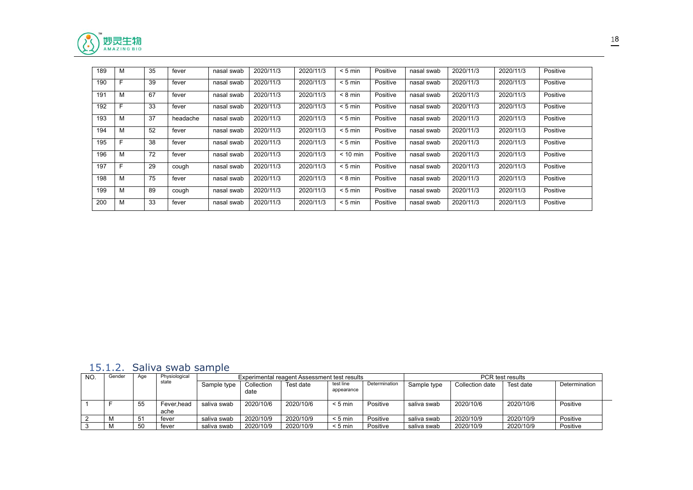

| 189 | M | 35 | fever    | nasal swab | 2020/11/3 | 2020/11/3 | $< 5$ min  | Positive | nasal swab | 2020/11/3 | 2020/11/3 | Positive |
|-----|---|----|----------|------------|-----------|-----------|------------|----------|------------|-----------|-----------|----------|
| 190 | Е | 39 | fever    | nasal swab | 2020/11/3 | 2020/11/3 | $< 5$ min  | Positive | nasal swab | 2020/11/3 | 2020/11/3 | Positive |
| 191 | M | 67 | fever    | nasal swab | 2020/11/3 | 2020/11/3 | $< 8$ min  | Positive | nasal swab | 2020/11/3 | 2020/11/3 | Positive |
| 192 | F | 33 | fever    | nasal swab | 2020/11/3 | 2020/11/3 | $< 5$ min  | Positive | nasal swab | 2020/11/3 | 2020/11/3 | Positive |
| 193 | M | 37 | headache | nasal swab | 2020/11/3 | 2020/11/3 | $< 5$ min  | Positive | nasal swab | 2020/11/3 | 2020/11/3 | Positive |
| 194 | M | 52 | fever    | nasal swab | 2020/11/3 | 2020/11/3 | $< 5$ min  | Positive | nasal swab | 2020/11/3 | 2020/11/3 | Positive |
| 195 |   | 38 | fever    | nasal swab | 2020/11/3 | 2020/11/3 | $< 5$ min  | Positive | nasal swab | 2020/11/3 | 2020/11/3 | Positive |
| 196 | M | 72 | fever    | nasal swab | 2020/11/3 | 2020/11/3 | $< 10$ min | Positive | nasal swab | 2020/11/3 | 2020/11/3 | Positive |
| 197 |   | 29 | cough    | nasal swab | 2020/11/3 | 2020/11/3 | $< 5$ min  | Positive | nasal swab | 2020/11/3 | 2020/11/3 | Positive |
| 198 | M | 75 | fever    | nasal swab | 2020/11/3 | 2020/11/3 | $< 8$ min  | Positive | nasal swab | 2020/11/3 | 2020/11/3 | Positive |
| 199 | M | 89 | cough    | nasal swab | 2020/11/3 | 2020/11/3 | $< 5$ min  | Positive | nasal swab | 2020/11/3 | 2020/11/3 | Positive |
| 200 | M | 33 | fever    | nasal swab | 2020/11/3 | 2020/11/3 | $< 5$ min  | Positive | nasal swab | 2020/11/3 | 2020/11/3 | Positive |

#### <span id="page-17-0"></span>15.1.2. Saliva swab sample

| NO. | Gender | Age | Physiological      |             |                    | Experimental reagent Assessment test results |                         |               |             |                 | <b>PCR</b> test results |               |
|-----|--------|-----|--------------------|-------------|--------------------|----------------------------------------------|-------------------------|---------------|-------------|-----------------|-------------------------|---------------|
|     |        |     | state              | Sample type | Collection<br>date | Test date                                    | test line<br>appearance | Determination | Sample type | Collection date | Test date               | Determination |
|     |        | 55  | Fever.head<br>ache | saliva swab | 2020/10/6          | 2020/10/6                                    | $< 5$ min               | Positive      | saliva swab | 2020/10/6       | 2020/10/6               | Positive      |
|     |        | 51  | fever              | saliva swab | 2020/10/9          | 2020/10/9                                    | $< 5$ min               | Positive      | saliva swab | 2020/10/9       | 2020/10/9               | Positive      |
|     |        | 50  | fever              | saliva swab | 2020/10/9          | 2020/10/9                                    | $< 5$ min               | Positive      | saliva swab | 2020/10/9       | 2020/10/9               | Positive      |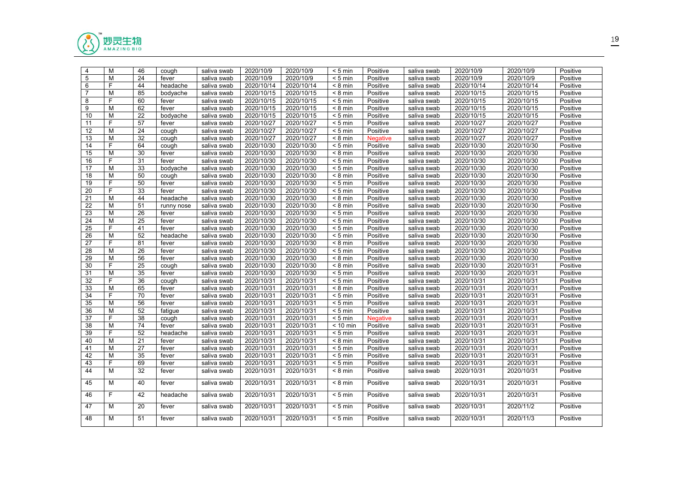

| 2020/10/9<br>2020/10/9<br>2020/10/9<br>2020/10/9<br>5<br>М<br>24<br>$< 5$ min<br>Positive<br>fever<br>saliva swab<br>saliva swab<br>F<br>2020/10/14<br>6<br>44<br>2020/10/14<br>$< 8$ min<br>2020/10/14<br>2020/10/14<br>headache<br>saliva swab<br>Positive<br>saliva swab<br>$\overline{7}$<br>M<br>85<br>2020/10/15<br>2020/10/15<br>2020/10/15<br>2020/10/15<br>bodyache<br>$< 8$ min<br>Positive<br>saliva swab<br>saliva swab<br>F<br>8<br>60<br>2020/10/15<br>2020/10/15<br>2020/10/15<br>2020/10/15<br>saliva swab<br>$< 5$ min<br>Positive<br>saliva swab<br>fever<br>M<br>9<br>62<br>2020/10/15<br>2020/10/15<br>2020/10/15<br>2020/10/15<br>fever<br>saliva swab<br>$< 8$ min<br>Positive<br>saliva swab<br>10<br>М<br>22<br>2020/10/15<br>2020/10/15<br>2020/10/15<br>2020/10/15<br>saliva swab<br>$< 5$ min<br>Positive<br>bodyache<br>saliva swab<br>F<br>11<br>57<br>2020/10/27<br>2020/10/27<br>$< 5$ min<br>2020/10/27<br>2020/10/27<br>fever<br>saliva swab<br>Positive<br>saliva swab<br>12<br>М<br>24<br>2020/10/27<br>2020/10/27<br>2020/10/27<br>2020/10/27<br>$< 5$ min<br>saliva swab<br>Positive<br>cough<br>saliva swab<br>32<br>М<br>2020/10/27<br>2020/10/27<br>2020/10/27<br>2020/10/27<br>13<br>saliva swab<br>$< 8$ min<br>cough<br><b>Negative</b><br>saliva swab<br>F<br>64<br>2020/10/30<br>2020/10/30<br>2020/10/30<br>2020/10/30<br>14<br>saliva swab<br>$< 5$ min<br>cough<br>Positive<br>saliva swab<br>М<br>30<br>2020/10/30<br>2020/10/30<br>2020/10/30<br>2020/10/30<br>15<br>saliva swab<br>$< 8$ min<br>Positive<br>fever<br>saliva swab<br>F<br>16<br>31<br>2020/10/30<br>2020/10/30<br>2020/10/30<br>2020/10/30<br>saliva swab<br>$< 5$ min<br>Positive<br>fever<br>saliva swab<br>M<br>$\overline{33}$<br>2020/10/30<br>17<br>bodyache<br>2020/10/30<br>2020/10/30<br>2020/10/30<br>saliva swab<br>$< 5$ min<br>Positive<br>saliva swab<br>18<br>М<br>50<br>2020/10/30<br>2020/10/30<br>2020/10/30<br>2020/10/30<br>saliva swab<br>Positive<br>cough<br>$< 8 \text{ min}$<br>saliva swab<br>F<br>19<br>50<br>2020/10/30<br>2020/10/30<br>$< 5$ min<br>Positive<br>2020/10/30<br>2020/10/30<br>fever<br>saliva swab<br>saliva swab<br>F<br>20<br>33<br>2020/10/30<br>2020/10/30<br>2020/10/30<br>2020/10/30<br>saliva swab<br>$< 5$ min<br>Positive<br>fever<br>saliva swab<br>21<br>M<br>44<br>2020/10/30<br>2020/10/30<br>2020/10/30<br>2020/10/30<br>$< 8$ min<br>headache<br>saliva swab<br>Positive<br>saliva swab<br>2020/10/30<br>2020/10/30<br>22<br>М<br>51<br>2020/10/30<br>2020/10/30<br>saliva swab<br>$< 8$ min<br>Positive<br>runny nose<br>saliva swab<br>23<br>М<br>26<br>2020/10/30<br>2020/10/30<br>2020/10/30<br>2020/10/30<br>Positive<br>fever<br>saliva swab<br>$< 5$ min<br>saliva swab<br>25<br>24<br>М<br>2020/10/30<br>2020/10/30<br>2020/10/30<br>2020/10/30<br>fever<br>saliva swab<br>$< 5$ min<br>Positive<br>saliva swab<br>F<br>25<br>41<br>2020/10/30<br>2020/10/30<br>2020/10/30<br>2020/10/30<br>saliva swab<br>$< 5$ min<br>Positive<br>fever<br>saliva swab<br>M<br>$\overline{52}$<br>26<br>2020/10/30<br>2020/10/30<br>2020/10/30<br>2020/10/30<br>headache<br>saliva swab<br>$< 5$ min<br>Positive<br>saliva swab<br>F<br>27<br>81<br>2020/10/30<br>2020/10/30<br>2020/10/30<br>2020/10/30<br>saliva swab<br>$< 8$ min<br>Positive<br>fever<br>saliva swab<br>28<br>M<br>26<br>2020/10/30<br>2020/10/30<br>2020/10/30<br>2020/10/30<br>fever<br>saliva swab<br>$< 5$ min<br>Positive<br>saliva swab<br>$\overline{29}$<br>М<br>56<br>2020/10/30<br>2020/10/30<br>2020/10/30<br>2020/10/30<br>saliva swab<br>$< 8$ min<br>Positive<br>saliva swab<br>fever<br>F<br>30<br>25<br>2020/10/30<br>2020/10/30<br>2020/10/30<br>2020/10/31<br>$< 8$ min<br>saliva swab<br>Positive<br>saliva swab<br>cough<br>M<br>2020/10/30<br>31<br>35<br>2020/10/30<br>2020/10/30<br>$< 5$ min<br>2020/10/31<br>saliva swab<br>Positive<br>fever<br>saliva swab<br>F<br>32<br>36<br>2020/10/31<br>2020/10/31<br>2020/10/31<br>2020/10/31<br>$< 5$ min<br>Positive<br>saliva swab<br>saliva swab<br>cough<br>M<br>33<br>65<br>2020/10/31<br>2020/10/31<br>2020/10/31<br>2020/10/31<br>saliva swab<br>$< 8$ min<br>Positive<br>fever<br>saliva swab<br>F<br>34<br>70<br>2020/10/31<br>2020/10/31<br>2020/10/31<br>$< 5$ min<br>Positive<br>2020/10/31<br>fever<br>saliva swab<br>saliva swab<br>35<br>М<br>56<br>2020/10/31<br>2020/10/31<br>2020/10/31<br>2020/10/31<br>saliva swab<br>$< 5$ min<br>Positive<br>fever<br>saliva swab<br>36<br>М<br>52<br>2020/10/31<br>2020/10/31<br>2020/10/31<br>2020/10/31<br>saliva_swab<br>$< 5$ min<br>Positive<br>fatigue<br>saliva swab<br>F<br>37<br>38<br>2020/10/31<br>2020/10/31<br>2020/10/31<br>2020/10/31<br>saliva swab<br>$< 5$ min<br><b>Negative</b><br>cough<br>saliva swab<br>М<br>74<br>38<br>2020/10/31<br>2020/10/31<br>2020/10/31<br>2020/10/31<br>fever<br>saliva swab<br>$< 10$ min<br>Positive<br>saliva swab<br>F<br>39<br>52<br>2020/10/31<br>2020/10/31<br>$< 5$ min<br>Positive<br>2020/10/31<br>2020/10/31<br>headache<br>saliva swab<br>saliva swab<br>40<br>М<br>21<br>2020/10/31<br>2020/10/31<br>2020/10/31<br>2020/10/31<br>saliva swab<br>$< 8$ min<br>Positive<br>fever<br>saliva swab<br>M<br>27<br>2020/10/31<br>2020/10/31<br>2020/10/31<br>2020/10/31<br>41<br>saliva swab<br>$< 5$ min<br>fever<br>Positive<br>saliva swab<br>42<br>М<br>35<br>2020/10/31<br>2020/10/31<br>$< 5$ min<br>2020/10/31<br>2020/10/31<br>saliva swab<br>Positive<br>fever<br>saliva swab<br>F<br>43<br>69<br>2020/10/31<br>2020/10/31<br>2020/10/31<br>2020/10/31<br>fever<br>saliva swab<br>$< 5$ min<br>Positive<br>saliva swab<br>М<br>32<br>2020/10/31<br>2020/10/31<br>2020/10/31<br>2020/10/31<br>44<br>saliva swab<br>$< 8$ min<br>Positive<br>fever<br>saliva swab<br>M<br>2020/10/31<br>40<br>2020/10/31<br>$\overline{8}$ min<br>Positive<br>2020/10/31<br>2020/10/31<br>Positive<br>45<br>fever<br>saliva swab<br>saliva swab<br>F<br>42<br>2020/10/31<br>2020/10/31<br>Positive<br>2020/10/31<br>2020/10/31<br>46<br>headache<br>saliva swab<br>$< 5$ min<br>saliva swab<br>М<br>2020/10/31<br>2020/10/31<br>2020/10/31<br>2020/11/2<br>47<br>20<br>$< 5$ min<br>Positive<br>fever<br>saliva swab<br>saliva swab<br>M<br>2020/10/31<br>48<br>51<br>2020/10/31<br>Positive<br>2020/10/31<br>2020/11/3<br>$< 5$ min<br>Positive<br>fever<br>saliva swab<br>saliva swab | $\overline{4}$ | М | 46 | cough | saliva swab | 2020/10/9 | 2020/10/9 | $< 5$ min | Positive | saliva swab | 2020/10/9 | 2020/10/9 | Positive |
|----------------------------------------------------------------------------------------------------------------------------------------------------------------------------------------------------------------------------------------------------------------------------------------------------------------------------------------------------------------------------------------------------------------------------------------------------------------------------------------------------------------------------------------------------------------------------------------------------------------------------------------------------------------------------------------------------------------------------------------------------------------------------------------------------------------------------------------------------------------------------------------------------------------------------------------------------------------------------------------------------------------------------------------------------------------------------------------------------------------------------------------------------------------------------------------------------------------------------------------------------------------------------------------------------------------------------------------------------------------------------------------------------------------------------------------------------------------------------------------------------------------------------------------------------------------------------------------------------------------------------------------------------------------------------------------------------------------------------------------------------------------------------------------------------------------------------------------------------------------------------------------------------------------------------------------------------------------------------------------------------------------------------------------------------------------------------------------------------------------------------------------------------------------------------------------------------------------------------------------------------------------------------------------------------------------------------------------------------------------------------------------------------------------------------------------------------------------------------------------------------------------------------------------------------------------------------------------------------------------------------------------------------------------------------------------------------------------------------------------------------------------------------------------------------------------------------------------------------------------------------------------------------------------------------------------------------------------------------------------------------------------------------------------------------------------------------------------------------------------------------------------------------------------------------------------------------------------------------------------------------------------------------------------------------------------------------------------------------------------------------------------------------------------------------------------------------------------------------------------------------------------------------------------------------------------------------------------------------------------------------------------------------------------------------------------------------------------------------------------------------------------------------------------------------------------------------------------------------------------------------------------------------------------------------------------------------------------------------------------------------------------------------------------------------------------------------------------------------------------------------------------------------------------------------------------------------------------------------------------------------------------------------------------------------------------------------------------------------------------------------------------------------------------------------------------------------------------------------------------------------------------------------------------------------------------------------------------------------------------------------------------------------------------------------------------------------------------------------------------------------------------------------------------------------------------------------------------------------------------------------------------------------------------------------------------------------------------------------------------------------------------------------------------------------------------------------------------------------------------------------------------------------------------------------------------------------------------------------------------------------------------------------------------------------------------------------------------------------------------------------------------------------------------------------------------------------------------------------------------------------------------------------------------------------------------------------------------------------------------------------------------------------------------------------------------------------------------------------------------------------------------------------------------------------------------------------------------------------------------------------------------------------------------------------------------------------------------------------------------------------------------------------------------------------------------------------------------------------------------------------------------------------------------------------------------------------------------------------------------------------------------------------------------------------------------------------------------------------------------------------------------------------------|----------------|---|----|-------|-------------|-----------|-----------|-----------|----------|-------------|-----------|-----------|----------|
|                                                                                                                                                                                                                                                                                                                                                                                                                                                                                                                                                                                                                                                                                                                                                                                                                                                                                                                                                                                                                                                                                                                                                                                                                                                                                                                                                                                                                                                                                                                                                                                                                                                                                                                                                                                                                                                                                                                                                                                                                                                                                                                                                                                                                                                                                                                                                                                                                                                                                                                                                                                                                                                                                                                                                                                                                                                                                                                                                                                                                                                                                                                                                                                                                                                                                                                                                                                                                                                                                                                                                                                                                                                                                                                                                                                                                                                                                                                                                                                                                                                                                                                                                                                                                                                                                                                                                                                                                                                                                                                                                                                                                                                                                                                                                                                                                                                                                                                                                                                                                                                                                                                                                                                                                                                                                                                                                                                                                                                                                                                                                                                                                                                                                                                                                                                                                                                                                                                                                                                                                                                                                                                                                                                                                                                                                                                                                                                                          |                |   |    |       |             |           |           |           |          |             |           |           | Positive |
|                                                                                                                                                                                                                                                                                                                                                                                                                                                                                                                                                                                                                                                                                                                                                                                                                                                                                                                                                                                                                                                                                                                                                                                                                                                                                                                                                                                                                                                                                                                                                                                                                                                                                                                                                                                                                                                                                                                                                                                                                                                                                                                                                                                                                                                                                                                                                                                                                                                                                                                                                                                                                                                                                                                                                                                                                                                                                                                                                                                                                                                                                                                                                                                                                                                                                                                                                                                                                                                                                                                                                                                                                                                                                                                                                                                                                                                                                                                                                                                                                                                                                                                                                                                                                                                                                                                                                                                                                                                                                                                                                                                                                                                                                                                                                                                                                                                                                                                                                                                                                                                                                                                                                                                                                                                                                                                                                                                                                                                                                                                                                                                                                                                                                                                                                                                                                                                                                                                                                                                                                                                                                                                                                                                                                                                                                                                                                                                                          |                |   |    |       |             |           |           |           |          |             |           |           | Positive |
|                                                                                                                                                                                                                                                                                                                                                                                                                                                                                                                                                                                                                                                                                                                                                                                                                                                                                                                                                                                                                                                                                                                                                                                                                                                                                                                                                                                                                                                                                                                                                                                                                                                                                                                                                                                                                                                                                                                                                                                                                                                                                                                                                                                                                                                                                                                                                                                                                                                                                                                                                                                                                                                                                                                                                                                                                                                                                                                                                                                                                                                                                                                                                                                                                                                                                                                                                                                                                                                                                                                                                                                                                                                                                                                                                                                                                                                                                                                                                                                                                                                                                                                                                                                                                                                                                                                                                                                                                                                                                                                                                                                                                                                                                                                                                                                                                                                                                                                                                                                                                                                                                                                                                                                                                                                                                                                                                                                                                                                                                                                                                                                                                                                                                                                                                                                                                                                                                                                                                                                                                                                                                                                                                                                                                                                                                                                                                                                                          |                |   |    |       |             |           |           |           |          |             |           |           | Positive |
|                                                                                                                                                                                                                                                                                                                                                                                                                                                                                                                                                                                                                                                                                                                                                                                                                                                                                                                                                                                                                                                                                                                                                                                                                                                                                                                                                                                                                                                                                                                                                                                                                                                                                                                                                                                                                                                                                                                                                                                                                                                                                                                                                                                                                                                                                                                                                                                                                                                                                                                                                                                                                                                                                                                                                                                                                                                                                                                                                                                                                                                                                                                                                                                                                                                                                                                                                                                                                                                                                                                                                                                                                                                                                                                                                                                                                                                                                                                                                                                                                                                                                                                                                                                                                                                                                                                                                                                                                                                                                                                                                                                                                                                                                                                                                                                                                                                                                                                                                                                                                                                                                                                                                                                                                                                                                                                                                                                                                                                                                                                                                                                                                                                                                                                                                                                                                                                                                                                                                                                                                                                                                                                                                                                                                                                                                                                                                                                                          |                |   |    |       |             |           |           |           |          |             |           |           | Positive |
|                                                                                                                                                                                                                                                                                                                                                                                                                                                                                                                                                                                                                                                                                                                                                                                                                                                                                                                                                                                                                                                                                                                                                                                                                                                                                                                                                                                                                                                                                                                                                                                                                                                                                                                                                                                                                                                                                                                                                                                                                                                                                                                                                                                                                                                                                                                                                                                                                                                                                                                                                                                                                                                                                                                                                                                                                                                                                                                                                                                                                                                                                                                                                                                                                                                                                                                                                                                                                                                                                                                                                                                                                                                                                                                                                                                                                                                                                                                                                                                                                                                                                                                                                                                                                                                                                                                                                                                                                                                                                                                                                                                                                                                                                                                                                                                                                                                                                                                                                                                                                                                                                                                                                                                                                                                                                                                                                                                                                                                                                                                                                                                                                                                                                                                                                                                                                                                                                                                                                                                                                                                                                                                                                                                                                                                                                                                                                                                                          |                |   |    |       |             |           |           |           |          |             |           |           | Positive |
|                                                                                                                                                                                                                                                                                                                                                                                                                                                                                                                                                                                                                                                                                                                                                                                                                                                                                                                                                                                                                                                                                                                                                                                                                                                                                                                                                                                                                                                                                                                                                                                                                                                                                                                                                                                                                                                                                                                                                                                                                                                                                                                                                                                                                                                                                                                                                                                                                                                                                                                                                                                                                                                                                                                                                                                                                                                                                                                                                                                                                                                                                                                                                                                                                                                                                                                                                                                                                                                                                                                                                                                                                                                                                                                                                                                                                                                                                                                                                                                                                                                                                                                                                                                                                                                                                                                                                                                                                                                                                                                                                                                                                                                                                                                                                                                                                                                                                                                                                                                                                                                                                                                                                                                                                                                                                                                                                                                                                                                                                                                                                                                                                                                                                                                                                                                                                                                                                                                                                                                                                                                                                                                                                                                                                                                                                                                                                                                                          |                |   |    |       |             |           |           |           |          |             |           |           | Positive |
|                                                                                                                                                                                                                                                                                                                                                                                                                                                                                                                                                                                                                                                                                                                                                                                                                                                                                                                                                                                                                                                                                                                                                                                                                                                                                                                                                                                                                                                                                                                                                                                                                                                                                                                                                                                                                                                                                                                                                                                                                                                                                                                                                                                                                                                                                                                                                                                                                                                                                                                                                                                                                                                                                                                                                                                                                                                                                                                                                                                                                                                                                                                                                                                                                                                                                                                                                                                                                                                                                                                                                                                                                                                                                                                                                                                                                                                                                                                                                                                                                                                                                                                                                                                                                                                                                                                                                                                                                                                                                                                                                                                                                                                                                                                                                                                                                                                                                                                                                                                                                                                                                                                                                                                                                                                                                                                                                                                                                                                                                                                                                                                                                                                                                                                                                                                                                                                                                                                                                                                                                                                                                                                                                                                                                                                                                                                                                                                                          |                |   |    |       |             |           |           |           |          |             |           |           | Positive |
|                                                                                                                                                                                                                                                                                                                                                                                                                                                                                                                                                                                                                                                                                                                                                                                                                                                                                                                                                                                                                                                                                                                                                                                                                                                                                                                                                                                                                                                                                                                                                                                                                                                                                                                                                                                                                                                                                                                                                                                                                                                                                                                                                                                                                                                                                                                                                                                                                                                                                                                                                                                                                                                                                                                                                                                                                                                                                                                                                                                                                                                                                                                                                                                                                                                                                                                                                                                                                                                                                                                                                                                                                                                                                                                                                                                                                                                                                                                                                                                                                                                                                                                                                                                                                                                                                                                                                                                                                                                                                                                                                                                                                                                                                                                                                                                                                                                                                                                                                                                                                                                                                                                                                                                                                                                                                                                                                                                                                                                                                                                                                                                                                                                                                                                                                                                                                                                                                                                                                                                                                                                                                                                                                                                                                                                                                                                                                                                                          |                |   |    |       |             |           |           |           |          |             |           |           | Positive |
|                                                                                                                                                                                                                                                                                                                                                                                                                                                                                                                                                                                                                                                                                                                                                                                                                                                                                                                                                                                                                                                                                                                                                                                                                                                                                                                                                                                                                                                                                                                                                                                                                                                                                                                                                                                                                                                                                                                                                                                                                                                                                                                                                                                                                                                                                                                                                                                                                                                                                                                                                                                                                                                                                                                                                                                                                                                                                                                                                                                                                                                                                                                                                                                                                                                                                                                                                                                                                                                                                                                                                                                                                                                                                                                                                                                                                                                                                                                                                                                                                                                                                                                                                                                                                                                                                                                                                                                                                                                                                                                                                                                                                                                                                                                                                                                                                                                                                                                                                                                                                                                                                                                                                                                                                                                                                                                                                                                                                                                                                                                                                                                                                                                                                                                                                                                                                                                                                                                                                                                                                                                                                                                                                                                                                                                                                                                                                                                                          |                |   |    |       |             |           |           |           |          |             |           |           | Positive |
|                                                                                                                                                                                                                                                                                                                                                                                                                                                                                                                                                                                                                                                                                                                                                                                                                                                                                                                                                                                                                                                                                                                                                                                                                                                                                                                                                                                                                                                                                                                                                                                                                                                                                                                                                                                                                                                                                                                                                                                                                                                                                                                                                                                                                                                                                                                                                                                                                                                                                                                                                                                                                                                                                                                                                                                                                                                                                                                                                                                                                                                                                                                                                                                                                                                                                                                                                                                                                                                                                                                                                                                                                                                                                                                                                                                                                                                                                                                                                                                                                                                                                                                                                                                                                                                                                                                                                                                                                                                                                                                                                                                                                                                                                                                                                                                                                                                                                                                                                                                                                                                                                                                                                                                                                                                                                                                                                                                                                                                                                                                                                                                                                                                                                                                                                                                                                                                                                                                                                                                                                                                                                                                                                                                                                                                                                                                                                                                                          |                |   |    |       |             |           |           |           |          |             |           |           | Positive |
|                                                                                                                                                                                                                                                                                                                                                                                                                                                                                                                                                                                                                                                                                                                                                                                                                                                                                                                                                                                                                                                                                                                                                                                                                                                                                                                                                                                                                                                                                                                                                                                                                                                                                                                                                                                                                                                                                                                                                                                                                                                                                                                                                                                                                                                                                                                                                                                                                                                                                                                                                                                                                                                                                                                                                                                                                                                                                                                                                                                                                                                                                                                                                                                                                                                                                                                                                                                                                                                                                                                                                                                                                                                                                                                                                                                                                                                                                                                                                                                                                                                                                                                                                                                                                                                                                                                                                                                                                                                                                                                                                                                                                                                                                                                                                                                                                                                                                                                                                                                                                                                                                                                                                                                                                                                                                                                                                                                                                                                                                                                                                                                                                                                                                                                                                                                                                                                                                                                                                                                                                                                                                                                                                                                                                                                                                                                                                                                                          |                |   |    |       |             |           |           |           |          |             |           |           | Positive |
|                                                                                                                                                                                                                                                                                                                                                                                                                                                                                                                                                                                                                                                                                                                                                                                                                                                                                                                                                                                                                                                                                                                                                                                                                                                                                                                                                                                                                                                                                                                                                                                                                                                                                                                                                                                                                                                                                                                                                                                                                                                                                                                                                                                                                                                                                                                                                                                                                                                                                                                                                                                                                                                                                                                                                                                                                                                                                                                                                                                                                                                                                                                                                                                                                                                                                                                                                                                                                                                                                                                                                                                                                                                                                                                                                                                                                                                                                                                                                                                                                                                                                                                                                                                                                                                                                                                                                                                                                                                                                                                                                                                                                                                                                                                                                                                                                                                                                                                                                                                                                                                                                                                                                                                                                                                                                                                                                                                                                                                                                                                                                                                                                                                                                                                                                                                                                                                                                                                                                                                                                                                                                                                                                                                                                                                                                                                                                                                                          |                |   |    |       |             |           |           |           |          |             |           |           | Positive |
|                                                                                                                                                                                                                                                                                                                                                                                                                                                                                                                                                                                                                                                                                                                                                                                                                                                                                                                                                                                                                                                                                                                                                                                                                                                                                                                                                                                                                                                                                                                                                                                                                                                                                                                                                                                                                                                                                                                                                                                                                                                                                                                                                                                                                                                                                                                                                                                                                                                                                                                                                                                                                                                                                                                                                                                                                                                                                                                                                                                                                                                                                                                                                                                                                                                                                                                                                                                                                                                                                                                                                                                                                                                                                                                                                                                                                                                                                                                                                                                                                                                                                                                                                                                                                                                                                                                                                                                                                                                                                                                                                                                                                                                                                                                                                                                                                                                                                                                                                                                                                                                                                                                                                                                                                                                                                                                                                                                                                                                                                                                                                                                                                                                                                                                                                                                                                                                                                                                                                                                                                                                                                                                                                                                                                                                                                                                                                                                                          |                |   |    |       |             |           |           |           |          |             |           |           | Positive |
|                                                                                                                                                                                                                                                                                                                                                                                                                                                                                                                                                                                                                                                                                                                                                                                                                                                                                                                                                                                                                                                                                                                                                                                                                                                                                                                                                                                                                                                                                                                                                                                                                                                                                                                                                                                                                                                                                                                                                                                                                                                                                                                                                                                                                                                                                                                                                                                                                                                                                                                                                                                                                                                                                                                                                                                                                                                                                                                                                                                                                                                                                                                                                                                                                                                                                                                                                                                                                                                                                                                                                                                                                                                                                                                                                                                                                                                                                                                                                                                                                                                                                                                                                                                                                                                                                                                                                                                                                                                                                                                                                                                                                                                                                                                                                                                                                                                                                                                                                                                                                                                                                                                                                                                                                                                                                                                                                                                                                                                                                                                                                                                                                                                                                                                                                                                                                                                                                                                                                                                                                                                                                                                                                                                                                                                                                                                                                                                                          |                |   |    |       |             |           |           |           |          |             |           |           | Positive |
|                                                                                                                                                                                                                                                                                                                                                                                                                                                                                                                                                                                                                                                                                                                                                                                                                                                                                                                                                                                                                                                                                                                                                                                                                                                                                                                                                                                                                                                                                                                                                                                                                                                                                                                                                                                                                                                                                                                                                                                                                                                                                                                                                                                                                                                                                                                                                                                                                                                                                                                                                                                                                                                                                                                                                                                                                                                                                                                                                                                                                                                                                                                                                                                                                                                                                                                                                                                                                                                                                                                                                                                                                                                                                                                                                                                                                                                                                                                                                                                                                                                                                                                                                                                                                                                                                                                                                                                                                                                                                                                                                                                                                                                                                                                                                                                                                                                                                                                                                                                                                                                                                                                                                                                                                                                                                                                                                                                                                                                                                                                                                                                                                                                                                                                                                                                                                                                                                                                                                                                                                                                                                                                                                                                                                                                                                                                                                                                                          |                |   |    |       |             |           |           |           |          |             |           |           | Positive |
|                                                                                                                                                                                                                                                                                                                                                                                                                                                                                                                                                                                                                                                                                                                                                                                                                                                                                                                                                                                                                                                                                                                                                                                                                                                                                                                                                                                                                                                                                                                                                                                                                                                                                                                                                                                                                                                                                                                                                                                                                                                                                                                                                                                                                                                                                                                                                                                                                                                                                                                                                                                                                                                                                                                                                                                                                                                                                                                                                                                                                                                                                                                                                                                                                                                                                                                                                                                                                                                                                                                                                                                                                                                                                                                                                                                                                                                                                                                                                                                                                                                                                                                                                                                                                                                                                                                                                                                                                                                                                                                                                                                                                                                                                                                                                                                                                                                                                                                                                                                                                                                                                                                                                                                                                                                                                                                                                                                                                                                                                                                                                                                                                                                                                                                                                                                                                                                                                                                                                                                                                                                                                                                                                                                                                                                                                                                                                                                                          |                |   |    |       |             |           |           |           |          |             |           |           | Positive |
|                                                                                                                                                                                                                                                                                                                                                                                                                                                                                                                                                                                                                                                                                                                                                                                                                                                                                                                                                                                                                                                                                                                                                                                                                                                                                                                                                                                                                                                                                                                                                                                                                                                                                                                                                                                                                                                                                                                                                                                                                                                                                                                                                                                                                                                                                                                                                                                                                                                                                                                                                                                                                                                                                                                                                                                                                                                                                                                                                                                                                                                                                                                                                                                                                                                                                                                                                                                                                                                                                                                                                                                                                                                                                                                                                                                                                                                                                                                                                                                                                                                                                                                                                                                                                                                                                                                                                                                                                                                                                                                                                                                                                                                                                                                                                                                                                                                                                                                                                                                                                                                                                                                                                                                                                                                                                                                                                                                                                                                                                                                                                                                                                                                                                                                                                                                                                                                                                                                                                                                                                                                                                                                                                                                                                                                                                                                                                                                                          |                |   |    |       |             |           |           |           |          |             |           |           | Positive |
|                                                                                                                                                                                                                                                                                                                                                                                                                                                                                                                                                                                                                                                                                                                                                                                                                                                                                                                                                                                                                                                                                                                                                                                                                                                                                                                                                                                                                                                                                                                                                                                                                                                                                                                                                                                                                                                                                                                                                                                                                                                                                                                                                                                                                                                                                                                                                                                                                                                                                                                                                                                                                                                                                                                                                                                                                                                                                                                                                                                                                                                                                                                                                                                                                                                                                                                                                                                                                                                                                                                                                                                                                                                                                                                                                                                                                                                                                                                                                                                                                                                                                                                                                                                                                                                                                                                                                                                                                                                                                                                                                                                                                                                                                                                                                                                                                                                                                                                                                                                                                                                                                                                                                                                                                                                                                                                                                                                                                                                                                                                                                                                                                                                                                                                                                                                                                                                                                                                                                                                                                                                                                                                                                                                                                                                                                                                                                                                                          |                |   |    |       |             |           |           |           |          |             |           |           | Positive |
|                                                                                                                                                                                                                                                                                                                                                                                                                                                                                                                                                                                                                                                                                                                                                                                                                                                                                                                                                                                                                                                                                                                                                                                                                                                                                                                                                                                                                                                                                                                                                                                                                                                                                                                                                                                                                                                                                                                                                                                                                                                                                                                                                                                                                                                                                                                                                                                                                                                                                                                                                                                                                                                                                                                                                                                                                                                                                                                                                                                                                                                                                                                                                                                                                                                                                                                                                                                                                                                                                                                                                                                                                                                                                                                                                                                                                                                                                                                                                                                                                                                                                                                                                                                                                                                                                                                                                                                                                                                                                                                                                                                                                                                                                                                                                                                                                                                                                                                                                                                                                                                                                                                                                                                                                                                                                                                                                                                                                                                                                                                                                                                                                                                                                                                                                                                                                                                                                                                                                                                                                                                                                                                                                                                                                                                                                                                                                                                                          |                |   |    |       |             |           |           |           |          |             |           |           | Positive |
|                                                                                                                                                                                                                                                                                                                                                                                                                                                                                                                                                                                                                                                                                                                                                                                                                                                                                                                                                                                                                                                                                                                                                                                                                                                                                                                                                                                                                                                                                                                                                                                                                                                                                                                                                                                                                                                                                                                                                                                                                                                                                                                                                                                                                                                                                                                                                                                                                                                                                                                                                                                                                                                                                                                                                                                                                                                                                                                                                                                                                                                                                                                                                                                                                                                                                                                                                                                                                                                                                                                                                                                                                                                                                                                                                                                                                                                                                                                                                                                                                                                                                                                                                                                                                                                                                                                                                                                                                                                                                                                                                                                                                                                                                                                                                                                                                                                                                                                                                                                                                                                                                                                                                                                                                                                                                                                                                                                                                                                                                                                                                                                                                                                                                                                                                                                                                                                                                                                                                                                                                                                                                                                                                                                                                                                                                                                                                                                                          |                |   |    |       |             |           |           |           |          |             |           |           | Positive |
|                                                                                                                                                                                                                                                                                                                                                                                                                                                                                                                                                                                                                                                                                                                                                                                                                                                                                                                                                                                                                                                                                                                                                                                                                                                                                                                                                                                                                                                                                                                                                                                                                                                                                                                                                                                                                                                                                                                                                                                                                                                                                                                                                                                                                                                                                                                                                                                                                                                                                                                                                                                                                                                                                                                                                                                                                                                                                                                                                                                                                                                                                                                                                                                                                                                                                                                                                                                                                                                                                                                                                                                                                                                                                                                                                                                                                                                                                                                                                                                                                                                                                                                                                                                                                                                                                                                                                                                                                                                                                                                                                                                                                                                                                                                                                                                                                                                                                                                                                                                                                                                                                                                                                                                                                                                                                                                                                                                                                                                                                                                                                                                                                                                                                                                                                                                                                                                                                                                                                                                                                                                                                                                                                                                                                                                                                                                                                                                                          |                |   |    |       |             |           |           |           |          |             |           |           | Positive |
|                                                                                                                                                                                                                                                                                                                                                                                                                                                                                                                                                                                                                                                                                                                                                                                                                                                                                                                                                                                                                                                                                                                                                                                                                                                                                                                                                                                                                                                                                                                                                                                                                                                                                                                                                                                                                                                                                                                                                                                                                                                                                                                                                                                                                                                                                                                                                                                                                                                                                                                                                                                                                                                                                                                                                                                                                                                                                                                                                                                                                                                                                                                                                                                                                                                                                                                                                                                                                                                                                                                                                                                                                                                                                                                                                                                                                                                                                                                                                                                                                                                                                                                                                                                                                                                                                                                                                                                                                                                                                                                                                                                                                                                                                                                                                                                                                                                                                                                                                                                                                                                                                                                                                                                                                                                                                                                                                                                                                                                                                                                                                                                                                                                                                                                                                                                                                                                                                                                                                                                                                                                                                                                                                                                                                                                                                                                                                                                                          |                |   |    |       |             |           |           |           |          |             |           |           | Positive |
|                                                                                                                                                                                                                                                                                                                                                                                                                                                                                                                                                                                                                                                                                                                                                                                                                                                                                                                                                                                                                                                                                                                                                                                                                                                                                                                                                                                                                                                                                                                                                                                                                                                                                                                                                                                                                                                                                                                                                                                                                                                                                                                                                                                                                                                                                                                                                                                                                                                                                                                                                                                                                                                                                                                                                                                                                                                                                                                                                                                                                                                                                                                                                                                                                                                                                                                                                                                                                                                                                                                                                                                                                                                                                                                                                                                                                                                                                                                                                                                                                                                                                                                                                                                                                                                                                                                                                                                                                                                                                                                                                                                                                                                                                                                                                                                                                                                                                                                                                                                                                                                                                                                                                                                                                                                                                                                                                                                                                                                                                                                                                                                                                                                                                                                                                                                                                                                                                                                                                                                                                                                                                                                                                                                                                                                                                                                                                                                                          |                |   |    |       |             |           |           |           |          |             |           |           | Positive |
|                                                                                                                                                                                                                                                                                                                                                                                                                                                                                                                                                                                                                                                                                                                                                                                                                                                                                                                                                                                                                                                                                                                                                                                                                                                                                                                                                                                                                                                                                                                                                                                                                                                                                                                                                                                                                                                                                                                                                                                                                                                                                                                                                                                                                                                                                                                                                                                                                                                                                                                                                                                                                                                                                                                                                                                                                                                                                                                                                                                                                                                                                                                                                                                                                                                                                                                                                                                                                                                                                                                                                                                                                                                                                                                                                                                                                                                                                                                                                                                                                                                                                                                                                                                                                                                                                                                                                                                                                                                                                                                                                                                                                                                                                                                                                                                                                                                                                                                                                                                                                                                                                                                                                                                                                                                                                                                                                                                                                                                                                                                                                                                                                                                                                                                                                                                                                                                                                                                                                                                                                                                                                                                                                                                                                                                                                                                                                                                                          |                |   |    |       |             |           |           |           |          |             |           |           | Positive |
|                                                                                                                                                                                                                                                                                                                                                                                                                                                                                                                                                                                                                                                                                                                                                                                                                                                                                                                                                                                                                                                                                                                                                                                                                                                                                                                                                                                                                                                                                                                                                                                                                                                                                                                                                                                                                                                                                                                                                                                                                                                                                                                                                                                                                                                                                                                                                                                                                                                                                                                                                                                                                                                                                                                                                                                                                                                                                                                                                                                                                                                                                                                                                                                                                                                                                                                                                                                                                                                                                                                                                                                                                                                                                                                                                                                                                                                                                                                                                                                                                                                                                                                                                                                                                                                                                                                                                                                                                                                                                                                                                                                                                                                                                                                                                                                                                                                                                                                                                                                                                                                                                                                                                                                                                                                                                                                                                                                                                                                                                                                                                                                                                                                                                                                                                                                                                                                                                                                                                                                                                                                                                                                                                                                                                                                                                                                                                                                                          |                |   |    |       |             |           |           |           |          |             |           |           | Positive |
|                                                                                                                                                                                                                                                                                                                                                                                                                                                                                                                                                                                                                                                                                                                                                                                                                                                                                                                                                                                                                                                                                                                                                                                                                                                                                                                                                                                                                                                                                                                                                                                                                                                                                                                                                                                                                                                                                                                                                                                                                                                                                                                                                                                                                                                                                                                                                                                                                                                                                                                                                                                                                                                                                                                                                                                                                                                                                                                                                                                                                                                                                                                                                                                                                                                                                                                                                                                                                                                                                                                                                                                                                                                                                                                                                                                                                                                                                                                                                                                                                                                                                                                                                                                                                                                                                                                                                                                                                                                                                                                                                                                                                                                                                                                                                                                                                                                                                                                                                                                                                                                                                                                                                                                                                                                                                                                                                                                                                                                                                                                                                                                                                                                                                                                                                                                                                                                                                                                                                                                                                                                                                                                                                                                                                                                                                                                                                                                                          |                |   |    |       |             |           |           |           |          |             |           |           | Positive |
|                                                                                                                                                                                                                                                                                                                                                                                                                                                                                                                                                                                                                                                                                                                                                                                                                                                                                                                                                                                                                                                                                                                                                                                                                                                                                                                                                                                                                                                                                                                                                                                                                                                                                                                                                                                                                                                                                                                                                                                                                                                                                                                                                                                                                                                                                                                                                                                                                                                                                                                                                                                                                                                                                                                                                                                                                                                                                                                                                                                                                                                                                                                                                                                                                                                                                                                                                                                                                                                                                                                                                                                                                                                                                                                                                                                                                                                                                                                                                                                                                                                                                                                                                                                                                                                                                                                                                                                                                                                                                                                                                                                                                                                                                                                                                                                                                                                                                                                                                                                                                                                                                                                                                                                                                                                                                                                                                                                                                                                                                                                                                                                                                                                                                                                                                                                                                                                                                                                                                                                                                                                                                                                                                                                                                                                                                                                                                                                                          |                |   |    |       |             |           |           |           |          |             |           |           | Positive |
|                                                                                                                                                                                                                                                                                                                                                                                                                                                                                                                                                                                                                                                                                                                                                                                                                                                                                                                                                                                                                                                                                                                                                                                                                                                                                                                                                                                                                                                                                                                                                                                                                                                                                                                                                                                                                                                                                                                                                                                                                                                                                                                                                                                                                                                                                                                                                                                                                                                                                                                                                                                                                                                                                                                                                                                                                                                                                                                                                                                                                                                                                                                                                                                                                                                                                                                                                                                                                                                                                                                                                                                                                                                                                                                                                                                                                                                                                                                                                                                                                                                                                                                                                                                                                                                                                                                                                                                                                                                                                                                                                                                                                                                                                                                                                                                                                                                                                                                                                                                                                                                                                                                                                                                                                                                                                                                                                                                                                                                                                                                                                                                                                                                                                                                                                                                                                                                                                                                                                                                                                                                                                                                                                                                                                                                                                                                                                                                                          |                |   |    |       |             |           |           |           |          |             |           |           | Positive |
|                                                                                                                                                                                                                                                                                                                                                                                                                                                                                                                                                                                                                                                                                                                                                                                                                                                                                                                                                                                                                                                                                                                                                                                                                                                                                                                                                                                                                                                                                                                                                                                                                                                                                                                                                                                                                                                                                                                                                                                                                                                                                                                                                                                                                                                                                                                                                                                                                                                                                                                                                                                                                                                                                                                                                                                                                                                                                                                                                                                                                                                                                                                                                                                                                                                                                                                                                                                                                                                                                                                                                                                                                                                                                                                                                                                                                                                                                                                                                                                                                                                                                                                                                                                                                                                                                                                                                                                                                                                                                                                                                                                                                                                                                                                                                                                                                                                                                                                                                                                                                                                                                                                                                                                                                                                                                                                                                                                                                                                                                                                                                                                                                                                                                                                                                                                                                                                                                                                                                                                                                                                                                                                                                                                                                                                                                                                                                                                                          |                |   |    |       |             |           |           |           |          |             |           |           | Positive |
|                                                                                                                                                                                                                                                                                                                                                                                                                                                                                                                                                                                                                                                                                                                                                                                                                                                                                                                                                                                                                                                                                                                                                                                                                                                                                                                                                                                                                                                                                                                                                                                                                                                                                                                                                                                                                                                                                                                                                                                                                                                                                                                                                                                                                                                                                                                                                                                                                                                                                                                                                                                                                                                                                                                                                                                                                                                                                                                                                                                                                                                                                                                                                                                                                                                                                                                                                                                                                                                                                                                                                                                                                                                                                                                                                                                                                                                                                                                                                                                                                                                                                                                                                                                                                                                                                                                                                                                                                                                                                                                                                                                                                                                                                                                                                                                                                                                                                                                                                                                                                                                                                                                                                                                                                                                                                                                                                                                                                                                                                                                                                                                                                                                                                                                                                                                                                                                                                                                                                                                                                                                                                                                                                                                                                                                                                                                                                                                                          |                |   |    |       |             |           |           |           |          |             |           |           | Positive |
|                                                                                                                                                                                                                                                                                                                                                                                                                                                                                                                                                                                                                                                                                                                                                                                                                                                                                                                                                                                                                                                                                                                                                                                                                                                                                                                                                                                                                                                                                                                                                                                                                                                                                                                                                                                                                                                                                                                                                                                                                                                                                                                                                                                                                                                                                                                                                                                                                                                                                                                                                                                                                                                                                                                                                                                                                                                                                                                                                                                                                                                                                                                                                                                                                                                                                                                                                                                                                                                                                                                                                                                                                                                                                                                                                                                                                                                                                                                                                                                                                                                                                                                                                                                                                                                                                                                                                                                                                                                                                                                                                                                                                                                                                                                                                                                                                                                                                                                                                                                                                                                                                                                                                                                                                                                                                                                                                                                                                                                                                                                                                                                                                                                                                                                                                                                                                                                                                                                                                                                                                                                                                                                                                                                                                                                                                                                                                                                                          |                |   |    |       |             |           |           |           |          |             |           |           | Positive |
|                                                                                                                                                                                                                                                                                                                                                                                                                                                                                                                                                                                                                                                                                                                                                                                                                                                                                                                                                                                                                                                                                                                                                                                                                                                                                                                                                                                                                                                                                                                                                                                                                                                                                                                                                                                                                                                                                                                                                                                                                                                                                                                                                                                                                                                                                                                                                                                                                                                                                                                                                                                                                                                                                                                                                                                                                                                                                                                                                                                                                                                                                                                                                                                                                                                                                                                                                                                                                                                                                                                                                                                                                                                                                                                                                                                                                                                                                                                                                                                                                                                                                                                                                                                                                                                                                                                                                                                                                                                                                                                                                                                                                                                                                                                                                                                                                                                                                                                                                                                                                                                                                                                                                                                                                                                                                                                                                                                                                                                                                                                                                                                                                                                                                                                                                                                                                                                                                                                                                                                                                                                                                                                                                                                                                                                                                                                                                                                                          |                |   |    |       |             |           |           |           |          |             |           |           | Positive |
|                                                                                                                                                                                                                                                                                                                                                                                                                                                                                                                                                                                                                                                                                                                                                                                                                                                                                                                                                                                                                                                                                                                                                                                                                                                                                                                                                                                                                                                                                                                                                                                                                                                                                                                                                                                                                                                                                                                                                                                                                                                                                                                                                                                                                                                                                                                                                                                                                                                                                                                                                                                                                                                                                                                                                                                                                                                                                                                                                                                                                                                                                                                                                                                                                                                                                                                                                                                                                                                                                                                                                                                                                                                                                                                                                                                                                                                                                                                                                                                                                                                                                                                                                                                                                                                                                                                                                                                                                                                                                                                                                                                                                                                                                                                                                                                                                                                                                                                                                                                                                                                                                                                                                                                                                                                                                                                                                                                                                                                                                                                                                                                                                                                                                                                                                                                                                                                                                                                                                                                                                                                                                                                                                                                                                                                                                                                                                                                                          |                |   |    |       |             |           |           |           |          |             |           |           | Positive |
|                                                                                                                                                                                                                                                                                                                                                                                                                                                                                                                                                                                                                                                                                                                                                                                                                                                                                                                                                                                                                                                                                                                                                                                                                                                                                                                                                                                                                                                                                                                                                                                                                                                                                                                                                                                                                                                                                                                                                                                                                                                                                                                                                                                                                                                                                                                                                                                                                                                                                                                                                                                                                                                                                                                                                                                                                                                                                                                                                                                                                                                                                                                                                                                                                                                                                                                                                                                                                                                                                                                                                                                                                                                                                                                                                                                                                                                                                                                                                                                                                                                                                                                                                                                                                                                                                                                                                                                                                                                                                                                                                                                                                                                                                                                                                                                                                                                                                                                                                                                                                                                                                                                                                                                                                                                                                                                                                                                                                                                                                                                                                                                                                                                                                                                                                                                                                                                                                                                                                                                                                                                                                                                                                                                                                                                                                                                                                                                                          |                |   |    |       |             |           |           |           |          |             |           |           | Positive |
|                                                                                                                                                                                                                                                                                                                                                                                                                                                                                                                                                                                                                                                                                                                                                                                                                                                                                                                                                                                                                                                                                                                                                                                                                                                                                                                                                                                                                                                                                                                                                                                                                                                                                                                                                                                                                                                                                                                                                                                                                                                                                                                                                                                                                                                                                                                                                                                                                                                                                                                                                                                                                                                                                                                                                                                                                                                                                                                                                                                                                                                                                                                                                                                                                                                                                                                                                                                                                                                                                                                                                                                                                                                                                                                                                                                                                                                                                                                                                                                                                                                                                                                                                                                                                                                                                                                                                                                                                                                                                                                                                                                                                                                                                                                                                                                                                                                                                                                                                                                                                                                                                                                                                                                                                                                                                                                                                                                                                                                                                                                                                                                                                                                                                                                                                                                                                                                                                                                                                                                                                                                                                                                                                                                                                                                                                                                                                                                                          |                |   |    |       |             |           |           |           |          |             |           |           | Positive |
|                                                                                                                                                                                                                                                                                                                                                                                                                                                                                                                                                                                                                                                                                                                                                                                                                                                                                                                                                                                                                                                                                                                                                                                                                                                                                                                                                                                                                                                                                                                                                                                                                                                                                                                                                                                                                                                                                                                                                                                                                                                                                                                                                                                                                                                                                                                                                                                                                                                                                                                                                                                                                                                                                                                                                                                                                                                                                                                                                                                                                                                                                                                                                                                                                                                                                                                                                                                                                                                                                                                                                                                                                                                                                                                                                                                                                                                                                                                                                                                                                                                                                                                                                                                                                                                                                                                                                                                                                                                                                                                                                                                                                                                                                                                                                                                                                                                                                                                                                                                                                                                                                                                                                                                                                                                                                                                                                                                                                                                                                                                                                                                                                                                                                                                                                                                                                                                                                                                                                                                                                                                                                                                                                                                                                                                                                                                                                                                                          |                |   |    |       |             |           |           |           |          |             |           |           | Positive |
|                                                                                                                                                                                                                                                                                                                                                                                                                                                                                                                                                                                                                                                                                                                                                                                                                                                                                                                                                                                                                                                                                                                                                                                                                                                                                                                                                                                                                                                                                                                                                                                                                                                                                                                                                                                                                                                                                                                                                                                                                                                                                                                                                                                                                                                                                                                                                                                                                                                                                                                                                                                                                                                                                                                                                                                                                                                                                                                                                                                                                                                                                                                                                                                                                                                                                                                                                                                                                                                                                                                                                                                                                                                                                                                                                                                                                                                                                                                                                                                                                                                                                                                                                                                                                                                                                                                                                                                                                                                                                                                                                                                                                                                                                                                                                                                                                                                                                                                                                                                                                                                                                                                                                                                                                                                                                                                                                                                                                                                                                                                                                                                                                                                                                                                                                                                                                                                                                                                                                                                                                                                                                                                                                                                                                                                                                                                                                                                                          |                |   |    |       |             |           |           |           |          |             |           |           | Positive |
|                                                                                                                                                                                                                                                                                                                                                                                                                                                                                                                                                                                                                                                                                                                                                                                                                                                                                                                                                                                                                                                                                                                                                                                                                                                                                                                                                                                                                                                                                                                                                                                                                                                                                                                                                                                                                                                                                                                                                                                                                                                                                                                                                                                                                                                                                                                                                                                                                                                                                                                                                                                                                                                                                                                                                                                                                                                                                                                                                                                                                                                                                                                                                                                                                                                                                                                                                                                                                                                                                                                                                                                                                                                                                                                                                                                                                                                                                                                                                                                                                                                                                                                                                                                                                                                                                                                                                                                                                                                                                                                                                                                                                                                                                                                                                                                                                                                                                                                                                                                                                                                                                                                                                                                                                                                                                                                                                                                                                                                                                                                                                                                                                                                                                                                                                                                                                                                                                                                                                                                                                                                                                                                                                                                                                                                                                                                                                                                                          |                |   |    |       |             |           |           |           |          |             |           |           | Positive |
|                                                                                                                                                                                                                                                                                                                                                                                                                                                                                                                                                                                                                                                                                                                                                                                                                                                                                                                                                                                                                                                                                                                                                                                                                                                                                                                                                                                                                                                                                                                                                                                                                                                                                                                                                                                                                                                                                                                                                                                                                                                                                                                                                                                                                                                                                                                                                                                                                                                                                                                                                                                                                                                                                                                                                                                                                                                                                                                                                                                                                                                                                                                                                                                                                                                                                                                                                                                                                                                                                                                                                                                                                                                                                                                                                                                                                                                                                                                                                                                                                                                                                                                                                                                                                                                                                                                                                                                                                                                                                                                                                                                                                                                                                                                                                                                                                                                                                                                                                                                                                                                                                                                                                                                                                                                                                                                                                                                                                                                                                                                                                                                                                                                                                                                                                                                                                                                                                                                                                                                                                                                                                                                                                                                                                                                                                                                                                                                                          |                |   |    |       |             |           |           |           |          |             |           |           | Positive |
|                                                                                                                                                                                                                                                                                                                                                                                                                                                                                                                                                                                                                                                                                                                                                                                                                                                                                                                                                                                                                                                                                                                                                                                                                                                                                                                                                                                                                                                                                                                                                                                                                                                                                                                                                                                                                                                                                                                                                                                                                                                                                                                                                                                                                                                                                                                                                                                                                                                                                                                                                                                                                                                                                                                                                                                                                                                                                                                                                                                                                                                                                                                                                                                                                                                                                                                                                                                                                                                                                                                                                                                                                                                                                                                                                                                                                                                                                                                                                                                                                                                                                                                                                                                                                                                                                                                                                                                                                                                                                                                                                                                                                                                                                                                                                                                                                                                                                                                                                                                                                                                                                                                                                                                                                                                                                                                                                                                                                                                                                                                                                                                                                                                                                                                                                                                                                                                                                                                                                                                                                                                                                                                                                                                                                                                                                                                                                                                                          |                |   |    |       |             |           |           |           |          |             |           |           | Positive |
|                                                                                                                                                                                                                                                                                                                                                                                                                                                                                                                                                                                                                                                                                                                                                                                                                                                                                                                                                                                                                                                                                                                                                                                                                                                                                                                                                                                                                                                                                                                                                                                                                                                                                                                                                                                                                                                                                                                                                                                                                                                                                                                                                                                                                                                                                                                                                                                                                                                                                                                                                                                                                                                                                                                                                                                                                                                                                                                                                                                                                                                                                                                                                                                                                                                                                                                                                                                                                                                                                                                                                                                                                                                                                                                                                                                                                                                                                                                                                                                                                                                                                                                                                                                                                                                                                                                                                                                                                                                                                                                                                                                                                                                                                                                                                                                                                                                                                                                                                                                                                                                                                                                                                                                                                                                                                                                                                                                                                                                                                                                                                                                                                                                                                                                                                                                                                                                                                                                                                                                                                                                                                                                                                                                                                                                                                                                                                                                                          |                |   |    |       |             |           |           |           |          |             |           |           |          |
|                                                                                                                                                                                                                                                                                                                                                                                                                                                                                                                                                                                                                                                                                                                                                                                                                                                                                                                                                                                                                                                                                                                                                                                                                                                                                                                                                                                                                                                                                                                                                                                                                                                                                                                                                                                                                                                                                                                                                                                                                                                                                                                                                                                                                                                                                                                                                                                                                                                                                                                                                                                                                                                                                                                                                                                                                                                                                                                                                                                                                                                                                                                                                                                                                                                                                                                                                                                                                                                                                                                                                                                                                                                                                                                                                                                                                                                                                                                                                                                                                                                                                                                                                                                                                                                                                                                                                                                                                                                                                                                                                                                                                                                                                                                                                                                                                                                                                                                                                                                                                                                                                                                                                                                                                                                                                                                                                                                                                                                                                                                                                                                                                                                                                                                                                                                                                                                                                                                                                                                                                                                                                                                                                                                                                                                                                                                                                                                                          |                |   |    |       |             |           |           |           |          |             |           |           |          |
|                                                                                                                                                                                                                                                                                                                                                                                                                                                                                                                                                                                                                                                                                                                                                                                                                                                                                                                                                                                                                                                                                                                                                                                                                                                                                                                                                                                                                                                                                                                                                                                                                                                                                                                                                                                                                                                                                                                                                                                                                                                                                                                                                                                                                                                                                                                                                                                                                                                                                                                                                                                                                                                                                                                                                                                                                                                                                                                                                                                                                                                                                                                                                                                                                                                                                                                                                                                                                                                                                                                                                                                                                                                                                                                                                                                                                                                                                                                                                                                                                                                                                                                                                                                                                                                                                                                                                                                                                                                                                                                                                                                                                                                                                                                                                                                                                                                                                                                                                                                                                                                                                                                                                                                                                                                                                                                                                                                                                                                                                                                                                                                                                                                                                                                                                                                                                                                                                                                                                                                                                                                                                                                                                                                                                                                                                                                                                                                                          |                |   |    |       |             |           |           |           |          |             |           |           | Positive |
|                                                                                                                                                                                                                                                                                                                                                                                                                                                                                                                                                                                                                                                                                                                                                                                                                                                                                                                                                                                                                                                                                                                                                                                                                                                                                                                                                                                                                                                                                                                                                                                                                                                                                                                                                                                                                                                                                                                                                                                                                                                                                                                                                                                                                                                                                                                                                                                                                                                                                                                                                                                                                                                                                                                                                                                                                                                                                                                                                                                                                                                                                                                                                                                                                                                                                                                                                                                                                                                                                                                                                                                                                                                                                                                                                                                                                                                                                                                                                                                                                                                                                                                                                                                                                                                                                                                                                                                                                                                                                                                                                                                                                                                                                                                                                                                                                                                                                                                                                                                                                                                                                                                                                                                                                                                                                                                                                                                                                                                                                                                                                                                                                                                                                                                                                                                                                                                                                                                                                                                                                                                                                                                                                                                                                                                                                                                                                                                                          |                |   |    |       |             |           |           |           |          |             |           |           | Positive |
|                                                                                                                                                                                                                                                                                                                                                                                                                                                                                                                                                                                                                                                                                                                                                                                                                                                                                                                                                                                                                                                                                                                                                                                                                                                                                                                                                                                                                                                                                                                                                                                                                                                                                                                                                                                                                                                                                                                                                                                                                                                                                                                                                                                                                                                                                                                                                                                                                                                                                                                                                                                                                                                                                                                                                                                                                                                                                                                                                                                                                                                                                                                                                                                                                                                                                                                                                                                                                                                                                                                                                                                                                                                                                                                                                                                                                                                                                                                                                                                                                                                                                                                                                                                                                                                                                                                                                                                                                                                                                                                                                                                                                                                                                                                                                                                                                                                                                                                                                                                                                                                                                                                                                                                                                                                                                                                                                                                                                                                                                                                                                                                                                                                                                                                                                                                                                                                                                                                                                                                                                                                                                                                                                                                                                                                                                                                                                                                                          |                |   |    |       |             |           |           |           |          |             |           |           |          |
|                                                                                                                                                                                                                                                                                                                                                                                                                                                                                                                                                                                                                                                                                                                                                                                                                                                                                                                                                                                                                                                                                                                                                                                                                                                                                                                                                                                                                                                                                                                                                                                                                                                                                                                                                                                                                                                                                                                                                                                                                                                                                                                                                                                                                                                                                                                                                                                                                                                                                                                                                                                                                                                                                                                                                                                                                                                                                                                                                                                                                                                                                                                                                                                                                                                                                                                                                                                                                                                                                                                                                                                                                                                                                                                                                                                                                                                                                                                                                                                                                                                                                                                                                                                                                                                                                                                                                                                                                                                                                                                                                                                                                                                                                                                                                                                                                                                                                                                                                                                                                                                                                                                                                                                                                                                                                                                                                                                                                                                                                                                                                                                                                                                                                                                                                                                                                                                                                                                                                                                                                                                                                                                                                                                                                                                                                                                                                                                                          |                |   |    |       |             |           |           |           |          |             |           |           |          |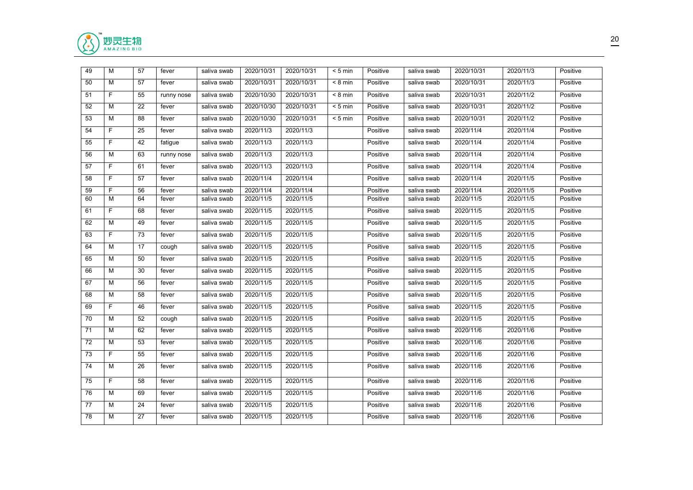

| 49 | M  | 57 | fever      | saliva swab | 2020/10/31 | 2020/10/31 | $< 5$ min | Positive | saliva swab | 2020/10/31 | 2020/11/3 | Positive |
|----|----|----|------------|-------------|------------|------------|-----------|----------|-------------|------------|-----------|----------|
| 50 | M  | 57 | fever      | saliva swab | 2020/10/31 | 2020/10/31 | $< 8$ min | Positive | saliva swab | 2020/10/31 | 2020/11/3 | Positive |
| 51 | F  | 55 | runny nose | saliva swab | 2020/10/30 | 2020/10/31 | $< 8$ min | Positive | saliva swab | 2020/10/31 | 2020/11/2 | Positive |
| 52 | М  | 22 | fever      | saliva swab | 2020/10/30 | 2020/10/31 | $< 5$ min | Positive | saliva swab | 2020/10/31 | 2020/11/2 | Positive |
| 53 | M  | 88 | fever      | saliva swab | 2020/10/30 | 2020/10/31 | $< 5$ min | Positive | saliva swab | 2020/10/31 | 2020/11/2 | Positive |
| 54 | F  | 25 | fever      | saliva swab | 2020/11/3  | 2020/11/3  |           | Positive | saliva swab | 2020/11/4  | 2020/11/4 | Positive |
| 55 | F  | 42 | fatigue    | saliva swab | 2020/11/3  | 2020/11/3  |           | Positive | saliva swab | 2020/11/4  | 2020/11/4 | Positive |
| 56 | M  | 63 | runny nose | saliva swab | 2020/11/3  | 2020/11/3  |           | Positive | saliva swab | 2020/11/4  | 2020/11/4 | Positive |
| 57 | F  | 61 | fever      | saliva swab | 2020/11/3  | 2020/11/3  |           | Positive | saliva swab | 2020/11/4  | 2020/11/4 | Positive |
| 58 | F. | 57 | fever      | saliva swab | 2020/11/4  | 2020/11/4  |           | Positive | saliva swab | 2020/11/4  | 2020/11/5 | Positive |
| 59 | F  | 56 | fever      | saliva swab | 2020/11/4  | 2020/11/4  |           | Positive | saliva swab | 2020/11/4  | 2020/11/5 | Positive |
| 60 | M  | 64 | fever      | saliva swab | 2020/11/5  | 2020/11/5  |           | Positive | saliva swab | 2020/11/5  | 2020/11/5 | Positive |
| 61 | F  | 68 | fever      | saliva swab | 2020/11/5  | 2020/11/5  |           | Positive | saliva swab | 2020/11/5  | 2020/11/5 | Positive |
| 62 | M  | 49 | fever      | saliva swab | 2020/11/5  | 2020/11/5  |           | Positive | saliva swab | 2020/11/5  | 2020/11/5 | Positive |
| 63 | F. | 73 | fever      | saliva swab | 2020/11/5  | 2020/11/5  |           | Positive | saliva swab | 2020/11/5  | 2020/11/5 | Positive |
| 64 | M  | 17 | cough      | saliva swab | 2020/11/5  | 2020/11/5  |           | Positive | saliva swab | 2020/11/5  | 2020/11/5 | Positive |
| 65 | м  | 50 | fever      | saliva swab | 2020/11/5  | 2020/11/5  |           | Positive | saliva swab | 2020/11/5  | 2020/11/5 | Positive |
| 66 | М  | 30 | fever      | saliva swab | 2020/11/5  | 2020/11/5  |           | Positive | saliva swab | 2020/11/5  | 2020/11/5 | Positive |
| 67 | M  | 56 | fever      | saliva swab | 2020/11/5  | 2020/11/5  |           | Positive | saliva swab | 2020/11/5  | 2020/11/5 | Positive |
| 68 | M  | 58 | fever      | saliva swab | 2020/11/5  | 2020/11/5  |           | Positive | saliva swab | 2020/11/5  | 2020/11/5 | Positive |
| 69 | F  | 46 | fever      | saliva swab | 2020/11/5  | 2020/11/5  |           | Positive | saliva swab | 2020/11/5  | 2020/11/5 | Positive |
| 70 | M  | 52 | cough      | saliva swab | 2020/11/5  | 2020/11/5  |           | Positive | saliva swab | 2020/11/5  | 2020/11/5 | Positive |
| 71 | M  | 62 | fever      | saliva swab | 2020/11/5  | 2020/11/5  |           | Positive | saliva swab | 2020/11/6  | 2020/11/6 | Positive |
| 72 | M  | 53 | fever      | saliva swab | 2020/11/5  | 2020/11/5  |           | Positive | saliva swab | 2020/11/6  | 2020/11/6 | Positive |
| 73 | F. | 55 | fever      | saliva swab | 2020/11/5  | 2020/11/5  |           | Positive | saliva swab | 2020/11/6  | 2020/11/6 | Positive |
| 74 | M  | 26 | fever      | saliva swab | 2020/11/5  | 2020/11/5  |           | Positive | saliva swab | 2020/11/6  | 2020/11/6 | Positive |
| 75 | F. | 58 | fever      | saliva swab | 2020/11/5  | 2020/11/5  |           | Positive | saliva swab | 2020/11/6  | 2020/11/6 | Positive |
| 76 | М  | 69 | fever      | saliva swab | 2020/11/5  | 2020/11/5  |           | Positive | saliva swab | 2020/11/6  | 2020/11/6 | Positive |
| 77 | М  | 24 | fever      | saliva swab | 2020/11/5  | 2020/11/5  |           | Positive | saliva swab | 2020/11/6  | 2020/11/6 | Positive |
| 78 | M  | 27 | fever      | saliva swab | 2020/11/5  | 2020/11/5  |           | Positive | saliva swab | 2020/11/6  | 2020/11/6 | Positive |
|    |    |    |            |             |            |            |           |          |             |            |           |          |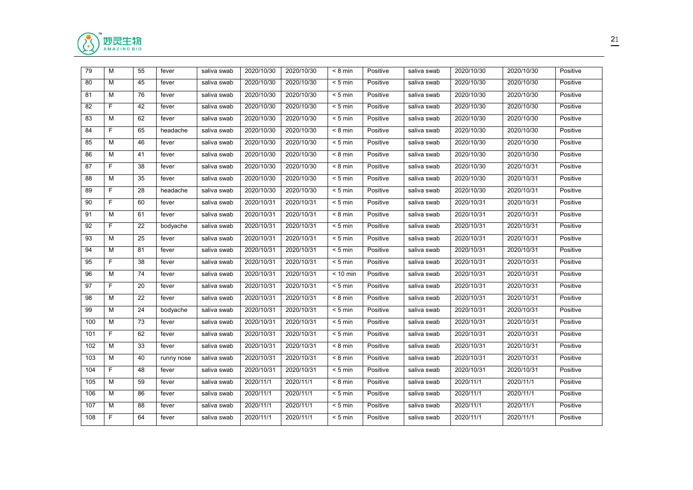

| 79  | М  | 55 | fever      | saliva swab | 2020/10/30 | 2020/10/30 | $< 8$ min         | Positive | saliva swab | 2020/10/30 | 2020/10/30 | Positive |
|-----|----|----|------------|-------------|------------|------------|-------------------|----------|-------------|------------|------------|----------|
| 80  | М  | 45 | fever      | saliva swab | 2020/10/30 | 2020/10/30 | $< 5$ min         | Positive | saliva swab | 2020/10/30 | 2020/10/30 | Positive |
| 81  | м  | 76 | fever      | saliva swab | 2020/10/30 | 2020/10/30 | $< 5$ min         | Positive | saliva swab | 2020/10/30 | 2020/10/30 | Positive |
| 82  | F. | 42 | fever      | saliva swab | 2020/10/30 | 2020/10/30 | $< 5$ min         | Positive | saliva swab | 2020/10/30 | 2020/10/30 | Positive |
| 83  | М  | 62 | fever      | saliva swab | 2020/10/30 | 2020/10/30 | $< 5$ min         | Positive | saliva swab | 2020/10/30 | 2020/10/30 | Positive |
| 84  | F. | 65 | headache   | saliva swab | 2020/10/30 | 2020/10/30 | $< 8$ min         | Positive | saliva swab | 2020/10/30 | 2020/10/30 | Positive |
| 85  | M  | 46 | fever      | saliva swab | 2020/10/30 | 2020/10/30 | $< 5$ min         | Positive | saliva swab | 2020/10/30 | 2020/10/30 | Positive |
| 86  | M  | 41 | fever      | saliva swab | 2020/10/30 | 2020/10/30 | $< 8$ min         | Positive | saliva swab | 2020/10/30 | 2020/10/30 | Positive |
| 87  | F  | 38 | fever      | saliva swab | 2020/10/30 | 2020/10/30 | $< 8 \text{ min}$ | Positive | saliva swab | 2020/10/30 | 2020/10/31 | Positive |
| 88  | M  | 35 | fever      | saliva swab | 2020/10/30 | 2020/10/30 | $< 5$ min         | Positive | saliva swab | 2020/10/30 | 2020/10/31 | Positive |
| 89  | F. | 28 | headache   | saliva swab | 2020/10/30 | 2020/10/30 | $< 5$ min         | Positive | saliva swab | 2020/10/30 | 2020/10/31 | Positive |
| 90  | F. | 60 | fever      | saliva swab | 2020/10/31 | 2020/10/31 | $< 5$ min         | Positive | saliva swab | 2020/10/31 | 2020/10/31 | Positive |
| 91  | М  | 61 | fever      | saliva swab | 2020/10/31 | 2020/10/31 | $< 8$ min         | Positive | saliva swab | 2020/10/31 | 2020/10/31 | Positive |
| 92  | F. | 22 | bodyache   | saliva swab | 2020/10/31 | 2020/10/31 | $< 5$ min         | Positive | saliva swab | 2020/10/31 | 2020/10/31 | Positive |
| 93  | M  | 25 | fever      | saliva swab | 2020/10/31 | 2020/10/31 | $< 5$ min         | Positive | saliva swab | 2020/10/31 | 2020/10/31 | Positive |
| 94  | M  | 81 | fever      | saliva swab | 2020/10/31 | 2020/10/31 | $< 5$ min         | Positive | saliva swab | 2020/10/31 | 2020/10/31 | Positive |
| 95  | F. | 38 | fever      | saliva swab | 2020/10/31 | 2020/10/31 | $< 5$ min         | Positive | saliva swab | 2020/10/31 | 2020/10/31 | Positive |
| 96  | М  | 74 | fever      | saliva swab | 2020/10/31 | 2020/10/31 | $< 10$ min        | Positive | saliva swab | 2020/10/31 | 2020/10/31 | Positive |
| 97  | F  | 20 | fever      | saliva swab | 2020/10/31 | 2020/10/31 | $< 5$ min         | Positive | saliva swab | 2020/10/31 | 2020/10/31 | Positive |
| 98  | м  | 22 | fever      | saliva swab | 2020/10/31 | 2020/10/31 | $< 8$ min         | Positive | saliva swab | 2020/10/31 | 2020/10/31 | Positive |
| 99  | M  | 24 | bodyache   | saliva swab | 2020/10/31 | 2020/10/31 | $< 5$ min         | Positive | saliva swab | 2020/10/31 | 2020/10/31 | Positive |
| 100 | М  | 73 | fever      | saliva swab | 2020/10/31 | 2020/10/31 | $< 5$ min         | Positive | saliva swab | 2020/10/31 | 2020/10/31 | Positive |
| 101 | F  | 62 | fever      | saliva swab | 2020/10/31 | 2020/10/31 | $< 5$ min         | Positive | saliva swab | 2020/10/31 | 2020/10/31 | Positive |
| 102 | М  | 33 | fever      | saliva swab | 2020/10/31 | 2020/10/31 | $< 8$ min         | Positive | saliva swab | 2020/10/31 | 2020/10/31 | Positive |
| 103 | M  | 40 | runny nose | saliva swab | 2020/10/31 | 2020/10/31 | $< 8$ min         | Positive | saliva swab | 2020/10/31 | 2020/10/31 | Positive |
| 104 | F. | 48 | fever      | saliva swab | 2020/10/31 | 2020/10/31 | $< 5$ min         | Positive | saliva swab | 2020/10/31 | 2020/10/31 | Positive |
| 105 | M  | 59 | fever      | saliva swab | 2020/11/1  | 2020/11/1  | $< 8$ min         | Positive | saliva swab | 2020/11/1  | 2020/11/1  | Positive |
| 106 | М  | 86 | fever      | saliva swab | 2020/11/1  | 2020/11/1  | $< 5$ min         | Positive | saliva swab | 2020/11/1  | 2020/11/1  | Positive |
| 107 | M  | 88 | fever      | saliva swab | 2020/11/1  | 2020/11/1  | $< 5$ min         | Positive | saliva swab | 2020/11/1  | 2020/11/1  | Positive |
| 108 | F  | 64 | fever      | saliva swab | 2020/11/1  | 2020/11/1  | $< 5$ min         | Positive | saliva swab | 2020/11/1  | 2020/11/1  | Positive |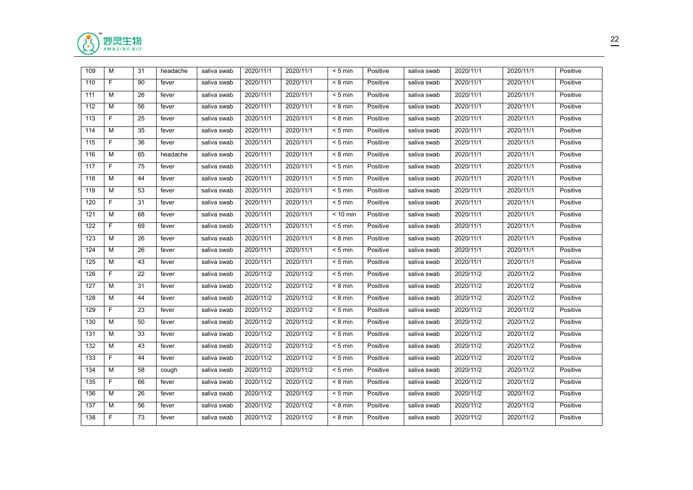

| 109 | м              | 31 | headache | saliva swab | 2020/11/1 | 2020/11/1 | $< 5$ min         | Positive | saliva swab | 2020/11/1 | 2020/11/1 | Positive |
|-----|----------------|----|----------|-------------|-----------|-----------|-------------------|----------|-------------|-----------|-----------|----------|
| 110 | F.             | 90 | fever    | saliva swab | 2020/11/1 | 2020/11/1 | $< 8$ min         | Positive | saliva swab | 2020/11/1 | 2020/11/1 | Positive |
| 111 | м              | 26 | fever    | saliva swab | 2020/11/1 | 2020/11/1 | $< 5$ min         | Positive | saliva swab | 2020/11/1 | 2020/11/1 | Positive |
| 112 | М              | 56 | fever    | saliva swab | 2020/11/1 | 2020/11/1 | $< 8$ min         | Positive | saliva swab | 2020/11/1 | 2020/11/1 | Positive |
| 113 | F.             | 25 | fever    | saliva swab | 2020/11/1 | 2020/11/1 | $< 8 \text{ min}$ | Positive | saliva swab | 2020/11/1 | 2020/11/1 | Positive |
| 114 | M              | 35 | fever    | saliva swab | 2020/11/1 | 2020/11/1 | $< 5$ min         | Positive | saliva swab | 2020/11/1 | 2020/11/1 | Positive |
| 115 | F.             | 36 | fever    | saliva swab | 2020/11/1 | 2020/11/1 | $< 5$ min         | Positive | saliva swab | 2020/11/1 | 2020/11/1 | Positive |
| 116 | М              | 65 | headache | saliva swab | 2020/11/1 | 2020/11/1 | $< 8$ min         | Positive | saliva swab | 2020/11/1 | 2020/11/1 | Positive |
| 117 | F.             | 75 | fever    | saliva swab | 2020/11/1 | 2020/11/1 | $< 5 \text{ min}$ | Positive | saliva swab | 2020/11/1 | 2020/11/1 | Positive |
| 118 | М              | 44 | fever    | saliva swab | 2020/11/1 | 2020/11/1 | $< 5$ min         | Positive | saliva swab | 2020/11/1 | 2020/11/1 | Positive |
| 119 | М              | 53 | fever    | saliva swab | 2020/11/1 | 2020/11/1 | $< 5$ min         | Positive | saliva swab | 2020/11/1 | 2020/11/1 | Positive |
| 120 | F.             | 31 | fever    | saliva swab | 2020/11/1 | 2020/11/1 | $< 5$ min         | Positive | saliva swab | 2020/11/1 | 2020/11/1 | Positive |
| 121 | м              | 68 | fever    | saliva swab | 2020/11/1 | 2020/11/1 | $< 10$ min        | Positive | saliva swab | 2020/11/1 | 2020/11/1 | Positive |
| 122 | F.             | 69 | fever    | saliva swab | 2020/11/1 | 2020/11/1 | $< 5$ min         | Positive | saliva swab | 2020/11/1 | 2020/11/1 | Positive |
| 123 | М              | 26 | fever    | saliva swab | 2020/11/1 | 2020/11/1 | $< 8 \text{ min}$ | Positive | saliva swab | 2020/11/1 | 2020/11/1 | Positive |
| 124 | М              | 26 | fever    | saliva swab | 2020/11/1 | 2020/11/1 | $< 5$ min         | Positive | saliva swab | 2020/11/1 | 2020/11/1 | Positive |
| 125 | М              | 43 | fever    | saliva swab | 2020/11/1 | 2020/11/1 | $< 5$ min         | Positive | saliva swab | 2020/11/1 | 2020/11/1 | Positive |
| 126 | F.             | 22 | fever    | saliva swab | 2020/11/2 | 2020/11/2 | $< 5$ min         | Positive | saliva swab | 2020/11/2 | 2020/11/2 | Positive |
| 127 | M              | 31 | fever    | saliva swab | 2020/11/2 | 2020/11/2 | $< 8$ min         | Positive | saliva swab | 2020/11/2 | 2020/11/2 | Positive |
| 128 | м              | 44 | fever    | saliva swab | 2020/11/2 | 2020/11/2 | $< 8 \text{ min}$ | Positive | saliva swab | 2020/11/2 | 2020/11/2 | Positive |
| 129 | F.             | 23 | fever    | saliva swab | 2020/11/2 | 2020/11/2 | $< 5$ min         | Positive | saliva swab | 2020/11/2 | 2020/11/2 | Positive |
| 130 | м              | 50 | fever    | saliva swab | 2020/11/2 | 2020/11/2 | $< 8$ min         | Positive | saliva swab | 2020/11/2 | 2020/11/2 | Positive |
| 131 | м              | 33 | fever    | saliva swab | 2020/11/2 | 2020/11/2 | $< 5$ min         | Positive | saliva swab | 2020/11/2 | 2020/11/2 | Positive |
| 132 | м              | 43 | fever    | saliva swab | 2020/11/2 | 2020/11/2 | $< 5$ min         | Positive | saliva swab | 2020/11/2 | 2020/11/2 | Positive |
| 133 | F.             | 44 | fever    | saliva swab | 2020/11/2 | 2020/11/2 | $< 5$ min         | Positive | saliva swab | 2020/11/2 | 2020/11/2 | Positive |
| 134 | М              | 58 | cough    | saliva swab | 2020/11/2 | 2020/11/2 | $< 5$ min         | Positive | saliva swab | 2020/11/2 | 2020/11/2 | Positive |
| 135 | F.             | 66 | fever    | saliva swab | 2020/11/2 | 2020/11/2 | $< 8$ min         | Positive | saliva swab | 2020/11/2 | 2020/11/2 | Positive |
| 136 | М              | 26 | fever    | saliva swab | 2020/11/2 | 2020/11/2 | $< 5$ min         | Positive | saliva swab | 2020/11/2 | 2020/11/2 | Positive |
| 137 | М              | 56 | fever    | saliva swab | 2020/11/2 | 2020/11/2 | $< 8$ min         | Positive | saliva swab | 2020/11/2 | 2020/11/2 | Positive |
| 138 | $\overline{F}$ | 73 | fever    | saliva swab | 2020/11/2 | 2020/11/2 | $< 8$ min         | Positive | saliva swab | 2020/11/2 | 2020/11/2 | Positive |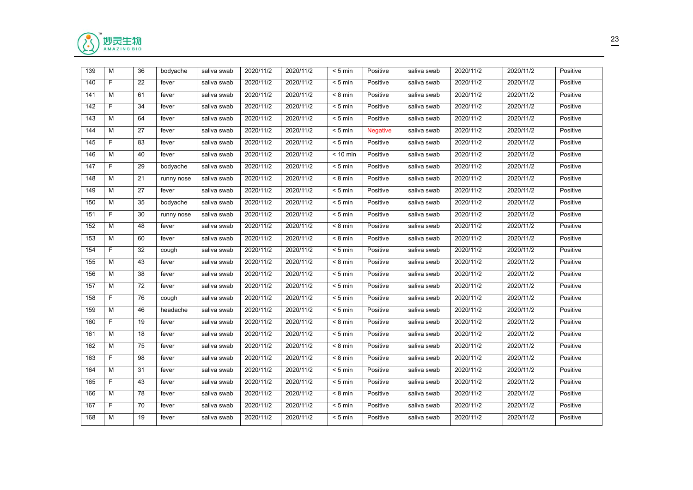

| 139 | M              | 36 | bodyache   | saliva swab | 2020/11/2 | 2020/11/2 | $< 5$ min          | Positive        | saliva swab | 2020/11/2 | 2020/11/2 | Positive |
|-----|----------------|----|------------|-------------|-----------|-----------|--------------------|-----------------|-------------|-----------|-----------|----------|
| 140 | F.             | 22 | fever      | saliva swab | 2020/11/2 | 2020/11/2 | $< 5$ min          | Positive        | saliva swab | 2020/11/2 | 2020/11/2 | Positive |
| 141 | м              | 61 | fever      | saliva swab | 2020/11/2 | 2020/11/2 | $< 8$ min          | Positive        | saliva swab | 2020/11/2 | 2020/11/2 | Positive |
| 142 | F.             | 34 | fever      | saliva swab | 2020/11/2 | 2020/11/2 | $< 5$ min          | Positive        | saliva swab | 2020/11/2 | 2020/11/2 | Positive |
| 143 | М              | 64 | fever      | saliva swab | 2020/11/2 | 2020/11/2 | $< 5$ min          | Positive        | saliva swab | 2020/11/2 | 2020/11/2 | Positive |
| 144 | M              | 27 | fever      | saliva swab | 2020/11/2 | 2020/11/2 | $< 5$ min          | <b>Negative</b> | saliva swab | 2020/11/2 | 2020/11/2 | Positive |
| 145 | F.             | 83 | fever      | saliva swab | 2020/11/2 | 2020/11/2 | $< 5$ min          | Positive        | saliva swab | 2020/11/2 | 2020/11/2 | Positive |
| 146 | М              | 40 | fever      | saliva swab | 2020/11/2 | 2020/11/2 | $< 10$ min         | Positive        | saliva swab | 2020/11/2 | 2020/11/2 | Positive |
| 147 | $\overline{F}$ | 29 | bodyache   | saliva swab | 2020/11/2 | 2020/11/2 | $< 5$ min          | Positive        | saliva swab | 2020/11/2 | 2020/11/2 | Positive |
| 148 | M              | 21 | runny nose | saliva swab | 2020/11/2 | 2020/11/2 | $< 8$ min          | Positive        | saliva swab | 2020/11/2 | 2020/11/2 | Positive |
| 149 | М              | 27 | fever      | saliva swab | 2020/11/2 | 2020/11/2 | $< 5$ min          | Positive        | saliva swab | 2020/11/2 | 2020/11/2 | Positive |
| 150 | М              | 35 | bodyache   | saliva swab | 2020/11/2 | 2020/11/2 | $< 5$ min          | Positive        | saliva swab | 2020/11/2 | 2020/11/2 | Positive |
| 151 | F.             | 30 | runny nose | saliva swab | 2020/11/2 | 2020/11/2 | $< 5$ min          | Positive        | saliva swab | 2020/11/2 | 2020/11/2 | Positive |
| 152 | м              | 48 | fever      | saliva swab | 2020/11/2 | 2020/11/2 | $< 8$ min          | Positive        | saliva swab | 2020/11/2 | 2020/11/2 | Positive |
| 153 | М              | 60 | fever      | saliva swab | 2020/11/2 | 2020/11/2 | $< 8 \text{ min}$  | Positive        | saliva swab | 2020/11/2 | 2020/11/2 | Positive |
| 154 | F.             | 32 | cough      | saliva swab | 2020/11/2 | 2020/11/2 | $< 5$ min          | Positive        | saliva swab | 2020/11/2 | 2020/11/2 | Positive |
| 155 | М              | 43 | fever      | saliva swab | 2020/11/2 | 2020/11/2 | $< 8$ min          | Positive        | saliva swab | 2020/11/2 | 2020/11/2 | Positive |
| 156 | M              | 38 | fever      | saliva swab | 2020/11/2 | 2020/11/2 | $< 5$ min          | Positive        | saliva swab | 2020/11/2 | 2020/11/2 | Positive |
| 157 | М              | 72 | fever      | saliva swab | 2020/11/2 | 2020/11/2 | $< 5$ min          | Positive        | saliva swab | 2020/11/2 | 2020/11/2 | Positive |
| 158 | $\overline{F}$ | 76 | cough      | saliva swab | 2020/11/2 | 2020/11/2 | $< 5$ min          | Positive        | saliva swab | 2020/11/2 | 2020/11/2 | Positive |
| 159 | м              | 46 | headache   | saliva swab | 2020/11/2 | 2020/11/2 | $< 5$ min          | Positive        | saliva swab | 2020/11/2 | 2020/11/2 | Positive |
| 160 | F              | 19 | fever      | saliva swab | 2020/11/2 | 2020/11/2 | $< 8$ min          | Positive        | saliva swab | 2020/11/2 | 2020/11/2 | Positive |
| 161 | М              | 18 | fever      | saliva swab | 2020/11/2 | 2020/11/2 | $< 5$ min          | Positive        | saliva swab | 2020/11/2 | 2020/11/2 | Positive |
| 162 | М              | 75 | fever      | saliva swab | 2020/11/2 | 2020/11/2 | $< 8$ min          | Positive        | saliva swab | 2020/11/2 | 2020/11/2 | Positive |
| 163 | F.             | 98 | fever      | saliva swab | 2020/11/2 | 2020/11/2 | $\overline{8}$ min | Positive        | saliva swab | 2020/11/2 | 2020/11/2 | Positive |
| 164 | М              | 31 | fever      | saliva swab | 2020/11/2 | 2020/11/2 | $< 5$ min          | Positive        | saliva swab | 2020/11/2 | 2020/11/2 | Positive |
| 165 | F.             | 43 | fever      | saliva swab | 2020/11/2 | 2020/11/2 | $< 5$ min          | Positive        | saliva swab | 2020/11/2 | 2020/11/2 | Positive |
| 166 | М              | 78 | fever      | saliva swab | 2020/11/2 | 2020/11/2 | $< 8$ min          | Positive        | saliva swab | 2020/11/2 | 2020/11/2 | Positive |
| 167 | F.             | 70 | fever      | saliva swab | 2020/11/2 | 2020/11/2 | $< 5$ min          | Positive        | saliva swab | 2020/11/2 | 2020/11/2 | Positive |
| 168 | M              | 19 | fever      | saliva swab | 2020/11/2 | 2020/11/2 | $< 5$ min          | Positive        | saliva swab | 2020/11/2 | 2020/11/2 | Positive |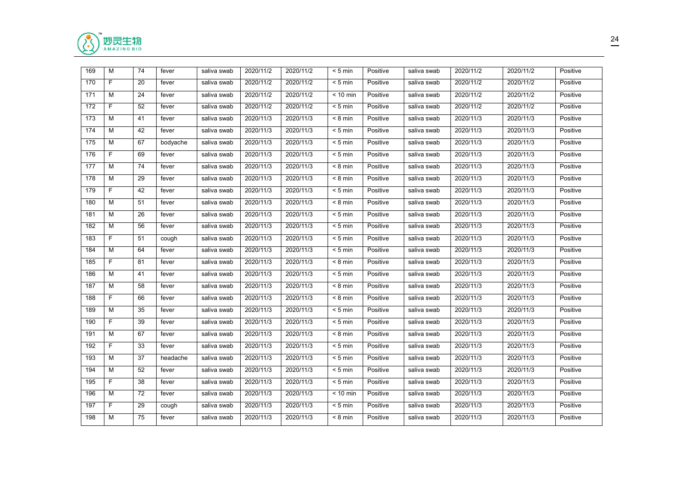

| 169 | M  | 74 | fever    | saliva swab | 2020/11/2 | 2020/11/2 | $< 5$ min         | Positive | saliva swab | 2020/11/2 | 2020/11/2 | Positive |
|-----|----|----|----------|-------------|-----------|-----------|-------------------|----------|-------------|-----------|-----------|----------|
| 170 | F. | 20 | fever    | saliva swab | 2020/11/2 | 2020/11/2 | $< 5$ min         | Positive | saliva swab | 2020/11/2 | 2020/11/2 | Positive |
| 171 | M  | 24 | fever    | saliva swab | 2020/11/2 | 2020/11/2 | $< 10$ min        | Positive | saliva swab | 2020/11/2 | 2020/11/2 | Positive |
| 172 | F. | 52 | fever    | saliva swab | 2020/11/2 | 2020/11/2 | $< 5$ min         | Positive | saliva swab | 2020/11/2 | 2020/11/2 | Positive |
| 173 | M  | 41 | fever    | saliva swab | 2020/11/3 | 2020/11/3 | $< 8$ min         | Positive | saliva swab | 2020/11/3 | 2020/11/3 | Positive |
| 174 | M  | 42 | fever    | saliva swab | 2020/11/3 | 2020/11/3 | $< 5$ min         | Positive | saliva swab | 2020/11/3 | 2020/11/3 | Positive |
| 175 | M  | 67 | bodyache | saliva swab | 2020/11/3 | 2020/11/3 | $< 5$ min         | Positive | saliva swab | 2020/11/3 | 2020/11/3 | Positive |
| 176 | F. | 69 | fever    | saliva swab | 2020/11/3 | 2020/11/3 | $< 5$ min         | Positive | saliva swab | 2020/11/3 | 2020/11/3 | Positive |
| 177 | M  | 74 | fever    | saliva swab | 2020/11/3 | 2020/11/3 | $< 8$ min         | Positive | saliva swab | 2020/11/3 | 2020/11/3 | Positive |
| 178 | M  | 29 | fever    | saliva swab | 2020/11/3 | 2020/11/3 | $< 8$ min         | Positive | saliva swab | 2020/11/3 | 2020/11/3 | Positive |
| 179 | F  | 42 | fever    | saliva swab | 2020/11/3 | 2020/11/3 | $< 5$ min         | Positive | saliva swab | 2020/11/3 | 2020/11/3 | Positive |
| 180 | м  | 51 | fever    | saliva swab | 2020/11/3 | 2020/11/3 | $< 8$ min         | Positive | saliva swab | 2020/11/3 | 2020/11/3 | Positive |
| 181 | M  | 26 | fever    | saliva swab | 2020/11/3 | 2020/11/3 | $< 5$ min         | Positive | saliva swab | 2020/11/3 | 2020/11/3 | Positive |
| 182 | M  | 56 | fever    | saliva swab | 2020/11/3 | 2020/11/3 | $< 5$ min         | Positive | saliva swab | 2020/11/3 | 2020/11/3 | Positive |
| 183 | F  | 51 | cough    | saliva swab | 2020/11/3 | 2020/11/3 | $< 5$ min         | Positive | saliva swab | 2020/11/3 | 2020/11/3 | Positive |
| 184 | M  | 64 | fever    | saliva swab | 2020/11/3 | 2020/11/3 | $< 5$ min         | Positive | saliva swab | 2020/11/3 | 2020/11/3 | Positive |
| 185 | F. | 81 | fever    | saliva swab | 2020/11/3 | 2020/11/3 | $< 8 \text{ min}$ | Positive | saliva swab | 2020/11/3 | 2020/11/3 | Positive |
| 186 | M  | 41 | fever    | saliva swab | 2020/11/3 | 2020/11/3 | $< 5$ min         | Positive | saliva swab | 2020/11/3 | 2020/11/3 | Positive |
| 187 | M  | 58 | fever    | saliva swab | 2020/11/3 | 2020/11/3 | $< 8 \text{ min}$ | Positive | saliva swab | 2020/11/3 | 2020/11/3 | Positive |
| 188 | F. | 66 | fever    | saliva swab | 2020/11/3 | 2020/11/3 | $< 8$ min         | Positive | saliva swab | 2020/11/3 | 2020/11/3 | Positive |
| 189 | M  | 35 | fever    | saliva swab | 2020/11/3 | 2020/11/3 | $< 5$ min         | Positive | saliva swab | 2020/11/3 | 2020/11/3 | Positive |
| 190 | F  | 39 | fever    | saliva swab | 2020/11/3 | 2020/11/3 | $< 5$ min         | Positive | saliva swab | 2020/11/3 | 2020/11/3 | Positive |
| 191 | M  | 67 | fever    | saliva swab | 2020/11/3 | 2020/11/3 | $< 8$ min         | Positive | saliva swab | 2020/11/3 | 2020/11/3 | Positive |
| 192 | F  | 33 | fever    | saliva swab | 2020/11/3 | 2020/11/3 | $< 5$ min         | Positive | saliva swab | 2020/11/3 | 2020/11/3 | Positive |
| 193 | M  | 37 | headache | saliva swab | 2020/11/3 | 2020/11/3 | $< 5$ min         | Positive | saliva swab | 2020/11/3 | 2020/11/3 | Positive |
| 194 | M  | 52 | fever    | saliva swab | 2020/11/3 | 2020/11/3 | $< 5$ min         | Positive | saliva swab | 2020/11/3 | 2020/11/3 | Positive |
| 195 | F. | 38 | fever    | saliva swab | 2020/11/3 | 2020/11/3 | $< 5$ min         | Positive | saliva swab | 2020/11/3 | 2020/11/3 | Positive |
| 196 | М  | 72 | fever    | saliva swab | 2020/11/3 | 2020/11/3 | $< 10$ min        | Positive | saliva swab | 2020/11/3 | 2020/11/3 | Positive |
| 197 | F. | 29 | cough    | saliva swab | 2020/11/3 | 2020/11/3 | $< 5$ min         | Positive | saliva swab | 2020/11/3 | 2020/11/3 | Positive |
| 198 | M  | 75 | fever    | saliva swab | 2020/11/3 | 2020/11/3 | $< 8 \text{ min}$ | Positive | saliva swab | 2020/11/3 | 2020/11/3 | Positive |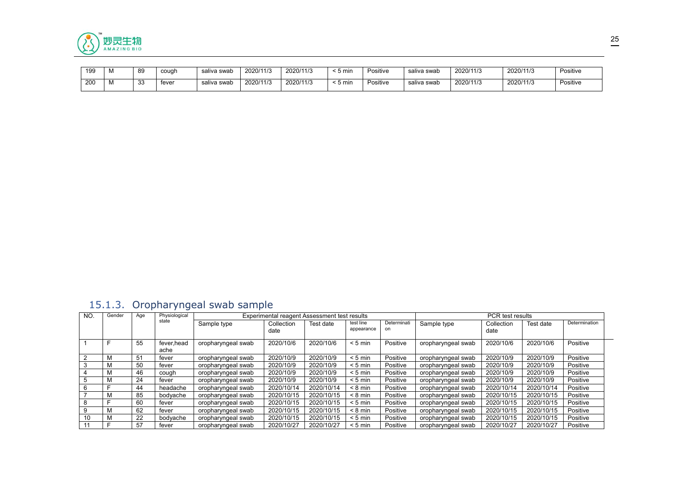

| 199 | <b>IVI</b> | 89  | cough | saliva<br>swab | 2020/11/3 | 2020/11/3 | ີ ປ II | Positive | saliva swa⊾ | 2020/11/3          | 2020/11/3 | Positive |
|-----|------------|-----|-------|----------------|-----------|-----------|--------|----------|-------------|--------------------|-----------|----------|
| 200 | <b>IVI</b> | ັບປ | teve  | saliva swab    | 2020/11/3 | 2020/11/3 | ີ      | Positive | saliva swau | 2020/11/3<br>ZUZU, | 2020/11/3 | Positive |

# <span id="page-24-0"></span>15.1.3. Oropharyngeal swab sample

| NO. | Gender | Age | Physiological      |                    | Experimental reagent Assessment test results |            |                         |                   |                    | <b>PCR</b> test results |            |               |
|-----|--------|-----|--------------------|--------------------|----------------------------------------------|------------|-------------------------|-------------------|--------------------|-------------------------|------------|---------------|
|     |        |     | state              | Sample type        | Collection<br>date                           | Test date  | test line<br>appearance | Determinati<br>on | Sample type        | Collection<br>date      | Test date  | Determination |
|     |        | 55  | fever.head<br>ache | oropharyngeal swab | 2020/10/6                                    | 2020/10/6  | $< 5$ min               | Positive          | oropharyngeal swab | 2020/10/6               | 2020/10/6  | Positive      |
|     | М      | -51 | fever              | oropharyngeal swab | 2020/10/9                                    | 2020/10/9  | $< 5$ min               | Positive          | oropharyngeal swab | 2020/10/9               | 2020/10/9  | Positive      |
| 3   | М      | 50  | fever              | oropharyngeal swab | 2020/10/9                                    | 2020/10/9  | $< 5$ min               | Positive          | oropharyngeal swab | 2020/10/9               | 2020/10/9  | Positive      |
|     | M      | 46  | cough              | oropharyngeal swab | 2020/10/9                                    | 2020/10/9  | $< 5$ min               | Positive          | oropharyngeal swab | 2020/10/9               | 2020/10/9  | Positive      |
|     | M      | 24  | fever              | oropharyngeal swab | 2020/10/9                                    | 2020/10/9  | $< 5$ min               | Positive          | oropharyngeal swab | 2020/10/9               | 2020/10/9  | Positive      |
| 6   |        | 44  | headache           | oropharyngeal swab | 2020/10/14                                   | 2020/10/14 | $< 8$ min               | Positive          | oropharyngeal swab | 2020/10/14              | 2020/10/14 | Positive      |
|     | M      | 85  | bodyache           | oropharyngeal swab | 2020/10/15                                   | 2020/10/15 | $< 8 \text{ min}$       | Positive          | oropharyngeal swab | 2020/10/15              | 2020/10/15 | Positive      |
| 8   |        | 60  | fever              | oropharyngeal swab | 2020/10/15                                   | 2020/10/15 | $< 5 \text{ min}$       | Positive          | oropharyngeal swab | 2020/10/15              | 2020/10/15 | Positive      |
| 9   | м      | 62  | fever              | oropharyngeal swab | 2020/10/15                                   | 2020/10/15 | $< 8$ min               | Positive          | oropharyngeal swab | 2020/10/15              | 2020/10/15 | Positive      |
| 10  | м      | 22  | bodyache           | oropharyngeal swab | 2020/10/15                                   | 2020/10/15 | $< 5$ min               | Positive          | oropharyngeal swab | 2020/10/15              | 2020/10/15 | Positive      |
| 11  |        | 57  | fever              | oropharyngeal swab | 2020/10/27                                   | 2020/10/27 | $< 5$ min               | Positive          | oropharyngeal swab | 2020/10/27              | 2020/10/27 | Positive      |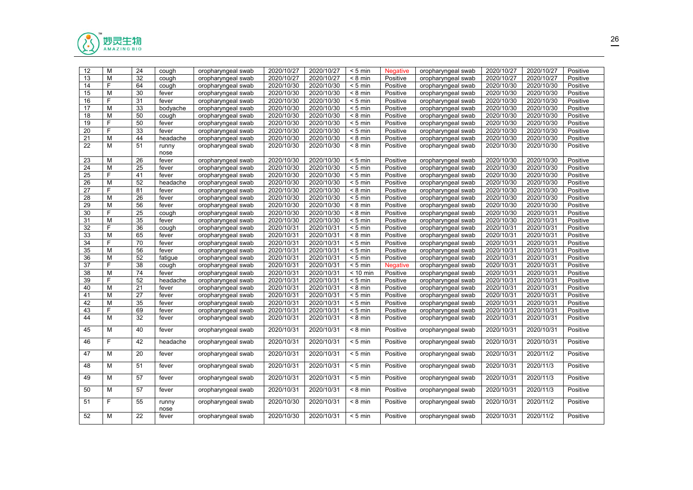

| 12              | M           | 24              | cough         | oropharyngeal swab | 2020/10/27 | 2020/10/27 | $< 5$ min         | <b>Negative</b> | oropharyngeal swab | 2020/10/27 | 2020/10/27 | Positive |
|-----------------|-------------|-----------------|---------------|--------------------|------------|------------|-------------------|-----------------|--------------------|------------|------------|----------|
| 13              | M           | 32              | cough         | oropharyngeal swab | 2020/10/27 | 2020/10/27 | $< 8 \text{ min}$ | Positive        | oropharyngeal swab | 2020/10/27 | 2020/10/27 | Positive |
| 14              | F           | 64              | cough         | oropharyngeal swab | 2020/10/30 | 2020/10/30 | $< 5$ min         | Positive        | oropharyngeal swab | 2020/10/30 | 2020/10/30 | Positive |
| 15              | M           | 30              | fever         | oropharyngeal swab | 2020/10/30 | 2020/10/30 | $< 8$ min         | Positive        | oropharyngeal swab | 2020/10/30 | 2020/10/30 | Positive |
| 16              | F           | 31              | fever         | oropharyngeal swab | 2020/10/30 | 2020/10/30 | $< 5$ min         | Positive        | oropharyngeal swab | 2020/10/30 | 2020/10/30 | Positive |
| $\overline{17}$ | M           | $\overline{33}$ | bodyache      | oropharyngeal swab | 2020/10/30 | 2020/10/30 | $< 5$ min         | Positive        | oropharyngeal swab | 2020/10/30 | 2020/10/30 | Positive |
| 18              | M           | 50              | cough         | oropharyngeal swab | 2020/10/30 | 2020/10/30 | $< 8$ min         | Positive        | oropharyngeal swab | 2020/10/30 | 2020/10/30 | Positive |
| 19              | F           | 50              | fever         | oropharyngeal swab | 2020/10/30 | 2020/10/30 | $< 5$ min         | Positive        | oropharyngeal swab | 2020/10/30 | 2020/10/30 | Positive |
| 20              | F           | 33              | fever         | oropharyngeal swab | 2020/10/30 | 2020/10/30 | $< 5$ min         | Positive        | oropharyngeal swab | 2020/10/30 | 2020/10/30 | Positive |
| 21              | M           | 44              | headache      | oropharyngeal swab | 2020/10/30 | 2020/10/30 | $< 8$ min         | Positive        | oropharyngeal swab | 2020/10/30 | 2020/10/30 | Positive |
| 22              | М           | 51              | runny<br>nose | oropharyngeal swab | 2020/10/30 | 2020/10/30 | $< 8$ min         | Positive        | oropharyngeal swab | 2020/10/30 | 2020/10/30 | Positive |
| 23              | M           | $\overline{26}$ | fever         | oropharyngeal swab | 2020/10/30 | 2020/10/30 | $< 5$ min         | Positive        | oropharyngeal swab | 2020/10/30 | 2020/10/30 | Positive |
| 24              | M           | 25              | fever         | oropharyngeal swab | 2020/10/30 | 2020/10/30 | $< 5$ min         | Positive        | oropharyngeal swab | 2020/10/30 | 2020/10/30 | Positive |
| 25              | F           | 41              | fever         | oropharyngeal swab | 2020/10/30 | 2020/10/30 | $< 5$ min         | Positive        | oropharyngeal swab | 2020/10/30 | 2020/10/30 | Positive |
| 26              | M           | 52              | headache      | oropharyngeal swab | 2020/10/30 | 2020/10/30 | $< 5$ min         | Positive        | oropharyngeal swab | 2020/10/30 | 2020/10/30 | Positive |
| 27              | F           | 81              | fever         | oropharyngeal swab | 2020/10/30 | 2020/10/30 | $< 8$ min         | Positive        | oropharyngeal swab | 2020/10/30 | 2020/10/30 | Positive |
| 28              | M           | 26              | fever         | oropharyngeal swab | 2020/10/30 | 2020/10/30 | $< 5$ min         | Positive        | oropharyngeal swab | 2020/10/30 | 2020/10/30 | Positive |
| 29              | M           | 56              | fever         | oropharyngeal swab | 2020/10/30 | 2020/10/30 | $< 8$ min         | Positive        | oropharyngeal swab | 2020/10/30 | 2020/10/30 | Positive |
| 30              | F           | 25              | cough         | oropharyngeal swab | 2020/10/30 | 2020/10/30 | $< 8$ min         | Positive        | oropharyngeal swab | 2020/10/30 | 2020/10/31 | Positive |
| 31              | M           | $\overline{35}$ | fever         | oropharyngeal swab | 2020/10/30 | 2020/10/30 | $< 5$ min         | Positive        | oropharyngeal swab | 2020/10/30 | 2020/10/31 | Positive |
| 32              | F           | 36              | cough         | oropharyngeal swab | 2020/10/31 | 2020/10/31 | $< 5$ min         | Positive        | oropharyngeal swab | 2020/10/31 | 2020/10/31 | Positive |
| 33              | M           | 65              | fever         | oropharyngeal swab | 2020/10/31 | 2020/10/31 | $< 8$ min         | Positive        | oropharyngeal swab | 2020/10/31 | 2020/10/31 | Positive |
| $\overline{34}$ | $\mathsf F$ | 70              | fever         | oropharyngeal swab | 2020/10/31 | 2020/10/31 | $< 5$ min         | Positive        | oropharyngeal swab | 2020/10/31 | 2020/10/31 | Positive |
| $\overline{35}$ | M           | 56              | fever         | oropharyngeal swab | 2020/10/31 | 2020/10/31 | $< 5$ min         | Positive        | oropharyngeal swab | 2020/10/31 | 2020/10/31 | Positive |
| 36              | M           | 52              | fatigue       | oropharyngeal swab | 2020/10/31 | 2020/10/31 | $< 5$ min         | Positive        | oropharyngeal swab | 2020/10/31 | 2020/10/31 | Positive |
| $\overline{37}$ | F           | 38              | cough         | oropharyngeal swab | 2020/10/31 | 2020/10/31 | $< 5$ min         | <b>Negative</b> | oropharyngeal swab | 2020/10/31 | 2020/10/31 | Positive |
| 38              | M           | 74              | fever         | oropharyngeal swab | 2020/10/31 | 2020/10/31 | $< 10$ min        | Positive        | oropharyngeal swab | 2020/10/31 | 2020/10/31 | Positive |
| 39              | F           | 52              | headache      | oropharyngeal swab | 2020/10/31 | 2020/10/31 | $< 5$ min         | Positive        | oropharyngeal swab | 2020/10/31 | 2020/10/31 | Positive |
| 40              | M           | 21              | fever         | oropharyngeal swab | 2020/10/31 | 2020/10/31 | $< 8$ min         | Positive        | oropharyngeal swab | 2020/10/31 | 2020/10/31 | Positive |
| 41              | M           | 27              | fever         | oropharyngeal swab | 2020/10/31 | 2020/10/31 | $< 5$ min         | Positive        | oropharyngeal swab | 2020/10/31 | 2020/10/31 | Positive |
| 42              | M           | 35              | fever         | oropharyngeal swab | 2020/10/31 | 2020/10/31 | $< 5$ min         | Positive        | oropharyngeal swab | 2020/10/31 | 2020/10/31 | Positive |
| 43              | $\mathsf F$ | 69              | fever         | oropharyngeal swab | 2020/10/31 | 2020/10/31 | $< 5$ min         | Positive        | oropharyngeal swab | 2020/10/31 | 2020/10/31 | Positive |
| 44              | M           | 32              | fever         | oropharyngeal swab | 2020/10/31 | 2020/10/31 | $< 8$ min         | Positive        | oropharyngeal swab | 2020/10/31 | 2020/10/31 | Positive |
| 45              | M           | 40              | fever         | oropharyngeal swab | 2020/10/31 | 2020/10/31 | $< 8$ min         | Positive        | oropharyngeal swab | 2020/10/31 | 2020/10/31 | Positive |
| 46              | F.          | 42              | headache      | oropharyngeal swab | 2020/10/31 | 2020/10/31 | $< 5$ min         | Positive        | oropharyngeal swab | 2020/10/31 | 2020/10/31 | Positive |
| 47              | M           | 20              | fever         | oropharyngeal swab | 2020/10/31 | 2020/10/31 | $< 5$ min         | Positive        | oropharyngeal swab | 2020/10/31 | 2020/11/2  | Positive |
| 48              | M           | 51              | fever         | oropharyngeal swab | 2020/10/31 | 2020/10/31 | $< 5$ min         | Positive        | oropharyngeal swab | 2020/10/31 | 2020/11/3  | Positive |
| 49              | М           | 57              | fever         | oropharyngeal swab | 2020/10/31 | 2020/10/31 | $< 5$ min         | Positive        | oropharyngeal swab | 2020/10/31 | 2020/11/3  | Positive |
| 50              | м           | 57              | fever         | oropharyngeal swab | 2020/10/31 | 2020/10/31 | $< 8$ min         | Positive        | oropharyngeal swab | 2020/10/31 | 2020/11/3  | Positive |
| 51              | F.          | 55              | runny<br>nose | oropharyngeal swab | 2020/10/30 | 2020/10/31 | $< 8$ min         | Positive        | oropharyngeal swab | 2020/10/31 | 2020/11/2  | Positive |
| 52              | М           | 22              | fever         | oropharyngeal swab | 2020/10/30 | 2020/10/31 | $< 5$ min         | Positive        | oropharyngeal swab | 2020/10/31 | 2020/11/2  | Positive |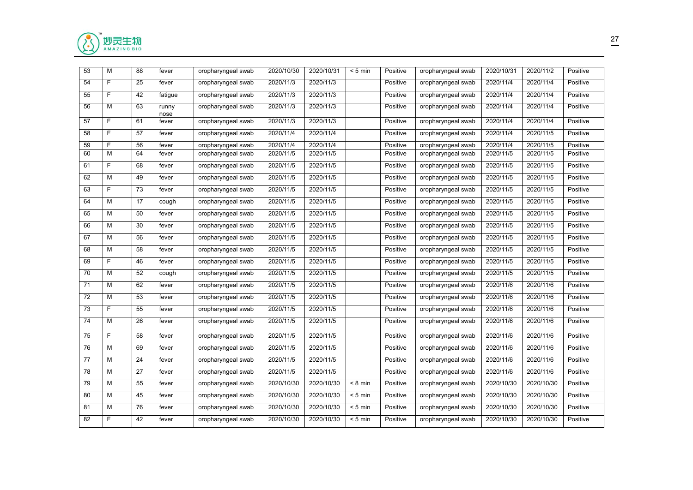

| 53 | M              | 88 | fever         | oropharyngeal swab | 2020/10/30 | 2020/10/31 | $< 5$ min | Positive | oropharyngeal swab | 2020/10/31 | 2020/11/2  | Positive |
|----|----------------|----|---------------|--------------------|------------|------------|-----------|----------|--------------------|------------|------------|----------|
| 54 | F.             | 25 | fever         | oropharyngeal swab | 2020/11/3  | 2020/11/3  |           | Positive | oropharyngeal swab | 2020/11/4  | 2020/11/4  | Positive |
| 55 | F              | 42 | fatigue       | oropharyngeal swab | 2020/11/3  | 2020/11/3  |           | Positive | oropharyngeal swab | 2020/11/4  | 2020/11/4  | Positive |
| 56 | M              | 63 | runny<br>nose | oropharyngeal swab | 2020/11/3  | 2020/11/3  |           | Positive | oropharyngeal swab | 2020/11/4  | 2020/11/4  | Positive |
| 57 | F.             | 61 | fever         | oropharyngeal swab | 2020/11/3  | 2020/11/3  |           | Positive | oropharyngeal swab | 2020/11/4  | 2020/11/4  | Positive |
| 58 | $\overline{F}$ | 57 | fever         | oropharyngeal swab | 2020/11/4  | 2020/11/4  |           | Positive | oropharyngeal swab | 2020/11/4  | 2020/11/5  | Positive |
| 59 | F              | 56 | fever         | oropharyngeal swab | 2020/11/4  | 2020/11/4  |           | Positive | oropharyngeal swab | 2020/11/4  | 2020/11/5  | Positive |
| 60 | M              | 64 | fever         | oropharyngeal swab | 2020/11/5  | 2020/11/5  |           | Positive | oropharyngeal swab | 2020/11/5  | 2020/11/5  | Positive |
| 61 | F              | 68 | fever         | oropharyngeal swab | 2020/11/5  | 2020/11/5  |           | Positive | oropharyngeal swab | 2020/11/5  | 2020/11/5  | Positive |
| 62 | M              | 49 | fever         | oropharyngeal swab | 2020/11/5  | 2020/11/5  |           | Positive | oropharyngeal swab | 2020/11/5  | 2020/11/5  | Positive |
| 63 | F              | 73 | fever         | oropharyngeal swab | 2020/11/5  | 2020/11/5  |           | Positive | oropharyngeal swab | 2020/11/5  | 2020/11/5  | Positive |
| 64 | M              | 17 | cough         | oropharyngeal swab | 2020/11/5  | 2020/11/5  |           | Positive | oropharyngeal swab | 2020/11/5  | 2020/11/5  | Positive |
| 65 | М              | 50 | fever         | oropharyngeal swab | 2020/11/5  | 2020/11/5  |           | Positive | oropharyngeal swab | 2020/11/5  | 2020/11/5  | Positive |
| 66 | М              | 30 | fever         | oropharyngeal swab | 2020/11/5  | 2020/11/5  |           | Positive | oropharyngeal swab | 2020/11/5  | 2020/11/5  | Positive |
| 67 | М              | 56 | fever         | oropharyngeal swab | 2020/11/5  | 2020/11/5  |           | Positive | oropharyngeal swab | 2020/11/5  | 2020/11/5  | Positive |
| 68 | M              | 58 | fever         | oropharyngeal swab | 2020/11/5  | 2020/11/5  |           | Positive | oropharyngeal swab | 2020/11/5  | 2020/11/5  | Positive |
| 69 | F.             | 46 | fever         | oropharyngeal swab | 2020/11/5  | 2020/11/5  |           | Positive | oropharyngeal swab | 2020/11/5  | 2020/11/5  | Positive |
| 70 | M              | 52 | cough         | oropharyngeal swab | 2020/11/5  | 2020/11/5  |           | Positive | oropharyngeal swab | 2020/11/5  | 2020/11/5  | Positive |
| 71 | M              | 62 | fever         | oropharyngeal swab | 2020/11/5  | 2020/11/5  |           | Positive | oropharyngeal swab | 2020/11/6  | 2020/11/6  | Positive |
| 72 | M              | 53 | fever         | oropharyngeal swab | 2020/11/5  | 2020/11/5  |           | Positive | oropharyngeal swab | 2020/11/6  | 2020/11/6  | Positive |
| 73 | F              | 55 | fever         | oropharyngeal swab | 2020/11/5  | 2020/11/5  |           | Positive | oropharyngeal swab | 2020/11/6  | 2020/11/6  | Positive |
| 74 | М              | 26 | fever         | oropharyngeal swab | 2020/11/5  | 2020/11/5  |           | Positive | oropharyngeal swab | 2020/11/6  | 2020/11/6  | Positive |
| 75 | F              | 58 | fever         | oropharyngeal swab | 2020/11/5  | 2020/11/5  |           | Positive | oropharyngeal swab | 2020/11/6  | 2020/11/6  | Positive |
| 76 | М              | 69 | fever         | oropharyngeal swab | 2020/11/5  | 2020/11/5  |           | Positive | oropharyngeal swab | 2020/11/6  | 2020/11/6  | Positive |
| 77 | M              | 24 | fever         | oropharyngeal swab | 2020/11/5  | 2020/11/5  |           | Positive | oropharyngeal swab | 2020/11/6  | 2020/11/6  | Positive |
| 78 | M              | 27 | fever         | oropharyngeal swab | 2020/11/5  | 2020/11/5  |           | Positive | oropharyngeal swab | 2020/11/6  | 2020/11/6  | Positive |
| 79 | M              | 55 | fever         | oropharyngeal swab | 2020/10/30 | 2020/10/30 | $< 8$ min | Positive | oropharyngeal swab | 2020/10/30 | 2020/10/30 | Positive |
| 80 | M              | 45 | fever         | oropharyngeal swab | 2020/10/30 | 2020/10/30 | $< 5$ min | Positive | oropharyngeal swab | 2020/10/30 | 2020/10/30 | Positive |
| 81 | M              | 76 | fever         | oropharyngeal swab | 2020/10/30 | 2020/10/30 | $< 5$ min | Positive | oropharyngeal swab | 2020/10/30 | 2020/10/30 | Positive |
| 82 | F.             | 42 | fever         | oropharyngeal swab | 2020/10/30 | 2020/10/30 | $< 5$ min | Positive | oropharyngeal swab | 2020/10/30 | 2020/10/30 | Positive |
|    |                |    |               |                    |            |            |           |          |                    |            |            |          |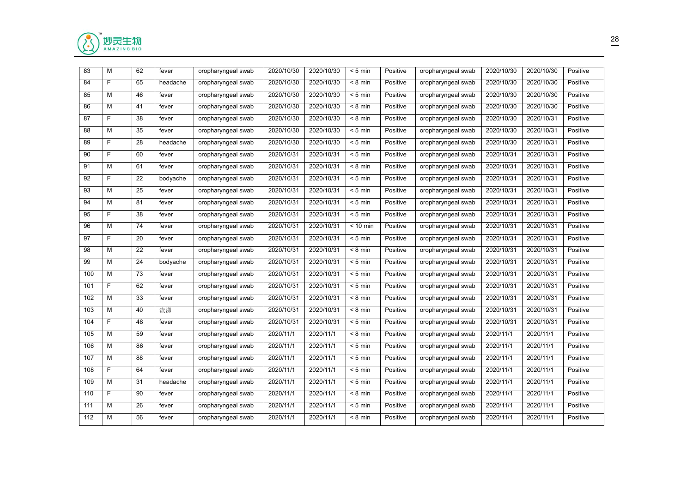

| 83  | M  | 62 | fever    | oropharyngeal swab | 2020/10/30 | 2020/10/30 | $< 5$ min                  | Positive | oropharyngeal swab | 2020/10/30 | 2020/10/30 | Positive |
|-----|----|----|----------|--------------------|------------|------------|----------------------------|----------|--------------------|------------|------------|----------|
| 84  | F. | 65 | headache | oropharyngeal swab | 2020/10/30 | 2020/10/30 | $\overline{8 \text{ min}}$ | Positive | oropharyngeal swab | 2020/10/30 | 2020/10/30 | Positive |
| 85  | M  | 46 | fever    | oropharyngeal swab | 2020/10/30 | 2020/10/30 | $< 5$ min                  | Positive | oropharyngeal swab | 2020/10/30 | 2020/10/30 | Positive |
| 86  | M  | 41 | fever    | oropharyngeal swab | 2020/10/30 | 2020/10/30 | $< 8$ min                  | Positive | oropharyngeal swab | 2020/10/30 | 2020/10/30 | Positive |
| 87  | F. | 38 | fever    | oropharyngeal swab | 2020/10/30 | 2020/10/30 | $< 8$ min                  | Positive | oropharyngeal swab | 2020/10/30 | 2020/10/31 | Positive |
| 88  | M  | 35 | fever    | oropharyngeal swab | 2020/10/30 | 2020/10/30 | $< 5$ min                  | Positive | oropharyngeal swab | 2020/10/30 | 2020/10/31 | Positive |
| 89  | F. | 28 | headache | oropharyngeal swab | 2020/10/30 | 2020/10/30 | $< 5$ min                  | Positive | oropharyngeal swab | 2020/10/30 | 2020/10/31 | Positive |
| 90  | F  | 60 | fever    | oropharyngeal swab | 2020/10/31 | 2020/10/31 | $< 5$ min                  | Positive | oropharyngeal swab | 2020/10/31 | 2020/10/31 | Positive |
| 91  | M  | 61 | fever    | oropharyngeal swab | 2020/10/31 | 2020/10/31 | $< 8 \text{ min}$          | Positive | oropharyngeal swab | 2020/10/31 | 2020/10/31 | Positive |
| 92  | F. | 22 | bodyache | oropharyngeal swab | 2020/10/31 | 2020/10/31 | $< 5$ min                  | Positive | oropharyngeal swab | 2020/10/31 | 2020/10/31 | Positive |
| 93  | M  | 25 | fever    | oropharyngeal swab | 2020/10/31 | 2020/10/31 | $< 5$ min                  | Positive | oropharyngeal swab | 2020/10/31 | 2020/10/31 | Positive |
| 94  | M  | 81 | fever    | oropharyngeal swab | 2020/10/31 | 2020/10/31 | $< 5$ min                  | Positive | oropharyngeal swab | 2020/10/31 | 2020/10/31 | Positive |
| 95  | F. | 38 | fever    | oropharyngeal swab | 2020/10/31 | 2020/10/31 | $< 5$ min                  | Positive | oropharyngeal swab | 2020/10/31 | 2020/10/31 | Positive |
| 96  | M  | 74 | fever    | oropharyngeal swab | 2020/10/31 | 2020/10/31 | $< 10$ min                 | Positive | oropharyngeal swab | 2020/10/31 | 2020/10/31 | Positive |
| 97  | F  | 20 | fever    | oropharyngeal swab | 2020/10/31 | 2020/10/31 | $< 5$ min                  | Positive | oropharyngeal swab | 2020/10/31 | 2020/10/31 | Positive |
| 98  | M  | 22 | fever    | oropharyngeal swab | 2020/10/31 | 2020/10/31 | $< 8$ min                  | Positive | oropharyngeal swab | 2020/10/31 | 2020/10/31 | Positive |
| 99  | М  | 24 | bodyache | oropharyngeal swab | 2020/10/31 | 2020/10/31 | $< 5$ min                  | Positive | oropharyngeal swab | 2020/10/31 | 2020/10/31 | Positive |
| 100 | М  | 73 | fever    | oropharyngeal swab | 2020/10/31 | 2020/10/31 | $< 5$ min                  | Positive | oropharyngeal swab | 2020/10/31 | 2020/10/31 | Positive |
| 101 | F. | 62 | fever    | oropharyngeal swab | 2020/10/31 | 2020/10/31 | $< 5$ min                  | Positive | oropharyngeal swab | 2020/10/31 | 2020/10/31 | Positive |
| 102 | M  | 33 | fever    | oropharyngeal swab | 2020/10/31 | 2020/10/31 | $< 8 \text{ min}$          | Positive | oropharyngeal swab | 2020/10/31 | 2020/10/31 | Positive |
| 103 | M  | 40 | 流涕       | oropharyngeal swab | 2020/10/31 | 2020/10/31 | $< 8$ min                  | Positive | oropharyngeal swab | 2020/10/31 | 2020/10/31 | Positive |
| 104 | F. | 48 | fever    | oropharyngeal swab | 2020/10/31 | 2020/10/31 | $< 5$ min                  | Positive | oropharyngeal swab | 2020/10/31 | 2020/10/31 | Positive |
| 105 | M  | 59 | fever    | oropharyngeal swab | 2020/11/1  | 2020/11/1  | $< 8$ min                  | Positive | oropharyngeal swab | 2020/11/1  | 2020/11/1  | Positive |
| 106 | M  | 86 | fever    | oropharyngeal swab | 2020/11/1  | 2020/11/1  | $< 5$ min                  | Positive | oropharyngeal swab | 2020/11/1  | 2020/11/1  | Positive |
| 107 | M  | 88 | fever    | oropharyngeal swab | 2020/11/1  | 2020/11/1  | $< 5$ min                  | Positive | oropharyngeal swab | 2020/11/1  | 2020/11/1  | Positive |
| 108 | F. | 64 | fever    | oropharyngeal swab | 2020/11/1  | 2020/11/1  | $< 5$ min                  | Positive | oropharyngeal swab | 2020/11/1  | 2020/11/1  | Positive |
| 109 | М  | 31 | headache | oropharyngeal swab | 2020/11/1  | 2020/11/1  | $< 5$ min                  | Positive | oropharyngeal swab | 2020/11/1  | 2020/11/1  | Positive |
| 110 | F  | 90 | fever    | oropharyngeal swab | 2020/11/1  | 2020/11/1  | $< 8$ min                  | Positive | oropharyngeal swab | 2020/11/1  | 2020/11/1  | Positive |
| 111 | M  | 26 | fever    | oropharyngeal swab | 2020/11/1  | 2020/11/1  | $< 5$ min                  | Positive | oropharyngeal swab | 2020/11/1  | 2020/11/1  | Positive |
| 112 | M  | 56 | fever    | oropharyngeal swab | 2020/11/1  | 2020/11/1  | $< 8$ min                  | Positive | oropharyngeal swab | 2020/11/1  | 2020/11/1  | Positive |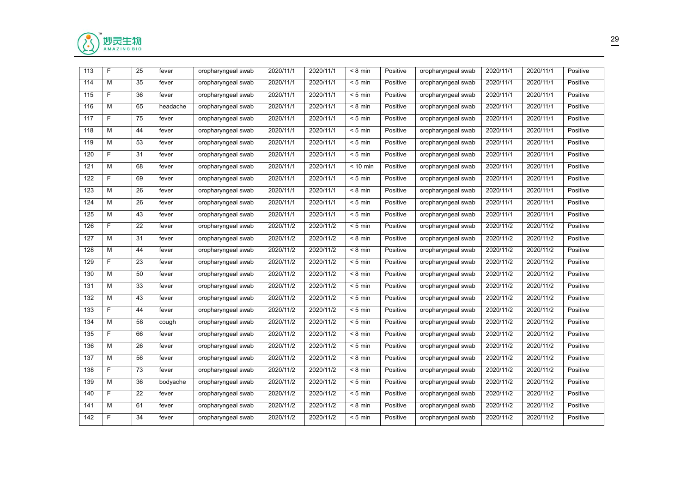

| 113              | F              | 25 | fever    | oropharyngeal swab | 2020/11/1 | 2020/11/1 | $< 8$ min         | Positive | oropharyngeal swab | 2020/11/1 | 2020/11/1 | Positive |
|------------------|----------------|----|----------|--------------------|-----------|-----------|-------------------|----------|--------------------|-----------|-----------|----------|
| 114              | $\overline{M}$ | 35 | fever    | oropharyngeal swab | 2020/11/1 | 2020/11/1 | $\frac{1}{5}$ min | Positive | oropharyngeal swab | 2020/11/1 | 2020/11/1 | Positive |
| 115              | F              | 36 | fever    | oropharyngeal swab | 2020/11/1 | 2020/11/1 | $< 5$ min         | Positive | oropharyngeal swab | 2020/11/1 | 2020/11/1 | Positive |
| 116              | M              | 65 | headache | oropharyngeal swab | 2020/11/1 | 2020/11/1 | $< 8$ min         | Positive | oropharyngeal swab | 2020/11/1 | 2020/11/1 | Positive |
| 117              | F              | 75 | fever    | oropharyngeal swab | 2020/11/1 | 2020/11/1 | $< 5$ min         | Positive | oropharyngeal swab | 2020/11/1 | 2020/11/1 | Positive |
| 118              | M              | 44 | fever    | oropharyngeal swab | 2020/11/1 | 2020/11/1 | $< 5$ min         | Positive | oropharyngeal swab | 2020/11/1 | 2020/11/1 | Positive |
| 119              | М              | 53 | fever    | oropharyngeal swab | 2020/11/1 | 2020/11/1 | $< 5$ min         | Positive | oropharyngeal swab | 2020/11/1 | 2020/11/1 | Positive |
| 120              | F              | 31 | fever    | oropharyngeal swab | 2020/11/1 | 2020/11/1 | $< 5$ min         | Positive | oropharyngeal swab | 2020/11/1 | 2020/11/1 | Positive |
| 121              | M              | 68 | fever    | oropharyngeal swab | 2020/11/1 | 2020/11/1 | $< 10$ min        | Positive | oropharyngeal swab | 2020/11/1 | 2020/11/1 | Positive |
| 122              | F              | 69 | fever    | oropharyngeal swab | 2020/11/1 | 2020/11/1 | $< 5$ min         | Positive | oropharyngeal swab | 2020/11/1 | 2020/11/1 | Positive |
| 123              | $\overline{M}$ | 26 | fever    | oropharyngeal swab | 2020/11/1 | 2020/11/1 | $< 8$ min         | Positive | oropharyngeal swab | 2020/11/1 | 2020/11/1 | Positive |
| 124              | M              | 26 | fever    | oropharyngeal swab | 2020/11/1 | 2020/11/1 | $< 5$ min         | Positive | oropharyngeal swab | 2020/11/1 | 2020/11/1 | Positive |
| 125              | M              | 43 | fever    | oropharyngeal swab | 2020/11/1 | 2020/11/1 | $< 5$ min         | Positive | oropharyngeal swab | 2020/11/1 | 2020/11/1 | Positive |
| 126              | F              | 22 | fever    | oropharyngeal swab | 2020/11/2 | 2020/11/2 | $< 5$ min         | Positive | oropharyngeal swab | 2020/11/2 | 2020/11/2 | Positive |
| 127              | M              | 31 | fever    | oropharyngeal swab | 2020/11/2 | 2020/11/2 | $< 8$ min         | Positive | oropharyngeal swab | 2020/11/2 | 2020/11/2 | Positive |
| 128              | M              | 44 | fever    | oropharyngeal swab | 2020/11/2 | 2020/11/2 | $< 8$ min         | Positive | oropharyngeal swab | 2020/11/2 | 2020/11/2 | Positive |
| 129              | F              | 23 | fever    | oropharyngeal swab | 2020/11/2 | 2020/11/2 | $< 5$ min         | Positive | oropharyngeal swab | 2020/11/2 | 2020/11/2 | Positive |
| 130              | М              | 50 | fever    | oropharyngeal swab | 2020/11/2 | 2020/11/2 | $< 8$ min         | Positive | oropharyngeal swab | 2020/11/2 | 2020/11/2 | Positive |
| 131              | M              | 33 | fever    | oropharyngeal swab | 2020/11/2 | 2020/11/2 | $< 5$ min         | Positive | oropharyngeal swab | 2020/11/2 | 2020/11/2 | Positive |
| 132              | M              | 43 | fever    | oropharyngeal swab | 2020/11/2 | 2020/11/2 | $< 5$ min         | Positive | oropharyngeal swab | 2020/11/2 | 2020/11/2 | Positive |
| 133              | F              | 44 | fever    | oropharyngeal swab | 2020/11/2 | 2020/11/2 | $< 5$ min         | Positive | oropharyngeal swab | 2020/11/2 | 2020/11/2 | Positive |
| 134              | M              | 58 | cough    | oropharyngeal swab | 2020/11/2 | 2020/11/2 | $< 5$ min         | Positive | oropharyngeal swab | 2020/11/2 | 2020/11/2 | Positive |
| 135              | F              | 66 | fever    | oropharyngeal swab | 2020/11/2 | 2020/11/2 | $< 8$ min         | Positive | oropharyngeal swab | 2020/11/2 | 2020/11/2 | Positive |
| 136              | M              | 26 | fever    | oropharyngeal swab | 2020/11/2 | 2020/11/2 | $< 5$ min         | Positive | oropharyngeal swab | 2020/11/2 | 2020/11/2 | Positive |
| $\overline{137}$ | M              | 56 | fever    | oropharyngeal swab | 2020/11/2 | 2020/11/2 | $< 8$ min         | Positive | oropharyngeal swab | 2020/11/2 | 2020/11/2 | Positive |
| 138              | F              | 73 | fever    | oropharyngeal swab | 2020/11/2 | 2020/11/2 | $< 8$ min         | Positive | oropharyngeal swab | 2020/11/2 | 2020/11/2 | Positive |
| 139              | M              | 36 | bodyache | oropharyngeal swab | 2020/11/2 | 2020/11/2 | $\frac{1}{5}$ min | Positive | oropharyngeal swab | 2020/11/2 | 2020/11/2 | Positive |
| 140              | F              | 22 | fever    | oropharyngeal swab | 2020/11/2 | 2020/11/2 | $< 5$ min         | Positive | oropharyngeal swab | 2020/11/2 | 2020/11/2 | Positive |
| 141              | M              | 61 | fever    | oropharyngeal swab | 2020/11/2 | 2020/11/2 | $< 8$ min         | Positive | oropharyngeal swab | 2020/11/2 | 2020/11/2 | Positive |
| 142              | F.             | 34 | fever    | oropharyngeal swab | 2020/11/2 | 2020/11/2 | $< 5$ min         | Positive | oropharyngeal swab | 2020/11/2 | 2020/11/2 | Positive |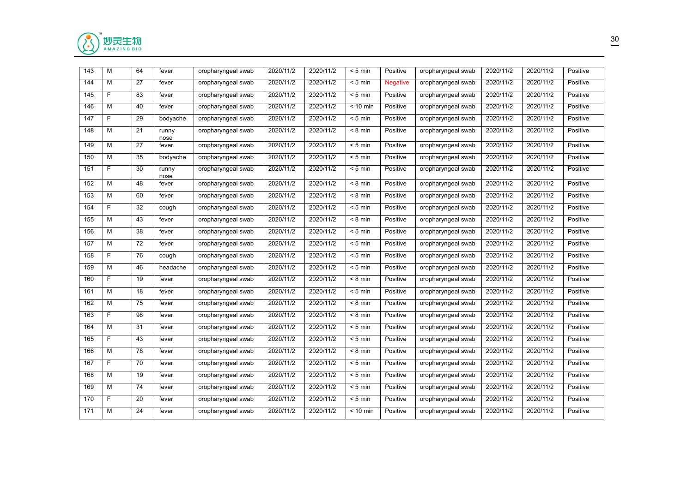

| 143 | M              | 64 | fever         | oropharyngeal swab | 2020/11/2 | 2020/11/2 | $< 5$ min         | Positive        | oropharyngeal swab | 2020/11/2 | 2020/11/2 | Positive |
|-----|----------------|----|---------------|--------------------|-----------|-----------|-------------------|-----------------|--------------------|-----------|-----------|----------|
| 144 | M              | 27 | fever         | oropharyngeal swab | 2020/11/2 | 2020/11/2 | $< 5$ min         | <b>Negative</b> | oropharyngeal swab | 2020/11/2 | 2020/11/2 | Positive |
| 145 | F              | 83 | fever         | oropharyngeal swab | 2020/11/2 | 2020/11/2 | $< 5$ min         | Positive        | oropharyngeal swab | 2020/11/2 | 2020/11/2 | Positive |
| 146 | M              | 40 | fever         | oropharyngeal swab | 2020/11/2 | 2020/11/2 | $< 10$ min        | Positive        | oropharyngeal swab | 2020/11/2 | 2020/11/2 | Positive |
| 147 | F              | 29 | bodyache      | oropharyngeal swab | 2020/11/2 | 2020/11/2 | $< 5$ min         | Positive        | oropharyngeal swab | 2020/11/2 | 2020/11/2 | Positive |
| 148 | M              | 21 | runny<br>nose | oropharyngeal swab | 2020/11/2 | 2020/11/2 | $< 8$ min         | Positive        | oropharyngeal swab | 2020/11/2 | 2020/11/2 | Positive |
| 149 | M              | 27 | fever         | oropharyngeal swab | 2020/11/2 | 2020/11/2 | $< 5$ min         | Positive        | oropharyngeal swab | 2020/11/2 | 2020/11/2 | Positive |
| 150 | M              | 35 | bodyache      | oropharyngeal swab | 2020/11/2 | 2020/11/2 | $< 5$ min         | Positive        | oropharyngeal swab | 2020/11/2 | 2020/11/2 | Positive |
| 151 | F              | 30 | runny<br>nose | oropharyngeal swab | 2020/11/2 | 2020/11/2 | $< 5$ min         | Positive        | oropharyngeal swab | 2020/11/2 | 2020/11/2 | Positive |
| 152 | M              | 48 | fever         | oropharyngeal swab | 2020/11/2 | 2020/11/2 | $< 8$ min         | Positive        | oropharyngeal swab | 2020/11/2 | 2020/11/2 | Positive |
| 153 | M              | 60 | fever         | oropharyngeal swab | 2020/11/2 | 2020/11/2 | $< 8$ min         | Positive        | oropharyngeal swab | 2020/11/2 | 2020/11/2 | Positive |
| 154 | F              | 32 | cough         | oropharyngeal swab | 2020/11/2 | 2020/11/2 | $< 5$ min         | Positive        | oropharyngeal swab | 2020/11/2 | 2020/11/2 | Positive |
| 155 | $\overline{M}$ | 43 | fever         | oropharyngeal swab | 2020/11/2 | 2020/11/2 | $< 8$ min         | Positive        | oropharyngeal swab | 2020/11/2 | 2020/11/2 | Positive |
| 156 | $\overline{M}$ | 38 | fever         | oropharyngeal swab | 2020/11/2 | 2020/11/2 | $< 5$ min         | Positive        | oropharyngeal swab | 2020/11/2 | 2020/11/2 | Positive |
| 157 | M              | 72 | fever         | oropharyngeal swab | 2020/11/2 | 2020/11/2 | $< 5$ min         | Positive        | oropharyngeal swab | 2020/11/2 | 2020/11/2 | Positive |
| 158 | F              | 76 | cough         | oropharyngeal swab | 2020/11/2 | 2020/11/2 | $< 5$ min         | Positive        | oropharyngeal swab | 2020/11/2 | 2020/11/2 | Positive |
| 159 | M              | 46 | headache      | oropharyngeal swab | 2020/11/2 | 2020/11/2 | $< 5$ min         | Positive        | oropharyngeal swab | 2020/11/2 | 2020/11/2 | Positive |
| 160 | F.             | 19 | fever         | oropharyngeal swab | 2020/11/2 | 2020/11/2 | $< 8$ min         | Positive        | oropharyngeal swab | 2020/11/2 | 2020/11/2 | Positive |
| 161 | M              | 18 | fever         | oropharyngeal swab | 2020/11/2 | 2020/11/2 | $< 5$ min         | Positive        | oropharyngeal swab | 2020/11/2 | 2020/11/2 | Positive |
| 162 | М              | 75 | fever         | oropharyngeal swab | 2020/11/2 | 2020/11/2 | $< 8$ min         | Positive        | oropharyngeal swab | 2020/11/2 | 2020/11/2 | Positive |
| 163 | F              | 98 | fever         | oropharyngeal swab | 2020/11/2 | 2020/11/2 | $< 8$ min         | Positive        | oropharyngeal swab | 2020/11/2 | 2020/11/2 | Positive |
| 164 | M              | 31 | fever         | oropharyngeal swab | 2020/11/2 | 2020/11/2 | $< 5$ min         | Positive        | oropharyngeal swab | 2020/11/2 | 2020/11/2 | Positive |
| 165 | F.             | 43 | fever         | oropharyngeal swab | 2020/11/2 | 2020/11/2 | $< 5$ min         | Positive        | oropharyngeal swab | 2020/11/2 | 2020/11/2 | Positive |
| 166 | M              | 78 | fever         | oropharyngeal swab | 2020/11/2 | 2020/11/2 | $< 8$ min         | Positive        | oropharyngeal swab | 2020/11/2 | 2020/11/2 | Positive |
| 167 | F              | 70 | fever         | oropharyngeal swab | 2020/11/2 | 2020/11/2 | $< 5$ min         | Positive        | oropharyngeal swab | 2020/11/2 | 2020/11/2 | Positive |
| 168 | М              | 19 | fever         | oropharyngeal swab | 2020/11/2 | 2020/11/2 | $\frac{1}{5}$ min | Positive        | oropharyngeal swab | 2020/11/2 | 2020/11/2 | Positive |
| 169 | M              | 74 | fever         | oropharyngeal swab | 2020/11/2 | 2020/11/2 | $< 5$ min         | Positive        | oropharyngeal swab | 2020/11/2 | 2020/11/2 | Positive |
| 170 | F              | 20 | fever         | oropharyngeal swab | 2020/11/2 | 2020/11/2 | $< 5$ min         | Positive        | oropharyngeal swab | 2020/11/2 | 2020/11/2 | Positive |
| 171 | M              | 24 | fever         | oropharyngeal swab | 2020/11/2 | 2020/11/2 | $< 10$ min        | Positive        | oropharyngeal swab | 2020/11/2 | 2020/11/2 | Positive |
|     |                |    |               |                    |           |           |                   |                 |                    |           |           |          |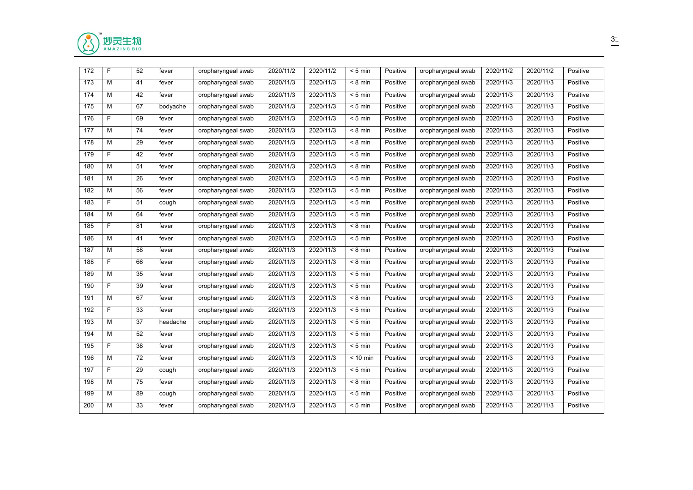

| M<br>173<br>2020/11/3<br>2020/11/3<br>Positive<br>2020/11/3<br>41<br>fever<br>oropharyngeal swab<br>$< 8 \text{ min}$<br>oropharyngeal swab<br>2020/11/3<br>174<br>М<br>42<br>2020/11/3<br>2020/11/3<br>Positive<br>2020/11/3<br>2020/11/3<br>oropharyngeal swab<br>$< 5$ min<br>oropharyngeal swab<br>fever<br>M<br>67<br>2020/11/3<br>2020/11/3<br>Positive<br>2020/11/3<br>2020/11/3<br>175<br>oropharyngeal swab<br>$< 5$ min<br>oropharyngeal swab<br>bodyache<br>F<br>2020/11/3<br>176<br>2020/11/3<br>2020/11/3<br>$< 5$ min<br>2020/11/3<br>69<br>oropharyngeal swab<br>Positive<br>oropharyngeal swab<br>fever<br>M<br>74<br>2020/11/3<br>2020/11/3<br>177<br>oropharyngeal swab<br>2020/11/3<br>$< 8 \text{ min}$<br>Positive<br>oropharyngeal swab<br>2020/11/3<br>fever<br>M<br>2020/11/3<br>2020/11/3<br>2020/11/3<br>2020/11/3<br>178<br>29<br>fever<br>oropharyngeal swab<br>$< 8$ min<br>Positive<br>oropharyngeal swab<br>F.<br>2020/11/3<br>2020/11/3<br>2020/11/3<br>2020/11/3<br>179<br>42<br>oropharyngeal swab<br>$< 5$ min<br>Positive<br>oropharyngeal swab<br>fever<br>М<br>2020/11/3<br>2020/11/3<br>2020/11/3<br>2020/11/3<br>180<br>51<br>oropharyngeal swab<br>$< 8$ min<br>Positive<br>oropharyngeal swab<br>fever<br>M<br>2020/11/3<br>2020/11/3<br>2020/11/3<br>181<br>26<br>oropharyngeal swab<br>$< 5$ min<br>Positive<br>oropharyngeal swab<br>2020/11/3<br>fever<br>M<br>2020/11/3<br>182<br>56<br>oropharyngeal swab<br>2020/11/3<br>Positive<br>oropharyngeal swab<br>2020/11/3<br>2020/11/3<br>fever<br>$< 5$ min<br>F<br>2020/11/3<br>2020/11/3<br>2020/11/3<br>2020/11/3<br>183<br>51<br>oropharyngeal swab<br>$< 5$ min<br>Positive<br>oropharyngeal swab<br>cough<br>M<br>2020/11/3<br>2020/11/3<br>184<br>64<br>oropharyngeal swab<br>2020/11/3<br>$< 5$ min<br>Positive<br>oropharyngeal swab<br>2020/11/3<br>fever<br>F.<br>2020/11/3<br>2020/11/3<br>185<br>81<br>oropharyngeal swab<br>2020/11/3<br>$< 8$ min<br>Positive<br>oropharyngeal swab<br>2020/11/3<br>fever<br>M<br>2020/11/3<br>186<br>41<br>oropharyngeal swab<br>2020/11/3<br>$< 5$ min<br>Positive<br>oropharyngeal swab<br>2020/11/3<br>2020/11/3<br>fever<br>M<br>2020/11/3<br>187<br>58<br>oropharyngeal swab<br>2020/11/3<br>2020/11/3<br>$< 8$ min<br>Positive<br>oropharyngeal swab<br>2020/11/3<br>fever<br>F<br>188<br>66<br>2020/11/3<br>2020/11/3<br>Positive<br>2020/11/3<br>2020/11/3<br>oropharyngeal swab<br>$< 8 \text{ min}$<br>oropharyngeal swab<br>fever<br>M<br>2020/11/3<br>2020/11/3<br>2020/11/3<br>189<br>35<br>oropharyngeal swab<br>$< 5$ min<br>Positive<br>oropharyngeal swab<br>2020/11/3<br>fever<br>F.<br>2020/11/3<br>2020/11/3<br>39<br>2020/11/3<br>$< 5$ min<br>Positive<br>2020/11/3<br>190<br>fever<br>oropharyngeal swab<br>oropharyngeal swab<br>M<br>2020/11/3<br>2020/11/3<br>2020/11/3<br>191<br>67<br>oropharyngeal swab<br>Positive<br>oropharyngeal swab<br>2020/11/3<br>fever<br>$< 8 \text{ min}$<br>F<br>2020/11/3<br>2020/11/3<br>2020/11/3<br>192<br>33<br>Positive<br>2020/11/3<br>fever<br>oropharyngeal swab<br>$< 5$ min<br>oropharyngeal swab<br>M<br>37<br>oropharyngeal swab<br>2020/11/3<br>2020/11/3<br>Positive<br>oropharyngeal swab<br>2020/11/3<br>2020/11/3<br>193<br>headache<br>$< 5$ min<br>М<br>52<br>2020/11/3<br>2020/11/3<br>$< 5$ min<br>Positive<br>2020/11/3<br>2020/11/3<br>194<br>oropharyngeal swab<br>oropharyngeal swab<br>fever<br>F.<br>38<br>2020/11/3<br>2020/11/3<br>Positive<br>2020/11/3<br>195<br>oropharyngeal swab<br>$< 5$ min<br>oropharyngeal swab<br>2020/11/3<br>fever<br>M<br>72<br>2020/11/3<br>2020/11/3<br>2020/11/3 | Positive<br>Positive<br>Positive<br>Positive<br>Positive |
|--------------------------------------------------------------------------------------------------------------------------------------------------------------------------------------------------------------------------------------------------------------------------------------------------------------------------------------------------------------------------------------------------------------------------------------------------------------------------------------------------------------------------------------------------------------------------------------------------------------------------------------------------------------------------------------------------------------------------------------------------------------------------------------------------------------------------------------------------------------------------------------------------------------------------------------------------------------------------------------------------------------------------------------------------------------------------------------------------------------------------------------------------------------------------------------------------------------------------------------------------------------------------------------------------------------------------------------------------------------------------------------------------------------------------------------------------------------------------------------------------------------------------------------------------------------------------------------------------------------------------------------------------------------------------------------------------------------------------------------------------------------------------------------------------------------------------------------------------------------------------------------------------------------------------------------------------------------------------------------------------------------------------------------------------------------------------------------------------------------------------------------------------------------------------------------------------------------------------------------------------------------------------------------------------------------------------------------------------------------------------------------------------------------------------------------------------------------------------------------------------------------------------------------------------------------------------------------------------------------------------------------------------------------------------------------------------------------------------------------------------------------------------------------------------------------------------------------------------------------------------------------------------------------------------------------------------------------------------------------------------------------------------------------------------------------------------------------------------------------------------------------------------------------------------------------------------------------------------------------------------------------------------------------------------------------------------------------------------------------------------------------------------------------------------------------------------------------------------------------------------------------------------------------------------------------------------------------------------------------------------------------|----------------------------------------------------------|
|                                                                                                                                                                                                                                                                                                                                                                                                                                                                                                                                                                                                                                                                                                                                                                                                                                                                                                                                                                                                                                                                                                                                                                                                                                                                                                                                                                                                                                                                                                                                                                                                                                                                                                                                                                                                                                                                                                                                                                                                                                                                                                                                                                                                                                                                                                                                                                                                                                                                                                                                                                                                                                                                                                                                                                                                                                                                                                                                                                                                                                                                                                                                                                                                                                                                                                                                                                                                                                                                                                                                                                                                                                      |                                                          |
|                                                                                                                                                                                                                                                                                                                                                                                                                                                                                                                                                                                                                                                                                                                                                                                                                                                                                                                                                                                                                                                                                                                                                                                                                                                                                                                                                                                                                                                                                                                                                                                                                                                                                                                                                                                                                                                                                                                                                                                                                                                                                                                                                                                                                                                                                                                                                                                                                                                                                                                                                                                                                                                                                                                                                                                                                                                                                                                                                                                                                                                                                                                                                                                                                                                                                                                                                                                                                                                                                                                                                                                                                                      |                                                          |
|                                                                                                                                                                                                                                                                                                                                                                                                                                                                                                                                                                                                                                                                                                                                                                                                                                                                                                                                                                                                                                                                                                                                                                                                                                                                                                                                                                                                                                                                                                                                                                                                                                                                                                                                                                                                                                                                                                                                                                                                                                                                                                                                                                                                                                                                                                                                                                                                                                                                                                                                                                                                                                                                                                                                                                                                                                                                                                                                                                                                                                                                                                                                                                                                                                                                                                                                                                                                                                                                                                                                                                                                                                      |                                                          |
|                                                                                                                                                                                                                                                                                                                                                                                                                                                                                                                                                                                                                                                                                                                                                                                                                                                                                                                                                                                                                                                                                                                                                                                                                                                                                                                                                                                                                                                                                                                                                                                                                                                                                                                                                                                                                                                                                                                                                                                                                                                                                                                                                                                                                                                                                                                                                                                                                                                                                                                                                                                                                                                                                                                                                                                                                                                                                                                                                                                                                                                                                                                                                                                                                                                                                                                                                                                                                                                                                                                                                                                                                                      |                                                          |
|                                                                                                                                                                                                                                                                                                                                                                                                                                                                                                                                                                                                                                                                                                                                                                                                                                                                                                                                                                                                                                                                                                                                                                                                                                                                                                                                                                                                                                                                                                                                                                                                                                                                                                                                                                                                                                                                                                                                                                                                                                                                                                                                                                                                                                                                                                                                                                                                                                                                                                                                                                                                                                                                                                                                                                                                                                                                                                                                                                                                                                                                                                                                                                                                                                                                                                                                                                                                                                                                                                                                                                                                                                      |                                                          |
|                                                                                                                                                                                                                                                                                                                                                                                                                                                                                                                                                                                                                                                                                                                                                                                                                                                                                                                                                                                                                                                                                                                                                                                                                                                                                                                                                                                                                                                                                                                                                                                                                                                                                                                                                                                                                                                                                                                                                                                                                                                                                                                                                                                                                                                                                                                                                                                                                                                                                                                                                                                                                                                                                                                                                                                                                                                                                                                                                                                                                                                                                                                                                                                                                                                                                                                                                                                                                                                                                                                                                                                                                                      | Positive                                                 |
|                                                                                                                                                                                                                                                                                                                                                                                                                                                                                                                                                                                                                                                                                                                                                                                                                                                                                                                                                                                                                                                                                                                                                                                                                                                                                                                                                                                                                                                                                                                                                                                                                                                                                                                                                                                                                                                                                                                                                                                                                                                                                                                                                                                                                                                                                                                                                                                                                                                                                                                                                                                                                                                                                                                                                                                                                                                                                                                                                                                                                                                                                                                                                                                                                                                                                                                                                                                                                                                                                                                                                                                                                                      | Positive                                                 |
|                                                                                                                                                                                                                                                                                                                                                                                                                                                                                                                                                                                                                                                                                                                                                                                                                                                                                                                                                                                                                                                                                                                                                                                                                                                                                                                                                                                                                                                                                                                                                                                                                                                                                                                                                                                                                                                                                                                                                                                                                                                                                                                                                                                                                                                                                                                                                                                                                                                                                                                                                                                                                                                                                                                                                                                                                                                                                                                                                                                                                                                                                                                                                                                                                                                                                                                                                                                                                                                                                                                                                                                                                                      | Positive                                                 |
|                                                                                                                                                                                                                                                                                                                                                                                                                                                                                                                                                                                                                                                                                                                                                                                                                                                                                                                                                                                                                                                                                                                                                                                                                                                                                                                                                                                                                                                                                                                                                                                                                                                                                                                                                                                                                                                                                                                                                                                                                                                                                                                                                                                                                                                                                                                                                                                                                                                                                                                                                                                                                                                                                                                                                                                                                                                                                                                                                                                                                                                                                                                                                                                                                                                                                                                                                                                                                                                                                                                                                                                                                                      | Positive                                                 |
|                                                                                                                                                                                                                                                                                                                                                                                                                                                                                                                                                                                                                                                                                                                                                                                                                                                                                                                                                                                                                                                                                                                                                                                                                                                                                                                                                                                                                                                                                                                                                                                                                                                                                                                                                                                                                                                                                                                                                                                                                                                                                                                                                                                                                                                                                                                                                                                                                                                                                                                                                                                                                                                                                                                                                                                                                                                                                                                                                                                                                                                                                                                                                                                                                                                                                                                                                                                                                                                                                                                                                                                                                                      | Positive                                                 |
|                                                                                                                                                                                                                                                                                                                                                                                                                                                                                                                                                                                                                                                                                                                                                                                                                                                                                                                                                                                                                                                                                                                                                                                                                                                                                                                                                                                                                                                                                                                                                                                                                                                                                                                                                                                                                                                                                                                                                                                                                                                                                                                                                                                                                                                                                                                                                                                                                                                                                                                                                                                                                                                                                                                                                                                                                                                                                                                                                                                                                                                                                                                                                                                                                                                                                                                                                                                                                                                                                                                                                                                                                                      | Positive                                                 |
|                                                                                                                                                                                                                                                                                                                                                                                                                                                                                                                                                                                                                                                                                                                                                                                                                                                                                                                                                                                                                                                                                                                                                                                                                                                                                                                                                                                                                                                                                                                                                                                                                                                                                                                                                                                                                                                                                                                                                                                                                                                                                                                                                                                                                                                                                                                                                                                                                                                                                                                                                                                                                                                                                                                                                                                                                                                                                                                                                                                                                                                                                                                                                                                                                                                                                                                                                                                                                                                                                                                                                                                                                                      | Positive                                                 |
|                                                                                                                                                                                                                                                                                                                                                                                                                                                                                                                                                                                                                                                                                                                                                                                                                                                                                                                                                                                                                                                                                                                                                                                                                                                                                                                                                                                                                                                                                                                                                                                                                                                                                                                                                                                                                                                                                                                                                                                                                                                                                                                                                                                                                                                                                                                                                                                                                                                                                                                                                                                                                                                                                                                                                                                                                                                                                                                                                                                                                                                                                                                                                                                                                                                                                                                                                                                                                                                                                                                                                                                                                                      | Positive                                                 |
|                                                                                                                                                                                                                                                                                                                                                                                                                                                                                                                                                                                                                                                                                                                                                                                                                                                                                                                                                                                                                                                                                                                                                                                                                                                                                                                                                                                                                                                                                                                                                                                                                                                                                                                                                                                                                                                                                                                                                                                                                                                                                                                                                                                                                                                                                                                                                                                                                                                                                                                                                                                                                                                                                                                                                                                                                                                                                                                                                                                                                                                                                                                                                                                                                                                                                                                                                                                                                                                                                                                                                                                                                                      | Positive                                                 |
|                                                                                                                                                                                                                                                                                                                                                                                                                                                                                                                                                                                                                                                                                                                                                                                                                                                                                                                                                                                                                                                                                                                                                                                                                                                                                                                                                                                                                                                                                                                                                                                                                                                                                                                                                                                                                                                                                                                                                                                                                                                                                                                                                                                                                                                                                                                                                                                                                                                                                                                                                                                                                                                                                                                                                                                                                                                                                                                                                                                                                                                                                                                                                                                                                                                                                                                                                                                                                                                                                                                                                                                                                                      | Positive                                                 |
|                                                                                                                                                                                                                                                                                                                                                                                                                                                                                                                                                                                                                                                                                                                                                                                                                                                                                                                                                                                                                                                                                                                                                                                                                                                                                                                                                                                                                                                                                                                                                                                                                                                                                                                                                                                                                                                                                                                                                                                                                                                                                                                                                                                                                                                                                                                                                                                                                                                                                                                                                                                                                                                                                                                                                                                                                                                                                                                                                                                                                                                                                                                                                                                                                                                                                                                                                                                                                                                                                                                                                                                                                                      | Positive                                                 |
|                                                                                                                                                                                                                                                                                                                                                                                                                                                                                                                                                                                                                                                                                                                                                                                                                                                                                                                                                                                                                                                                                                                                                                                                                                                                                                                                                                                                                                                                                                                                                                                                                                                                                                                                                                                                                                                                                                                                                                                                                                                                                                                                                                                                                                                                                                                                                                                                                                                                                                                                                                                                                                                                                                                                                                                                                                                                                                                                                                                                                                                                                                                                                                                                                                                                                                                                                                                                                                                                                                                                                                                                                                      | Positive                                                 |
|                                                                                                                                                                                                                                                                                                                                                                                                                                                                                                                                                                                                                                                                                                                                                                                                                                                                                                                                                                                                                                                                                                                                                                                                                                                                                                                                                                                                                                                                                                                                                                                                                                                                                                                                                                                                                                                                                                                                                                                                                                                                                                                                                                                                                                                                                                                                                                                                                                                                                                                                                                                                                                                                                                                                                                                                                                                                                                                                                                                                                                                                                                                                                                                                                                                                                                                                                                                                                                                                                                                                                                                                                                      | Positive                                                 |
|                                                                                                                                                                                                                                                                                                                                                                                                                                                                                                                                                                                                                                                                                                                                                                                                                                                                                                                                                                                                                                                                                                                                                                                                                                                                                                                                                                                                                                                                                                                                                                                                                                                                                                                                                                                                                                                                                                                                                                                                                                                                                                                                                                                                                                                                                                                                                                                                                                                                                                                                                                                                                                                                                                                                                                                                                                                                                                                                                                                                                                                                                                                                                                                                                                                                                                                                                                                                                                                                                                                                                                                                                                      | Positive                                                 |
|                                                                                                                                                                                                                                                                                                                                                                                                                                                                                                                                                                                                                                                                                                                                                                                                                                                                                                                                                                                                                                                                                                                                                                                                                                                                                                                                                                                                                                                                                                                                                                                                                                                                                                                                                                                                                                                                                                                                                                                                                                                                                                                                                                                                                                                                                                                                                                                                                                                                                                                                                                                                                                                                                                                                                                                                                                                                                                                                                                                                                                                                                                                                                                                                                                                                                                                                                                                                                                                                                                                                                                                                                                      | Positive                                                 |
|                                                                                                                                                                                                                                                                                                                                                                                                                                                                                                                                                                                                                                                                                                                                                                                                                                                                                                                                                                                                                                                                                                                                                                                                                                                                                                                                                                                                                                                                                                                                                                                                                                                                                                                                                                                                                                                                                                                                                                                                                                                                                                                                                                                                                                                                                                                                                                                                                                                                                                                                                                                                                                                                                                                                                                                                                                                                                                                                                                                                                                                                                                                                                                                                                                                                                                                                                                                                                                                                                                                                                                                                                                      | Positive                                                 |
|                                                                                                                                                                                                                                                                                                                                                                                                                                                                                                                                                                                                                                                                                                                                                                                                                                                                                                                                                                                                                                                                                                                                                                                                                                                                                                                                                                                                                                                                                                                                                                                                                                                                                                                                                                                                                                                                                                                                                                                                                                                                                                                                                                                                                                                                                                                                                                                                                                                                                                                                                                                                                                                                                                                                                                                                                                                                                                                                                                                                                                                                                                                                                                                                                                                                                                                                                                                                                                                                                                                                                                                                                                      | Positive                                                 |
|                                                                                                                                                                                                                                                                                                                                                                                                                                                                                                                                                                                                                                                                                                                                                                                                                                                                                                                                                                                                                                                                                                                                                                                                                                                                                                                                                                                                                                                                                                                                                                                                                                                                                                                                                                                                                                                                                                                                                                                                                                                                                                                                                                                                                                                                                                                                                                                                                                                                                                                                                                                                                                                                                                                                                                                                                                                                                                                                                                                                                                                                                                                                                                                                                                                                                                                                                                                                                                                                                                                                                                                                                                      | Positive                                                 |
| 196<br>oropharyngeal swab<br>$< 10$ min<br>Positive<br>oropharyngeal swab<br>2020/11/3<br>fever                                                                                                                                                                                                                                                                                                                                                                                                                                                                                                                                                                                                                                                                                                                                                                                                                                                                                                                                                                                                                                                                                                                                                                                                                                                                                                                                                                                                                                                                                                                                                                                                                                                                                                                                                                                                                                                                                                                                                                                                                                                                                                                                                                                                                                                                                                                                                                                                                                                                                                                                                                                                                                                                                                                                                                                                                                                                                                                                                                                                                                                                                                                                                                                                                                                                                                                                                                                                                                                                                                                                      | Positive                                                 |
| F<br>29<br>2020/11/3<br>2020/11/3<br>Positive<br>2020/11/3<br>197<br>oropharyngeal swab<br>$< 5$ min<br>oropharyngeal swab<br>2020/11/3<br>cough                                                                                                                                                                                                                                                                                                                                                                                                                                                                                                                                                                                                                                                                                                                                                                                                                                                                                                                                                                                                                                                                                                                                                                                                                                                                                                                                                                                                                                                                                                                                                                                                                                                                                                                                                                                                                                                                                                                                                                                                                                                                                                                                                                                                                                                                                                                                                                                                                                                                                                                                                                                                                                                                                                                                                                                                                                                                                                                                                                                                                                                                                                                                                                                                                                                                                                                                                                                                                                                                                     | Positive                                                 |
| 198<br>М<br>75<br>2020/11/3<br>2020/11/3<br>Positive<br>2020/11/3<br>2020/11/3<br>oropharyngeal swab<br>$< 8$ min<br>oropharyngeal swab<br>fever                                                                                                                                                                                                                                                                                                                                                                                                                                                                                                                                                                                                                                                                                                                                                                                                                                                                                                                                                                                                                                                                                                                                                                                                                                                                                                                                                                                                                                                                                                                                                                                                                                                                                                                                                                                                                                                                                                                                                                                                                                                                                                                                                                                                                                                                                                                                                                                                                                                                                                                                                                                                                                                                                                                                                                                                                                                                                                                                                                                                                                                                                                                                                                                                                                                                                                                                                                                                                                                                                     | Positive                                                 |
| M<br>2020/11/3<br>2020/11/3<br>Positive<br>2020/11/3<br>2020/11/3<br>199<br>89<br>oropharyngeal swab<br>$< 5$ min<br>oropharyngeal swab<br>cough                                                                                                                                                                                                                                                                                                                                                                                                                                                                                                                                                                                                                                                                                                                                                                                                                                                                                                                                                                                                                                                                                                                                                                                                                                                                                                                                                                                                                                                                                                                                                                                                                                                                                                                                                                                                                                                                                                                                                                                                                                                                                                                                                                                                                                                                                                                                                                                                                                                                                                                                                                                                                                                                                                                                                                                                                                                                                                                                                                                                                                                                                                                                                                                                                                                                                                                                                                                                                                                                                     | Positive                                                 |
| М<br>33<br>2020/11/3<br>2020/11/3<br>Positive<br>2020/11/3<br>Positive<br>200<br>oropharyngeal swab<br>$< 5$ min<br>oropharyngeal swab<br>2020/11/3<br>fever                                                                                                                                                                                                                                                                                                                                                                                                                                                                                                                                                                                                                                                                                                                                                                                                                                                                                                                                                                                                                                                                                                                                                                                                                                                                                                                                                                                                                                                                                                                                                                                                                                                                                                                                                                                                                                                                                                                                                                                                                                                                                                                                                                                                                                                                                                                                                                                                                                                                                                                                                                                                                                                                                                                                                                                                                                                                                                                                                                                                                                                                                                                                                                                                                                                                                                                                                                                                                                                                         |                                                          |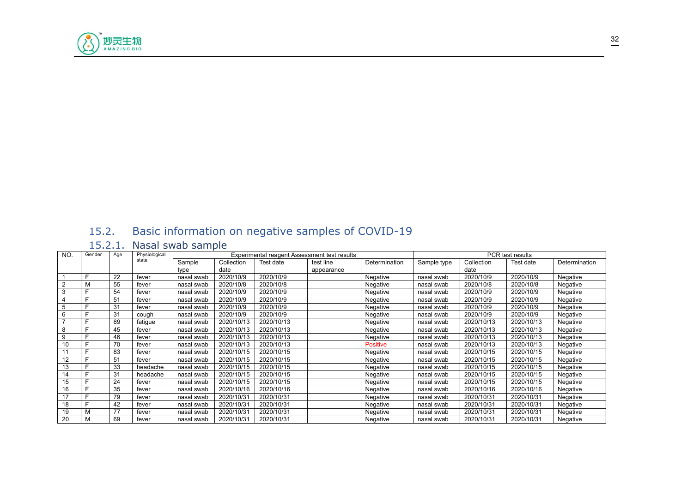

# <span id="page-31-0"></span>15.2. Basic information on negative samples of COVID-19

## <span id="page-31-1"></span>15.2.1. Nasal swab sample

| NO. | Gender | Age | Physiological |            |            | Experimental reagent Assessment test results |            |               |             |            | PCR test results |               |
|-----|--------|-----|---------------|------------|------------|----------------------------------------------|------------|---------------|-------------|------------|------------------|---------------|
|     |        |     | state         | Sample     | Collection | Test date                                    | test line  | Determination | Sample type | Collection | Test date        | Determination |
|     |        |     |               | type       | date       |                                              | appearance |               |             | date       |                  |               |
|     |        | 22  | fever         | nasal swab | 2020/10/9  | 2020/10/9                                    |            | Negative      | nasal swab  | 2020/10/9  | 2020/10/9        | Negative      |
| 2   |        | 55  | fever         | nasal swab | 2020/10/8  | 2020/10/8                                    |            | Negative      | nasal swab  | 2020/10/8  | 2020/10/8        | Negative      |
| 3   |        | 54  | fever         | nasal swab | 2020/10/9  | 2020/10/9                                    |            | Negative      | nasal swab  | 2020/10/9  | 2020/10/9        | Negative      |
|     |        | 51  | fever         | nasal swab | 2020/10/9  | 2020/10/9                                    |            | Negative      | nasal swab  | 2020/10/9  | 2020/10/9        | Negative      |
|     |        | 31  | fever         | nasal swab | 2020/10/9  | 2020/10/9                                    |            | Negative      | nasal swab  | 2020/10/9  | 2020/10/9        | Negative      |
| 6   |        | 31  | cough         | nasal swab | 2020/10/9  | 2020/10/9                                    |            | Negative      | nasal swab  | 2020/10/9  | 2020/10/9        | Negative      |
|     |        | 89  | fatigue       | nasal swab | 2020/10/13 | 2020/10/13                                   |            | Negative      | nasal swab  | 2020/10/13 | 2020/10/13       | Negative      |
| 8   |        | 45  | fever         | nasal swab | 2020/10/13 | 2020/10/13                                   |            | Negative      | nasal swab  | 2020/10/13 | 2020/10/13       | Negative      |
| 9   |        | 46  | fever         | nasal swab | 2020/10/13 | 2020/10/13                                   |            | Negative      | nasal swab  | 2020/10/13 | 2020/10/13       | Negative      |
| 10  |        | 70  | fever         | nasal swab | 2020/10/13 | 2020/10/13                                   |            | Positive      | nasal swab  | 2020/10/13 | 2020/10/13       | Negative      |
| 11  |        | 83  | fever         | nasal swab | 2020/10/15 | 2020/10/15                                   |            | Negative      | nasal swab  | 2020/10/15 | 2020/10/15       | Negative      |
| 12  |        | 51  | fever         | nasal swab | 2020/10/15 | 2020/10/15                                   |            | Negative      | nasal swab  | 2020/10/15 | 2020/10/15       | Negative      |
| 13  |        | 33  | headache      | nasal swab | 2020/10/15 | 2020/10/15                                   |            | Negative      | nasal swab  | 2020/10/15 | 2020/10/15       | Negative      |
| 14  |        | 31  | headache      | nasal swab | 2020/10/15 | 2020/10/15                                   |            | Negative      | nasal swab  | 2020/10/15 | 2020/10/15       | Negative      |
| 15  |        | 24  | fever         | nasal swab | 2020/10/15 | 2020/10/15                                   |            | Negative      | nasal swab  | 2020/10/15 | 2020/10/15       | Negative      |
| 16  |        | 35  | fever         | nasal swab | 2020/10/16 | 2020/10/16                                   |            | Negative      | nasal swab  | 2020/10/16 | 2020/10/16       | Negative      |
| 17  |        | 79  | fever         | nasal swab | 2020/10/31 | 2020/10/31                                   |            | Negative      | nasal swab  | 2020/10/31 | 2020/10/31       | Negative      |
| 18  |        | 42  | fever         | nasal swab | 2020/10/31 | 2020/10/31                                   |            | Negative      | nasal swab  | 2020/10/31 | 2020/10/31       | Negative      |
| 19  |        | 77  | fever         | nasal swab | 2020/10/31 | 2020/10/31                                   |            | Negative      | nasal swab  | 2020/10/31 | 2020/10/31       | Negative      |
| 20  |        | 69  | fever         | nasal swab | 2020/10/31 | 2020/10/31                                   |            | Negative      | nasal swab  | 2020/10/31 | 2020/10/31       | Negative      |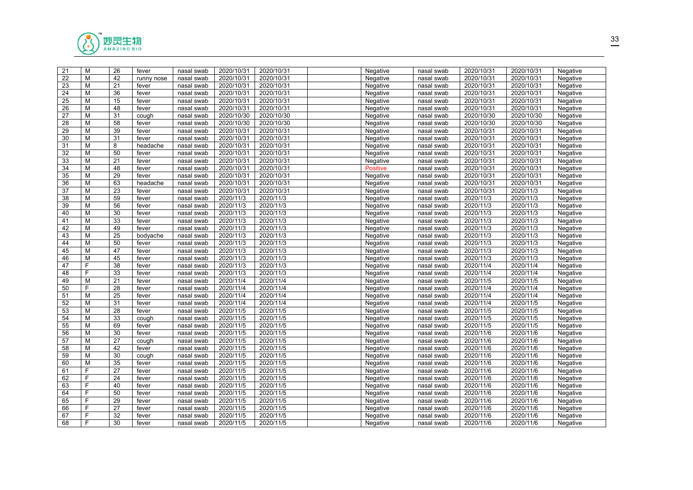

| 21 | M | 26              | fever      | nasal swab | 2020/10/31 | 2020/10/31 | Negative        | nasal swab | 2020/10/31 | 2020/10/31 | Negative |  |
|----|---|-----------------|------------|------------|------------|------------|-----------------|------------|------------|------------|----------|--|
| 22 | M | 42              | runny nose | nasal swab | 2020/10/31 | 2020/10/31 | Negative        | nasal swab | 2020/10/31 | 2020/10/31 | Negative |  |
| 23 | M | 21              | fever      | nasal swab | 2020/10/31 | 2020/10/31 | Negative        | nasal swab | 2020/10/31 | 2020/10/31 | Negative |  |
| 24 | M | 36              | fever      | nasal swab | 2020/10/31 | 2020/10/31 | Negative        | nasal swab | 2020/10/31 | 2020/10/31 | Negative |  |
| 25 | M | 15              | fever      | nasal swab | 2020/10/31 | 2020/10/31 | Negative        | nasal swab | 2020/10/31 | 2020/10/31 | Negative |  |
| 26 | M | 48              | fever      | nasal swab | 2020/10/31 | 2020/10/31 | Negative        | nasal swab | 2020/10/31 | 2020/10/31 | Negative |  |
| 27 | M | 31              | cough      | nasal swab | 2020/10/30 | 2020/10/30 | Negative        | nasal swab | 2020/10/30 | 2020/10/30 | Negative |  |
| 28 | M | 58              | fever      | nasal swab | 2020/10/30 | 2020/10/30 | Negative        | nasal swab | 2020/10/30 | 2020/10/30 | Negative |  |
| 29 | м | 39              | fever      | nasal swab | 2020/10/31 | 2020/10/31 | Negative        | nasal swab | 2020/10/31 | 2020/10/31 | Negative |  |
| 30 | M | 31              | fever      | nasal swab | 2020/10/31 | 2020/10/31 | Negative        | nasal swab | 2020/10/31 | 2020/10/31 | Negative |  |
| 31 | M | 8               | headache   | nasal swab | 2020/10/31 | 2020/10/31 | Negative        | nasal swab | 2020/10/31 | 2020/10/31 | Negative |  |
| 32 | M | 50              | fever      | nasal swab | 2020/10/31 | 2020/10/31 | Negative        | nasal swab | 2020/10/31 | 2020/10/31 | Negative |  |
| 33 | M | 21              | fever      | nasal swab | 2020/10/31 | 2020/10/31 | Negative        | nasal swab | 2020/10/31 | 2020/10/31 | Negative |  |
| 34 | M | 48              | fever      | nasal swab | 2020/10/31 | 2020/10/31 | <b>Positive</b> | nasal swab | 2020/10/31 | 2020/10/31 | Negative |  |
| 35 | M | 29              | fever      | nasal swab | 2020/10/31 | 2020/10/31 | Negative        | nasal swab | 2020/10/31 | 2020/10/31 | Negative |  |
| 36 | M | 63              | headache   | nasal swab | 2020/10/31 | 2020/10/31 | Negative        | nasal swab | 2020/10/31 | 2020/10/31 | Negative |  |
| 37 | M | $\overline{23}$ | fever      | nasal swab | 2020/10/31 | 2020/10/31 | Negative        | nasal swab | 2020/10/31 | 2020/11/3  | Negative |  |
| 38 | M | 59              | fever      | nasal swab | 2020/11/3  | 2020/11/3  | Negative        | nasal swab | 2020/11/3  | 2020/11/3  | Negative |  |
| 39 | M | 56              | fever      | nasal swab | 2020/11/3  | 2020/11/3  | Negative        | nasal swab | 2020/11/3  | 2020/11/3  | Negative |  |
| 40 | M | 30              | fever      | nasal swab | 2020/11/3  | 2020/11/3  | Negative        | nasal swab | 2020/11/3  | 2020/11/3  | Negative |  |
| 41 | M | 33              | fever      | nasal swab | 2020/11/3  | 2020/11/3  | Negative        | nasal swab | 2020/11/3  | 2020/11/3  | Negative |  |
| 42 | M | 49              | fever      | nasal swab | 2020/11/3  | 2020/11/3  | Negative        | nasal swab | 2020/11/3  | 2020/11/3  | Negative |  |
| 43 | M | 25              | bodyache   | nasal swab | 2020/11/3  | 2020/11/3  | Negative        | nasal swab | 2020/11/3  | 2020/11/3  | Negative |  |
| 44 | M | 50              | fever      | nasal swab | 2020/11/3  | 2020/11/3  | Negative        | nasal swab | 2020/11/3  | 2020/11/3  | Negative |  |
| 45 | M | 47              | fever      | nasal swab | 2020/11/3  | 2020/11/3  | Negative        | nasal swab | 2020/11/3  | 2020/11/3  | Negative |  |
| 46 | м | 45              | fever      | nasal swab | 2020/11/3  | 2020/11/3  | Negative        | nasal swab | 2020/11/3  | 2020/11/3  | Negative |  |
| 47 | F | 38              | fever      | nasal swab | 2020/11/3  | 2020/11/3  | Negative        | nasal swab | 2020/11/4  | 2020/11/4  | Negative |  |
| 48 | F | 33              | fever      | nasal swab | 2020/11/3  | 2020/11/3  | Negative        | nasal swab | 2020/11/4  | 2020/11/4  | Negative |  |
| 49 | M | 21              | fever      | nasal swab | 2020/11/4  | 2020/11/4  | Negative        | nasal swab | 2020/11/5  | 2020/11/5  | Negative |  |
| 50 | F | 28              | fever      | nasal swab | 2020/11/4  | 2020/11/4  | Negative        | nasal swab | 2020/11/4  | 2020/11/4  | Negative |  |
| 51 | M | 25              | fever      | nasal swab | 2020/11/4  | 2020/11/4  | Negative        | nasal swab | 2020/11/4  | 2020/11/4  | Negative |  |
| 52 | M | $\overline{31}$ | fever      | nasal swab | 2020/11/4  | 2020/11/4  | Negative        | nasal swab | 2020/11/4  | 2020/11/5  | Negative |  |
| 53 | M | 28              | fever      | nasal swab | 2020/11/5  | 2020/11/5  | Negative        | nasal swab | 2020/11/5  | 2020/11/5  | Negative |  |
| 54 | M | 33              | cough      | nasal swab | 2020/11/5  | 2020/11/5  | Negative        | nasal swab | 2020/11/5  | 2020/11/5  | Negative |  |
| 55 | м | 69              | fever      | nasal swab | 2020/11/5  | 2020/11/5  | Negative        | nasal swab | 2020/11/5  | 2020/11/5  | Negative |  |
| 56 | M | 30              | fever      | nasal swab | 2020/11/5  | 2020/11/5  | Negative        | nasal swab | 2020/11/6  | 2020/11/6  | Negative |  |
| 57 | M | 27              | cough      | nasal swab | 2020/11/5  | 2020/11/5  | Negative        | nasal swab | 2020/11/6  | 2020/11/6  | Negative |  |
| 58 | M | 42              | fever      | nasal swab | 2020/11/5  | 2020/11/5  | Negative        | nasal swab | 2020/11/6  | 2020/11/6  | Negative |  |
| 59 | M | 30              | cough      | nasal swab | 2020/11/5  | 2020/11/5  | Negative        | nasal swab | 2020/11/6  | 2020/11/6  | Negative |  |
| 60 | M | 35              | fever      | nasal swab | 2020/11/5  | 2020/11/5  | Negative        | nasal swab | 2020/11/6  | 2020/11/6  | Negative |  |
| 61 | F | 27              | fever      | nasal swab | 2020/11/5  | 2020/11/5  | Negative        | nasal swab | 2020/11/6  | 2020/11/6  | Negative |  |
| 62 | F | 24              | fever      | nasal swab | 2020/11/5  | 2020/11/5  | Negative        | nasal swab | 2020/11/6  | 2020/11/6  | Negative |  |
| 63 | F | 40              | fever      | nasal swab | 2020/11/5  | 2020/11/5  | Negative        | nasal swab | 2020/11/6  | 2020/11/6  | Negative |  |
| 64 | F | 50              | fever      | nasal swab | 2020/11/5  | 2020/11/5  | Negative        | nasal swab | 2020/11/6  | 2020/11/6  | Negative |  |
| 65 | F | 29              | fever      | nasal swab | 2020/11/5  | 2020/11/5  | Negative        | nasal swab | 2020/11/6  | 2020/11/6  | Negative |  |
| 66 | F | 27              | fever      | nasal swab | 2020/11/5  | 2020/11/5  | Negative        | nasal swab | 2020/11/6  | 2020/11/6  | Negative |  |
| 67 | F | 32              | fever      | nasal swab | 2020/11/5  | 2020/11/5  | Negative        | nasal swab | 2020/11/6  | 2020/11/6  | Negative |  |
| 68 | F | 30              | fever      | nasal swab | 2020/11/5  | 2020/11/5  | Negative        | nasal swab | 2020/11/6  | 2020/11/6  | Negative |  |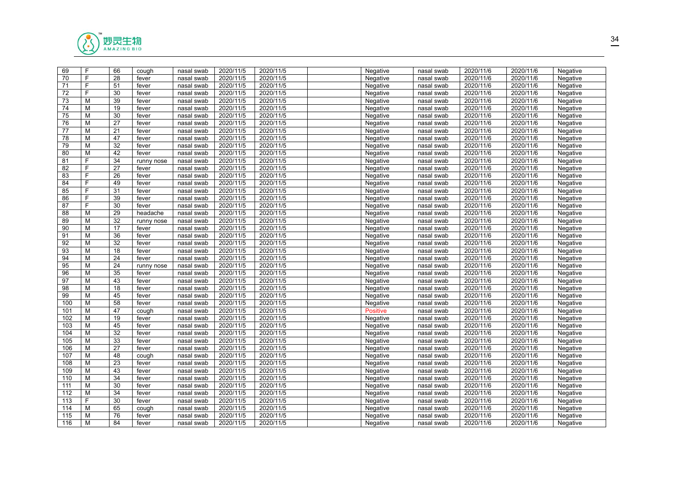

| 69  | F | 66              | cough      | nasal swab | 2020/11/5 | 2020/11/5 | Negative        | nasal swab | 2020/11/6 | 2020/11/6 | Negative |  |
|-----|---|-----------------|------------|------------|-----------|-----------|-----------------|------------|-----------|-----------|----------|--|
| 70  | F | 28              | fever      | nasal swab | 2020/11/5 | 2020/11/5 | Negative        | nasal swab | 2020/11/6 | 2020/11/6 | Negative |  |
| 71  | F | 51              | fever      | nasal swab | 2020/11/5 | 2020/11/5 | Negative        | nasal swab | 2020/11/6 | 2020/11/6 | Negative |  |
| 72  | F | 30              | fever      | nasal swab | 2020/11/5 | 2020/11/5 | Negative        | nasal swab | 2020/11/6 | 2020/11/6 | Negative |  |
| 73  | M | 39              | fever      | nasal swab | 2020/11/5 | 2020/11/5 | Negative        | nasal swab | 2020/11/6 | 2020/11/6 | Negative |  |
| 74  | M | 19              | fever      | nasal swab | 2020/11/5 | 2020/11/5 | Negative        | nasal swab | 2020/11/6 | 2020/11/6 | Negative |  |
| 75  | M | 30              | fever      | nasal swab | 2020/11/5 | 2020/11/5 | Negative        | nasal swab | 2020/11/6 | 2020/11/6 | Negative |  |
| 76  | M | 27              | fever      | nasal swab | 2020/11/5 | 2020/11/5 | Negative        | nasal swab | 2020/11/6 | 2020/11/6 | Negative |  |
| 77  | м | 21              | fever      | nasal swab | 2020/11/5 | 2020/11/5 | Negative        | nasal swab | 2020/11/6 | 2020/11/6 | Negative |  |
| 78  | M | 47              | fever      | nasal swab | 2020/11/5 | 2020/11/5 | Negative        | nasal swab | 2020/11/6 | 2020/11/6 | Negative |  |
| 79  | M | 32              | fever      | nasal swab | 2020/11/5 | 2020/11/5 | Negative        | nasal swab | 2020/11/6 | 2020/11/6 | Negative |  |
| 80  | M | 42              | fever      | nasal swab | 2020/11/5 | 2020/11/5 | Negative        | nasal swab | 2020/11/6 | 2020/11/6 | Negative |  |
| 81  | F | 34              | runny nose | nasal swab | 2020/11/5 | 2020/11/5 | Negative        | nasal swab | 2020/11/6 | 2020/11/6 | Negative |  |
| 82  | F | 27              | fever      | nasal swab | 2020/11/5 | 2020/11/5 | Negative        | nasal swab | 2020/11/6 | 2020/11/6 | Negative |  |
| 83  | F | $\overline{26}$ | fever      | nasal swab | 2020/11/5 | 2020/11/5 | Negative        | nasal swab | 2020/11/6 | 2020/11/6 | Negative |  |
| 84  | F | 49              | fever      | nasal swab | 2020/11/5 | 2020/11/5 | Negative        | nasal swab | 2020/11/6 | 2020/11/6 | Negative |  |
| 85  | F | $\overline{31}$ | fever      | nasal swab | 2020/11/5 | 2020/11/5 | Negative        | nasal swab | 2020/11/6 | 2020/11/6 | Negative |  |
| 86  | F | 39              | fever      | nasal swab | 2020/11/5 | 2020/11/5 | Negative        | nasal swab | 2020/11/6 | 2020/11/6 | Negative |  |
| 87  | F | 30              | fever      | nasal swab | 2020/11/5 | 2020/11/5 | Negative        | nasal swab | 2020/11/6 | 2020/11/6 | Negative |  |
| 88  | M | 29              | headache   | nasal swab | 2020/11/5 | 2020/11/5 | Negative        | nasal swab | 2020/11/6 | 2020/11/6 | Negative |  |
| 89  | M | 32              | runny nose | nasal swab | 2020/11/5 | 2020/11/5 | Negative        | nasal swab | 2020/11/6 | 2020/11/6 | Negative |  |
| 90  | M | 17              | fever      | nasal swab | 2020/11/5 | 2020/11/5 | Negative        | nasal swab | 2020/11/6 | 2020/11/6 | Negative |  |
| 91  | M | 36              | fever      | nasal swab | 2020/11/5 | 2020/11/5 | Negative        | nasal swab | 2020/11/6 | 2020/11/6 | Negative |  |
| 92  | M | 32              | fever      | nasal swab | 2020/11/5 | 2020/11/5 | Negative        | nasal swab | 2020/11/6 | 2020/11/6 | Negative |  |
| 93  | M | 18              | fever      | nasal swab | 2020/11/5 | 2020/11/5 | Negative        | nasal swab | 2020/11/6 | 2020/11/6 | Negative |  |
| 94  | м | 24              | fever      | nasal swab | 2020/11/5 | 2020/11/5 | Negative        | nasal swab | 2020/11/6 | 2020/11/6 | Negative |  |
| 95  | M | 24              | runny nose | nasal swab | 2020/11/5 | 2020/11/5 | Negative        | nasal swab | 2020/11/6 | 2020/11/6 | Negative |  |
| 96  | M | 35              | fever      | nasal swab | 2020/11/5 | 2020/11/5 | Negative        | nasal swab | 2020/11/6 | 2020/11/6 | Negative |  |
| 97  | М | 43              | fever      | nasal swab | 2020/11/5 | 2020/11/5 | Negative        | nasal swab | 2020/11/6 | 2020/11/6 | Negative |  |
| 98  | M | 18              | fever      | nasal swab | 2020/11/5 | 2020/11/5 | Negative        | nasal swab | 2020/11/6 | 2020/11/6 | Negative |  |
| 99  | M | 45              | fever      | nasal swab | 2020/11/5 | 2020/11/5 | Negative        | nasal swab | 2020/11/6 | 2020/11/6 | Negative |  |
| 100 | M | 58              | fever      | nasal swab | 2020/11/5 | 2020/11/5 | Negative        | nasal swab | 2020/11/6 | 2020/11/6 | Negative |  |
| 101 | M | 47              | cough      | nasal swab | 2020/11/5 | 2020/11/5 | <b>Positive</b> | nasal swab | 2020/11/6 | 2020/11/6 | Negative |  |
| 102 | M | 19              | fever      | nasal swab | 2020/11/5 | 2020/11/5 | Negative        | nasal swab | 2020/11/6 | 2020/11/6 | Negative |  |
| 103 | м | 45              | fever      | nasal swab | 2020/11/5 | 2020/11/5 | Negative        | nasal swab | 2020/11/6 | 2020/11/6 | Negative |  |
| 104 | М | 32              | fever      | nasal swab | 2020/11/5 | 2020/11/5 | Negative        | nasal swab | 2020/11/6 | 2020/11/6 | Negative |  |
| 105 | M | 33              | fever      | nasal swab | 2020/11/5 | 2020/11/5 | Negative        | nasal swab | 2020/11/6 | 2020/11/6 | Negative |  |
| 106 | M | 27              | fever      | nasal swab | 2020/11/5 | 2020/11/5 | Negative        | nasal swab | 2020/11/6 | 2020/11/6 | Negative |  |
| 107 | M | 48              | cough      | nasal swab | 2020/11/5 | 2020/11/5 | Negative        | nasal swab | 2020/11/6 | 2020/11/6 | Negative |  |
| 108 | M | 23              | fever      | nasal swab | 2020/11/5 | 2020/11/5 | Negative        | nasal swab | 2020/11/6 | 2020/11/6 | Negative |  |
| 109 | M | 43              | fever      | nasal swab | 2020/11/5 | 2020/11/5 | Negative        | nasal swab | 2020/11/6 | 2020/11/6 | Negative |  |
| 110 | M | 34              | fever      | nasal swab | 2020/11/5 | 2020/11/5 | Negative        | nasal swab | 2020/11/6 | 2020/11/6 | Negative |  |
| 111 | M | 30              | fever      | nasal swab | 2020/11/5 | 2020/11/5 | Negative        | nasal swab | 2020/11/6 | 2020/11/6 | Negative |  |
| 112 | M | 34              | fever      | nasal swab | 2020/11/5 | 2020/11/5 | Negative        | nasal swab | 2020/11/6 | 2020/11/6 | Negative |  |
| 113 | F | 30              | fever      | nasal swab | 2020/11/5 | 2020/11/5 | Negative        | nasal swab | 2020/11/6 | 2020/11/6 | Negative |  |
| 114 | M | 65              | cough      | nasal swab | 2020/11/5 | 2020/11/5 | Negative        | nasal swab | 2020/11/6 | 2020/11/6 | Negative |  |
| 115 | M | 76              | fever      | nasal swab | 2020/11/5 | 2020/11/5 | Negative        | nasal swab | 2020/11/6 | 2020/11/6 | Negative |  |
| 116 | M | 84              | fever      | nasal swab | 2020/11/5 | 2020/11/5 | Negative        | nasal swab | 2020/11/6 | 2020/11/6 | Negative |  |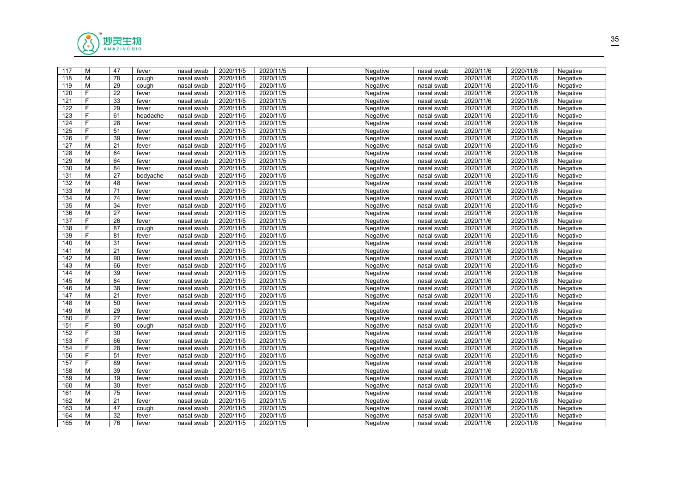

| 117 | M  | 47              | fever    | nasal swab | 2020/11/5 | 2020/11/5 | Negative | nasal swab | 2020/11/6 | 2020/11/6 | Negative |  |
|-----|----|-----------------|----------|------------|-----------|-----------|----------|------------|-----------|-----------|----------|--|
| 118 | M  | 78              | cough    | nasal swab | 2020/11/5 | 2020/11/5 | Negative | nasal swab | 2020/11/6 | 2020/11/6 | Negative |  |
| 119 | M  | 29              | cough    | nasal swab | 2020/11/5 | 2020/11/5 | Negative | nasal swab | 2020/11/6 | 2020/11/6 | Negative |  |
| 120 | F  | 22              | fever    | nasal swab | 2020/11/5 | 2020/11/5 | Negative | nasal swab | 2020/11/6 | 2020/11/6 | Negative |  |
| 121 | F  | 33              | fever    | nasal swab | 2020/11/5 | 2020/11/5 | Negative | nasal swab | 2020/11/6 | 2020/11/6 | Negative |  |
| 122 | F  | 29              | fever    | nasal swab | 2020/11/5 | 2020/11/5 | Negative | nasal swab | 2020/11/6 | 2020/11/6 | Negative |  |
| 123 | F. | 61              | headache | nasal swab | 2020/11/5 | 2020/11/5 | Negative | nasal swab | 2020/11/6 | 2020/11/6 | Negative |  |
| 124 | F. | 28              | fever    | nasal swab | 2020/11/5 | 2020/11/5 | Negative | nasal swab | 2020/11/6 | 2020/11/6 | Negative |  |
| 125 | F  | 51              | fever    | nasal swab | 2020/11/5 | 2020/11/5 | Negative | nasal swab | 2020/11/6 | 2020/11/6 | Negative |  |
| 126 | F  | 39              | fever    | nasal swab | 2020/11/5 | 2020/11/5 | Negative | nasal swab | 2020/11/6 | 2020/11/6 | Negative |  |
| 127 | М  | 21              | fever    | nasal swab | 2020/11/5 | 2020/11/5 | Negative | nasal swab | 2020/11/6 | 2020/11/6 | Negative |  |
| 128 | М  | 64              | fever    | nasal swab | 2020/11/5 | 2020/11/5 | Negative | nasal swab | 2020/11/6 | 2020/11/6 | Negative |  |
| 129 | M  | 64              | fever    | nasal swab | 2020/11/5 | 2020/11/5 | Negative | nasal swab | 2020/11/6 | 2020/11/6 | Negative |  |
| 130 | M  | 84              | fever    | nasal swab | 2020/11/5 | 2020/11/5 | Negative | nasal swab | 2020/11/6 | 2020/11/6 | Negative |  |
| 131 | М  | 27              | bodyache | nasal swab | 2020/11/5 | 2020/11/5 | Negative | nasal swab | 2020/11/6 | 2020/11/6 | Negative |  |
| 132 | M  | 48              | fever    | nasal swab | 2020/11/5 | 2020/11/5 | Negative | nasal swab | 2020/11/6 | 2020/11/6 | Negative |  |
| 133 | M  | 71              | fever    | nasal swab | 2020/11/5 | 2020/11/5 | Negative | nasal swab | 2020/11/6 | 2020/11/6 | Negative |  |
| 134 | M  | 74              | fever    | nasal swab | 2020/11/5 | 2020/11/5 | Negative | nasal swab | 2020/11/6 | 2020/11/6 | Negative |  |
| 135 | M  | 34              | fever    | nasal swab | 2020/11/5 | 2020/11/5 | Negative | nasal swab | 2020/11/6 | 2020/11/6 | Negative |  |
| 136 | M  | 27              | fever    | nasal swab | 2020/11/5 | 2020/11/5 | Negative | nasal swab | 2020/11/6 | 2020/11/6 | Negative |  |
| 137 | F. | 26              | fever    | nasal swab | 2020/11/5 | 2020/11/5 | Negative | nasal swab | 2020/11/6 | 2020/11/6 | Negative |  |
| 138 | F  | 87              | cough    | nasal swab | 2020/11/5 | 2020/11/5 | Negative | nasal swab | 2020/11/6 | 2020/11/6 | Negative |  |
| 139 | F  | 81              | fever    | nasal swab | 2020/11/5 | 2020/11/5 | Negative | nasal swab | 2020/11/6 | 2020/11/6 | Negative |  |
| 140 | М  | 31              | fever    | nasal swab | 2020/11/5 | 2020/11/5 | Negative | nasal swab | 2020/11/6 | 2020/11/6 | Negative |  |
| 141 | M  | 21              | fever    | nasal swab | 2020/11/5 | 2020/11/5 | Negative | nasal swab | 2020/11/6 | 2020/11/6 | Negative |  |
| 142 | M  | 90              | fever    | nasal swab | 2020/11/5 | 2020/11/5 | Negative | nasal swab | 2020/11/6 | 2020/11/6 | Negative |  |
| 143 | M  | 66              | fever    | nasal swab | 2020/11/5 | 2020/11/5 | Negative | nasal swab | 2020/11/6 | 2020/11/6 | Negative |  |
| 144 | M  | 39              | fever    | nasal swab | 2020/11/5 | 2020/11/5 | Negative | nasal swab | 2020/11/6 | 2020/11/6 | Negative |  |
| 145 | М  | 84              | fever    | nasal swab | 2020/11/5 | 2020/11/5 | Negative | nasal swab | 2020/11/6 | 2020/11/6 | Negative |  |
| 146 | М  | 38              | fever    | nasal swab | 2020/11/5 | 2020/11/5 | Negative | nasal swab | 2020/11/6 | 2020/11/6 | Negative |  |
| 147 | M  | 21              | fever    | nasal swab | 2020/11/5 | 2020/11/5 | Negative | nasal swab | 2020/11/6 | 2020/11/6 | Negative |  |
| 148 | M  | 50              | fever    | nasal swab | 2020/11/5 | 2020/11/5 | Negative | nasal swab | 2020/11/6 | 2020/11/6 | Negative |  |
| 149 | M  | 29              | fever    | nasal swab | 2020/11/5 | 2020/11/5 | Negative | nasal swab | 2020/11/6 | 2020/11/6 | Negative |  |
| 150 | F. | 27              | fever    | nasal swab | 2020/11/5 | 2020/11/5 | Negative | nasal swab | 2020/11/6 | 2020/11/6 | Negative |  |
| 151 | F. | 90              | cough    | nasal swab | 2020/11/5 | 2020/11/5 | Negative | nasal swab | 2020/11/6 | 2020/11/6 | Negative |  |
| 152 | F. | 30              | fever    | nasal swab | 2020/11/5 | 2020/11/5 | Negative | nasal swab | 2020/11/6 | 2020/11/6 | Negative |  |
| 153 | F  | 66              | fever    | nasal swab | 2020/11/5 | 2020/11/5 | Negative | nasal swab | 2020/11/6 | 2020/11/6 | Negative |  |
| 154 | F  | 28              | fever    | nasal swab | 2020/11/5 | 2020/11/5 | Negative | nasal swab | 2020/11/6 | 2020/11/6 | Negative |  |
| 156 | F  | 51              | fever    | nasal swab | 2020/11/5 | 2020/11/5 | Negative | nasal swab | 2020/11/6 | 2020/11/6 | Negative |  |
| 157 | F  | 89              | fever    | nasal swab | 2020/11/5 | 2020/11/5 | Negative | nasal swab | 2020/11/6 | 2020/11/6 | Negative |  |
| 158 | M  | 39              | fever    | nasal swab | 2020/11/5 | 2020/11/5 | Negative | nasal swab | 2020/11/6 | 2020/11/6 | Negative |  |
| 159 | M  | 19              | fever    | nasal swab | 2020/11/5 | 2020/11/5 | Negative | nasal swab | 2020/11/6 | 2020/11/6 | Negative |  |
| 160 | M  | 30              | fever    | nasal swab | 2020/11/5 | 2020/11/5 | Negative | nasal swab | 2020/11/6 | 2020/11/6 | Negative |  |
| 161 | M  | $\overline{75}$ | fever    | nasal swab | 2020/11/5 | 2020/11/5 | Negative | nasal swab | 2020/11/6 | 2020/11/6 | Negative |  |
| 162 | M  | 21              | fever    | nasal swab | 2020/11/5 | 2020/11/5 | Negative | nasal swab | 2020/11/6 | 2020/11/6 | Negative |  |
| 163 | M  | 47              | cough    | nasal swab | 2020/11/5 | 2020/11/5 | Negative | nasal swab | 2020/11/6 | 2020/11/6 | Negative |  |
| 164 | M  | 32              | fever    | nasal swab | 2020/11/5 | 2020/11/5 | Negative | nasal swab | 2020/11/6 | 2020/11/6 | Negative |  |
| 165 | M  | 76              | fever    | nasal swab | 2020/11/5 | 2020/11/5 | Negative | nasal swab | 2020/11/6 | 2020/11/6 | Negative |  |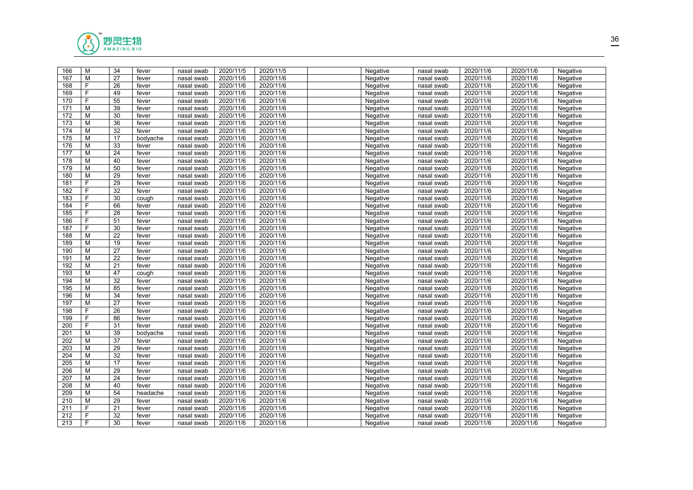

| 166              | M | 34              | fever    | nasal swab | 2020/11/5 | 2020/11/5 | Negative | nasal swab | 2020/11/6 | 2020/11/6 | Negative |  |
|------------------|---|-----------------|----------|------------|-----------|-----------|----------|------------|-----------|-----------|----------|--|
| 167              | M | 27              | fever    | nasal swab | 2020/11/6 | 2020/11/6 | Negative | nasal swab | 2020/11/6 | 2020/11/6 | Negative |  |
| 168              | F | 26              | fever    | nasal swab | 2020/11/6 | 2020/11/6 | Negative | nasal swab | 2020/11/6 | 2020/11/6 | Negative |  |
| 169              | F | 49              | fever    | nasal swab | 2020/11/6 | 2020/11/6 | Negative | nasal swab | 2020/11/6 | 2020/11/6 | Negative |  |
| 170              | F | 55              | fever    | nasal swab | 2020/11/6 | 2020/11/6 | Negative | nasal swab | 2020/11/6 | 2020/11/6 | Negative |  |
| 171              | M | 39              | fever    | nasal swab | 2020/11/6 | 2020/11/6 | Negative | nasal swab | 2020/11/6 | 2020/11/6 | Negative |  |
| 172              | M | 30              | fever    | nasal swab | 2020/11/6 | 2020/11/6 | Negative | nasal swab | 2020/11/6 | 2020/11/6 | Negative |  |
| 173              | M | 36              | fever    | nasal swab | 2020/11/6 | 2020/11/6 | Negative | nasal swab | 2020/11/6 | 2020/11/6 | Negative |  |
| 174              | M | $\overline{32}$ | fever    | nasal swab | 2020/11/6 | 2020/11/6 | Negative | nasal swab | 2020/11/6 | 2020/11/6 | Negative |  |
| 175              | M | 17              | bodyache | nasal swab | 2020/11/6 | 2020/11/6 | Negative | nasal swab | 2020/11/6 | 2020/11/6 | Negative |  |
| 176              | M | 33              | fever    | nasal swab | 2020/11/6 | 2020/11/6 | Negative | nasal swab | 2020/11/6 | 2020/11/6 | Negative |  |
| 177              | M | 24              | fever    | nasal swab | 2020/11/6 | 2020/11/6 | Negative | nasal swab | 2020/11/6 | 2020/11/6 | Negative |  |
| 178              | M | 40              | fever    | nasal swab | 2020/11/6 | 2020/11/6 | Negative | nasal swab | 2020/11/6 | 2020/11/6 | Negative |  |
| 179              | M | 50              | fever    | nasal swab | 2020/11/6 | 2020/11/6 | Negative | nasal swab | 2020/11/6 | 2020/11/6 | Negative |  |
| 180              | м | 29              | fever    | nasal swab | 2020/11/6 | 2020/11/6 | Negative | nasal swab | 2020/11/6 | 2020/11/6 | Negative |  |
| 181              | F | 29              | fever    | nasal swab | 2020/11/6 | 2020/11/6 | Negative | nasal swab | 2020/11/6 | 2020/11/6 | Negative |  |
| 182              | F | $\overline{32}$ | fever    | nasal swab | 2020/11/6 | 2020/11/6 | Negative | nasal swab | 2020/11/6 | 2020/11/6 | Negative |  |
| 183              | F | 30              | cough    | nasal swab | 2020/11/6 | 2020/11/6 | Negative | nasal swab | 2020/11/6 | 2020/11/6 | Negative |  |
| 184              | F | 66              | fever    | nasal swab | 2020/11/6 | 2020/11/6 | Negative | nasal swab | 2020/11/6 | 2020/11/6 | Negative |  |
| 185              | F | 28              | fever    | nasal swab | 2020/11/6 | 2020/11/6 | Negative | nasal swab | 2020/11/6 | 2020/11/6 | Negative |  |
| 186              | F | 51              | fever    | nasal swab | 2020/11/6 | 2020/11/6 | Negative | nasal swab | 2020/11/6 | 2020/11/6 | Negative |  |
| 187              | F | 30              | fever    | nasal swab | 2020/11/6 | 2020/11/6 | Negative | nasal swab | 2020/11/6 | 2020/11/6 | Negative |  |
| 188              | M | $\overline{22}$ | fever    | nasal swab | 2020/11/6 | 2020/11/6 | Negative | nasal swab | 2020/11/6 | 2020/11/6 | Negative |  |
| 189              | M | 19              | fever    | nasal swab | 2020/11/6 | 2020/11/6 | Negative | nasal swab | 2020/11/6 | 2020/11/6 | Negative |  |
| 190              | M | 27              | fever    | nasal swab | 2020/11/6 | 2020/11/6 | Negative | nasal swab | 2020/11/6 | 2020/11/6 | Negative |  |
| 191              | м | 22              | fever    | nasal swab | 2020/11/6 | 2020/11/6 | Negative | nasal swab | 2020/11/6 | 2020/11/6 | Negative |  |
| 192              | M | 21              | fever    | nasal swab | 2020/11/6 | 2020/11/6 | Negative | nasal swab | 2020/11/6 | 2020/11/6 | Negative |  |
| 193              | M | 47              | cough    | nasal swab | 2020/11/6 | 2020/11/6 | Negative | nasal swab | 2020/11/6 | 2020/11/6 | Negative |  |
| 194              | М | 32              | fever    | nasal swab | 2020/11/6 | 2020/11/6 | Negative | nasal swab | 2020/11/6 | 2020/11/6 | Negative |  |
| 195              | M | 85              | fever    | nasal swab | 2020/11/6 | 2020/11/6 | Negative | nasal swab | 2020/11/6 | 2020/11/6 | Negative |  |
| 196              | M | 34              | fever    | nasal swab | 2020/11/6 | 2020/11/6 | Negative | nasal swab | 2020/11/6 | 2020/11/6 | Negative |  |
| 197              | M | 27              | fever    | nasal swab | 2020/11/6 | 2020/11/6 | Negative | nasal swab | 2020/11/6 | 2020/11/6 | Negative |  |
| 198              | F | 26              | fever    | nasal swab | 2020/11/6 | 2020/11/6 | Negative | nasal swab | 2020/11/6 | 2020/11/6 | Negative |  |
| 199              | F | 86              | fever    | nasal swab | 2020/11/6 | 2020/11/6 | Negative | nasal swab | 2020/11/6 | 2020/11/6 | Negative |  |
| 200              | F | $\overline{31}$ | fever    | nasal swab | 2020/11/6 | 2020/11/6 | Negative | nasal swab | 2020/11/6 | 2020/11/6 | Negative |  |
| 201              | M | 39              | bodyache | nasal swab | 2020/11/6 | 2020/11/6 | Negative | nasal swab | 2020/11/6 | 2020/11/6 | Negative |  |
| 202              | M | 37              | fever    | nasal swab | 2020/11/6 | 2020/11/6 | Negative | nasal swab | 2020/11/6 | 2020/11/6 | Negative |  |
| $\overline{203}$ | M | 29              | fever    | nasal swab | 2020/11/6 | 2020/11/6 | Negative | nasal swab | 2020/11/6 | 2020/11/6 | Negative |  |
| 204              | M | 32              | fever    | nasal swab | 2020/11/6 | 2020/11/6 | Negative | nasal swab | 2020/11/6 | 2020/11/6 | Negative |  |
| 205              | M | 17              | fever    | nasal swab | 2020/11/6 | 2020/11/6 | Negative | nasal swab | 2020/11/6 | 2020/11/6 | Negative |  |
| $\overline{206}$ | M | $\overline{29}$ | fever    | nasal swab | 2020/11/6 | 2020/11/6 | Negative | nasal swab | 2020/11/6 | 2020/11/6 | Negative |  |
| 207              | M | 24              | fever    | nasal swab | 2020/11/6 | 2020/11/6 | Negative | nasal swab | 2020/11/6 | 2020/11/6 | Negative |  |
| 208              | M | 40              | fever    | nasal swab | 2020/11/6 | 2020/11/6 | Negative | nasal swab | 2020/11/6 | 2020/11/6 | Negative |  |
| 209              | м | 54              | headache | nasal swab | 2020/11/6 | 2020/11/6 | Negative | nasal swab | 2020/11/6 | 2020/11/6 | Negative |  |
| 210              | M | 29              | fever    | nasal swab | 2020/11/6 | 2020/11/6 | Negative | nasal swab | 2020/11/6 | 2020/11/6 | Negative |  |
| 211              | F | 21              | fever    | nasal swab | 2020/11/6 | 2020/11/6 | Negative | nasal swab | 2020/11/6 | 2020/11/6 | Negative |  |
| 212              | F | 32              | fever    | nasal swab | 2020/11/6 | 2020/11/6 | Negative | nasal swab | 2020/11/6 | 2020/11/6 | Negative |  |
| 213              | F | 30              | fever    | nasal swab | 2020/11/6 | 2020/11/6 | Negative | nasal swab | 2020/11/6 | 2020/11/6 | Negative |  |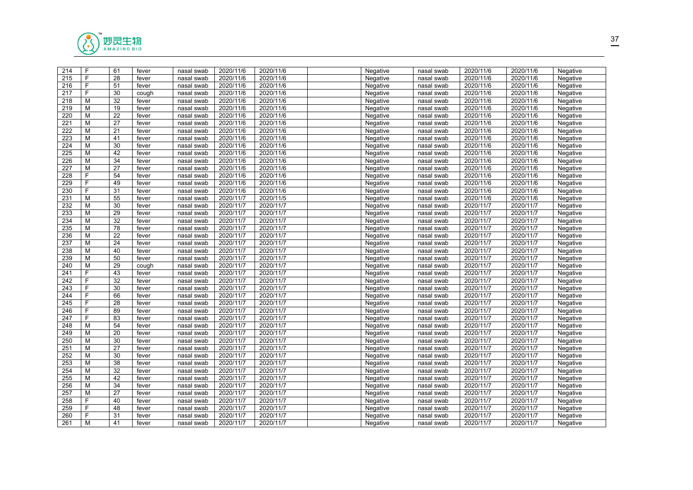

| 214              | F | 61              | fever | nasal swab | 2020/11/6 | 2020/11/6 | Negative | nasal swab | 2020/11/6 | 2020/11/6 | Negative |  |
|------------------|---|-----------------|-------|------------|-----------|-----------|----------|------------|-----------|-----------|----------|--|
| 215              | F | 28              | fever | nasal swab | 2020/11/6 | 2020/11/6 | Negative | nasal swab | 2020/11/6 | 2020/11/6 | Negative |  |
| 216              | F | 51              | fever | nasal swab | 2020/11/6 | 2020/11/6 | Negative | nasal swab | 2020/11/6 | 2020/11/6 | Negative |  |
| 217              | F | 30              | cough | nasal swab | 2020/11/6 | 2020/11/6 | Negative | nasal swab | 2020/11/6 | 2020/11/6 | Negative |  |
| 218              | M | 32              | fever | nasal swab | 2020/11/6 | 2020/11/6 | Negative | nasal swab | 2020/11/6 | 2020/11/6 | Negative |  |
| 219              | M | 19              | fever | nasal swab | 2020/11/6 | 2020/11/6 | Negative | nasal swab | 2020/11/6 | 2020/11/6 | Negative |  |
| 220              | M | 22              | fever | nasal swab | 2020/11/6 | 2020/11/6 | Negative | nasal swab | 2020/11/6 | 2020/11/6 | Negative |  |
| 221              | M | 27              | fever | nasal swab | 2020/11/6 | 2020/11/6 | Negative | nasal swab | 2020/11/6 | 2020/11/6 | Negative |  |
| 222              | M | 21              | fever | nasal swab | 2020/11/6 | 2020/11/6 | Negative | nasal swab | 2020/11/6 | 2020/11/6 | Negative |  |
| 223              | M | 41              | fever | nasal swab | 2020/11/6 | 2020/11/6 | Negative | nasal swab | 2020/11/6 | 2020/11/6 | Negative |  |
| 224              | M | 30              | fever | nasal swab | 2020/11/6 | 2020/11/6 | Negative | nasal swab | 2020/11/6 | 2020/11/6 | Negative |  |
| $\overline{225}$ | M | 42              | fever | nasal swab | 2020/11/6 | 2020/11/6 | Negative | nasal swab | 2020/11/6 | 2020/11/6 | Negative |  |
| 226              | M | 34              | fever | nasal swab | 2020/11/6 | 2020/11/6 | Negative | nasal swab | 2020/11/6 | 2020/11/6 | Negative |  |
| 227              | M | 27              | fever | nasal swab | 2020/11/6 | 2020/11/6 | Negative | nasal swab | 2020/11/6 | 2020/11/6 | Negative |  |
| $\overline{228}$ | F | 54              | fever | nasal swab | 2020/11/6 | 2020/11/6 | Negative | nasal swab | 2020/11/6 | 2020/11/6 | Negative |  |
| 229              | F | 49              | fever | nasal swab | 2020/11/6 | 2020/11/6 | Negative | nasal swab | 2020/11/6 | 2020/11/6 | Negative |  |
| 230              | F | $\overline{31}$ | fever | nasal swab | 2020/11/6 | 2020/11/6 | Negative | nasal swab | 2020/11/6 | 2020/11/6 | Negative |  |
| 231              | M | 55              | fever | nasal swab | 2020/11/7 | 2020/11/5 | Negative | nasal swab | 2020/11/6 | 2020/11/6 | Negative |  |
| 232              | М | 30              | fever | nasal swab | 2020/11/7 | 2020/11/7 | Negative | nasal swab | 2020/11/7 | 2020/11/7 | Negative |  |
| 233              | М | 29              | fever | nasal swab | 2020/11/7 | 2020/11/7 | Negative | nasal swab | 2020/11/7 | 2020/11/7 | Negative |  |
| 234              | M | 32              | fever | nasal swab | 2020/11/7 | 2020/11/7 | Negative | nasal swab | 2020/11/7 | 2020/11/7 | Negative |  |
| 235              | M | 78              | fever | nasal swab | 2020/11/7 | 2020/11/7 | Negative | nasal swab | 2020/11/7 | 2020/11/7 | Negative |  |
| 236              | M | 22              | fever | nasal swab | 2020/11/7 | 2020/11/7 | Negative | nasal swab | 2020/11/7 | 2020/11/7 | Negative |  |
| 237              | M | 24              | fever | nasal swab | 2020/11/7 | 2020/11/7 | Negative | nasal swab | 2020/11/7 | 2020/11/7 | Negative |  |
| 238              | M | 40              | fever | nasal swab | 2020/11/7 | 2020/11/7 | Negative | nasal swab | 2020/11/7 | 2020/11/7 | Negative |  |
| 239              | м | 50              | fever | nasal swab | 2020/11/7 | 2020/11/7 | Negative | nasal swab | 2020/11/7 | 2020/11/7 | Negative |  |
| 240              | M | 29              | cough | nasal swab | 2020/11/7 | 2020/11/7 | Negative | nasal swab | 2020/11/7 | 2020/11/7 | Negative |  |
| 241              | F | 43              | fever | nasal swab | 2020/11/7 | 2020/11/7 | Negative | nasal swab | 2020/11/7 | 2020/11/7 | Negative |  |
| 242              | F | 32              | fever | nasal swab | 2020/11/7 | 2020/11/7 | Negative | nasal swab | 2020/11/7 | 2020/11/7 | Negative |  |
| 243              | F | 30              | fever | nasal swab | 2020/11/7 | 2020/11/7 | Negative | nasal swab | 2020/11/7 | 2020/11/7 | Negative |  |
| 244              | F | 66              | fever | nasal swab | 2020/11/7 | 2020/11/7 | Negative | nasal swab | 2020/11/7 | 2020/11/7 | Negative |  |
| 245              | F | 28              | fever | nasal swab | 2020/11/7 | 2020/11/7 | Negative | nasal swab | 2020/11/7 | 2020/11/7 | Negative |  |
| 246              | F | 89              | fever | nasal swab | 2020/11/7 | 2020/11/7 | Negative | nasal swab | 2020/11/7 | 2020/11/7 | Negative |  |
| 247              | F | 83              | fever | nasal swab | 2020/11/7 | 2020/11/7 | Negative | nasal swab | 2020/11/7 | 2020/11/7 | Negative |  |
| 248              | м | 54              | fever | nasal swab | 2020/11/7 | 2020/11/7 | Negative | nasal swab | 2020/11/7 | 2020/11/7 | Negative |  |
| 249              | M | 20              | fever | nasal swab | 2020/11/7 | 2020/11/7 | Negative | nasal swab | 2020/11/7 | 2020/11/7 | Negative |  |
| 250              | M | 30              | fever | nasal swab | 2020/11/7 | 2020/11/7 | Negative | nasal swab | 2020/11/7 | 2020/11/7 | Negative |  |
| 251              | M | 27              | fever | nasal swab | 2020/11/7 | 2020/11/7 | Negative | nasal swab | 2020/11/7 | 2020/11/7 | Negative |  |
| 252              | M | 30              | fever | nasal swab | 2020/11/7 | 2020/11/7 | Negative | nasal swab | 2020/11/7 | 2020/11/7 | Negative |  |
| 253              | M | 38              | fever | nasal swab | 2020/11/7 | 2020/11/7 | Negative | nasal swab | 2020/11/7 | 2020/11/7 | Negative |  |
| 254              | M | 32              | fever | nasal swab | 2020/11/7 | 2020/11/7 | Negative | nasal swab | 2020/11/7 | 2020/11/7 | Negative |  |
| 255              | M | 42              | fever | nasal swab | 2020/11/7 | 2020/11/7 | Negative | nasal swab | 2020/11/7 | 2020/11/7 | Negative |  |
| 256              | M | 34              | fever | nasal swab | 2020/11/7 | 2020/11/7 | Negative | nasal swab | 2020/11/7 | 2020/11/7 | Negative |  |
| 257              | M | $\overline{27}$ | fever | nasal swab | 2020/11/7 | 2020/11/7 | Negative | nasal swab | 2020/11/7 | 2020/11/7 | Negative |  |
| 258              | F | 40              | fever | nasal swab | 2020/11/7 | 2020/11/7 | Negative | nasal swab | 2020/11/7 | 2020/11/7 | Negative |  |
| 259              | F | 48              | fever | nasal swab | 2020/11/7 | 2020/11/7 | Negative | nasal swab | 2020/11/7 | 2020/11/7 | Negative |  |
| 260              | F | 31              | fever | nasal swab | 2020/11/7 | 2020/11/7 | Negative | nasal swab | 2020/11/7 | 2020/11/7 | Negative |  |
| 261              | M | 41              | fever | nasal swab | 2020/11/7 | 2020/11/7 | Negative | nasal swab | 2020/11/7 | 2020/11/7 | Negative |  |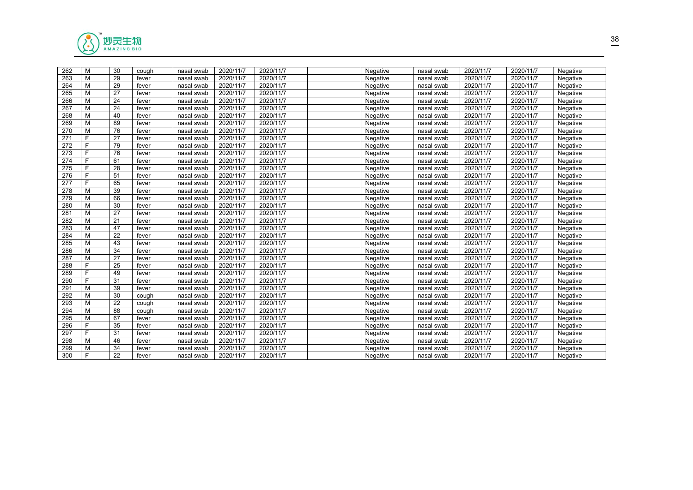

| 262 | М  | 30 | cough | nasal swab | 2020/11/7 | 2020/11/7 | Negative        | nasal swab | 2020/11/7 | 2020/11/7 | Negative |  |
|-----|----|----|-------|------------|-----------|-----------|-----------------|------------|-----------|-----------|----------|--|
| 263 | M  | 29 | fever | nasal swab | 2020/11/7 | 2020/11/7 | Negative        | nasal swab | 2020/11/7 | 2020/11/7 | Negative |  |
| 264 | M  | 29 | fever | nasal swab | 2020/11/7 | 2020/11/7 | Negative        | nasal swab | 2020/11/7 | 2020/11/7 | Negative |  |
| 265 | M  | 27 | fever | nasal swab | 2020/11/7 | 2020/11/7 | Negative        | nasal swab | 2020/11/7 | 2020/11/7 | Negative |  |
| 266 | M  | 24 | fever | nasal swab | 2020/11/7 | 2020/11/7 | Negative        | nasal swab | 2020/11/7 | 2020/11/7 | Negative |  |
| 267 | M  | 24 | fever | nasal swab | 2020/11/7 | 2020/11/7 | Negative        | nasal swab | 2020/11/7 | 2020/11/7 | Negative |  |
| 268 | M  | 40 | fever | nasal swab | 2020/11/7 | 2020/11/7 | Negative        | nasal swab | 2020/11/7 | 2020/11/7 | Negative |  |
| 269 | М  | 89 | fever | nasal swab | 2020/11/7 | 2020/11/7 | Negative        | nasal swab | 2020/11/7 | 2020/11/7 | Negative |  |
| 270 | M  | 76 | fever | nasal swab | 2020/11/7 | 2020/11/7 | Negative        | nasal swab | 2020/11/7 | 2020/11/7 | Negative |  |
| 271 | F. | 27 | fever | nasal swab | 2020/11/7 | 2020/11/7 | Negative        | nasal swab | 2020/11/7 | 2020/11/7 | Negative |  |
| 272 | F. | 79 | fever | nasal swab | 2020/11/7 | 2020/11/7 | <b>Negative</b> | nasal swab | 2020/11/7 | 2020/11/7 | Negative |  |
| 273 | F. | 76 | fever | nasal swab | 2020/11/7 | 2020/11/7 | Negative        | nasal swab | 2020/11/7 | 2020/11/7 | Negative |  |
| 274 | F. | 61 | fever | nasal swab | 2020/11/7 | 2020/11/7 | Negative        | nasal swab | 2020/11/7 | 2020/11/7 | Negative |  |
| 275 | F. | 28 | fever | nasal swab | 2020/11/7 | 2020/11/7 | Negative        | nasal swab | 2020/11/7 | 2020/11/7 | Negative |  |
| 276 | F. | 51 | fever | nasal swab | 2020/11/7 | 2020/11/7 | Negative        | nasal swab | 2020/11/7 | 2020/11/7 | Negative |  |
| 277 | F. | 65 | fever | nasal swab | 2020/11/7 | 2020/11/7 | Negative        | nasal swab | 2020/11/7 | 2020/11/7 | Negative |  |
| 278 | M  | 39 | fever | nasal swab | 2020/11/7 | 2020/11/7 | Negative        | nasal swab | 2020/11/7 | 2020/11/7 | Negative |  |
| 279 | M  | 66 | fever | nasal swab | 2020/11/7 | 2020/11/7 | Negative        | nasal swab | 2020/11/7 | 2020/11/7 | Negative |  |
| 280 | M  | 30 | fever | nasal swab | 2020/11/7 | 2020/11/7 | Negative        | nasal swab | 2020/11/7 | 2020/11/7 | Negative |  |
| 281 | М  | 27 | fever | nasal swab | 2020/11/7 | 2020/11/7 | Negative        | nasal swab | 2020/11/7 | 2020/11/7 | Negative |  |
| 282 | M  | 21 | fever | nasal swab | 2020/11/7 | 2020/11/7 | Negative        | nasal swab | 2020/11/7 | 2020/11/7 | Negative |  |
| 283 | M  | 47 | fever | nasal swab | 2020/11/7 | 2020/11/7 | Negative        | nasal swab | 2020/11/7 | 2020/11/7 | Negative |  |
| 284 | M  | 22 | fever | nasal swab | 2020/11/7 | 2020/11/7 | Negative        | nasal swab | 2020/11/7 | 2020/11/7 | Negative |  |
| 285 | M  | 43 | fever | nasal swab | 2020/11/7 | 2020/11/7 | Negative        | nasal swab | 2020/11/7 | 2020/11/7 | Negative |  |
| 286 | M  | 34 | fever | nasal swab | 2020/11/7 | 2020/11/7 | Negative        | nasal swab | 2020/11/7 | 2020/11/7 | Negative |  |
| 287 | M  | 27 | fever | nasal swab | 2020/11/7 | 2020/11/7 | Negative        | nasal swab | 2020/11/7 | 2020/11/7 | Negative |  |
| 288 | F. | 25 | fever | nasal swab | 2020/11/7 | 2020/11/7 | Negative        | nasal swab | 2020/11/7 | 2020/11/7 | Negative |  |
| 289 | F  | 49 | fever | nasal swab | 2020/11/7 | 2020/11/7 | Negative        | nasal swab | 2020/11/7 | 2020/11/7 | Negative |  |
| 290 | F  | 31 | fever | nasal swab | 2020/11/7 | 2020/11/7 | Negative        | nasal swab | 2020/11/7 | 2020/11/7 | Negative |  |
| 291 | M  | 39 | fever | nasal swab | 2020/11/7 | 2020/11/7 | Negative        | nasal swab | 2020/11/7 | 2020/11/7 | Negative |  |
| 292 | M  | 30 | cough | nasal swab | 2020/11/7 | 2020/11/7 | Negative        | nasal swab | 2020/11/7 | 2020/11/7 | Negative |  |
| 293 | М  | 22 | cough | nasal swab | 2020/11/7 | 2020/11/7 | Negative        | nasal swab | 2020/11/7 | 2020/11/7 | Negative |  |
| 294 | M  | 88 | cough | nasal swab | 2020/11/7 | 2020/11/7 | Negative        | nasal swab | 2020/11/7 | 2020/11/7 | Negative |  |
| 295 | M  | 67 | fever | nasal swab | 2020/11/7 | 2020/11/7 | Negative        | nasal swab | 2020/11/7 | 2020/11/7 | Negative |  |
| 296 | F. | 35 | fever | nasal swab | 2020/11/7 | 2020/11/7 | Negative        | nasal swab | 2020/11/7 | 2020/11/7 | Negative |  |
| 297 | F. | 31 | fever | nasal swab | 2020/11/7 | 2020/11/7 | Negative        | nasal swab | 2020/11/7 | 2020/11/7 | Negative |  |
| 298 | М  | 46 | fever | nasal swab | 2020/11/7 | 2020/11/7 | Negative        | nasal swab | 2020/11/7 | 2020/11/7 | Negative |  |
| 299 | M  | 34 | fever | nasal swab | 2020/11/7 | 2020/11/7 | Negative        | nasal swab | 2020/11/7 | 2020/11/7 | Negative |  |
| 300 | F. | 22 | fever | nasal swab | 2020/11/7 | 2020/11/7 | Negative        | nasal swab | 2020/11/7 | 2020/11/7 | Negative |  |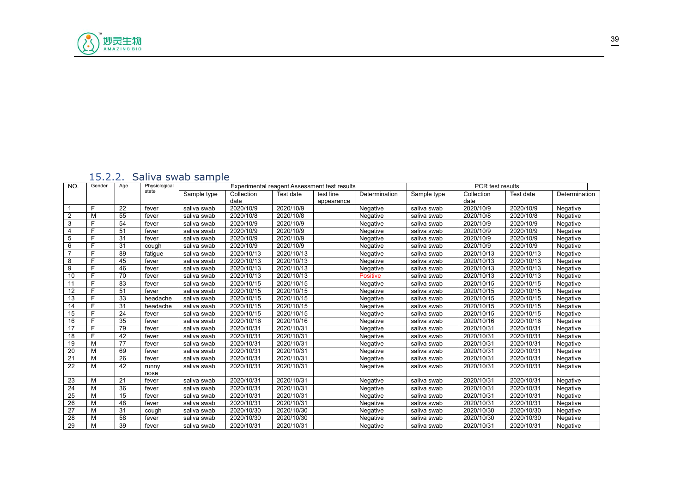

#### <span id="page-38-0"></span>15.2.2. Saliva swab sample

| NO.             | Gender | Age | Physiological |             |            |            | Experimental reagent Assessment test results |                 |             | PCR test results |            |               |
|-----------------|--------|-----|---------------|-------------|------------|------------|----------------------------------------------|-----------------|-------------|------------------|------------|---------------|
|                 |        |     | state         | Sample type | Collection | Test date  | test line                                    | Determination   | Sample type | Collection       | Test date  | Determination |
|                 |        |     |               |             | date       |            | appearance                                   |                 |             | date             |            |               |
|                 | F      | 22  | fever         | saliva swab | 2020/10/9  | 2020/10/9  |                                              | Negative        | saliva swab | 2020/10/9        | 2020/10/9  | Negative      |
| 2               | M      | 55  | fever         | saliva swab | 2020/10/8  | 2020/10/8  |                                              | Negative        | saliva swab | 2020/10/8        | 2020/10/8  | Negative      |
| 3               | F      | 54  | fever         | saliva swab | 2020/10/9  | 2020/10/9  |                                              | Negative        | saliva swab | 2020/10/9        | 2020/10/9  | Negative      |
| 4               | F      | 51  | fever         | saliva swab | 2020/10/9  | 2020/10/9  |                                              | Negative        | saliva swab | 2020/10/9        | 2020/10/9  | Negative      |
| 5               | F      | 31  | fever         | saliva swab | 2020/10/9  | 2020/10/9  |                                              | Negative        | saliva swab | 2020/10/9        | 2020/10/9  | Negative      |
| 6               | F      | 31  | cough         | saliva swab | 2020/10/9  | 2020/10/9  |                                              | Negative        | saliva swab | 2020/10/9        | 2020/10/9  | Negative      |
| $\overline{7}$  | F      | 89  | fatigue       | saliva swab | 2020/10/13 | 2020/10/13 |                                              | Negative        | saliva swab | 2020/10/13       | 2020/10/13 | Negative      |
| 8               | F      | 45  | fever         | saliva swab | 2020/10/13 | 2020/10/13 |                                              | Negative        | saliva swab | 2020/10/13       | 2020/10/13 | Negative      |
| 9               | F      | 46  | fever         | saliva swab | 2020/10/13 | 2020/10/13 |                                              | Negative        | saliva swab | 2020/10/13       | 2020/10/13 | Negative      |
| 10              | F      | 70  | fever         | saliva swab | 2020/10/13 | 2020/10/13 |                                              | <b>Positive</b> | saliva swab | 2020/10/13       | 2020/10/13 | Negative      |
| 11              | F      | 83  | fever         | saliva swab | 2020/10/15 | 2020/10/15 |                                              | Negative        | saliva swab | 2020/10/15       | 2020/10/15 | Negative      |
| 12              | F      | 51  | fever         | saliva swab | 2020/10/15 | 2020/10/15 |                                              | Negative        | saliva swab | 2020/10/15       | 2020/10/15 | Negative      |
| 13              |        | 33  | headache      | saliva swab | 2020/10/15 | 2020/10/15 |                                              | Negative        | saliva swab | 2020/10/15       | 2020/10/15 | Negative      |
| 14              | F      | 31  | headache      | saliva swab | 2020/10/15 | 2020/10/15 |                                              | Negative        | saliva swab | 2020/10/15       | 2020/10/15 | Negative      |
| 15              | F      | 24  | fever         | saliva swab | 2020/10/15 | 2020/10/15 |                                              | Negative        | saliva swab | 2020/10/15       | 2020/10/15 | Negative      |
| 16              |        | 35  | fever         | saliva swab | 2020/10/16 | 2020/10/16 |                                              | Negative        | saliva swab | 2020/10/16       | 2020/10/16 | Negative      |
| 17              | F      | 79  | fever         | saliva swab | 2020/10/31 | 2020/10/31 |                                              | Negative        | saliva swab | 2020/10/31       | 2020/10/31 | Negative      |
| 18              | F      | 42  | fever         | saliva swab | 2020/10/31 | 2020/10/31 |                                              | Negative        | saliva swab | 2020/10/31       | 2020/10/31 | Negative      |
| 19              | M      | 77  | fever         | saliva swab | 2020/10/31 | 2020/10/31 |                                              | Negative        | saliva swab | 2020/10/31       | 2020/10/31 | Negative      |
| 20              | M      | 69  | fever         | saliva swab | 2020/10/31 | 2020/10/31 |                                              | Negative        | saliva swab | 2020/10/31       | 2020/10/31 | Negative      |
| $\overline{21}$ | M      | 26  | fever         | saliva swab | 2020/10/31 | 2020/10/31 |                                              | Negative        | saliva swab | 2020/10/31       | 2020/10/31 | Negative      |
| $\overline{22}$ | M      | 42  | runny         | saliva swab | 2020/10/31 | 2020/10/31 |                                              | Negative        | saliva swab | 2020/10/31       | 2020/10/31 | Negative      |
|                 |        |     | nose          |             |            |            |                                              |                 |             |                  |            |               |
| 23              | M      | 21  | fever         | saliva swab | 2020/10/31 | 2020/10/31 |                                              | Negative        | saliva swab | 2020/10/31       | 2020/10/31 | Negative      |
| 24              | M      | 36  | fever         | saliva swab | 2020/10/31 | 2020/10/31 |                                              | Negative        | saliva swab | 2020/10/31       | 2020/10/31 | Negative      |
| 25              | M      | 15  | fever         | saliva swab | 2020/10/31 | 2020/10/31 |                                              | Negative        | saliva swab | 2020/10/31       | 2020/10/31 | Negative      |
| 26              | M      | 48  | fever         | saliva swab | 2020/10/31 | 2020/10/31 |                                              | Negative        | saliva swab | 2020/10/31       | 2020/10/31 | Negative      |
| 27              | M      | 31  | cough         | saliva swab | 2020/10/30 | 2020/10/30 |                                              | Negative        | saliva swab | 2020/10/30       | 2020/10/30 | Negative      |
| $\overline{28}$ | M      | 58  | fever         | saliva swab | 2020/10/30 | 2020/10/30 |                                              | Negative        | saliva swab | 2020/10/30       | 2020/10/30 | Negative      |
| 29              | M      | 39  | fever         | saliva swab | 2020/10/31 | 2020/10/31 |                                              | Negative        | saliva swab | 2020/10/31       | 2020/10/31 | Negative      |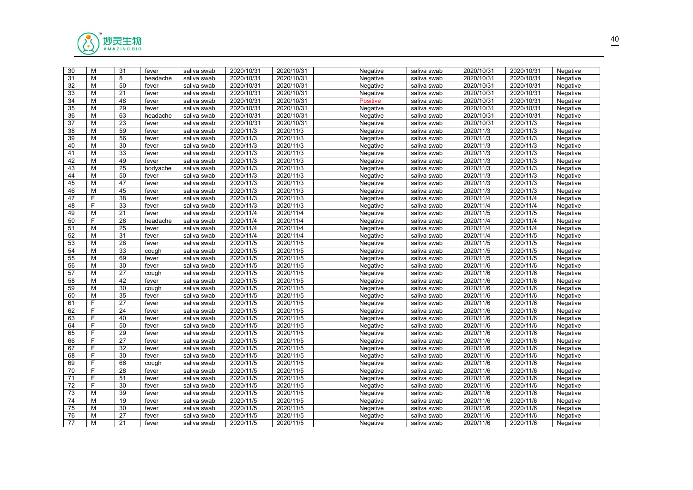

| 30              | M  | 31              | fever    | saliva swab | 2020/10/31 | 2020/10/31 | Negative        | saliva swab | 2020/10/31 | 2020/10/31 | Negative |  |
|-----------------|----|-----------------|----------|-------------|------------|------------|-----------------|-------------|------------|------------|----------|--|
| 31              | M  | 8               | headache | saliva swab | 2020/10/31 | 2020/10/31 | Negative        | saliva swab | 2020/10/31 | 2020/10/31 | Negative |  |
| $\overline{32}$ | M  | 50              | fever    | saliva swab | 2020/10/31 | 2020/10/31 | Negative        | saliva swab | 2020/10/31 | 2020/10/31 | Negative |  |
| 33              | М  | 21              | fever    | saliva swab | 2020/10/31 | 2020/10/31 | Negative        | saliva swab | 2020/10/31 | 2020/10/31 | Negative |  |
| 34              | M  | 48              | fever    | saliva swab | 2020/10/31 | 2020/10/31 | <b>Positive</b> | saliva swab | 2020/10/31 | 2020/10/31 | Negative |  |
| 35              | M  | 29              | fever    | saliva swab | 2020/10/31 | 2020/10/31 | Negative        | saliva swab | 2020/10/31 | 2020/10/31 | Negative |  |
| 36              | M  | 63              | headache | saliva swab | 2020/10/31 | 2020/10/31 | Negative        | saliva swab | 2020/10/31 | 2020/10/31 | Negative |  |
| 37              | M  | 23              | fever    | saliva swab | 2020/10/31 | 2020/10/31 | Negative        | saliva swab | 2020/10/31 | 2020/11/3  | Negative |  |
| 38              | M  | 59              | fever    | saliva swab | 2020/11/3  | 2020/11/3  | Negative        | saliva swab | 2020/11/3  | 2020/11/3  | Negative |  |
| 39              | M  | $\overline{56}$ | fever    | saliva swab | 2020/11/3  | 2020/11/3  | Negative        | saliva swab | 2020/11/3  | 2020/11/3  | Negative |  |
| 40              | M  | 30              | fever    | saliva swab | 2020/11/3  | 2020/11/3  | Negative        | saliva swab | 2020/11/3  | 2020/11/3  | Negative |  |
| 41              | М  | 33              | fever    | saliva swab | 2020/11/3  | 2020/11/3  | Negative        | saliva swab | 2020/11/3  | 2020/11/3  | Negative |  |
| 42              | M  | 49              | fever    | saliva swab | 2020/11/3  | 2020/11/3  | Negative        | saliva swab | 2020/11/3  | 2020/11/3  | Negative |  |
| 43              | M  | 25              | bodyache | saliva swab | 2020/11/3  | 2020/11/3  | Negative        | saliva swab | 2020/11/3  | 2020/11/3  | Negative |  |
| 44              | М  | 50              | fever    | saliva swab | 2020/11/3  | 2020/11/3  | Negative        | saliva swab | 2020/11/3  | 2020/11/3  | Negative |  |
| 45              | M  | 47              | fever    | saliva swab | 2020/11/3  | 2020/11/3  | Negative        | saliva swab | 2020/11/3  | 2020/11/3  | Negative |  |
| 46              | М  | 45              | fever    | saliva swab | 2020/11/3  | 2020/11/3  | Negative        | saliva swab | 2020/11/3  | 2020/11/3  | Negative |  |
| 47              | F. | 38              | fever    | saliva swab | 2020/11/3  | 2020/11/3  | Negative        | saliva swab | 2020/11/4  | 2020/11/4  | Negative |  |
| 48              | F  | 33              | fever    | saliva swab | 2020/11/3  | 2020/11/3  | Negative        | saliva swab | 2020/11/4  | 2020/11/4  | Negative |  |
| $\overline{49}$ | M  | 21              | fever    | saliva swab | 2020/11/4  | 2020/11/4  | Negative        | saliva swab | 2020/11/5  | 2020/11/5  | Negative |  |
| 50              | F  | 28              | headache | saliva swab | 2020/11/4  | 2020/11/4  | Negative        | saliva swab | 2020/11/4  | 2020/11/4  | Negative |  |
| 51              | M  | 25              | fever    | saliva swab | 2020/11/4  | 2020/11/4  | Negative        | saliva swab | 2020/11/4  | 2020/11/4  | Negative |  |
| 52              | M  | 31              | fever    | saliva swab | 2020/11/4  | 2020/11/4  | Negative        | saliva swab | 2020/11/4  | 2020/11/5  | Negative |  |
| 53              | M  | 28              | fever    | saliva swab | 2020/11/5  | 2020/11/5  | Negative        | saliva swab | 2020/11/5  | 2020/11/5  | Negative |  |
| 54              | M  | 33              | cough    | saliva swab | 2020/11/5  | 2020/11/5  | Negative        | saliva swab | 2020/11/5  | 2020/11/5  | Negative |  |
| 55              | M  | 69              | fever    | saliva swab | 2020/11/5  | 2020/11/5  | Negative        | saliva swab | 2020/11/5  | 2020/11/5  | Negative |  |
| 56              | M  | 30              | fever    | saliva swab | 2020/11/5  | 2020/11/5  | Negative        | saliva swab | 2020/11/6  | 2020/11/6  | Negative |  |
| 57              | M  | 27              | cough    | saliva swab | 2020/11/5  | 2020/11/5  | Negative        | saliva swab | 2020/11/6  | 2020/11/6  | Negative |  |
| 58              | M  | 42              | fever    | saliva swab | 2020/11/5  | 2020/11/5  | Negative        | saliva swab | 2020/11/6  | 2020/11/6  | Negative |  |
| 59              | M  | 30              | cough    | saliva swab | 2020/11/5  | 2020/11/5  | Negative        | saliva swab | 2020/11/6  | 2020/11/6  | Negative |  |
| 60              | M  | 35              | fever    | saliva swab | 2020/11/5  | 2020/11/5  | Negative        | saliva swab | 2020/11/6  | 2020/11/6  | Negative |  |
| 61              | F  | 27              | fever    | saliva swab | 2020/11/5  | 2020/11/5  | Negative        | saliva swab | 2020/11/6  | 2020/11/6  | Negative |  |
| 62              | F  | 24              | fever    | saliva swab | 2020/11/5  | 2020/11/5  | Negative        | saliva swab | 2020/11/6  | 2020/11/6  | Negative |  |
| 63              | F  | 40              | fever    | saliva swab | 2020/11/5  | 2020/11/5  | Negative        | saliva swab | 2020/11/6  | 2020/11/6  | Negative |  |
| 64              | F  | 50              | fever    | saliva swab | 2020/11/5  | 2020/11/5  | Negative        | saliva swab | 2020/11/6  | 2020/11/6  | Negative |  |
| 65              | F  | 29              | fever    | saliva swab | 2020/11/5  | 2020/11/5  | Negative        | saliva swab | 2020/11/6  | 2020/11/6  | Negative |  |
| 66              | F  | 27              | fever    | saliva swab | 2020/11/5  | 2020/11/5  | Negative        | saliva swab | 2020/11/6  | 2020/11/6  | Negative |  |
| 67              | F  | 32              | fever    | saliva swab | 2020/11/5  | 2020/11/5  | Negative        | saliva swab | 2020/11/6  | 2020/11/6  | Negative |  |
| 68              | F  | 30              | fever    | saliva swab | 2020/11/5  | 2020/11/5  | Negative        | saliva swab | 2020/11/6  | 2020/11/6  | Negative |  |
| 69              | F  | 66              | cough    | saliva swab | 2020/11/5  | 2020/11/5  | Negative        | saliva swab | 2020/11/6  | 2020/11/6  | Negative |  |
| 70              | F  | 28              | fever    | saliva swab | 2020/11/5  | 2020/11/5  | Negative        | saliva swab | 2020/11/6  | 2020/11/6  | Negative |  |
| 71              | F  | 51              | fever    | saliva swab | 2020/11/5  | 2020/11/5  | Negative        | saliva swab | 2020/11/6  | 2020/11/6  | Negative |  |
| 72              | F  | 30              | fever    | saliva swab | 2020/11/5  | 2020/11/5  | Negative        | saliva swab | 2020/11/6  | 2020/11/6  | Negative |  |
| $\overline{73}$ | M  | $\overline{39}$ | fever    | saliva swab | 2020/11/5  | 2020/11/5  | Negative        | saliva swab | 2020/11/6  | 2020/11/6  | Negative |  |
| $\overline{74}$ | M  | 19              | fever    | saliva swab | 2020/11/5  | 2020/11/5  | Negative        | saliva swab | 2020/11/6  | 2020/11/6  | Negative |  |
| 75              | M  | 30              | fever    | saliva swab | 2020/11/5  | 2020/11/5  | Negative        | saliva swab | 2020/11/6  | 2020/11/6  | Negative |  |
| 76              | М  | 27              | fever    | saliva swab | 2020/11/5  | 2020/11/5  | Negative        | saliva swab | 2020/11/6  | 2020/11/6  | Negative |  |
| 77              | M  | 21              | fever    | saliva swab | 2020/11/5  | 2020/11/5  | Negative        | saliva swab | 2020/11/6  | 2020/11/6  | Negative |  |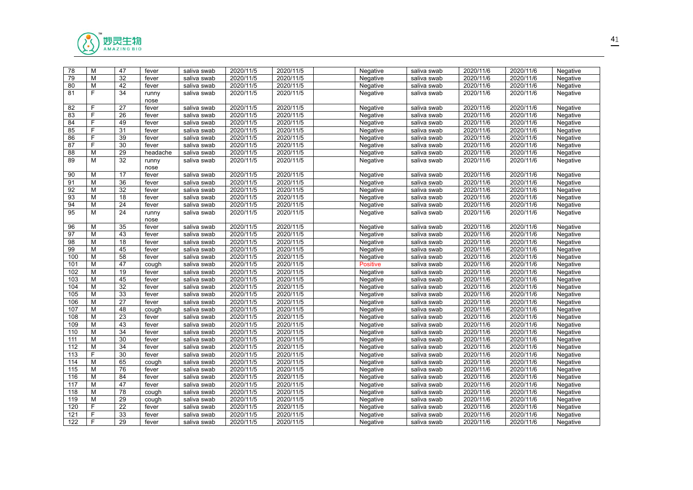

| 78               | M              | 47              | fever         | saliva swab | 2020/11/5 | 2020/11/5 | Negative        | saliva swab | 2020/11/6 | 2020/11/6 | Negative |
|------------------|----------------|-----------------|---------------|-------------|-----------|-----------|-----------------|-------------|-----------|-----------|----------|
| 79               | M              | 32              | fever         | saliva swab | 2020/11/5 | 2020/11/5 | Negative        | saliva swab | 2020/11/6 | 2020/11/6 | Negative |
| 80               | M              | 42              | fever         | saliva swab | 2020/11/5 | 2020/11/5 | Negative        | saliva swab | 2020/11/6 | 2020/11/6 | Negative |
| 81               | F.             | 34              | runny<br>nose | saliva swab | 2020/11/5 | 2020/11/5 | Negative        | saliva swab | 2020/11/6 | 2020/11/6 | Negative |
| 82               | F              | 27              | fever         | saliva swab | 2020/11/5 | 2020/11/5 | Negative        | saliva swab | 2020/11/6 | 2020/11/6 | Negative |
| 83               | F.             | 26              | fever         | saliva swab | 2020/11/5 | 2020/11/5 | Negative        | saliva swab | 2020/11/6 | 2020/11/6 | Negative |
| 84               | F              | 49              | fever         | saliva swab | 2020/11/5 | 2020/11/5 | Negative        | saliva swab | 2020/11/6 | 2020/11/6 | Negative |
| 85               | F              | 31              | fever         | saliva swab | 2020/11/5 | 2020/11/5 | Negative        | saliva swab | 2020/11/6 | 2020/11/6 | Negative |
| 86               | F              | 39              | fever         | saliva swab | 2020/11/5 | 2020/11/5 | Negative        | saliva swab | 2020/11/6 | 2020/11/6 | Negative |
| 87               | F              | 30              | fever         | saliva swab | 2020/11/5 | 2020/11/5 | Negative        | saliva swab | 2020/11/6 | 2020/11/6 | Negative |
| 88               | M              | 29              | headache      | saliva swab | 2020/11/5 | 2020/11/5 | Negative        | saliva swab | 2020/11/6 | 2020/11/6 | Negative |
| 89               | M              | $\overline{32}$ | runny<br>nose | saliva swab | 2020/11/5 | 2020/11/5 | Negative        | saliva swab | 2020/11/6 | 2020/11/6 | Negative |
| 90               | M              | 17              | fever         | saliva swab | 2020/11/5 | 2020/11/5 | Negative        | saliva swab | 2020/11/6 | 2020/11/6 | Negative |
| 91               | M              | 36              | fever         | saliva swab | 2020/11/5 | 2020/11/5 | Negative        | saliva swab | 2020/11/6 | 2020/11/6 | Negative |
| 92               | M              | $\overline{32}$ | fever         | saliva swab | 2020/11/5 | 2020/11/5 | Negative        | saliva swab | 2020/11/6 | 2020/11/6 | Negative |
| $\overline{93}$  | M              | 18              | fever         | saliva swab | 2020/11/5 | 2020/11/5 | Negative        | saliva swab | 2020/11/6 | 2020/11/6 | Negative |
| 94               | M              | 24              | fever         | saliva swab | 2020/11/5 | 2020/11/5 | Negative        | saliva swab | 2020/11/6 | 2020/11/6 | Negative |
| 95               | M              | 24              | runny         | saliva swab | 2020/11/5 | 2020/11/5 | Negative        | saliva swab | 2020/11/6 | 2020/11/6 | Negative |
|                  |                |                 | nose          |             |           |           |                 |             |           |           |          |
| 96               | M              | 35              | fever         | saliva swab | 2020/11/5 | 2020/11/5 | Negative        | saliva swab | 2020/11/6 | 2020/11/6 | Negative |
| 97               | M              | $\overline{43}$ | fever         | saliva swab | 2020/11/5 | 2020/11/5 | Negative        | saliva swab | 2020/11/6 | 2020/11/6 | Negative |
| $\overline{98}$  | M              | 18              | fever         | saliva swab | 2020/11/5 | 2020/11/5 | Negative        | saliva swab | 2020/11/6 | 2020/11/6 | Negative |
| 99               | M              | 45              | fever         | saliva swab | 2020/11/5 | 2020/11/5 | Negative        | saliva swab | 2020/11/6 | 2020/11/6 | Negative |
| 100              | M              | 58              | fever         | saliva swab | 2020/11/5 | 2020/11/5 | Negative        | saliva swab | 2020/11/6 | 2020/11/6 | Negative |
| 101              | M              | 47              | cough         | saliva swab | 2020/11/5 | 2020/11/5 | <b>Positive</b> | saliva swab | 2020/11/6 | 2020/11/6 | Negative |
| 102              | M              | 19              | fever         | saliva swab | 2020/11/5 | 2020/11/5 | Negative        | saliva swab | 2020/11/6 | 2020/11/6 | Negative |
| 103              | M              | 45              | fever         | saliva swab | 2020/11/5 | 2020/11/5 | Negative        | saliva swab | 2020/11/6 | 2020/11/6 | Negative |
| 104              | M              | 32              | fever         | saliva swab | 2020/11/5 | 2020/11/5 | Negative        | saliva swab | 2020/11/6 | 2020/11/6 | Negative |
| 105              | M              | 33              | fever         | saliva swab | 2020/11/5 | 2020/11/5 | Negative        | saliva swab | 2020/11/6 | 2020/11/6 | Negative |
| 106              | M              | $\overline{27}$ | fever         | saliva swab | 2020/11/5 | 2020/11/5 | Negative        | saliva swab | 2020/11/6 | 2020/11/6 | Negative |
| 107              | M              | 48              | cough         | saliva swab | 2020/11/5 | 2020/11/5 | Negative        | saliva swab | 2020/11/6 | 2020/11/6 | Negative |
| 108              | M              | 23              | fever         | saliva swab | 2020/11/5 | 2020/11/5 | Negative        | saliva swab | 2020/11/6 | 2020/11/6 | Negative |
| 109              | M              | 43              | fever         | saliva swab | 2020/11/5 | 2020/11/5 | Negative        | saliva swab | 2020/11/6 | 2020/11/6 | Negative |
| 110              | M              | 34              | fever         | saliva swab | 2020/11/5 | 2020/11/5 | Negative        | saliva swab | 2020/11/6 | 2020/11/6 | Negative |
| 111              | M              | 30              | fever         | saliva swab | 2020/11/5 | 2020/11/5 | Negative        | saliva swab | 2020/11/6 | 2020/11/6 | Negative |
| $\overline{112}$ | M              | 34              | fever         | saliva swab | 2020/11/5 | 2020/11/5 | Negative        | saliva swab | 2020/11/6 | 2020/11/6 | Negative |
| 113              | F              | 30              | fever         | saliva swab | 2020/11/5 | 2020/11/5 | Negative        | saliva swab | 2020/11/6 | 2020/11/6 | Negative |
| 114              | M              | 65              | cough         | saliva swab | 2020/11/5 | 2020/11/5 | Negative        | saliva swab | 2020/11/6 | 2020/11/6 | Negative |
| 115              | M              | 76              | fever         | saliva swab | 2020/11/5 | 2020/11/5 | Negative        | saliva swab | 2020/11/6 | 2020/11/6 | Negative |
| 116              | M              | 84              | fever         | saliva swab | 2020/11/5 | 2020/11/5 | Negative        | saliva swab | 2020/11/6 | 2020/11/6 | Negative |
| 117              | M              | 47              | fever         | saliva swab | 2020/11/5 | 2020/11/5 | Negative        | saliva swab | 2020/11/6 | 2020/11/6 | Negative |
| 118              | M              | $\overline{78}$ | cough         | saliva swab | 2020/11/5 | 2020/11/5 | Negative        | saliva swab | 2020/11/6 | 2020/11/6 | Negative |
| 119              | M              | 29              | cough         | saliva swab | 2020/11/5 | 2020/11/5 | Negative        | saliva swab | 2020/11/6 | 2020/11/6 | Negative |
| 120              | $\overline{F}$ | $\overline{22}$ | fever         | saliva swab | 2020/11/5 | 2020/11/5 | Negative        | saliva swab | 2020/11/6 | 2020/11/6 | Negative |
| 121              | F              | 33              | fever         | saliva swab | 2020/11/5 | 2020/11/5 | Negative        | saliva swab | 2020/11/6 | 2020/11/6 | Negative |
| 122              | F              | 29              | fever         | saliva swab | 2020/11/5 | 2020/11/5 | Negative        | saliva swab | 2020/11/6 | 2020/11/6 | Negative |
|                  |                |                 |               |             |           |           |                 |             |           |           |          |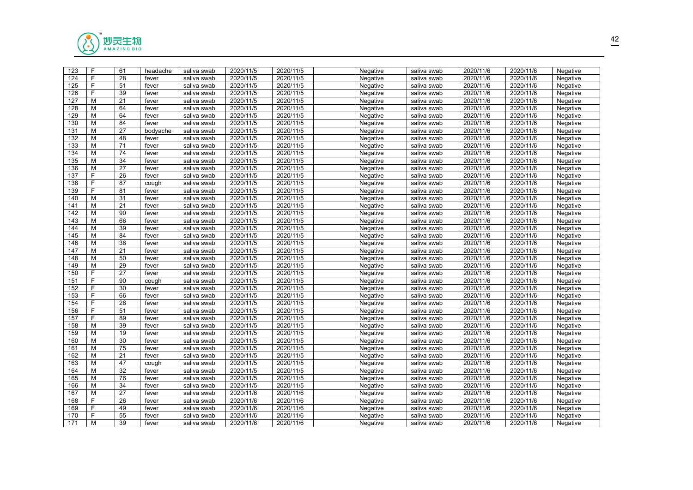

| 123 | F              | 61              | headache | saliva swab | 2020/11/5 | 2020/11/5 | Negative | saliva swab | 2020/11/6 | 2020/11/6 | Negative |  |
|-----|----------------|-----------------|----------|-------------|-----------|-----------|----------|-------------|-----------|-----------|----------|--|
| 124 | F              | 28              | fever    | saliva swab | 2020/11/5 | 2020/11/5 | Negative | saliva swab | 2020/11/6 | 2020/11/6 | Negative |  |
| 125 | $\overline{F}$ | 51              | fever    | saliva swab | 2020/11/5 | 2020/11/5 | Negative | saliva swab | 2020/11/6 | 2020/11/6 | Negative |  |
| 126 | F              | 39              | fever    | saliva swab | 2020/11/5 | 2020/11/5 | Negative | saliva swab | 2020/11/6 | 2020/11/6 | Negative |  |
| 127 | M              | 21              | fever    | saliva swab | 2020/11/5 | 2020/11/5 | Negative | saliva swab | 2020/11/6 | 2020/11/6 | Negative |  |
| 128 | M              | 64              | fever    | saliva swab | 2020/11/5 | 2020/11/5 | Negative | saliva swab | 2020/11/6 | 2020/11/6 | Negative |  |
| 129 | M              | 64              | fever    | saliva swab | 2020/11/5 | 2020/11/5 | Negative | saliva swab | 2020/11/6 | 2020/11/6 | Negative |  |
| 130 | M              | 84              | fever    | saliva swab | 2020/11/5 | 2020/11/5 | Negative | saliva swab | 2020/11/6 | 2020/11/6 | Negative |  |
| 131 | M              | 27              | bodyache | saliva swab | 2020/11/5 | 2020/11/5 | Negative | saliva swab | 2020/11/6 | 2020/11/6 | Negative |  |
| 132 | M              | 48              | fever    | saliva swab | 2020/11/5 | 2020/11/5 | Negative | saliva swab | 2020/11/6 | 2020/11/6 | Negative |  |
| 133 | M              | 71              | fever    | saliva swab | 2020/11/5 | 2020/11/5 | Negative | saliva swab | 2020/11/6 | 2020/11/6 | Negative |  |
| 134 | M              | 74              | fever    | saliva swab | 2020/11/5 | 2020/11/5 | Negative | saliva swab | 2020/11/6 | 2020/11/6 | Negative |  |
| 135 | M              | 34              | fever    | saliva swab | 2020/11/5 | 2020/11/5 | Negative | saliva swab | 2020/11/6 | 2020/11/6 | Negative |  |
| 136 | M              | 27              | fever    | saliva swab | 2020/11/5 | 2020/11/5 | Negative | saliva swab | 2020/11/6 | 2020/11/6 | Negative |  |
| 137 | $\overline{F}$ | 26              | fever    | saliva swab | 2020/11/5 | 2020/11/5 | Negative | saliva swab | 2020/11/6 | 2020/11/6 | Negative |  |
| 138 | F              | 87              | cough    | saliva swab | 2020/11/5 | 2020/11/5 | Negative | saliva swab | 2020/11/6 | 2020/11/6 | Negative |  |
| 139 | F              | 81              | fever    | saliva swab | 2020/11/5 | 2020/11/5 | Negative | saliva swab | 2020/11/6 | 2020/11/6 | Negative |  |
| 140 | M              | 31              | fever    | saliva swab | 2020/11/5 | 2020/11/5 | Negative | saliva swab | 2020/11/6 | 2020/11/6 | Negative |  |
| 141 | M              | 21              | fever    | saliva swab | 2020/11/5 | 2020/11/5 | Negative | saliva swab | 2020/11/6 | 2020/11/6 | Negative |  |
| 142 | M              | 90              | fever    | saliva swab | 2020/11/5 | 2020/11/5 | Negative | saliva swab | 2020/11/6 | 2020/11/6 | Negative |  |
| 143 | M              | 66              | fever    | saliva swab | 2020/11/5 | 2020/11/5 | Negative | saliva swab | 2020/11/6 | 2020/11/6 | Negative |  |
| 144 | M              | 39              | fever    | saliva swab | 2020/11/5 | 2020/11/5 | Negative | saliva swab | 2020/11/6 | 2020/11/6 | Negative |  |
| 145 | M              | 84              | fever    | saliva swab | 2020/11/5 | 2020/11/5 | Negative | saliva swab | 2020/11/6 | 2020/11/6 | Negative |  |
| 146 | M              | 38              | fever    | saliva swab | 2020/11/5 | 2020/11/5 | Negative | saliva swab | 2020/11/6 | 2020/11/6 | Negative |  |
| 147 | M              | 21              | fever    | saliva swab | 2020/11/5 | 2020/11/5 | Negative | saliva swab | 2020/11/6 | 2020/11/6 | Negative |  |
| 148 | M              | 50              | fever    | saliva swab | 2020/11/5 | 2020/11/5 | Negative | saliva swab | 2020/11/6 | 2020/11/6 | Negative |  |
| 149 | M              | 29              | fever    | saliva swab | 2020/11/5 | 2020/11/5 | Negative | saliva swab | 2020/11/6 | 2020/11/6 | Negative |  |
| 150 | F              | 27              | fever    | saliva swab | 2020/11/5 | 2020/11/5 | Negative | saliva swab | 2020/11/6 | 2020/11/6 | Negative |  |
| 151 | F              | 90              | cough    | saliva swab | 2020/11/5 | 2020/11/5 | Negative | saliva swab | 2020/11/6 | 2020/11/6 | Negative |  |
| 152 | F              | 30              | fever    | saliva swab | 2020/11/5 | 2020/11/5 | Negative | saliva swab | 2020/11/6 | 2020/11/6 | Negative |  |
| 153 | $\overline{F}$ | 66              | fever    | saliva swab | 2020/11/5 | 2020/11/5 | Negative | saliva swab | 2020/11/6 | 2020/11/6 | Negative |  |
| 154 | $\overline{F}$ | 28              | fever    | saliva swab | 2020/11/5 | 2020/11/5 | Negative | saliva swab | 2020/11/6 | 2020/11/6 | Negative |  |
| 156 | F              | 51              | fever    | saliva swab | 2020/11/5 | 2020/11/5 | Negative | saliva swab | 2020/11/6 | 2020/11/6 | Negative |  |
| 157 | F              | 89              | fever    | saliva swab | 2020/11/5 | 2020/11/5 | Negative | saliva swab | 2020/11/6 | 2020/11/6 | Negative |  |
| 158 | M              | 39              | fever    | saliva swab | 2020/11/5 | 2020/11/5 | Negative | saliva swab | 2020/11/6 | 2020/11/6 | Negative |  |
| 159 | M              | 19              | fever    | saliva swab | 2020/11/5 | 2020/11/5 | Negative | saliva swab | 2020/11/6 | 2020/11/6 | Negative |  |
| 160 | M              | 30              | fever    | saliva swab | 2020/11/5 | 2020/11/5 | Negative | saliva swab | 2020/11/6 | 2020/11/6 | Negative |  |
| 161 | M              | 75              | fever    | saliva swab | 2020/11/5 | 2020/11/5 | Negative | saliva swab | 2020/11/6 | 2020/11/6 | Negative |  |
| 162 | M              | 21              | fever    | saliva swab | 2020/11/5 | 2020/11/5 | Negative | saliva swab | 2020/11/6 | 2020/11/6 | Negative |  |
| 163 | M              | 47              | cough    | saliva swab | 2020/11/5 | 2020/11/5 | Negative | saliva swab | 2020/11/6 | 2020/11/6 | Negative |  |
| 164 | M              | $\overline{32}$ | fever    | saliva swab | 2020/11/5 | 2020/11/5 | Negative | saliva swab | 2020/11/6 | 2020/11/6 | Negative |  |
| 165 | M              | 76              | fever    | saliva swab | 2020/11/5 | 2020/11/5 | Negative | saliva swab | 2020/11/6 | 2020/11/6 | Negative |  |
| 166 | M              | 34              | fever    | saliva swab | 2020/11/5 | 2020/11/5 | Negative | saliva swab | 2020/11/6 | 2020/11/6 | Negative |  |
| 167 | M              | $\overline{27}$ | fever    | saliva swab | 2020/11/6 | 2020/11/6 | Negative | saliva swab | 2020/11/6 | 2020/11/6 | Negative |  |
| 168 | F              | 26              | fever    | saliva swab | 2020/11/6 | 2020/11/6 | Negative | saliva swab | 2020/11/6 | 2020/11/6 | Negative |  |
| 169 | F              | 49              | fever    | saliva swab | 2020/11/6 | 2020/11/6 | Negative | saliva swab | 2020/11/6 | 2020/11/6 | Negative |  |
| 170 | F              | 55              | fever    | saliva swab | 2020/11/6 | 2020/11/6 | Negative | saliva swab | 2020/11/6 | 2020/11/6 | Negative |  |
| 171 | M              | 39              | fever    | saliva swab | 2020/11/6 | 2020/11/6 | Negative | saliva swab | 2020/11/6 | 2020/11/6 | Negative |  |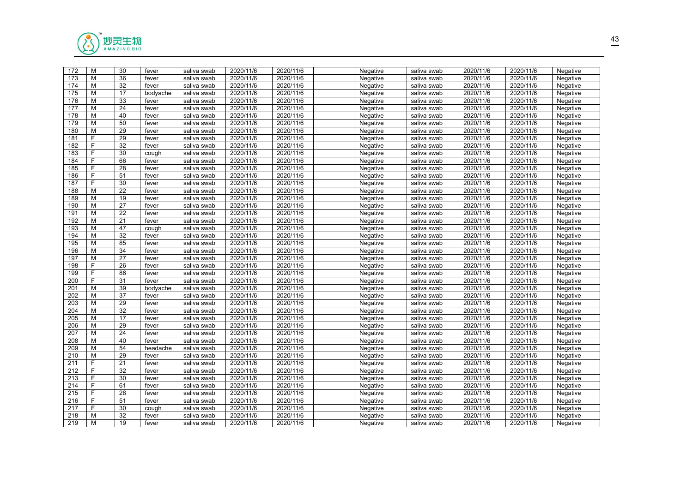

| 172              | M              | 30              | fever    | saliva swab | 2020/11/6 | 2020/11/6 | Negative | saliva swab | 2020/11/6 | 2020/11/6 | Negative |  |
|------------------|----------------|-----------------|----------|-------------|-----------|-----------|----------|-------------|-----------|-----------|----------|--|
| 173              | M              | 36              | fever    | saliva swab | 2020/11/6 | 2020/11/6 | Negative | saliva swab | 2020/11/6 | 2020/11/6 | Negative |  |
| 174              | M              | $\overline{32}$ | fever    | saliva swab | 2020/11/6 | 2020/11/6 | Negative | saliva swab | 2020/11/6 | 2020/11/6 | Negative |  |
| 175              | M              | 17              | bodyache | saliva swab | 2020/11/6 | 2020/11/6 | Negative | saliva swab | 2020/11/6 | 2020/11/6 | Negative |  |
| 176              | M              | 33              | fever    | saliva swab | 2020/11/6 | 2020/11/6 | Negative | saliva swab | 2020/11/6 | 2020/11/6 | Negative |  |
| 177              | M              | 24              | fever    | saliva swab | 2020/11/6 | 2020/11/6 | Negative | saliva swab | 2020/11/6 | 2020/11/6 | Negative |  |
| 178              | M              | 40              | fever    | saliva swab | 2020/11/6 | 2020/11/6 | Negative | saliva swab | 2020/11/6 | 2020/11/6 | Negative |  |
| 179              | M              | 50              | fever    | saliva swab | 2020/11/6 | 2020/11/6 | Negative | saliva swab | 2020/11/6 | 2020/11/6 | Negative |  |
| 180              | M              | $\overline{29}$ | fever    | saliva swab | 2020/11/6 | 2020/11/6 | Negative | saliva swab | 2020/11/6 | 2020/11/6 | Negative |  |
| 181              | F              | 29              | fever    | saliva swab | 2020/11/6 | 2020/11/6 | Negative | saliva swab | 2020/11/6 | 2020/11/6 | Negative |  |
| 182              | F              | 32              | fever    | saliva swab | 2020/11/6 | 2020/11/6 | Negative | saliva swab | 2020/11/6 | 2020/11/6 | Negative |  |
| 183              | $\overline{F}$ | 30              | cough    | saliva swab | 2020/11/6 | 2020/11/6 | Negative | saliva swab | 2020/11/6 | 2020/11/6 | Negative |  |
| 184              | F              | 66              | fever    | saliva swab | 2020/11/6 | 2020/11/6 | Negative | saliva swab | 2020/11/6 | 2020/11/6 | Negative |  |
| 185              | F              | 28              | fever    | saliva swab | 2020/11/6 | 2020/11/6 | Negative | saliva swab | 2020/11/6 | 2020/11/6 | Negative |  |
| 186              | F              | 51              | fever    | saliva swab | 2020/11/6 | 2020/11/6 | Negative | saliva swab | 2020/11/6 | 2020/11/6 | Negative |  |
| 187              | F              | 30              | fever    | saliva swab | 2020/11/6 | 2020/11/6 | Negative | saliva swab | 2020/11/6 | 2020/11/6 | Negative |  |
| 188              | M              | $\overline{22}$ | fever    | saliva swab | 2020/11/6 | 2020/11/6 | Negative | saliva swab | 2020/11/6 | 2020/11/6 | Negative |  |
| 189              | M              | 19              | fever    | saliva swab | 2020/11/6 | 2020/11/6 | Negative | saliva swab | 2020/11/6 | 2020/11/6 | Negative |  |
| 190              | M              | 27              | fever    | saliva swab | 2020/11/6 | 2020/11/6 | Negative | saliva swab | 2020/11/6 | 2020/11/6 | Negative |  |
| 191              | M              | 22              | fever    | saliva swab | 2020/11/6 | 2020/11/6 | Negative | saliva swab | 2020/11/6 | 2020/11/6 | Negative |  |
| 192              | M              | 21              | fever    | saliva swab | 2020/11/6 | 2020/11/6 | Negative | saliva swab | 2020/11/6 | 2020/11/6 | Negative |  |
| 193              | M              | 47              | cough    | saliva swab | 2020/11/6 | 2020/11/6 | Negative | saliva swab | 2020/11/6 | 2020/11/6 | Negative |  |
| 194              | M              | 32              | fever    | saliva swab | 2020/11/6 | 2020/11/6 | Negative | saliva swab | 2020/11/6 | 2020/11/6 | Negative |  |
| 195              | M              | 85              | fever    | saliva swab | 2020/11/6 | 2020/11/6 | Negative | saliva swab | 2020/11/6 | 2020/11/6 | Negative |  |
| 196              | M              | 34              | fever    | saliva swab | 2020/11/6 | 2020/11/6 | Negative | saliva swab | 2020/11/6 | 2020/11/6 | Negative |  |
| 197              | M              | 27              | fever    | saliva swab | 2020/11/6 | 2020/11/6 | Negative | saliva swab | 2020/11/6 | 2020/11/6 | Negative |  |
| 198              | F              | 26              | fever    | saliva swab | 2020/11/6 | 2020/11/6 | Negative | saliva swab | 2020/11/6 | 2020/11/6 | Negative |  |
| 199              | F              | 86              | fever    | saliva swab | 2020/11/6 | 2020/11/6 | Negative | saliva swab | 2020/11/6 | 2020/11/6 | Negative |  |
| 200              | F              | 31              | fever    | saliva swab | 2020/11/6 | 2020/11/6 | Negative | saliva swab | 2020/11/6 | 2020/11/6 | Negative |  |
| 201              | M              | 39              | bodyache | saliva swab | 2020/11/6 | 2020/11/6 | Negative | saliva swab | 2020/11/6 | 2020/11/6 | Negative |  |
| 202              | M              | 37              | fever    | saliva swab | 2020/11/6 | 2020/11/6 | Negative | saliva swab | 2020/11/6 | 2020/11/6 | Negative |  |
| $\overline{203}$ | M              | $\overline{29}$ | fever    | saliva swab | 2020/11/6 | 2020/11/6 | Negative | saliva swab | 2020/11/6 | 2020/11/6 | Negative |  |
| 204              | M              | 32              | fever    | saliva swab | 2020/11/6 | 2020/11/6 | Negative | saliva swab | 2020/11/6 | 2020/11/6 | Negative |  |
| 205              | M              | 17              | fever    | saliva swab | 2020/11/6 | 2020/11/6 | Negative | saliva swab | 2020/11/6 | 2020/11/6 | Negative |  |
| 206              | M              | 29              | fever    | saliva swab | 2020/11/6 | 2020/11/6 | Negative | saliva swab | 2020/11/6 | 2020/11/6 | Negative |  |
| 207              | M              | 24              | fever    | saliva swab | 2020/11/6 | 2020/11/6 | Negative | saliva swab | 2020/11/6 | 2020/11/6 | Negative |  |
| 208              | M              | 40              | fever    | saliva swab | 2020/11/6 | 2020/11/6 | Negative | saliva swab | 2020/11/6 | 2020/11/6 | Negative |  |
| 209              | M              | 54              | headache | saliva swab | 2020/11/6 | 2020/11/6 | Negative | saliva swab | 2020/11/6 | 2020/11/6 | Negative |  |
| 210              | M              | 29              | fever    | saliva swab | 2020/11/6 | 2020/11/6 | Negative | saliva swab | 2020/11/6 | 2020/11/6 | Negative |  |
| 211              | F              | 21              | fever    | saliva swab | 2020/11/6 | 2020/11/6 | Negative | saliva swab | 2020/11/6 | 2020/11/6 | Negative |  |
| 212              | F              | $\overline{32}$ | fever    | saliva swab | 2020/11/6 | 2020/11/6 | Negative | saliva swab | 2020/11/6 | 2020/11/6 | Negative |  |
| 213              | F              | 30              | fever    | saliva swab | 2020/11/6 | 2020/11/6 | Negative | saliva swab | 2020/11/6 | 2020/11/6 | Negative |  |
| 214              | F              | 61              | fever    | saliva swab | 2020/11/6 | 2020/11/6 | Negative | saliva swab | 2020/11/6 | 2020/11/6 | Negative |  |
| 215              | $\overline{F}$ | $\overline{28}$ | fever    | saliva swab | 2020/11/6 | 2020/11/6 | Negative | saliva swab | 2020/11/6 | 2020/11/6 | Negative |  |
| 216              | F              | 51              | fever    | saliva swab | 2020/11/6 | 2020/11/6 | Negative | saliva swab | 2020/11/6 | 2020/11/6 | Negative |  |
| 217              | F              | 30              | cough    | saliva swab | 2020/11/6 | 2020/11/6 | Negative | saliva swab | 2020/11/6 | 2020/11/6 | Negative |  |
| 218              | M              | 32              | fever    | saliva swab | 2020/11/6 | 2020/11/6 | Negative | saliva swab | 2020/11/6 | 2020/11/6 | Negative |  |
| 219              | M              | 19              | fever    | saliva swab | 2020/11/6 | 2020/11/6 | Negative | saliva swab | 2020/11/6 | 2020/11/6 | Negative |  |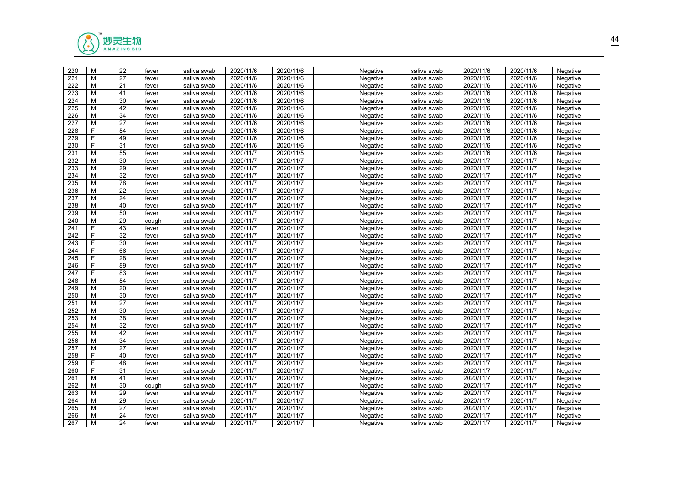

| 220              | M  | 22              | fever | saliva swab | 2020/11/6 | 2020/11/6 | Negative | saliva swab | 2020/11/6 | 2020/11/6 | Negative |  |
|------------------|----|-----------------|-------|-------------|-----------|-----------|----------|-------------|-----------|-----------|----------|--|
| 221              | M  | 27              | fever | saliva swab | 2020/11/6 | 2020/11/6 | Negative | saliva swab | 2020/11/6 | 2020/11/6 | Negative |  |
| $\overline{222}$ | M  | 21              | fever | saliva swab | 2020/11/6 | 2020/11/6 | Negative | saliva swab | 2020/11/6 | 2020/11/6 | Negative |  |
| 223              | М  | 41              | fever | saliva swab | 2020/11/6 | 2020/11/6 | Negative | saliva swab | 2020/11/6 | 2020/11/6 | Negative |  |
| 224              | M  | 30              | fever | saliva swab | 2020/11/6 | 2020/11/6 | Negative | saliva swab | 2020/11/6 | 2020/11/6 | Negative |  |
| 225              | M  | 42              | fever | saliva swab | 2020/11/6 | 2020/11/6 | Negative | saliva swab | 2020/11/6 | 2020/11/6 | Negative |  |
| 226              | M  | 34              | fever | saliva swab | 2020/11/6 | 2020/11/6 | Negative | saliva swab | 2020/11/6 | 2020/11/6 | Negative |  |
| 227              | M  | $\overline{27}$ | fever | saliva swab | 2020/11/6 | 2020/11/6 | Negative | saliva swab | 2020/11/6 | 2020/11/6 | Negative |  |
| 228              | F. | 54              | fever | saliva swab | 2020/11/6 | 2020/11/6 | Negative | saliva swab | 2020/11/6 | 2020/11/6 | Negative |  |
| 229              | F. | 49              | fever | saliva swab | 2020/11/6 | 2020/11/6 | Negative | saliva swab | 2020/11/6 | 2020/11/6 | Negative |  |
| 230              | F  | 31              | fever | saliva swab | 2020/11/6 | 2020/11/6 | Negative | saliva swab | 2020/11/6 | 2020/11/6 | Negative |  |
| 231              | M  | 55              | fever | saliva swab | 2020/11/7 | 2020/11/5 | Negative | saliva swab | 2020/11/6 | 2020/11/6 | Negative |  |
| 232              | M  | 30              | fever | saliva swab | 2020/11/7 | 2020/11/7 | Negative | saliva swab | 2020/11/7 | 2020/11/7 | Negative |  |
| 233              | M  | 29              | fever | saliva swab | 2020/11/7 | 2020/11/7 | Negative | saliva swab | 2020/11/7 | 2020/11/7 | Negative |  |
| 234              | M  | $\overline{32}$ | fever | saliva swab | 2020/11/7 | 2020/11/7 | Negative | saliva swab | 2020/11/7 | 2020/11/7 | Negative |  |
| 235              | M  | 78              | fever | saliva swab | 2020/11/7 | 2020/11/7 | Negative | saliva swab | 2020/11/7 | 2020/11/7 | Negative |  |
| 236              | M  | 22              | fever | saliva swab | 2020/11/7 | 2020/11/7 | Negative | saliva swab | 2020/11/7 | 2020/11/7 | Negative |  |
| 237              | M  | 24              | fever | saliva swab | 2020/11/7 | 2020/11/7 | Negative | saliva swab | 2020/11/7 | 2020/11/7 | Negative |  |
| 238              | M  | 40              | fever | saliva swab | 2020/11/7 | 2020/11/7 | Negative | saliva swab | 2020/11/7 | 2020/11/7 | Negative |  |
| 239              | M  | 50              | fever | saliva swab | 2020/11/7 | 2020/11/7 | Negative | saliva swab | 2020/11/7 | 2020/11/7 | Negative |  |
| 240              | M  | 29              | cough | saliva swab | 2020/11/7 | 2020/11/7 | Negative | saliva swab | 2020/11/7 | 2020/11/7 | Negative |  |
| 241              | F  | 43              | fever | saliva swab | 2020/11/7 | 2020/11/7 | Negative | saliva swab | 2020/11/7 | 2020/11/7 | Negative |  |
| 242              | F  | 32              | fever | saliva swab | 2020/11/7 | 2020/11/7 | Negative | saliva swab | 2020/11/7 | 2020/11/7 | Negative |  |
| 243              | F  | 30              | fever | saliva swab | 2020/11/7 | 2020/11/7 | Negative | saliva swab | 2020/11/7 | 2020/11/7 | Negative |  |
| 244              | F. | 66              | fever | saliva swab | 2020/11/7 | 2020/11/7 | Negative | saliva swab | 2020/11/7 | 2020/11/7 | Negative |  |
| 245              | F. | 28              | fever | saliva swab | 2020/11/7 | 2020/11/7 | Negative | saliva swab | 2020/11/7 | 2020/11/7 | Negative |  |
| 246              | F  | 89              | fever | saliva swab | 2020/11/7 | 2020/11/7 | Negative | saliva swab | 2020/11/7 | 2020/11/7 | Negative |  |
| 247              | F. | 83              | fever | saliva swab | 2020/11/7 | 2020/11/7 | Negative | saliva swab | 2020/11/7 | 2020/11/7 | Negative |  |
| 248              | M  | 54              | fever | saliva swab | 2020/11/7 | 2020/11/7 | Negative | saliva swab | 2020/11/7 | 2020/11/7 | Negative |  |
| 249              | M  | 20              | fever | saliva swab | 2020/11/7 | 2020/11/7 | Negative | saliva swab | 2020/11/7 | 2020/11/7 | Negative |  |
| 250              | M  | 30              | fever | saliva swab | 2020/11/7 | 2020/11/7 | Negative | saliva swab | 2020/11/7 | 2020/11/7 | Negative |  |
| 251              | M  | $\overline{27}$ | fever | saliva swab | 2020/11/7 | 2020/11/7 | Negative | saliva swab | 2020/11/7 | 2020/11/7 | Negative |  |
| 252              | M  | 30              | fever | saliva swab | 2020/11/7 | 2020/11/7 | Negative | saliva swab | 2020/11/7 | 2020/11/7 | Negative |  |
| 253              | M  | 38              | fever | saliva swab | 2020/11/7 | 2020/11/7 | Negative | saliva swab | 2020/11/7 | 2020/11/7 | Negative |  |
| 254              | M  | 32              | fever | saliva swab | 2020/11/7 | 2020/11/7 | Negative | saliva swab | 2020/11/7 | 2020/11/7 | Negative |  |
| 255              | M  | 42              | fever | saliva swab | 2020/11/7 | 2020/11/7 | Negative | saliva swab | 2020/11/7 | 2020/11/7 | Negative |  |
| 256              | M  | 34              | fever | saliva swab | 2020/11/7 | 2020/11/7 | Negative | saliva swab | 2020/11/7 | 2020/11/7 | Negative |  |
| $\overline{257}$ | M  | 27              | fever | saliva swab | 2020/11/7 | 2020/11/7 | Negative | saliva swab | 2020/11/7 | 2020/11/7 | Negative |  |
| 258              | F  | 40              | fever | saliva swab | 2020/11/7 | 2020/11/7 | Negative | saliva swab | 2020/11/7 | 2020/11/7 | Negative |  |
| 259              | F  | 48              | fever | saliva swab | 2020/11/7 | 2020/11/7 | Negative | saliva swab | 2020/11/7 | 2020/11/7 | Negative |  |
| 260              | F  | 31              | fever | saliva swab | 2020/11/7 | 2020/11/7 | Negative | saliva swab | 2020/11/7 | 2020/11/7 | Negative |  |
| 261              | M  | 41              | fever | saliva swab | 2020/11/7 | 2020/11/7 | Negative | saliva swab | 2020/11/7 | 2020/11/7 | Negative |  |
| 262              | М  | 30              | cough | saliva swab | 2020/11/7 | 2020/11/7 | Negative | saliva swab | 2020/11/7 | 2020/11/7 | Negative |  |
| 263              | M  | $\overline{29}$ | fever | saliva swab | 2020/11/7 | 2020/11/7 | Negative | saliva swab | 2020/11/7 | 2020/11/7 | Negative |  |
| 264              | M  | 29              | fever | saliva swab | 2020/11/7 | 2020/11/7 | Negative | saliva swab | 2020/11/7 | 2020/11/7 | Negative |  |
| 265              | M  | 27              | fever | saliva swab | 2020/11/7 | 2020/11/7 | Negative | saliva swab | 2020/11/7 | 2020/11/7 | Negative |  |
| 266              | M  | 24              | fever | saliva swab | 2020/11/7 | 2020/11/7 | Negative | saliva swab | 2020/11/7 | 2020/11/7 | Negative |  |
| 267              | M  | 24              | fever | saliva swab | 2020/11/7 | 2020/11/7 | Negative | saliva swab | 2020/11/7 | 2020/11/7 | Negative |  |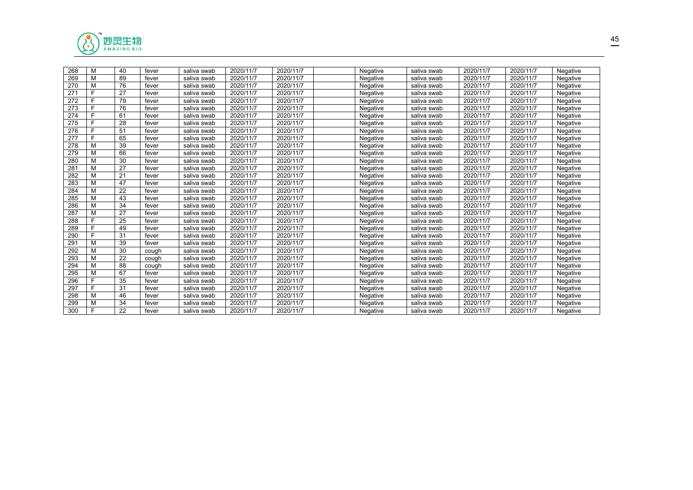

| M<br>89<br>2020/11/7<br>2020/11/7<br>269<br>2020/11/7<br>2020/11/7<br>fever<br>Negative<br>Negative<br>saliva swab<br>saliva swab<br>M<br>76<br>270<br>2020/11/7<br>2020/11/7<br>2020/11/7<br>2020/11/7<br>Negative<br>Negative<br>fever<br>saliva swab<br>saliva swab<br>F.<br>27<br>271<br>2020/11/7<br>2020/11/7<br>Negative<br>2020/11/7<br>2020/11/7<br>fever<br>Negative<br>saliva swab<br>saliva swab<br>272<br>F<br>79<br>2020/11/7<br>2020/11/7<br>2020/11/7<br>2020/11/7<br>Negative<br>fever<br>saliva swab<br>Negative<br>saliva swab<br>E<br>76<br>273<br>2020/11/7<br>2020/11/7<br>2020/11/7<br>2020/11/7<br>Negative<br>fever<br>Negative<br>saliva swab<br>saliva swab<br>274<br>F<br>2020/11/7<br>2020/11/7<br>61<br>2020/11/7<br>2020/11/7<br>fever<br>saliva swab<br>Negative<br>Negative<br>saliva swab<br>28<br>275<br>2020/11/7<br>2020/11/7<br>2020/11/7<br>2020/11/7<br>Negative<br>Negative<br>fever<br>saliva swab<br>saliva swab<br>276<br>F<br>51<br>2020/11/7<br>2020/11/7<br>Negative<br>2020/11/7<br>2020/11/7<br>Negative<br>fever<br>saliva swab<br>saliva swab<br>E<br>277<br>65<br>2020/11/7<br>2020/11/7<br>2020/11/7<br>2020/11/7<br>fever<br>Negative<br>Negative<br>saliva swab<br>saliva swab<br>39<br>2020/11/7<br>2020/11/7<br>278<br>М<br>Negative<br>2020/11/7<br>2020/11/7<br>Negative<br>fever<br>saliva swab<br>saliva swab<br>M<br>66<br>279<br>2020/11/7<br>2020/11/7<br>2020/11/7<br>2020/11/7<br>fever<br>Negative<br>Negative<br>saliva swab<br>saliva swab<br>M<br>30<br>280<br>2020/11/7<br>2020/11/7<br>2020/11/7<br>2020/11/7<br>fever<br>saliva swab<br>Negative<br>Negative<br>saliva swab<br>M<br>281<br>27<br>2020/11/7<br>2020/11/7<br>2020/11/7<br>2020/11/7<br>Negative<br>Negative<br>fever<br>saliva swab<br>saliva swab<br>M<br>2020/11/7<br>282<br>21<br>2020/11/7<br>2020/11/7<br>2020/11/7<br>Negative<br>Negative<br>fever<br>saliva swab<br>saliva swab<br>47<br>М<br>2020/11/7<br>283<br>2020/11/7<br>2020/11/7<br>2020/11/7<br>fever<br>saliva swab<br>Negative<br>Negative<br>saliva swab<br>284<br>M<br>22<br>2020/11/7<br>2020/11/7<br>Negative<br>2020/11/7<br>2020/11/7<br>Negative<br>fever<br>saliva swab<br>saliva swab<br>M<br>285<br>43<br>2020/11/7<br>2020/11/7<br>2020/11/7<br>2020/11/7<br>fever<br>Negative<br>Negative<br>saliva swab<br>saliva swab<br>M<br>34<br>2020/11/7<br>2020/11/7<br>286<br>2020/11/7<br>2020/11/7<br>fever<br>Negative<br>Negative<br>saliva swab<br>saliva swab<br>M<br>27<br>287<br>2020/11/7<br>2020/11/7<br>Negative<br>2020/11/7<br>2020/11/7<br>fever<br>saliva swab<br>Negative<br>saliva swab<br>F.<br>288<br>25<br>2020/11/7<br>2020/11/7<br>fever<br>Negative<br>2020/11/7<br>2020/11/7<br>Negative<br>saliva swab<br>saliva swab<br>F.<br>289<br>49<br>2020/11/7<br>2020/11/7<br>Negative<br>2020/11/7<br>2020/11/7<br>fever<br>Negative<br>saliva swab<br>saliva swab<br>F.<br>2020/11/7<br>290<br>31<br>2020/11/7<br>2020/11/7<br>2020/11/7<br>fever<br>saliva swab<br>Negative<br>Negative<br>saliva swab<br>M<br>39<br>291<br>2020/11/7<br>2020/11/7<br>fever<br>Negative<br>2020/11/7<br>2020/11/7<br>Negative<br>saliva swab<br>saliva swab<br>292<br>М<br>30<br>2020/11/7<br>2020/11/7<br>2020/11/7<br>2020/11/7<br>Negative<br>Negative<br>saliva swab<br>saliva swab<br>cough<br>M<br>22<br>2020/11/7<br>293<br>2020/11/7<br>2020/11/7<br>2020/11/7<br>Negative<br>Negative<br>saliva swab<br>saliva swab<br>cough<br>M<br>294<br>88<br>2020/11/7<br>2020/11/7<br>2020/11/7<br>Negative<br>2020/11/7<br>Negative<br>saliva swab<br>saliva swab<br>cough<br>295<br>М<br>67<br>2020/11/7<br>2020/11/7<br>2020/11/7<br>2020/11/7<br>fever<br>Negative<br>Negative<br>saliva swab<br>saliva swab<br>F.<br>296<br>35<br>2020/11/7<br>2020/11/7<br>2020/11/7<br>fever<br>saliva swab<br>Negative<br>2020/11/7<br>Negative<br>saliva swab<br>F.<br>2020/11/7<br>297<br>31<br>2020/11/7<br>2020/11/7<br>2020/11/7<br>Negative<br>Negative<br>fever<br>saliva swab<br>saliva swab<br>46<br>2020/11/7<br>298<br>М<br>2020/11/7<br>2020/11/7<br>2020/11/7<br>Negative<br>Negative<br>fever<br>saliva swab<br>saliva swab<br>M<br>34<br>2020/11/7<br>299<br>2020/11/7<br>2020/11/7<br>2020/11/7<br>fever<br>Negative<br>Negative<br>saliva swab<br>saliva swab<br>F.<br>22<br>300<br>2020/11/7<br>2020/11/7<br>2020/11/7<br>2020/11/7<br>fever<br>Negative<br>Negative<br>saliva swab<br>saliva swab | 268 | м | 40 | fever | saliva swab | 2020/11/7 | 2020/11/7 | Negative | saliva swab | 2020/11/7 | 2020/11/7 | Negative |
|--------------------------------------------------------------------------------------------------------------------------------------------------------------------------------------------------------------------------------------------------------------------------------------------------------------------------------------------------------------------------------------------------------------------------------------------------------------------------------------------------------------------------------------------------------------------------------------------------------------------------------------------------------------------------------------------------------------------------------------------------------------------------------------------------------------------------------------------------------------------------------------------------------------------------------------------------------------------------------------------------------------------------------------------------------------------------------------------------------------------------------------------------------------------------------------------------------------------------------------------------------------------------------------------------------------------------------------------------------------------------------------------------------------------------------------------------------------------------------------------------------------------------------------------------------------------------------------------------------------------------------------------------------------------------------------------------------------------------------------------------------------------------------------------------------------------------------------------------------------------------------------------------------------------------------------------------------------------------------------------------------------------------------------------------------------------------------------------------------------------------------------------------------------------------------------------------------------------------------------------------------------------------------------------------------------------------------------------------------------------------------------------------------------------------------------------------------------------------------------------------------------------------------------------------------------------------------------------------------------------------------------------------------------------------------------------------------------------------------------------------------------------------------------------------------------------------------------------------------------------------------------------------------------------------------------------------------------------------------------------------------------------------------------------------------------------------------------------------------------------------------------------------------------------------------------------------------------------------------------------------------------------------------------------------------------------------------------------------------------------------------------------------------------------------------------------------------------------------------------------------------------------------------------------------------------------------------------------------------------------------------------------------------------------------------------------------------------------------------------------------------------------------------------------------------------------------------------------------------------------------------------------------------------------------------------------------------------------------------------------------------------------------------------------------------------------------------------------------------------------------------------------------------------------------------------------------------------------------------------------------------------------------------------------------------------------------------------------------------------------------------------------------------------------------------|-----|---|----|-------|-------------|-----------|-----------|----------|-------------|-----------|-----------|----------|
|                                                                                                                                                                                                                                                                                                                                                                                                                                                                                                                                                                                                                                                                                                                                                                                                                                                                                                                                                                                                                                                                                                                                                                                                                                                                                                                                                                                                                                                                                                                                                                                                                                                                                                                                                                                                                                                                                                                                                                                                                                                                                                                                                                                                                                                                                                                                                                                                                                                                                                                                                                                                                                                                                                                                                                                                                                                                                                                                                                                                                                                                                                                                                                                                                                                                                                                                                                                                                                                                                                                                                                                                                                                                                                                                                                                                                                                                                                                                                                                                                                                                                                                                                                                                                                                                                                                                                                                                                                |     |   |    |       |             |           |           |          |             |           |           |          |
|                                                                                                                                                                                                                                                                                                                                                                                                                                                                                                                                                                                                                                                                                                                                                                                                                                                                                                                                                                                                                                                                                                                                                                                                                                                                                                                                                                                                                                                                                                                                                                                                                                                                                                                                                                                                                                                                                                                                                                                                                                                                                                                                                                                                                                                                                                                                                                                                                                                                                                                                                                                                                                                                                                                                                                                                                                                                                                                                                                                                                                                                                                                                                                                                                                                                                                                                                                                                                                                                                                                                                                                                                                                                                                                                                                                                                                                                                                                                                                                                                                                                                                                                                                                                                                                                                                                                                                                                                                |     |   |    |       |             |           |           |          |             |           |           |          |
|                                                                                                                                                                                                                                                                                                                                                                                                                                                                                                                                                                                                                                                                                                                                                                                                                                                                                                                                                                                                                                                                                                                                                                                                                                                                                                                                                                                                                                                                                                                                                                                                                                                                                                                                                                                                                                                                                                                                                                                                                                                                                                                                                                                                                                                                                                                                                                                                                                                                                                                                                                                                                                                                                                                                                                                                                                                                                                                                                                                                                                                                                                                                                                                                                                                                                                                                                                                                                                                                                                                                                                                                                                                                                                                                                                                                                                                                                                                                                                                                                                                                                                                                                                                                                                                                                                                                                                                                                                |     |   |    |       |             |           |           |          |             |           |           |          |
|                                                                                                                                                                                                                                                                                                                                                                                                                                                                                                                                                                                                                                                                                                                                                                                                                                                                                                                                                                                                                                                                                                                                                                                                                                                                                                                                                                                                                                                                                                                                                                                                                                                                                                                                                                                                                                                                                                                                                                                                                                                                                                                                                                                                                                                                                                                                                                                                                                                                                                                                                                                                                                                                                                                                                                                                                                                                                                                                                                                                                                                                                                                                                                                                                                                                                                                                                                                                                                                                                                                                                                                                                                                                                                                                                                                                                                                                                                                                                                                                                                                                                                                                                                                                                                                                                                                                                                                                                                |     |   |    |       |             |           |           |          |             |           |           |          |
|                                                                                                                                                                                                                                                                                                                                                                                                                                                                                                                                                                                                                                                                                                                                                                                                                                                                                                                                                                                                                                                                                                                                                                                                                                                                                                                                                                                                                                                                                                                                                                                                                                                                                                                                                                                                                                                                                                                                                                                                                                                                                                                                                                                                                                                                                                                                                                                                                                                                                                                                                                                                                                                                                                                                                                                                                                                                                                                                                                                                                                                                                                                                                                                                                                                                                                                                                                                                                                                                                                                                                                                                                                                                                                                                                                                                                                                                                                                                                                                                                                                                                                                                                                                                                                                                                                                                                                                                                                |     |   |    |       |             |           |           |          |             |           |           |          |
|                                                                                                                                                                                                                                                                                                                                                                                                                                                                                                                                                                                                                                                                                                                                                                                                                                                                                                                                                                                                                                                                                                                                                                                                                                                                                                                                                                                                                                                                                                                                                                                                                                                                                                                                                                                                                                                                                                                                                                                                                                                                                                                                                                                                                                                                                                                                                                                                                                                                                                                                                                                                                                                                                                                                                                                                                                                                                                                                                                                                                                                                                                                                                                                                                                                                                                                                                                                                                                                                                                                                                                                                                                                                                                                                                                                                                                                                                                                                                                                                                                                                                                                                                                                                                                                                                                                                                                                                                                |     |   |    |       |             |           |           |          |             |           |           |          |
|                                                                                                                                                                                                                                                                                                                                                                                                                                                                                                                                                                                                                                                                                                                                                                                                                                                                                                                                                                                                                                                                                                                                                                                                                                                                                                                                                                                                                                                                                                                                                                                                                                                                                                                                                                                                                                                                                                                                                                                                                                                                                                                                                                                                                                                                                                                                                                                                                                                                                                                                                                                                                                                                                                                                                                                                                                                                                                                                                                                                                                                                                                                                                                                                                                                                                                                                                                                                                                                                                                                                                                                                                                                                                                                                                                                                                                                                                                                                                                                                                                                                                                                                                                                                                                                                                                                                                                                                                                |     |   |    |       |             |           |           |          |             |           |           |          |
|                                                                                                                                                                                                                                                                                                                                                                                                                                                                                                                                                                                                                                                                                                                                                                                                                                                                                                                                                                                                                                                                                                                                                                                                                                                                                                                                                                                                                                                                                                                                                                                                                                                                                                                                                                                                                                                                                                                                                                                                                                                                                                                                                                                                                                                                                                                                                                                                                                                                                                                                                                                                                                                                                                                                                                                                                                                                                                                                                                                                                                                                                                                                                                                                                                                                                                                                                                                                                                                                                                                                                                                                                                                                                                                                                                                                                                                                                                                                                                                                                                                                                                                                                                                                                                                                                                                                                                                                                                |     |   |    |       |             |           |           |          |             |           |           |          |
|                                                                                                                                                                                                                                                                                                                                                                                                                                                                                                                                                                                                                                                                                                                                                                                                                                                                                                                                                                                                                                                                                                                                                                                                                                                                                                                                                                                                                                                                                                                                                                                                                                                                                                                                                                                                                                                                                                                                                                                                                                                                                                                                                                                                                                                                                                                                                                                                                                                                                                                                                                                                                                                                                                                                                                                                                                                                                                                                                                                                                                                                                                                                                                                                                                                                                                                                                                                                                                                                                                                                                                                                                                                                                                                                                                                                                                                                                                                                                                                                                                                                                                                                                                                                                                                                                                                                                                                                                                |     |   |    |       |             |           |           |          |             |           |           |          |
|                                                                                                                                                                                                                                                                                                                                                                                                                                                                                                                                                                                                                                                                                                                                                                                                                                                                                                                                                                                                                                                                                                                                                                                                                                                                                                                                                                                                                                                                                                                                                                                                                                                                                                                                                                                                                                                                                                                                                                                                                                                                                                                                                                                                                                                                                                                                                                                                                                                                                                                                                                                                                                                                                                                                                                                                                                                                                                                                                                                                                                                                                                                                                                                                                                                                                                                                                                                                                                                                                                                                                                                                                                                                                                                                                                                                                                                                                                                                                                                                                                                                                                                                                                                                                                                                                                                                                                                                                                |     |   |    |       |             |           |           |          |             |           |           |          |
|                                                                                                                                                                                                                                                                                                                                                                                                                                                                                                                                                                                                                                                                                                                                                                                                                                                                                                                                                                                                                                                                                                                                                                                                                                                                                                                                                                                                                                                                                                                                                                                                                                                                                                                                                                                                                                                                                                                                                                                                                                                                                                                                                                                                                                                                                                                                                                                                                                                                                                                                                                                                                                                                                                                                                                                                                                                                                                                                                                                                                                                                                                                                                                                                                                                                                                                                                                                                                                                                                                                                                                                                                                                                                                                                                                                                                                                                                                                                                                                                                                                                                                                                                                                                                                                                                                                                                                                                                                |     |   |    |       |             |           |           |          |             |           |           |          |
|                                                                                                                                                                                                                                                                                                                                                                                                                                                                                                                                                                                                                                                                                                                                                                                                                                                                                                                                                                                                                                                                                                                                                                                                                                                                                                                                                                                                                                                                                                                                                                                                                                                                                                                                                                                                                                                                                                                                                                                                                                                                                                                                                                                                                                                                                                                                                                                                                                                                                                                                                                                                                                                                                                                                                                                                                                                                                                                                                                                                                                                                                                                                                                                                                                                                                                                                                                                                                                                                                                                                                                                                                                                                                                                                                                                                                                                                                                                                                                                                                                                                                                                                                                                                                                                                                                                                                                                                                                |     |   |    |       |             |           |           |          |             |           |           |          |
|                                                                                                                                                                                                                                                                                                                                                                                                                                                                                                                                                                                                                                                                                                                                                                                                                                                                                                                                                                                                                                                                                                                                                                                                                                                                                                                                                                                                                                                                                                                                                                                                                                                                                                                                                                                                                                                                                                                                                                                                                                                                                                                                                                                                                                                                                                                                                                                                                                                                                                                                                                                                                                                                                                                                                                                                                                                                                                                                                                                                                                                                                                                                                                                                                                                                                                                                                                                                                                                                                                                                                                                                                                                                                                                                                                                                                                                                                                                                                                                                                                                                                                                                                                                                                                                                                                                                                                                                                                |     |   |    |       |             |           |           |          |             |           |           |          |
|                                                                                                                                                                                                                                                                                                                                                                                                                                                                                                                                                                                                                                                                                                                                                                                                                                                                                                                                                                                                                                                                                                                                                                                                                                                                                                                                                                                                                                                                                                                                                                                                                                                                                                                                                                                                                                                                                                                                                                                                                                                                                                                                                                                                                                                                                                                                                                                                                                                                                                                                                                                                                                                                                                                                                                                                                                                                                                                                                                                                                                                                                                                                                                                                                                                                                                                                                                                                                                                                                                                                                                                                                                                                                                                                                                                                                                                                                                                                                                                                                                                                                                                                                                                                                                                                                                                                                                                                                                |     |   |    |       |             |           |           |          |             |           |           |          |
|                                                                                                                                                                                                                                                                                                                                                                                                                                                                                                                                                                                                                                                                                                                                                                                                                                                                                                                                                                                                                                                                                                                                                                                                                                                                                                                                                                                                                                                                                                                                                                                                                                                                                                                                                                                                                                                                                                                                                                                                                                                                                                                                                                                                                                                                                                                                                                                                                                                                                                                                                                                                                                                                                                                                                                                                                                                                                                                                                                                                                                                                                                                                                                                                                                                                                                                                                                                                                                                                                                                                                                                                                                                                                                                                                                                                                                                                                                                                                                                                                                                                                                                                                                                                                                                                                                                                                                                                                                |     |   |    |       |             |           |           |          |             |           |           |          |
|                                                                                                                                                                                                                                                                                                                                                                                                                                                                                                                                                                                                                                                                                                                                                                                                                                                                                                                                                                                                                                                                                                                                                                                                                                                                                                                                                                                                                                                                                                                                                                                                                                                                                                                                                                                                                                                                                                                                                                                                                                                                                                                                                                                                                                                                                                                                                                                                                                                                                                                                                                                                                                                                                                                                                                                                                                                                                                                                                                                                                                                                                                                                                                                                                                                                                                                                                                                                                                                                                                                                                                                                                                                                                                                                                                                                                                                                                                                                                                                                                                                                                                                                                                                                                                                                                                                                                                                                                                |     |   |    |       |             |           |           |          |             |           |           |          |
|                                                                                                                                                                                                                                                                                                                                                                                                                                                                                                                                                                                                                                                                                                                                                                                                                                                                                                                                                                                                                                                                                                                                                                                                                                                                                                                                                                                                                                                                                                                                                                                                                                                                                                                                                                                                                                                                                                                                                                                                                                                                                                                                                                                                                                                                                                                                                                                                                                                                                                                                                                                                                                                                                                                                                                                                                                                                                                                                                                                                                                                                                                                                                                                                                                                                                                                                                                                                                                                                                                                                                                                                                                                                                                                                                                                                                                                                                                                                                                                                                                                                                                                                                                                                                                                                                                                                                                                                                                |     |   |    |       |             |           |           |          |             |           |           |          |
|                                                                                                                                                                                                                                                                                                                                                                                                                                                                                                                                                                                                                                                                                                                                                                                                                                                                                                                                                                                                                                                                                                                                                                                                                                                                                                                                                                                                                                                                                                                                                                                                                                                                                                                                                                                                                                                                                                                                                                                                                                                                                                                                                                                                                                                                                                                                                                                                                                                                                                                                                                                                                                                                                                                                                                                                                                                                                                                                                                                                                                                                                                                                                                                                                                                                                                                                                                                                                                                                                                                                                                                                                                                                                                                                                                                                                                                                                                                                                                                                                                                                                                                                                                                                                                                                                                                                                                                                                                |     |   |    |       |             |           |           |          |             |           |           |          |
|                                                                                                                                                                                                                                                                                                                                                                                                                                                                                                                                                                                                                                                                                                                                                                                                                                                                                                                                                                                                                                                                                                                                                                                                                                                                                                                                                                                                                                                                                                                                                                                                                                                                                                                                                                                                                                                                                                                                                                                                                                                                                                                                                                                                                                                                                                                                                                                                                                                                                                                                                                                                                                                                                                                                                                                                                                                                                                                                                                                                                                                                                                                                                                                                                                                                                                                                                                                                                                                                                                                                                                                                                                                                                                                                                                                                                                                                                                                                                                                                                                                                                                                                                                                                                                                                                                                                                                                                                                |     |   |    |       |             |           |           |          |             |           |           |          |
|                                                                                                                                                                                                                                                                                                                                                                                                                                                                                                                                                                                                                                                                                                                                                                                                                                                                                                                                                                                                                                                                                                                                                                                                                                                                                                                                                                                                                                                                                                                                                                                                                                                                                                                                                                                                                                                                                                                                                                                                                                                                                                                                                                                                                                                                                                                                                                                                                                                                                                                                                                                                                                                                                                                                                                                                                                                                                                                                                                                                                                                                                                                                                                                                                                                                                                                                                                                                                                                                                                                                                                                                                                                                                                                                                                                                                                                                                                                                                                                                                                                                                                                                                                                                                                                                                                                                                                                                                                |     |   |    |       |             |           |           |          |             |           |           |          |
|                                                                                                                                                                                                                                                                                                                                                                                                                                                                                                                                                                                                                                                                                                                                                                                                                                                                                                                                                                                                                                                                                                                                                                                                                                                                                                                                                                                                                                                                                                                                                                                                                                                                                                                                                                                                                                                                                                                                                                                                                                                                                                                                                                                                                                                                                                                                                                                                                                                                                                                                                                                                                                                                                                                                                                                                                                                                                                                                                                                                                                                                                                                                                                                                                                                                                                                                                                                                                                                                                                                                                                                                                                                                                                                                                                                                                                                                                                                                                                                                                                                                                                                                                                                                                                                                                                                                                                                                                                |     |   |    |       |             |           |           |          |             |           |           |          |
|                                                                                                                                                                                                                                                                                                                                                                                                                                                                                                                                                                                                                                                                                                                                                                                                                                                                                                                                                                                                                                                                                                                                                                                                                                                                                                                                                                                                                                                                                                                                                                                                                                                                                                                                                                                                                                                                                                                                                                                                                                                                                                                                                                                                                                                                                                                                                                                                                                                                                                                                                                                                                                                                                                                                                                                                                                                                                                                                                                                                                                                                                                                                                                                                                                                                                                                                                                                                                                                                                                                                                                                                                                                                                                                                                                                                                                                                                                                                                                                                                                                                                                                                                                                                                                                                                                                                                                                                                                |     |   |    |       |             |           |           |          |             |           |           |          |
|                                                                                                                                                                                                                                                                                                                                                                                                                                                                                                                                                                                                                                                                                                                                                                                                                                                                                                                                                                                                                                                                                                                                                                                                                                                                                                                                                                                                                                                                                                                                                                                                                                                                                                                                                                                                                                                                                                                                                                                                                                                                                                                                                                                                                                                                                                                                                                                                                                                                                                                                                                                                                                                                                                                                                                                                                                                                                                                                                                                                                                                                                                                                                                                                                                                                                                                                                                                                                                                                                                                                                                                                                                                                                                                                                                                                                                                                                                                                                                                                                                                                                                                                                                                                                                                                                                                                                                                                                                |     |   |    |       |             |           |           |          |             |           |           |          |
|                                                                                                                                                                                                                                                                                                                                                                                                                                                                                                                                                                                                                                                                                                                                                                                                                                                                                                                                                                                                                                                                                                                                                                                                                                                                                                                                                                                                                                                                                                                                                                                                                                                                                                                                                                                                                                                                                                                                                                                                                                                                                                                                                                                                                                                                                                                                                                                                                                                                                                                                                                                                                                                                                                                                                                                                                                                                                                                                                                                                                                                                                                                                                                                                                                                                                                                                                                                                                                                                                                                                                                                                                                                                                                                                                                                                                                                                                                                                                                                                                                                                                                                                                                                                                                                                                                                                                                                                                                |     |   |    |       |             |           |           |          |             |           |           |          |
|                                                                                                                                                                                                                                                                                                                                                                                                                                                                                                                                                                                                                                                                                                                                                                                                                                                                                                                                                                                                                                                                                                                                                                                                                                                                                                                                                                                                                                                                                                                                                                                                                                                                                                                                                                                                                                                                                                                                                                                                                                                                                                                                                                                                                                                                                                                                                                                                                                                                                                                                                                                                                                                                                                                                                                                                                                                                                                                                                                                                                                                                                                                                                                                                                                                                                                                                                                                                                                                                                                                                                                                                                                                                                                                                                                                                                                                                                                                                                                                                                                                                                                                                                                                                                                                                                                                                                                                                                                |     |   |    |       |             |           |           |          |             |           |           |          |
|                                                                                                                                                                                                                                                                                                                                                                                                                                                                                                                                                                                                                                                                                                                                                                                                                                                                                                                                                                                                                                                                                                                                                                                                                                                                                                                                                                                                                                                                                                                                                                                                                                                                                                                                                                                                                                                                                                                                                                                                                                                                                                                                                                                                                                                                                                                                                                                                                                                                                                                                                                                                                                                                                                                                                                                                                                                                                                                                                                                                                                                                                                                                                                                                                                                                                                                                                                                                                                                                                                                                                                                                                                                                                                                                                                                                                                                                                                                                                                                                                                                                                                                                                                                                                                                                                                                                                                                                                                |     |   |    |       |             |           |           |          |             |           |           |          |
|                                                                                                                                                                                                                                                                                                                                                                                                                                                                                                                                                                                                                                                                                                                                                                                                                                                                                                                                                                                                                                                                                                                                                                                                                                                                                                                                                                                                                                                                                                                                                                                                                                                                                                                                                                                                                                                                                                                                                                                                                                                                                                                                                                                                                                                                                                                                                                                                                                                                                                                                                                                                                                                                                                                                                                                                                                                                                                                                                                                                                                                                                                                                                                                                                                                                                                                                                                                                                                                                                                                                                                                                                                                                                                                                                                                                                                                                                                                                                                                                                                                                                                                                                                                                                                                                                                                                                                                                                                |     |   |    |       |             |           |           |          |             |           |           |          |
|                                                                                                                                                                                                                                                                                                                                                                                                                                                                                                                                                                                                                                                                                                                                                                                                                                                                                                                                                                                                                                                                                                                                                                                                                                                                                                                                                                                                                                                                                                                                                                                                                                                                                                                                                                                                                                                                                                                                                                                                                                                                                                                                                                                                                                                                                                                                                                                                                                                                                                                                                                                                                                                                                                                                                                                                                                                                                                                                                                                                                                                                                                                                                                                                                                                                                                                                                                                                                                                                                                                                                                                                                                                                                                                                                                                                                                                                                                                                                                                                                                                                                                                                                                                                                                                                                                                                                                                                                                |     |   |    |       |             |           |           |          |             |           |           |          |
|                                                                                                                                                                                                                                                                                                                                                                                                                                                                                                                                                                                                                                                                                                                                                                                                                                                                                                                                                                                                                                                                                                                                                                                                                                                                                                                                                                                                                                                                                                                                                                                                                                                                                                                                                                                                                                                                                                                                                                                                                                                                                                                                                                                                                                                                                                                                                                                                                                                                                                                                                                                                                                                                                                                                                                                                                                                                                                                                                                                                                                                                                                                                                                                                                                                                                                                                                                                                                                                                                                                                                                                                                                                                                                                                                                                                                                                                                                                                                                                                                                                                                                                                                                                                                                                                                                                                                                                                                                |     |   |    |       |             |           |           |          |             |           |           |          |
|                                                                                                                                                                                                                                                                                                                                                                                                                                                                                                                                                                                                                                                                                                                                                                                                                                                                                                                                                                                                                                                                                                                                                                                                                                                                                                                                                                                                                                                                                                                                                                                                                                                                                                                                                                                                                                                                                                                                                                                                                                                                                                                                                                                                                                                                                                                                                                                                                                                                                                                                                                                                                                                                                                                                                                                                                                                                                                                                                                                                                                                                                                                                                                                                                                                                                                                                                                                                                                                                                                                                                                                                                                                                                                                                                                                                                                                                                                                                                                                                                                                                                                                                                                                                                                                                                                                                                                                                                                |     |   |    |       |             |           |           |          |             |           |           |          |
|                                                                                                                                                                                                                                                                                                                                                                                                                                                                                                                                                                                                                                                                                                                                                                                                                                                                                                                                                                                                                                                                                                                                                                                                                                                                                                                                                                                                                                                                                                                                                                                                                                                                                                                                                                                                                                                                                                                                                                                                                                                                                                                                                                                                                                                                                                                                                                                                                                                                                                                                                                                                                                                                                                                                                                                                                                                                                                                                                                                                                                                                                                                                                                                                                                                                                                                                                                                                                                                                                                                                                                                                                                                                                                                                                                                                                                                                                                                                                                                                                                                                                                                                                                                                                                                                                                                                                                                                                                |     |   |    |       |             |           |           |          |             |           |           |          |
|                                                                                                                                                                                                                                                                                                                                                                                                                                                                                                                                                                                                                                                                                                                                                                                                                                                                                                                                                                                                                                                                                                                                                                                                                                                                                                                                                                                                                                                                                                                                                                                                                                                                                                                                                                                                                                                                                                                                                                                                                                                                                                                                                                                                                                                                                                                                                                                                                                                                                                                                                                                                                                                                                                                                                                                                                                                                                                                                                                                                                                                                                                                                                                                                                                                                                                                                                                                                                                                                                                                                                                                                                                                                                                                                                                                                                                                                                                                                                                                                                                                                                                                                                                                                                                                                                                                                                                                                                                |     |   |    |       |             |           |           |          |             |           |           |          |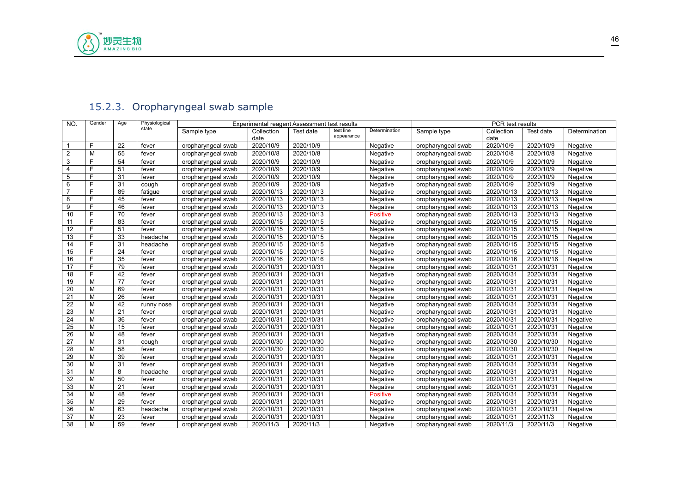

# <span id="page-45-0"></span>15.2.3. Oropharyngeal swab sample

| NO.            | Gender | Age | Physiological |                    |                    | Experimental reagent Assessment test results |                         |                 |                    | PCR test results   |            |               |
|----------------|--------|-----|---------------|--------------------|--------------------|----------------------------------------------|-------------------------|-----------------|--------------------|--------------------|------------|---------------|
|                |        |     | state         | Sample type        | Collection<br>date | Test date                                    | test line<br>appearance | Determination   | Sample type        | Collection<br>date | Test date  | Determination |
|                | E      | 22  | fever         | oropharyngeal swab | 2020/10/9          | 2020/10/9                                    |                         | Negative        | oropharyngeal swab | 2020/10/9          | 2020/10/9  | Negative      |
| $\overline{2}$ | M      | 55  | fever         | oropharyngeal swab | 2020/10/8          | 2020/10/8                                    |                         | Negative        | oropharyngeal swab | 2020/10/8          | 2020/10/8  | Negative      |
| 3              | F      | 54  | fever         | oropharyngeal swab | 2020/10/9          | 2020/10/9                                    |                         | Negative        | oropharyngeal swab | 2020/10/9          | 2020/10/9  | Negative      |
| 4              | F      | 51  | fever         | oropharyngeal swab | 2020/10/9          | 2020/10/9                                    |                         | Negative        | oropharyngeal swab | 2020/10/9          | 2020/10/9  | Negative      |
| 5              | E      | 31  | fever         | oropharyngeal swab | 2020/10/9          | 2020/10/9                                    |                         | Negative        | oropharyngeal swab | 2020/10/9          | 2020/10/9  | Negative      |
| 6              | Е      | 31  | cough         | oropharyngeal swab | 2020/10/9          | 2020/10/9                                    |                         | Negative        | oropharyngeal swab | 2020/10/9          | 2020/10/9  | Negative      |
| $\overline{7}$ | Е      | 89  | fatique       | oropharyngeal swab | 2020/10/13         | 2020/10/13                                   |                         | Negative        | oropharyngeal swab | 2020/10/13         | 2020/10/13 | Negative      |
| 8              | E      | 45  | fever         | oropharyngeal swab | 2020/10/13         | 2020/10/13                                   |                         | Negative        | oropharyngeal swab | 2020/10/13         | 2020/10/13 | Negative      |
| 9              | F      | 46  | fever         | oropharyngeal swab | 2020/10/13         | 2020/10/13                                   |                         | Negative        | oropharyngeal swab | 2020/10/13         | 2020/10/13 | Negative      |
| 10             |        | 70  | fever         | oropharyngeal swab | 2020/10/13         | 2020/10/13                                   |                         | <b>Positive</b> | oropharyngeal swab | 2020/10/13         | 2020/10/13 | Negative      |
| 11             | E      | 83  | fever         | oropharyngeal swab | 2020/10/15         | 2020/10/15                                   |                         | Negative        | oropharyngeal swab | 2020/10/15         | 2020/10/15 | Negative      |
| 12             |        | 51  | fever         | oropharyngeal swab | 2020/10/15         | 2020/10/15                                   |                         | Negative        | oropharyngeal swab | 2020/10/15         | 2020/10/15 | Negative      |
| 13             | E      | 33  | headache      | oropharyngeal swab | 2020/10/15         | 2020/10/15                                   |                         | Negative        | oropharyngeal swab | 2020/10/15         | 2020/10/15 | Negative      |
| 14             | F      | 31  | headache      | oropharyngeal swab | 2020/10/15         | 2020/10/15                                   |                         | Negative        | oropharyngeal swab | 2020/10/15         | 2020/10/15 | Negative      |
| 15             | E      | 24  | fever         | oropharyngeal swab | 2020/10/15         | 2020/10/15                                   |                         | Negative        | oropharyngeal swab | 2020/10/15         | 2020/10/15 | Negative      |
| 16             | F      | 35  | fever         | oropharyngeal swab | 2020/10/16         | 2020/10/16                                   |                         | Negative        | oropharyngeal swab | 2020/10/16         | 2020/10/16 | Negative      |
| 17             | F      | 79  | fever         | oropharyngeal swab | 2020/10/31         | 2020/10/31                                   |                         | Negative        | oropharyngeal swab | 2020/10/31         | 2020/10/31 | Negative      |
| 18             | E      | 42  | fever         | oropharyngeal swab | 2020/10/31         | 2020/10/31                                   |                         | Negative        | oropharyngeal swab | 2020/10/31         | 2020/10/31 | Negative      |
| 19             | M      | 77  | fever         | oropharyngeal swab | 2020/10/31         | 2020/10/31                                   |                         | Negative        | oropharyngeal swab | 2020/10/31         | 2020/10/31 | Negative      |
| 20             | M      | 69  | fever         | oropharyngeal swab | 2020/10/31         | 2020/10/31                                   |                         | Negative        | oropharyngeal swab | 2020/10/31         | 2020/10/31 | Negative      |
| 21             | M      | 26  | fever         | oropharyngeal swab | 2020/10/31         | 2020/10/31                                   |                         | Negative        | oropharyngeal swab | 2020/10/31         | 2020/10/31 | Negative      |
| 22             | M      | 42  | runny nose    | oropharyngeal swab | 2020/10/31         | 2020/10/31                                   |                         | Negative        | oropharyngeal swab | 2020/10/31         | 2020/10/31 | Negative      |
| 23             | M      | 21  | fever         | oropharyngeal swab | 2020/10/31         | 2020/10/31                                   |                         | Negative        | oropharyngeal swab | 2020/10/31         | 2020/10/31 | Negative      |
| 24             | M      | 36  | fever         | oropharyngeal swab | 2020/10/31         | 2020/10/31                                   |                         | Negative        | oropharyngeal swab | 2020/10/31         | 2020/10/31 | Negative      |
| 25             | M      | 15  | fever         | oropharyngeal swab | 2020/10/31         | 2020/10/31                                   |                         | Negative        | oropharyngeal swab | 2020/10/31         | 2020/10/31 | Negative      |
| 26             | M      | 48  | fever         | oropharyngeal swab | 2020/10/31         | 2020/10/31                                   |                         | Negative        | oropharyngeal swab | 2020/10/31         | 2020/10/31 | Negative      |
| 27             | M      | 31  | cough         | oropharyngeal swab | 2020/10/30         | 2020/10/30                                   |                         | Negative        | oropharyngeal swab | 2020/10/30         | 2020/10/30 | Negative      |
| 28             | M      | 58  | fever         | oropharyngeal swab | 2020/10/30         | 2020/10/30                                   |                         | Negative        | oropharyngeal swab | 2020/10/30         | 2020/10/30 | Negative      |
| 29             | M      | 39  | fever         | oropharyngeal swab | 2020/10/31         | 2020/10/31                                   |                         | Negative        | oropharyngeal swab | 2020/10/31         | 2020/10/31 | Negative      |
| 30             | M      | 31  | fever         | oropharyngeal swab | 2020/10/31         | 2020/10/31                                   |                         | Negative        | oropharyngeal swab | 2020/10/31         | 2020/10/31 | Negative      |
| 31             | M      | 8   | headache      | oropharyngeal swab | 2020/10/31         | 2020/10/31                                   |                         | Negative        | oropharyngeal swab | 2020/10/31         | 2020/10/31 | Negative      |
| 32             | M      | 50  | fever         | oropharyngeal swab | 2020/10/31         | 2020/10/31                                   |                         | Negative        | oropharyngeal swab | 2020/10/31         | 2020/10/31 | Negative      |
| 33             | M      | 21  | fever         | oropharyngeal swab | 2020/10/31         | 2020/10/31                                   |                         | Negative        | oropharyngeal swab | 2020/10/31         | 2020/10/31 | Negative      |
| 34             | M      | 48  | fever         | oropharyngeal swab | 2020/10/31         | 2020/10/31                                   |                         | <b>Positive</b> | oropharyngeal swab | 2020/10/31         | 2020/10/31 | Negative      |
| 35             | M      | 29  | fever         | oropharyngeal swab | 2020/10/31         | 2020/10/31                                   |                         | Negative        | oropharyngeal swab | 2020/10/31         | 2020/10/31 | Negative      |
| 36             | M      | 63  | headache      | oropharyngeal swab | 2020/10/31         | 2020/10/31                                   |                         | Negative        | oropharyngeal swab | 2020/10/31         | 2020/10/31 | Negative      |
| 37             | M      | 23  | fever         | oropharyngeal swab | 2020/10/31         | 2020/10/31                                   |                         | Negative        | oropharyngeal swab | 2020/10/31         | 2020/11/3  | Negative      |
| 38             | M      | 59  | fever         | oropharyngeal swab | 2020/11/3          | 2020/11/3                                    |                         | Negative        | oropharyngeal swab | 2020/11/3          | 2020/11/3  | Negative      |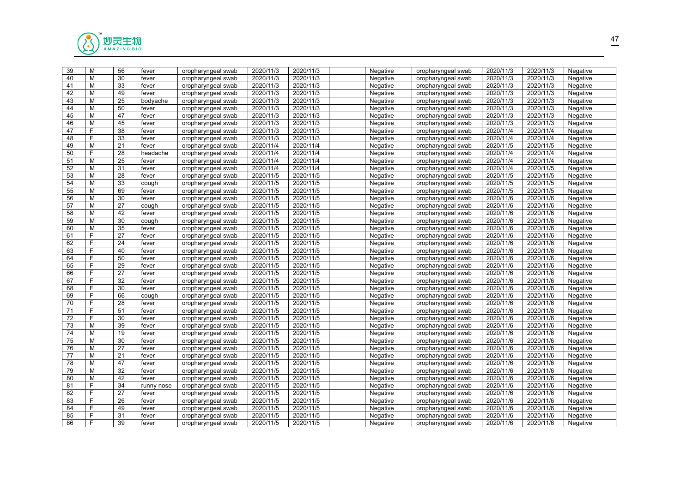

| 39              | M | 56 | fever      | oropharyngeal swab | 2020/11/3 | 2020/11/3 | Negative | oropharyngeal swab | 2020/11/3 | 2020/11/3 | Negative |  |
|-----------------|---|----|------------|--------------------|-----------|-----------|----------|--------------------|-----------|-----------|----------|--|
| 40              | M | 30 | fever      | oropharyngeal swab | 2020/11/3 | 2020/11/3 | Negative | oropharyngeal swab | 2020/11/3 | 2020/11/3 | Negative |  |
| 41              | M | 33 | fever      | oropharyngeal swab | 2020/11/3 | 2020/11/3 | Negative | oropharyngeal swab | 2020/11/3 | 2020/11/3 | Negative |  |
| 42              | M | 49 | fever      | oropharyngeal swab | 2020/11/3 | 2020/11/3 | Negative | oropharyngeal swab | 2020/11/3 | 2020/11/3 | Negative |  |
| 43              | M | 25 | bodyache   | oropharyngeal swab | 2020/11/3 | 2020/11/3 | Negative | oropharyngeal swab | 2020/11/3 | 2020/11/3 | Negative |  |
| 44              | M | 50 | fever      | oropharyngeal swab | 2020/11/3 | 2020/11/3 | Negative | oropharyngeal swab | 2020/11/3 | 2020/11/3 | Negative |  |
| 45              | M | 47 | fever      | oropharyngeal swab | 2020/11/3 | 2020/11/3 | Negative | oropharyngeal swab | 2020/11/3 | 2020/11/3 | Negative |  |
| $\overline{46}$ | M | 45 | fever      | oropharyngeal swab | 2020/11/3 | 2020/11/3 | Negative | oropharyngeal swab | 2020/11/3 | 2020/11/3 | Negative |  |
| 47              | E | 38 | fever      | oropharyngeal swab | 2020/11/3 | 2020/11/3 | Negative | oropharyngeal swab | 2020/11/4 | 2020/11/4 | Negative |  |
| 48              | F | 33 | fever      | oropharyngeal swab | 2020/11/3 | 2020/11/3 | Negative | oropharyngeal swab | 2020/11/4 | 2020/11/4 | Negative |  |
| 49              | M | 21 | fever      | oropharyngeal swab | 2020/11/4 | 2020/11/4 | Negative | oropharyngeal swab | 2020/11/5 | 2020/11/5 | Negative |  |
| 50              | F | 28 | headache   | oropharyngeal swab | 2020/11/4 | 2020/11/4 | Negative | oropharyngeal swab | 2020/11/4 | 2020/11/4 | Negative |  |
| 51              | M | 25 | fever      | oropharyngeal swab | 2020/11/4 | 2020/11/4 | Negative | oropharyngeal swab | 2020/11/4 | 2020/11/4 | Negative |  |
| 52              | M | 31 | fever      | oropharyngeal swab | 2020/11/4 | 2020/11/4 | Negative | oropharyngeal swab | 2020/11/4 | 2020/11/5 | Negative |  |
| 53              | M | 28 | fever      | oropharyngeal swab | 2020/11/5 | 2020/11/5 | Negative | oropharyngeal swab | 2020/11/5 | 2020/11/5 | Negative |  |
| 54              | M | 33 | cough      | oropharyngeal swab | 2020/11/5 | 2020/11/5 | Negative | oropharyngeal swab | 2020/11/5 | 2020/11/5 | Negative |  |
| $\overline{55}$ | M | 69 | fever      | oropharyngeal swab | 2020/11/5 | 2020/11/5 | Negative | oropharyngeal swab | 2020/11/5 | 2020/11/5 | Negative |  |
| 56              | M | 30 | fever      | oropharyngeal swab | 2020/11/5 | 2020/11/5 | Negative | oropharyngeal swab | 2020/11/6 | 2020/11/6 | Negative |  |
| 57              | М | 27 | cough      | oropharyngeal swab | 2020/11/5 | 2020/11/5 | Negative | oropharyngeal swab | 2020/11/6 | 2020/11/6 | Negative |  |
| 58              | M | 42 | fever      | oropharyngeal swab | 2020/11/5 | 2020/11/5 | Negative | oropharyngeal swab | 2020/11/6 | 2020/11/6 | Negative |  |
| 59              | M | 30 | cough      | oropharyngeal swab | 2020/11/5 | 2020/11/5 | Negative | oropharyngeal swab | 2020/11/6 | 2020/11/6 | Negative |  |
| 60              | M | 35 | fever      | oropharyngeal swab | 2020/11/5 | 2020/11/5 | Negative | oropharyngeal swab | 2020/11/6 | 2020/11/6 | Negative |  |
| 61              | F | 27 | fever      | oropharyngeal swab | 2020/11/5 | 2020/11/5 | Negative | oropharyngeal swab | 2020/11/6 | 2020/11/6 | Negative |  |
| 62              | E | 24 | fever      | oropharyngeal swab | 2020/11/5 | 2020/11/5 | Negative | oropharyngeal swab | 2020/11/6 | 2020/11/6 | Negative |  |
| 63              | E | 40 | fever      | oropharyngeal swab | 2020/11/5 | 2020/11/5 | Negative | oropharyngeal swab | 2020/11/6 | 2020/11/6 | Negative |  |
| 64              | F | 50 | fever      | oropharyngeal swab | 2020/11/5 | 2020/11/5 | Negative | oropharyngeal swab | 2020/11/6 | 2020/11/6 | Negative |  |
| 65              | E | 29 | fever      | oropharyngeal swab | 2020/11/5 | 2020/11/5 | Negative | oropharyngeal swab | 2020/11/6 | 2020/11/6 | Negative |  |
| 66              | F | 27 | fever      | oropharyngeal swab | 2020/11/5 | 2020/11/5 | Negative | oropharyngeal swab | 2020/11/6 | 2020/11/6 | Negative |  |
| 67              | F | 32 | fever      | oropharyngeal swab | 2020/11/5 | 2020/11/5 | Negative | oropharyngeal swab | 2020/11/6 | 2020/11/6 | Negative |  |
| 68              | F | 30 | fever      | oropharyngeal swab | 2020/11/5 | 2020/11/5 | Negative | oropharyngeal swab | 2020/11/6 | 2020/11/6 | Negative |  |
| 69              | F | 66 | cough      | oropharyngeal swab | 2020/11/5 | 2020/11/5 | Negative | oropharyngeal swab | 2020/11/6 | 2020/11/6 | Negative |  |
| 70              | F | 28 | fever      | oropharyngeal swab | 2020/11/5 | 2020/11/5 | Negative | oropharyngeal swab | 2020/11/6 | 2020/11/6 | Negative |  |
| 71              | F | 51 | fever      | oropharyngeal swab | 2020/11/5 | 2020/11/5 | Negative | oropharyngeal swab | 2020/11/6 | 2020/11/6 | Negative |  |
| 72              | E | 30 | fever      | oropharyngeal swab | 2020/11/5 | 2020/11/5 | Negative | oropharyngeal swab | 2020/11/6 | 2020/11/6 | Negative |  |
| $\overline{73}$ | M | 39 | fever      | oropharyngeal swab | 2020/11/5 | 2020/11/5 | Negative | oropharyngeal swab | 2020/11/6 | 2020/11/6 | Negative |  |
| 74              | M | 19 | fever      | oropharyngeal swab | 2020/11/5 | 2020/11/5 | Negative | oropharyngeal swab | 2020/11/6 | 2020/11/6 | Negative |  |
| 75              | M | 30 | fever      | oropharyngeal swab | 2020/11/5 | 2020/11/5 | Negative | oropharyngeal swab | 2020/11/6 | 2020/11/6 | Negative |  |
| 76              | M | 27 | fever      | oropharyngeal swab | 2020/11/5 | 2020/11/5 | Negative | oropharyngeal swab | 2020/11/6 | 2020/11/6 | Negative |  |
| 77              | M | 21 | fever      | oropharyngeal swab | 2020/11/5 | 2020/11/5 | Negative | oropharyngeal swab | 2020/11/6 | 2020/11/6 | Negative |  |
| 78              | M | 47 | fever      | oropharyngeal swab | 2020/11/5 | 2020/11/5 | Negative | oropharyngeal swab | 2020/11/6 | 2020/11/6 | Negative |  |
| 79              | M | 32 | fever      | oropharyngeal swab | 2020/11/5 | 2020/11/5 | Negative | oropharyngeal swab | 2020/11/6 | 2020/11/6 | Negative |  |
| 80              | M | 42 | fever      | oropharyngeal swab | 2020/11/5 | 2020/11/5 | Negative | oropharyngeal swab | 2020/11/6 | 2020/11/6 | Negative |  |
| 81              | E | 34 | runny nose | oropharyngeal swab | 2020/11/5 | 2020/11/5 | Negative | oropharyngeal swab | 2020/11/6 | 2020/11/6 | Negative |  |
| 82              | E | 27 | fever      | oropharyngeal swab | 2020/11/5 | 2020/11/5 | Negative | oropharyngeal swab | 2020/11/6 | 2020/11/6 | Negative |  |
| 83              | E | 26 | fever      | oropharyngeal swab | 2020/11/5 | 2020/11/5 | Negative | oropharyngeal swab | 2020/11/6 | 2020/11/6 | Negative |  |
| 84              | F | 49 | fever      | oropharyngeal swab | 2020/11/5 | 2020/11/5 | Negative | oropharyngeal swab | 2020/11/6 | 2020/11/6 | Negative |  |
| 85              | F | 31 | fever      | oropharyngeal swab | 2020/11/5 | 2020/11/5 | Negative | oropharyngeal swab | 2020/11/6 | 2020/11/6 | Negative |  |
| 86              | E | 39 | fever      | oropharyngeal swab | 2020/11/5 | 2020/11/5 | Negative | oropharyngeal swab | 2020/11/6 | 2020/11/6 | Negative |  |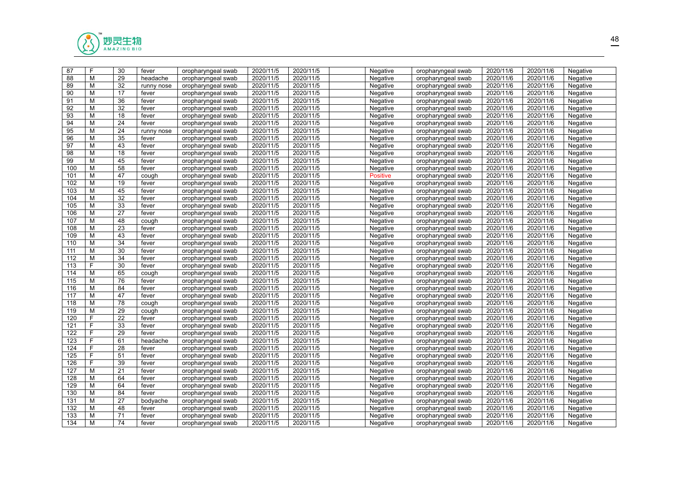

| 87  | F            | 30              | fever      | oropharyngeal swab | 2020/11/5 | 2020/11/5 | Negative        | oropharyngeal swab | 2020/11/6 | 2020/11/6 | Negative |  |
|-----|--------------|-----------------|------------|--------------------|-----------|-----------|-----------------|--------------------|-----------|-----------|----------|--|
| 88  | M            | 29              | headache   | oropharyngeal swab | 2020/11/5 | 2020/11/5 | Negative        | oropharyngeal swab | 2020/11/6 | 2020/11/6 | Negative |  |
| 89  | М            | 32              | runny nose | oropharyngeal swab | 2020/11/5 | 2020/11/5 | Negative        | oropharyngeal swab | 2020/11/6 | 2020/11/6 | Negative |  |
| 90  | М            | 17              | fever      | oropharyngeal swab | 2020/11/5 | 2020/11/5 | Negative        | oropharyngeal swab | 2020/11/6 | 2020/11/6 | Negative |  |
| 91  | M            | 36              | fever      | oropharyngeal swab | 2020/11/5 | 2020/11/5 | Negative        | oropharyngeal swab | 2020/11/6 | 2020/11/6 | Negative |  |
| 92  | М            | 32              | fever      | oropharyngeal swab | 2020/11/5 | 2020/11/5 | Negative        | oropharyngeal swab | 2020/11/6 | 2020/11/6 | Negative |  |
| 93  | M            | 18              | fever      | oropharyngeal swab | 2020/11/5 | 2020/11/5 | Negative        | oropharyngeal swab | 2020/11/6 | 2020/11/6 | Negative |  |
| 94  | M            | 24              | fever      | oropharyngeal swab | 2020/11/5 | 2020/11/5 | Negative        | oropharyngeal swab | 2020/11/6 | 2020/11/6 | Negative |  |
| 95  | M            | 24              | runny nose | oropharyngeal swab | 2020/11/5 | 2020/11/5 | Negative        | oropharyngeal swab | 2020/11/6 | 2020/11/6 | Negative |  |
| 96  | M            | 35              | fever      | oropharyngeal swab | 2020/11/5 | 2020/11/5 | Negative        | oropharyngeal swab | 2020/11/6 | 2020/11/6 | Negative |  |
| 97  | M            | 43              | fever      | oropharyngeal swab | 2020/11/5 | 2020/11/5 | Negative        | oropharyngeal swab | 2020/11/6 | 2020/11/6 | Negative |  |
| 98  | M            | $\overline{18}$ | fever      | oropharyngeal swab | 2020/11/5 | 2020/11/5 | Negative        | oropharyngeal swab | 2020/11/6 | 2020/11/6 | Negative |  |
| 99  | М            | 45              | fever      | oropharyngeal swab | 2020/11/5 | 2020/11/5 | Negative        | oropharyngeal swab | 2020/11/6 | 2020/11/6 | Negative |  |
| 100 | M            | 58              | fever      | oropharyngeal swab | 2020/11/5 | 2020/11/5 | Negative        | oropharyngeal swab | 2020/11/6 | 2020/11/6 | Negative |  |
| 101 | M            | 47              | cough      | oropharyngeal swab | 2020/11/5 | 2020/11/5 | <b>Positive</b> | oropharyngeal swab | 2020/11/6 | 2020/11/6 | Negative |  |
| 102 | M            | 19              | fever      | oropharyngeal swab | 2020/11/5 | 2020/11/5 | Negative        | oropharyngeal swab | 2020/11/6 | 2020/11/6 | Negative |  |
| 103 | M            | 45              | fever      | oropharyngeal swab | 2020/11/5 | 2020/11/5 | Negative        | oropharyngeal swab | 2020/11/6 | 2020/11/6 | Negative |  |
| 104 | М            | 32              | fever      | oropharyngeal swab | 2020/11/5 | 2020/11/5 | Negative        | oropharyngeal swab | 2020/11/6 | 2020/11/6 | Negative |  |
| 105 | M            | 33              | fever      | oropharyngeal swab | 2020/11/5 | 2020/11/5 | Negative        | oropharyngeal swab | 2020/11/6 | 2020/11/6 | Negative |  |
| 106 | M            | 27              | fever      | oropharyngeal swab | 2020/11/5 | 2020/11/5 | Negative        | oropharyngeal swab | 2020/11/6 | 2020/11/6 | Negative |  |
| 107 | M            | 48              | cough      | oropharyngeal swab | 2020/11/5 | 2020/11/5 | Negative        | oropharyngeal swab | 2020/11/6 | 2020/11/6 | Negative |  |
| 108 | м            | 23              | fever      | oropharyngeal swab | 2020/11/5 | 2020/11/5 | Negative        | oropharyngeal swab | 2020/11/6 | 2020/11/6 | Negative |  |
| 109 | M            | 43              | fever      | oropharyngeal swab | 2020/11/5 | 2020/11/5 | Negative        | oropharyngeal swab | 2020/11/6 | 2020/11/6 | Negative |  |
| 110 | M            | 34              | fever      | oropharyngeal swab | 2020/11/5 | 2020/11/5 | Negative        | oropharyngeal swab | 2020/11/6 | 2020/11/6 | Negative |  |
| 111 | M            | 30              | fever      | oropharyngeal swab | 2020/11/5 | 2020/11/5 | Negative        | oropharyngeal swab | 2020/11/6 | 2020/11/6 | Negative |  |
| 112 | M            | 34              | fever      | oropharyngeal swab | 2020/11/5 | 2020/11/5 | Negative        | oropharyngeal swab | 2020/11/6 | 2020/11/6 | Negative |  |
| 113 | F            | 30              | fever      | oropharyngeal swab | 2020/11/5 | 2020/11/5 | Negative        | oropharyngeal swab | 2020/11/6 | 2020/11/6 | Negative |  |
| 114 | М            | 65              | cough      | oropharyngeal swab | 2020/11/5 | 2020/11/5 | Negative        | oropharyngeal swab | 2020/11/6 | 2020/11/6 | Negative |  |
| 115 | M            | 76              | fever      | oropharyngeal swab | 2020/11/5 | 2020/11/5 | Negative        | oropharyngeal swab | 2020/11/6 | 2020/11/6 | Negative |  |
| 116 | М            | 84              | fever      | oropharyngeal swab | 2020/11/5 | 2020/11/5 | Negative        | oropharyngeal swab | 2020/11/6 | 2020/11/6 | Negative |  |
| 117 | м            | 47              | fever      | oropharyngeal swab | 2020/11/5 | 2020/11/5 | Negative        | oropharyngeal swab | 2020/11/6 | 2020/11/6 | Negative |  |
| 118 | M            | 78              | cough      | oropharyngeal swab | 2020/11/5 | 2020/11/5 | Negative        | oropharyngeal swab | 2020/11/6 | 2020/11/6 | Negative |  |
| 119 | М            | 29              | cough      | oropharyngeal swab | 2020/11/5 | 2020/11/5 | Negative        | oropharyngeal swab | 2020/11/6 | 2020/11/6 | Negative |  |
| 120 | F            | 22              | fever      | oropharyngeal swab | 2020/11/5 | 2020/11/5 | Negative        | oropharyngeal swab | 2020/11/6 | 2020/11/6 | Negative |  |
| 121 | $\mathsf{F}$ | 33              | fever      | oropharyngeal swab | 2020/11/5 | 2020/11/5 | Negative        | oropharyngeal swab | 2020/11/6 | 2020/11/6 | Negative |  |
| 122 | F            | 29              | fever      | oropharyngeal swab | 2020/11/5 | 2020/11/5 | Negative        | oropharyngeal swab | 2020/11/6 | 2020/11/6 | Negative |  |
| 123 | F            | 61              | headache   | oropharyngeal swab | 2020/11/5 | 2020/11/5 | Negative        | oropharyngeal swab | 2020/11/6 | 2020/11/6 | Negative |  |
| 124 | F            | 28              | fever      | oropharyngeal swab | 2020/11/5 | 2020/11/5 | Negative        | oropharyngeal swab | 2020/11/6 | 2020/11/6 | Negative |  |
| 125 | E            | 51              | fever      | oropharyngeal swab | 2020/11/5 | 2020/11/5 | Negative        | oropharyngeal swab | 2020/11/6 | 2020/11/6 | Negative |  |
| 126 | E            | 39              | fever      | oropharyngeal swab | 2020/11/5 | 2020/11/5 | Negative        | oropharyngeal swab | 2020/11/6 | 2020/11/6 | Negative |  |
| 127 | M            | 21              | fever      | oropharyngeal swab | 2020/11/5 | 2020/11/5 | Negative        | oropharyngeal swab | 2020/11/6 | 2020/11/6 | Negative |  |
| 128 | M            | 64              | fever      | oropharyngeal swab | 2020/11/5 | 2020/11/5 | Negative        | oropharyngeal swab | 2020/11/6 | 2020/11/6 | Negative |  |
| 129 | M            | 64              | fever      | oropharyngeal swab | 2020/11/5 | 2020/11/5 | Negative        | oropharyngeal swab | 2020/11/6 | 2020/11/6 | Negative |  |
| 130 | M            | 84              | fever      | oropharyngeal swab | 2020/11/5 | 2020/11/5 | Negative        | oropharyngeal swab | 2020/11/6 | 2020/11/6 | Negative |  |
| 131 | M            | 27              | bodyache   | oropharyngeal swab | 2020/11/5 | 2020/11/5 | Negative        | oropharyngeal swab | 2020/11/6 | 2020/11/6 | Negative |  |
| 132 | M            | 48              | fever      | oropharyngeal swab | 2020/11/5 | 2020/11/5 | Negative        | oropharyngeal swab | 2020/11/6 | 2020/11/6 | Negative |  |
| 133 | М            | 71              | fever      | oropharyngeal swab | 2020/11/5 | 2020/11/5 | Negative        | oropharyngeal swab | 2020/11/6 | 2020/11/6 | Negative |  |
| 134 | м            | 74              | fever      | oropharyngeal swab | 2020/11/5 | 2020/11/5 | Negative        | oropharyngeal swab | 2020/11/6 | 2020/11/6 | Negative |  |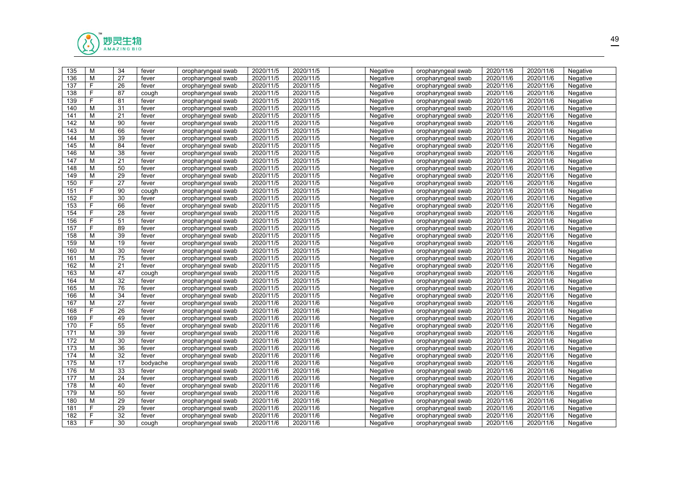

| 135 | M | 34              | fever    | oropharyngeal swab | 2020/11/5 | 2020/11/5 | Negative | oropharyngeal swab | 2020/11/6 | 2020/11/6 | Negative |  |
|-----|---|-----------------|----------|--------------------|-----------|-----------|----------|--------------------|-----------|-----------|----------|--|
| 136 | M | 27              | fever    | oropharyngeal swab | 2020/11/5 | 2020/11/5 | Negative | oropharyngeal swab | 2020/11/6 | 2020/11/6 | Negative |  |
| 137 | F | 26              | fever    | oropharyngeal swab | 2020/11/5 | 2020/11/5 | Negative | oropharyngeal swab | 2020/11/6 | 2020/11/6 | Negative |  |
| 138 | E | 87              | cough    | oropharyngeal swab | 2020/11/5 | 2020/11/5 | Negative | oropharyngeal swab | 2020/11/6 | 2020/11/6 | Negative |  |
| 139 | E | 81              | fever    | oropharyngeal swab | 2020/11/5 | 2020/11/5 | Negative | oropharyngeal swab | 2020/11/6 | 2020/11/6 | Negative |  |
| 140 | M | 31              | fever    | oropharyngeal swab | 2020/11/5 | 2020/11/5 | Negative | oropharyngeal swab | 2020/11/6 | 2020/11/6 | Negative |  |
| 141 | M | 21              | fever    | oropharyngeal swab | 2020/11/5 | 2020/11/5 | Negative | oropharyngeal swab | 2020/11/6 | 2020/11/6 | Negative |  |
| 142 | M | 90              | fever    | oropharyngeal swab | 2020/11/5 | 2020/11/5 | Negative | oropharyngeal swab | 2020/11/6 | 2020/11/6 | Negative |  |
| 143 | M | 66              | fever    | oropharyngeal swab | 2020/11/5 | 2020/11/5 | Negative | oropharyngeal swab | 2020/11/6 | 2020/11/6 | Negative |  |
| 144 | M | 39              | fever    | oropharyngeal swab | 2020/11/5 | 2020/11/5 | Negative | oropharyngeal swab | 2020/11/6 | 2020/11/6 | Negative |  |
| 145 | M | 84              | fever    | oropharyngeal swab | 2020/11/5 | 2020/11/5 | Negative | oropharyngeal swab | 2020/11/6 | 2020/11/6 | Negative |  |
| 146 | M | 38              | fever    | oropharyngeal swab | 2020/11/5 | 2020/11/5 | Negative | oropharyngeal swab | 2020/11/6 | 2020/11/6 | Negative |  |
| 147 | M | 21              | fever    | oropharyngeal swab | 2020/11/5 | 2020/11/5 | Negative | oropharyngeal swab | 2020/11/6 | 2020/11/6 | Negative |  |
| 148 | M | 50              | fever    | oropharyngeal swab | 2020/11/5 | 2020/11/5 | Negative | oropharyngeal swab | 2020/11/6 | 2020/11/6 | Negative |  |
| 149 | M | 29              | fever    | oropharyngeal swab | 2020/11/5 | 2020/11/5 | Negative | oropharyngeal swab | 2020/11/6 | 2020/11/6 | Negative |  |
| 150 | F | 27              | fever    | oropharyngeal swab | 2020/11/5 | 2020/11/5 | Negative | oropharyngeal swab | 2020/11/6 | 2020/11/6 | Negative |  |
| 151 | F | 90              | cough    | oropharyngeal swab | 2020/11/5 | 2020/11/5 | Negative | oropharyngeal swab | 2020/11/6 | 2020/11/6 | Negative |  |
| 152 | E | 30              | fever    | oropharyngeal swab | 2020/11/5 | 2020/11/5 | Negative | oropharyngeal swab | 2020/11/6 | 2020/11/6 | Negative |  |
| 153 | E | 66              | fever    | oropharyngeal swab | 2020/11/5 | 2020/11/5 | Negative | oropharyngeal swab | 2020/11/6 | 2020/11/6 | Negative |  |
| 154 | F | 28              | fever    | oropharyngeal swab | 2020/11/5 | 2020/11/5 | Negative | oropharyngeal swab | 2020/11/6 | 2020/11/6 | Negative |  |
| 156 | F | 51              | fever    | oropharyngeal swab | 2020/11/5 | 2020/11/5 | Negative | oropharyngeal swab | 2020/11/6 | 2020/11/6 | Negative |  |
| 157 | F | 89              | fever    | oropharyngeal swab | 2020/11/5 | 2020/11/5 | Negative | oropharyngeal swab | 2020/11/6 | 2020/11/6 | Negative |  |
| 158 | M | 39              | fever    | oropharyngeal swab | 2020/11/5 | 2020/11/5 | Negative | oropharyngeal swab | 2020/11/6 | 2020/11/6 | Negative |  |
| 159 | M | 19              | fever    | oropharyngeal swab | 2020/11/5 | 2020/11/5 | Negative | oropharyngeal swab | 2020/11/6 | 2020/11/6 | Negative |  |
| 160 | M | 30              | fever    | oropharyngeal swab | 2020/11/5 | 2020/11/5 | Negative | oropharyngeal swab | 2020/11/6 | 2020/11/6 | Negative |  |
| 161 | M | 75              | fever    | oropharyngeal swab | 2020/11/5 | 2020/11/5 | Negative | oropharyngeal swab | 2020/11/6 | 2020/11/6 | Negative |  |
| 162 | M | 21              | fever    | oropharyngeal swab | 2020/11/5 | 2020/11/5 | Negative | oropharyngeal swab | 2020/11/6 | 2020/11/6 | Negative |  |
| 163 | M | 47              | cough    | oropharyngeal swab | 2020/11/5 | 2020/11/5 | Negative | oropharyngeal swab | 2020/11/6 | 2020/11/6 | Negative |  |
| 164 | M | 32              | fever    | oropharyngeal swab | 2020/11/5 | 2020/11/5 | Negative | oropharyngeal swab | 2020/11/6 | 2020/11/6 | Negative |  |
| 165 | M | 76              | fever    | oropharyngeal swab | 2020/11/5 | 2020/11/5 | Negative | oropharyngeal swab | 2020/11/6 | 2020/11/6 | Negative |  |
| 166 | M | 34              | fever    | oropharyngeal swab | 2020/11/5 | 2020/11/5 | Negative | oropharyngeal swab | 2020/11/6 | 2020/11/6 | Negative |  |
| 167 | M | 27              | fever    | oropharyngeal swab | 2020/11/6 | 2020/11/6 | Negative | oropharyngeal swab | 2020/11/6 | 2020/11/6 | Negative |  |
| 168 | F | 26              | fever    | oropharyngeal swab | 2020/11/6 | 2020/11/6 | Negative | oropharyngeal swab | 2020/11/6 | 2020/11/6 | Negative |  |
| 169 | F | 49              | fever    | oropharyngeal swab | 2020/11/6 | 2020/11/6 | Negative | oropharyngeal swab | 2020/11/6 | 2020/11/6 | Negative |  |
| 170 | F | $\overline{55}$ | fever    | oropharyngeal swab | 2020/11/6 | 2020/11/6 | Negative | oropharyngeal swab | 2020/11/6 | 2020/11/6 | Negative |  |
| 171 | M | 39              | fever    | oropharyngeal swab | 2020/11/6 | 2020/11/6 | Negative | oropharyngeal swab | 2020/11/6 | 2020/11/6 | Negative |  |
| 172 | M | 30              | fever    | oropharyngeal swab | 2020/11/6 | 2020/11/6 | Negative | oropharyngeal swab | 2020/11/6 | 2020/11/6 | Negative |  |
| 173 | М | 36              | fever    | oropharyngeal swab | 2020/11/6 | 2020/11/6 | Negative | oropharyngeal swab | 2020/11/6 | 2020/11/6 | Negative |  |
| 174 | M | 32              | fever    | oropharyngeal swab | 2020/11/6 | 2020/11/6 | Negative | oropharyngeal swab | 2020/11/6 | 2020/11/6 | Negative |  |
| 175 | M | 17              | bodyache | oropharyngeal swab | 2020/11/6 | 2020/11/6 | Negative | oropharyngeal swab | 2020/11/6 | 2020/11/6 | Negative |  |
| 176 | M | 33              | fever    | oropharyngeal swab | 2020/11/6 | 2020/11/6 | Negative | oropharyngeal swab | 2020/11/6 | 2020/11/6 | Negative |  |
| 177 | M | 24              | fever    | oropharyngeal swab | 2020/11/6 | 2020/11/6 | Negative | oropharyngeal swab | 2020/11/6 | 2020/11/6 | Negative |  |
| 178 | M | 40              | fever    | oropharyngeal swab | 2020/11/6 | 2020/11/6 | Negative | oropharyngeal swab | 2020/11/6 | 2020/11/6 | Negative |  |
| 179 | M | 50              | fever    | oropharyngeal swab | 2020/11/6 | 2020/11/6 | Negative | oropharyngeal swab | 2020/11/6 | 2020/11/6 | Negative |  |
| 180 | M | 29              | fever    | oropharyngeal swab | 2020/11/6 | 2020/11/6 | Negative | oropharyngeal swab | 2020/11/6 | 2020/11/6 | Negative |  |
| 181 | F | 29              | fever    | oropharyngeal swab | 2020/11/6 | 2020/11/6 | Negative | oropharyngeal swab | 2020/11/6 | 2020/11/6 | Negative |  |
| 182 | F | 32              | fever    | oropharyngeal swab | 2020/11/6 | 2020/11/6 | Negative | oropharyngeal swab | 2020/11/6 | 2020/11/6 | Negative |  |
| 183 | F | 30              | cough    | oropharyngeal swab | 2020/11/6 | 2020/11/6 | Negative | oropharyngeal swab | 2020/11/6 | 2020/11/6 | Negative |  |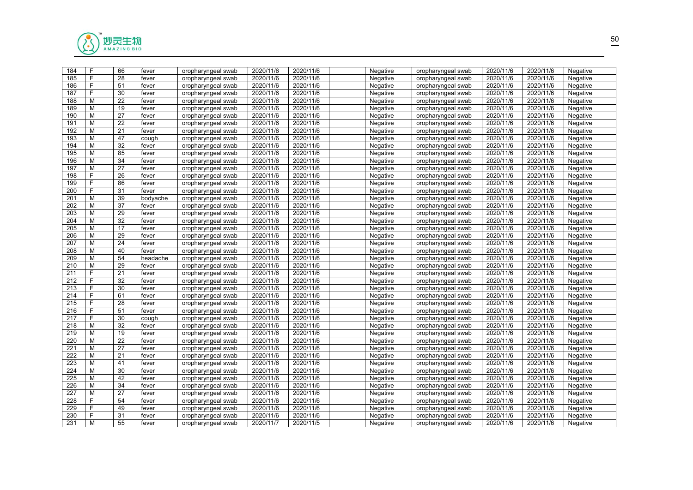

| 184              | F | 66              | fever    | oropharyngeal swab | 2020/11/6 | 2020/11/6 | Negative | oropharyngeal swab | 2020/11/6 | 2020/11/6 | Negative |  |
|------------------|---|-----------------|----------|--------------------|-----------|-----------|----------|--------------------|-----------|-----------|----------|--|
| 185              | F | 28              | fever    | oropharyngeal swab | 2020/11/6 | 2020/11/6 | Negative | oropharyngeal swab | 2020/11/6 | 2020/11/6 | Negative |  |
| 186              | F | 51              | fever    | oropharyngeal swab | 2020/11/6 | 2020/11/6 | Negative | oropharyngeal swab | 2020/11/6 | 2020/11/6 | Negative |  |
| 187              | F | 30              | fever    | oropharyngeal swab | 2020/11/6 | 2020/11/6 | Negative | oropharyngeal swab | 2020/11/6 | 2020/11/6 | Negative |  |
| 188              | М | 22              | fever    | oropharyngeal swab | 2020/11/6 | 2020/11/6 | Negative | oropharyngeal swab | 2020/11/6 | 2020/11/6 | Negative |  |
| 189              | М | 19              | fever    | oropharyngeal swab | 2020/11/6 | 2020/11/6 | Negative | oropharyngeal swab | 2020/11/6 | 2020/11/6 | Negative |  |
| 190              | M | 27              | fever    | oropharyngeal swab | 2020/11/6 | 2020/11/6 | Negative | oropharyngeal swab | 2020/11/6 | 2020/11/6 | Negative |  |
| 191              | M | $\overline{22}$ | fever    | oropharyngeal swab | 2020/11/6 | 2020/11/6 | Negative | oropharyngeal swab | 2020/11/6 | 2020/11/6 | Negative |  |
| 192              | м | 21              | fever    | oropharyngeal swab | 2020/11/6 | 2020/11/6 | Negative | oropharyngeal swab | 2020/11/6 | 2020/11/6 | Negative |  |
| 193              | М | 47              | cough    | oropharyngeal swab | 2020/11/6 | 2020/11/6 | Negative | oropharyngeal swab | 2020/11/6 | 2020/11/6 | Negative |  |
| 194              | M | 32              | fever    | oropharyngeal swab | 2020/11/6 | 2020/11/6 | Negative | oropharyngeal swab | 2020/11/6 | 2020/11/6 | Negative |  |
| 195              | М | 85              | fever    | oropharyngeal swab | 2020/11/6 | 2020/11/6 | Negative | oropharyngeal swab | 2020/11/6 | 2020/11/6 | Negative |  |
| 196              | М | 34              | fever    | oropharyngeal swab | 2020/11/6 | 2020/11/6 | Negative | oropharyngeal swab | 2020/11/6 | 2020/11/6 | Negative |  |
| 197              | M | 27              | fever    | oropharyngeal swab | 2020/11/6 | 2020/11/6 | Negative | oropharyngeal swab | 2020/11/6 | 2020/11/6 | Negative |  |
| 198              | F | $\overline{26}$ | fever    | oropharyngeal swab | 2020/11/6 | 2020/11/6 | Negative | oropharyngeal swab | 2020/11/6 | 2020/11/6 | Negative |  |
| 199              | F | 86              | fever    | oropharyngeal swab | 2020/11/6 | 2020/11/6 | Negative | oropharyngeal swab | 2020/11/6 | 2020/11/6 | Negative |  |
| 200              | F | 31              | fever    | oropharyngeal swab | 2020/11/6 | 2020/11/6 | Negative | oropharyngeal swab | 2020/11/6 | 2020/11/6 | Negative |  |
| 201              | M | 39              | bodyache | oropharyngeal swab | 2020/11/6 | 2020/11/6 | Negative | oropharyngeal swab | 2020/11/6 | 2020/11/6 | Negative |  |
| 202              | M | 37              | fever    | oropharyngeal swab | 2020/11/6 | 2020/11/6 | Negative | oropharyngeal swab | 2020/11/6 | 2020/11/6 | Negative |  |
| 203              | М | 29              | fever    | oropharyngeal swab | 2020/11/6 | 2020/11/6 | Negative | oropharyngeal swab | 2020/11/6 | 2020/11/6 | Negative |  |
| 204              | M | 32              | fever    | oropharyngeal swab | 2020/11/6 | 2020/11/6 | Negative | oropharyngeal swab | 2020/11/6 | 2020/11/6 | Negative |  |
| 205              | М | 17              | fever    | oropharyngeal swab | 2020/11/6 | 2020/11/6 | Negative | oropharyngeal swab | 2020/11/6 | 2020/11/6 | Negative |  |
| 206              | М | 29              | fever    | oropharyngeal swab | 2020/11/6 | 2020/11/6 | Negative | oropharyngeal swab | 2020/11/6 | 2020/11/6 | Negative |  |
| 207              | М | 24              | fever    | oropharyngeal swab | 2020/11/6 | 2020/11/6 | Negative | oropharyngeal swab | 2020/11/6 | 2020/11/6 | Negative |  |
| 208              | M | 40              | fever    | oropharyngeal swab | 2020/11/6 | 2020/11/6 | Negative | oropharyngeal swab | 2020/11/6 | 2020/11/6 | Negative |  |
| 209              | M | 54              | headache | oropharyngeal swab | 2020/11/6 | 2020/11/6 | Negative | oropharyngeal swab | 2020/11/6 | 2020/11/6 | Negative |  |
| 210              | M | 29              | fever    | oropharyngeal swab | 2020/11/6 | 2020/11/6 | Negative | oropharyngeal swab | 2020/11/6 | 2020/11/6 | Negative |  |
| 211              | F | 21              | fever    | oropharyngeal swab | 2020/11/6 | 2020/11/6 | Negative | oropharyngeal swab | 2020/11/6 | 2020/11/6 | Negative |  |
| 212              | F | 32              | fever    | oropharyngeal swab | 2020/11/6 | 2020/11/6 | Negative | oropharyngeal swab | 2020/11/6 | 2020/11/6 | Negative |  |
| 213              | F | 30              | fever    | oropharyngeal swab | 2020/11/6 | 2020/11/6 | Negative | oropharyngeal swab | 2020/11/6 | 2020/11/6 | Negative |  |
| 214              | F | 61              | fever    | oropharyngeal swab | 2020/11/6 | 2020/11/6 | Negative | oropharyngeal swab | 2020/11/6 | 2020/11/6 | Negative |  |
| 215              | F | $\overline{28}$ | fever    | oropharyngeal swab | 2020/11/6 | 2020/11/6 | Negative | oropharyngeal swab | 2020/11/6 | 2020/11/6 | Negative |  |
| 216              | F | 51              | fever    | oropharyngeal swab | 2020/11/6 | 2020/11/6 | Negative | oropharyngeal swab | 2020/11/6 | 2020/11/6 | Negative |  |
| 217              | F | 30              | cough    | oropharyngeal swab | 2020/11/6 | 2020/11/6 | Negative | oropharyngeal swab | 2020/11/6 | 2020/11/6 | Negative |  |
| 218              | м | $\overline{32}$ | fever    | oropharyngeal swab | 2020/11/6 | 2020/11/6 | Negative | oropharyngeal swab | 2020/11/6 | 2020/11/6 | Negative |  |
| 219              | M | 19              | fever    | oropharyngeal swab | 2020/11/6 | 2020/11/6 | Negative | oropharyngeal swab | 2020/11/6 | 2020/11/6 | Negative |  |
| 220              | М | 22              | fever    | oropharyngeal swab | 2020/11/6 | 2020/11/6 | Negative | oropharyngeal swab | 2020/11/6 | 2020/11/6 | Negative |  |
| $\overline{221}$ | M | 27              | fever    | oropharyngeal swab | 2020/11/6 | 2020/11/6 | Negative | oropharyngeal swab | 2020/11/6 | 2020/11/6 | Negative |  |
| 222              | М | 21              | fever    | oropharyngeal swab | 2020/11/6 | 2020/11/6 | Negative | oropharyngeal swab | 2020/11/6 | 2020/11/6 | Negative |  |
| 223              | M | 41              | fever    | oropharyngeal swab | 2020/11/6 | 2020/11/6 | Negative | oropharyngeal swab | 2020/11/6 | 2020/11/6 | Negative |  |
| 224              | М | $\overline{30}$ | fever    | oropharyngeal swab | 2020/11/6 | 2020/11/6 | Negative | oropharyngeal swab | 2020/11/6 | 2020/11/6 | Negative |  |
| 225              | M | 42              | fever    | oropharyngeal swab | 2020/11/6 | 2020/11/6 | Negative | oropharyngeal swab | 2020/11/6 | 2020/11/6 | Negative |  |
| 226              | М | 34              | fever    | oropharyngeal swab | 2020/11/6 | 2020/11/6 | Negative | oropharyngeal swab | 2020/11/6 | 2020/11/6 | Negative |  |
| 227              | M | 27              | fever    | oropharyngeal swab | 2020/11/6 | 2020/11/6 | Negative | oropharyngeal swab | 2020/11/6 | 2020/11/6 | Negative |  |
| 228              | F | 54              | fever    | oropharyngeal swab | 2020/11/6 | 2020/11/6 | Negative | oropharyngeal swab | 2020/11/6 | 2020/11/6 | Negative |  |
| 229              | F | 49              | fever    | oropharyngeal swab | 2020/11/6 | 2020/11/6 | Negative | oropharyngeal swab | 2020/11/6 | 2020/11/6 | Negative |  |
| 230              | F | 31              | fever    | oropharyngeal swab | 2020/11/6 | 2020/11/6 | Negative | oropharyngeal swab | 2020/11/6 | 2020/11/6 | Negative |  |
| 231              | M | 55              | fever    | oropharyngeal swab | 2020/11/7 | 2020/11/5 | Negative | oropharyngeal swab | 2020/11/6 | 2020/11/6 | Negative |  |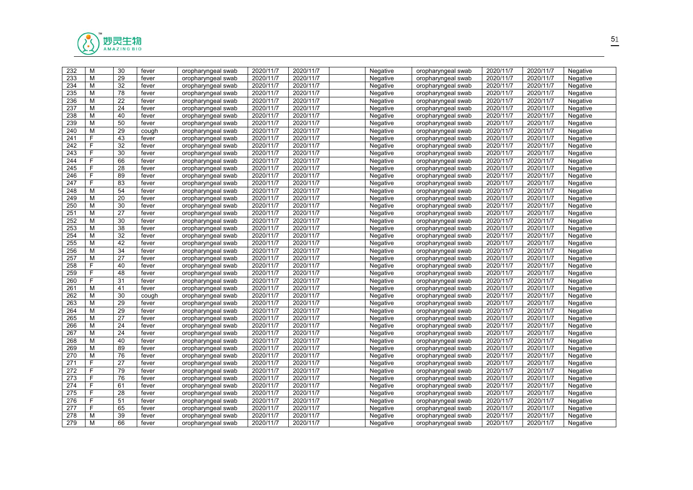

| 232 | M | 30              | fever | oropharyngeal swab | 2020/11/7 | 2020/11/7 | Negative | oropharyngeal swab | 2020/11/7 | 2020/11/7 | Negative |  |
|-----|---|-----------------|-------|--------------------|-----------|-----------|----------|--------------------|-----------|-----------|----------|--|
| 233 | M | 29              | fever | oropharyngeal swab | 2020/11/7 | 2020/11/7 | Negative | oropharyngeal swab | 2020/11/7 | 2020/11/7 | Negative |  |
| 234 | М | $\overline{32}$ | fever | oropharyngeal swab | 2020/11/7 | 2020/11/7 | Negative | oropharyngeal swab | 2020/11/7 | 2020/11/7 | Negative |  |
| 235 | M | 78              | fever | oropharyngeal swab | 2020/11/7 | 2020/11/7 | Negative | oropharyngeal swab | 2020/11/7 | 2020/11/7 | Negative |  |
| 236 | М | 22              | fever | oropharyngeal swab | 2020/11/7 | 2020/11/7 | Negative | oropharyngeal swab | 2020/11/7 | 2020/11/7 | Negative |  |
| 237 | M | 24              | fever | oropharyngeal swab | 2020/11/7 | 2020/11/7 | Negative | oropharyngeal swab | 2020/11/7 | 2020/11/7 | Negative |  |
| 238 | М | 40              | fever | oropharyngeal swab | 2020/11/7 | 2020/11/7 | Negative | oropharyngeal swab | 2020/11/7 | 2020/11/7 | Negative |  |
| 239 | M | 50              | fever | oropharyngeal swab | 2020/11/7 | 2020/11/7 | Negative | oropharyngeal swab | 2020/11/7 | 2020/11/7 | Negative |  |
| 240 | M | 29              | cough | oropharyngeal swab | 2020/11/7 | 2020/11/7 | Negative | oropharyngeal swab | 2020/11/7 | 2020/11/7 | Negative |  |
| 241 | F | 43              | fever | oropharyngeal swab | 2020/11/7 | 2020/11/7 | Negative | oropharyngeal swab | 2020/11/7 | 2020/11/7 | Negative |  |
| 242 | F | $\overline{32}$ | fever | oropharyngeal swab | 2020/11/7 | 2020/11/7 | Negative | oropharyngeal swab | 2020/11/7 | 2020/11/7 | Negative |  |
| 243 | F | 30              | fever | oropharyngeal swab | 2020/11/7 | 2020/11/7 | Negative | oropharyngeal swab | 2020/11/7 | 2020/11/7 | Negative |  |
| 244 | F | 66              | fever | oropharyngeal swab | 2020/11/7 | 2020/11/7 | Negative | oropharyngeal swab | 2020/11/7 | 2020/11/7 | Negative |  |
| 245 | F | 28              | fever | oropharyngeal swab | 2020/11/7 | 2020/11/7 | Negative | oropharyngeal swab | 2020/11/7 | 2020/11/7 | Negative |  |
| 246 | F | 89              | fever | oropharyngeal swab | 2020/11/7 | 2020/11/7 | Negative | oropharyngeal swab | 2020/11/7 | 2020/11/7 | Negative |  |
| 247 | F | 83              | fever | oropharyngeal swab | 2020/11/7 | 2020/11/7 | Negative | oropharyngeal swab | 2020/11/7 | 2020/11/7 | Negative |  |
| 248 | M | 54              | fever | oropharyngeal swab | 2020/11/7 | 2020/11/7 | Negative | oropharyngeal swab | 2020/11/7 | 2020/11/7 | Negative |  |
| 249 | M | 20              | fever | oropharyngeal swab | 2020/11/7 | 2020/11/7 | Negative | oropharyngeal swab | 2020/11/7 | 2020/11/7 | Negative |  |
| 250 | М | 30              | fever | oropharyngeal swab | 2020/11/7 | 2020/11/7 | Negative | oropharyngeal swab | 2020/11/7 | 2020/11/7 | Negative |  |
| 251 | М | 27              | fever | oropharyngeal swab | 2020/11/7 | 2020/11/7 | Negative | oropharyngeal swab | 2020/11/7 | 2020/11/7 | Negative |  |
| 252 | M | 30              | fever | oropharyngeal swab | 2020/11/7 | 2020/11/7 | Negative | oropharyngeal swab | 2020/11/7 | 2020/11/7 | Negative |  |
| 253 | м | 38              | fever | oropharyngeal swab | 2020/11/7 | 2020/11/7 | Negative | oropharyngeal swab | 2020/11/7 | 2020/11/7 | Negative |  |
| 254 | М | 32              | fever | oropharyngeal swab | 2020/11/7 | 2020/11/7 | Negative | oropharyngeal swab | 2020/11/7 | 2020/11/7 | Negative |  |
| 255 | M | 42              | fever | oropharyngeal swab | 2020/11/7 | 2020/11/7 | Negative | oropharyngeal swab | 2020/11/7 | 2020/11/7 | Negative |  |
| 256 | М | 34              | fever | oropharyngeal swab | 2020/11/7 | 2020/11/7 | Negative | oropharyngeal swab | 2020/11/7 | 2020/11/7 | Negative |  |
| 257 | M | 27              | fever | oropharyngeal swab | 2020/11/7 | 2020/11/7 | Negative | oropharyngeal swab | 2020/11/7 | 2020/11/7 | Negative |  |
| 258 | F | 40              | fever | oropharyngeal swab | 2020/11/7 | 2020/11/7 | Negative | oropharyngeal swab | 2020/11/7 | 2020/11/7 | Negative |  |
| 259 | F | 48              | fever | oropharyngeal swab | 2020/11/7 | 2020/11/7 | Negative | oropharyngeal swab | 2020/11/7 | 2020/11/7 | Negative |  |
| 260 | F | 31              | fever | oropharyngeal swab | 2020/11/7 | 2020/11/7 | Negative | oropharyngeal swab | 2020/11/7 | 2020/11/7 | Negative |  |
| 261 | М | 41              | fever | oropharyngeal swab | 2020/11/7 | 2020/11/7 | Negative | oropharyngeal swab | 2020/11/7 | 2020/11/7 | Negative |  |
| 262 | М | 30              | cough | oropharyngeal swab | 2020/11/7 | 2020/11/7 | Negative | oropharyngeal swab | 2020/11/7 | 2020/11/7 | Negative |  |
| 263 | М | 29              | fever | oropharyngeal swab | 2020/11/7 | 2020/11/7 | Negative | oropharyngeal swab | 2020/11/7 | 2020/11/7 | Negative |  |
| 264 | М | 29              | fever | oropharyngeal swab | 2020/11/7 | 2020/11/7 | Negative | oropharyngeal swab | 2020/11/7 | 2020/11/7 | Negative |  |
| 265 | M | 27              | fever | oropharyngeal swab | 2020/11/7 | 2020/11/7 | Negative | oropharyngeal swab | 2020/11/7 | 2020/11/7 | Negative |  |
| 266 | M | 24              | fever | oropharyngeal swab | 2020/11/7 | 2020/11/7 | Negative | oropharyngeal swab | 2020/11/7 | 2020/11/7 | Negative |  |
| 267 | M | 24              | fever | oropharyngeal swab | 2020/11/7 | 2020/11/7 | Negative | oropharyngeal swab | 2020/11/7 | 2020/11/7 | Negative |  |
| 268 | М | 40              | fever | oropharyngeal swab | 2020/11/7 | 2020/11/7 | Negative | oropharyngeal swab | 2020/11/7 | 2020/11/7 | Negative |  |
| 269 | М | 89              | fever | oropharyngeal swab | 2020/11/7 | 2020/11/7 | Negative | oropharyngeal swab | 2020/11/7 | 2020/11/7 | Negative |  |
| 270 | М | 76              | fever | oropharyngeal swab | 2020/11/7 | 2020/11/7 | Negative | oropharyngeal swab | 2020/11/7 | 2020/11/7 | Negative |  |
| 271 | F | 27              | fever | oropharyngeal swab | 2020/11/7 | 2020/11/7 | Negative | oropharyngeal swab | 2020/11/7 | 2020/11/7 | Negative |  |
| 272 | F | 79              | fever | oropharyngeal swab | 2020/11/7 | 2020/11/7 | Negative | oropharyngeal swab | 2020/11/7 | 2020/11/7 | Negative |  |
| 273 | F | 76              | fever | oropharyngeal swab | 2020/11/7 | 2020/11/7 | Negative | oropharyngeal swab | 2020/11/7 | 2020/11/7 | Negative |  |
| 274 | F | 61              | fever | oropharyngeal swab | 2020/11/7 | 2020/11/7 | Negative | oropharyngeal swab | 2020/11/7 | 2020/11/7 | Negative |  |
| 275 | F | 28              | fever | oropharyngeal swab | 2020/11/7 | 2020/11/7 | Negative | oropharyngeal swab | 2020/11/7 | 2020/11/7 | Negative |  |
| 276 | F | 51              | fever | oropharyngeal swab | 2020/11/7 | 2020/11/7 | Negative | oropharyngeal swab | 2020/11/7 | 2020/11/7 | Negative |  |
| 277 | F | 65              | fever | oropharyngeal swab | 2020/11/7 | 2020/11/7 | Negative | oropharyngeal swab | 2020/11/7 | 2020/11/7 | Negative |  |
| 278 | м | 39              | fever | oropharyngeal swab | 2020/11/7 | 2020/11/7 | Negative | oropharyngeal swab | 2020/11/7 | 2020/11/7 | Negative |  |
| 279 | M | 66              | fever | oropharyngeal swab | 2020/11/7 | 2020/11/7 | Negative | oropharyngeal swab | 2020/11/7 | 2020/11/7 | Negative |  |
|     |   |                 |       |                    |           |           |          |                    |           |           |          |  |